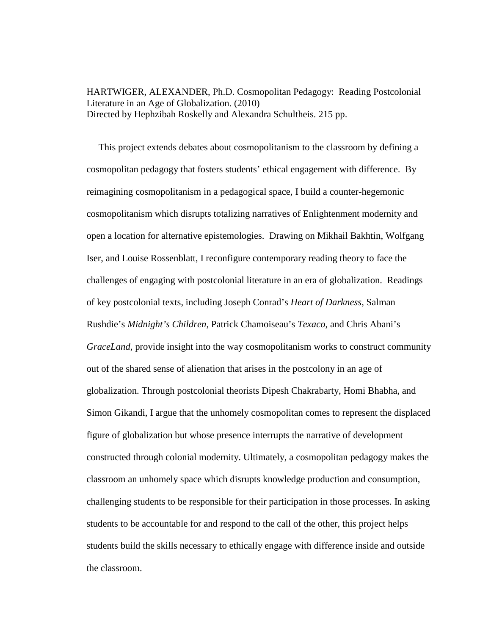HARTWIGER, ALEXANDER, Ph.D. Cosmopolitan Pedagogy: Reading Postcolonial Literature in an Age of Globalization. (2010) Directed by Hephzibah Roskelly and Alexandra Schultheis. 215 pp.

 This project extends debates about cosmopolitanism to the classroom by defining a cosmopolitan pedagogy that fosters students' ethical engagement with difference. By reimagining cosmopolitanism in a pedagogical space, I build a counter-hegemonic cosmopolitanism which disrupts totalizing narratives of Enlightenment modernity and open a location for alternative epistemologies. Drawing on Mikhail Bakhtin, Wolfgang Iser, and Louise Rossenblatt, I reconfigure contemporary reading theory to face the challenges of engaging with postcolonial literature in an era of globalization. Readings of key postcolonial texts, including Joseph Conrad's *Heart of Darkness*, Salman Rushdie's *Midnight's Children*, Patrick Chamoiseau's *Texaco*, and Chris Abani's *GraceLand*, provide insight into the way cosmopolitanism works to construct community out of the shared sense of alienation that arises in the postcolony in an age of globalization. Through postcolonial theorists Dipesh Chakrabarty, Homi Bhabha, and Simon Gikandi, I argue that the unhomely cosmopolitan comes to represent the displaced figure of globalization but whose presence interrupts the narrative of development constructed through colonial modernity. Ultimately, a cosmopolitan pedagogy makes the classroom an unhomely space which disrupts knowledge production and consumption, challenging students to be responsible for their participation in those processes. In asking students to be accountable for and respond to the call of the other, this project helps students build the skills necessary to ethically engage with difference inside and outside the classroom.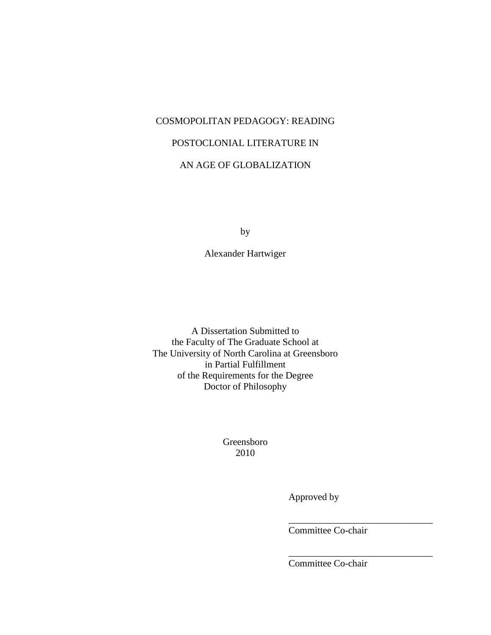# COSMOPOLITAN PEDAGOGY: READING

# POSTOCLONIAL LITERATURE IN

# AN AGE OF GLOBALIZATION

by

Alexander Hartwiger

A Dissertation Submitted to the Faculty of The Graduate School at The University of North Carolina at Greensboro in Partial Fulfillment of the Requirements for the Degree Doctor of Philosophy

> Greensboro 2010

> > Approved by

Committee Co-chair

\_\_\_\_\_\_\_\_\_\_\_\_\_\_\_\_\_\_\_\_\_\_\_\_\_\_\_\_\_\_

\_\_\_\_\_\_\_\_\_\_\_\_\_\_\_\_\_\_\_\_\_\_\_\_\_\_\_\_\_\_

Committee Co-chair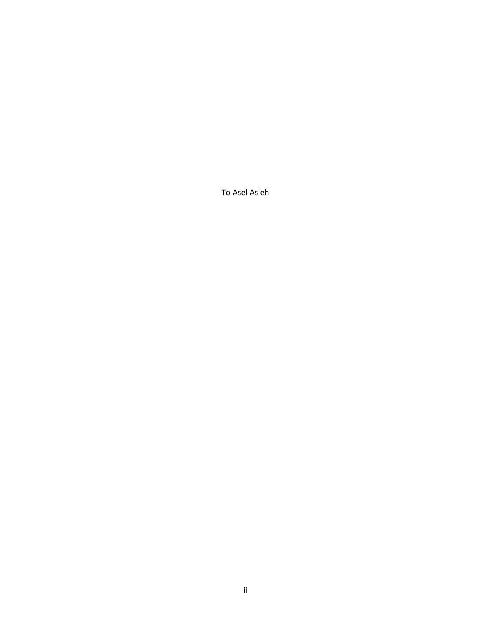To Asel Asleh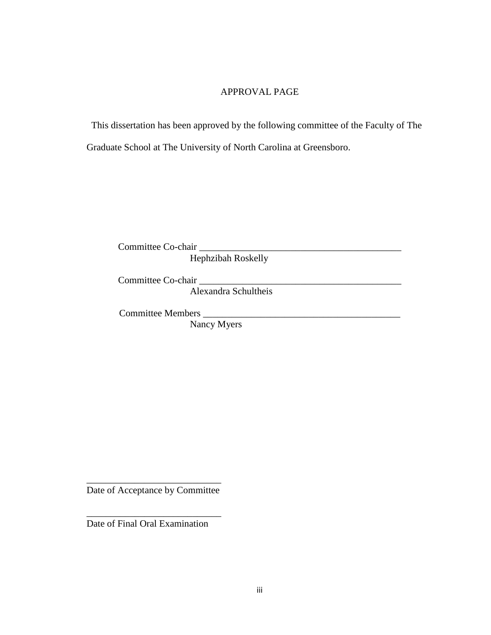## APPROVAL PAGE

 This dissertation has been approved by the following committee of the Faculty of The Graduate School at The University of North Carolina at Greensboro.

Committee Co-chair \_\_\_\_\_\_\_\_\_\_\_\_\_\_\_\_\_\_\_\_\_\_\_\_\_\_\_\_\_\_\_\_\_\_\_\_\_\_\_\_\_\_ Hephzibah Roskelly

Committee Co-chair \_\_\_\_\_\_\_\_\_\_\_\_\_\_\_\_\_\_\_\_\_\_\_\_\_\_\_\_\_\_\_\_\_\_\_\_\_\_\_\_\_\_

Alexandra Schultheis

Committee Members \_\_\_\_\_\_\_\_\_\_\_\_\_\_\_\_\_\_\_\_\_\_\_\_\_\_\_\_\_\_\_\_\_\_\_\_\_\_\_\_\_

Nancy Myers

\_\_\_\_\_\_\_\_\_\_\_\_\_\_\_\_\_\_\_\_\_\_\_\_\_\_\_\_ Date of Acceptance by Committee

\_\_\_\_\_\_\_\_\_\_\_\_\_\_\_\_\_\_\_\_\_\_\_\_\_\_\_\_ Date of Final Oral Examination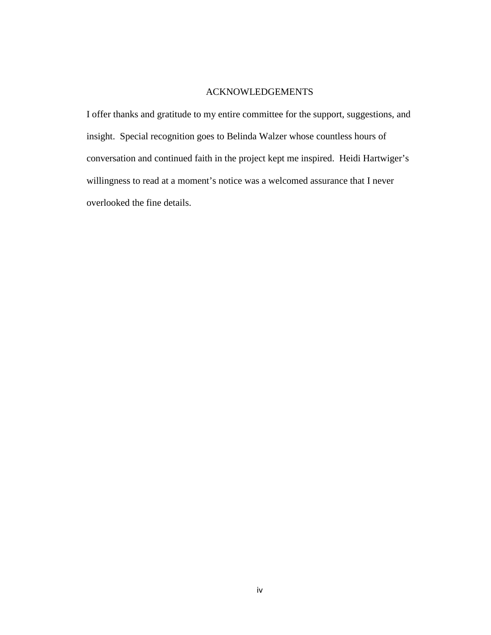## ACKNOWLEDGEMENTS

I offer thanks and gratitude to my entire committee for the support, suggestions, and insight. Special recognition goes to Belinda Walzer whose countless hours of conversation and continued faith in the project kept me inspired. Heidi Hartwiger's willingness to read at a moment's notice was a welcomed assurance that I never overlooked the fine details.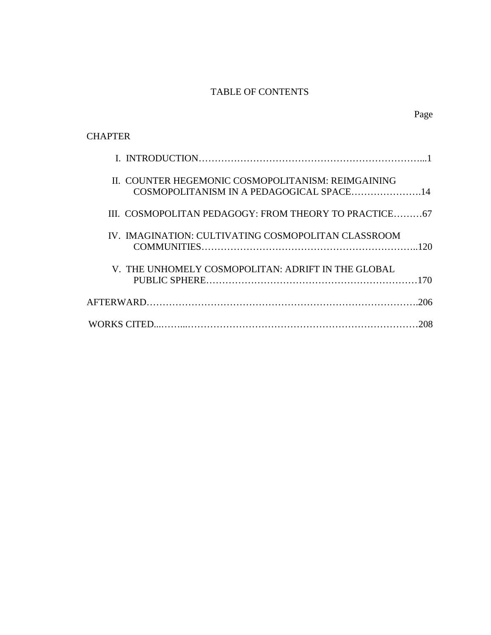# TABLE OF CONTENTS

| <b>CHAPTER</b>                                                                                 |     |
|------------------------------------------------------------------------------------------------|-----|
|                                                                                                |     |
| II. COUNTER HEGEMONIC COSMOPOLITANISM: REIMGAINING<br>COSMOPOLITANISM IN A PEDAGOGICAL SPACE14 |     |
| III. COSMOPOLITAN PEDAGOGY: FROM THEORY TO PRACTICE67                                          |     |
| IV. IMAGINATION: CULTIVATING COSMOPOLITAN CLASSROOM                                            |     |
| V. THE UNHOMELY COSMOPOLITAN: ADRIFT IN THE GLOBAL                                             |     |
|                                                                                                |     |
|                                                                                                | 208 |

# Page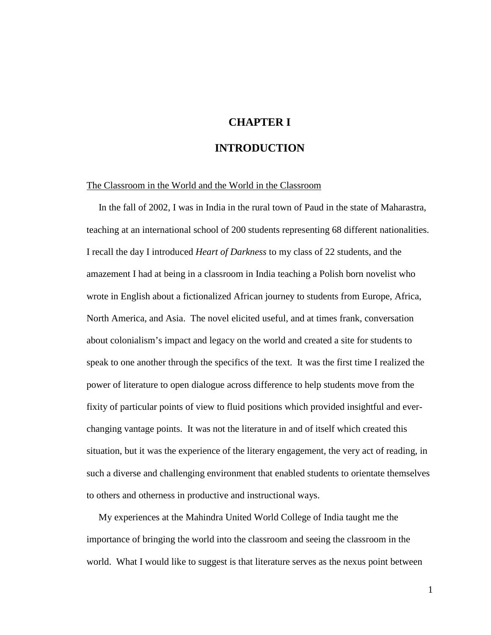# **CHAPTER I**

## **INTRODUCTION**

#### The Classroom in the World and the World in the Classroom

 In the fall of 2002, I was in India in the rural town of Paud in the state of Maharastra, teaching at an international school of 200 students representing 68 different nationalities. I recall the day I introduced *Heart of Darkness* to my class of 22 students, and the amazement I had at being in a classroom in India teaching a Polish born novelist who wrote in English about a fictionalized African journey to students from Europe, Africa, North America, and Asia. The novel elicited useful, and at times frank, conversation about colonialism's impact and legacy on the world and created a site for students to speak to one another through the specifics of the text. It was the first time I realized the power of literature to open dialogue across difference to help students move from the fixity of particular points of view to fluid positions which provided insightful and everchanging vantage points. It was not the literature in and of itself which created this situation, but it was the experience of the literary engagement, the very act of reading, in such a diverse and challenging environment that enabled students to orientate themselves to others and otherness in productive and instructional ways.

 My experiences at the Mahindra United World College of India taught me the importance of bringing the world into the classroom and seeing the classroom in the world. What I would like to suggest is that literature serves as the nexus point between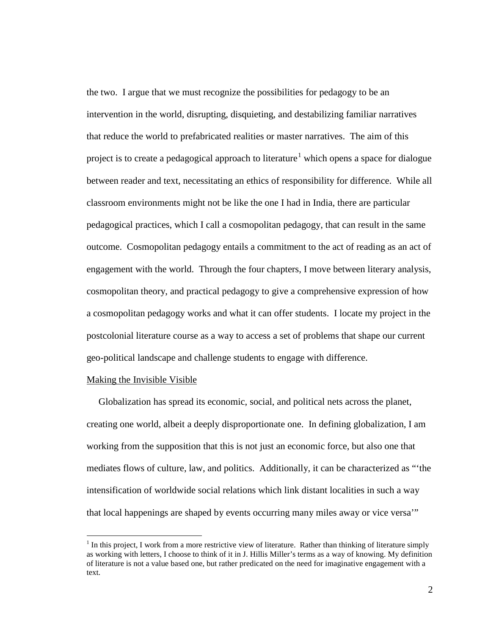the two. I argue that we must recognize the possibilities for pedagogy to be an intervention in the world, disrupting, disquieting, and destabilizing familiar narratives that reduce the world to prefabricated realities or master narratives. The aim of this project is to create a pedagogical approach to literature $^1$  $^1$  which opens a space for dialogue between reader and text, necessitating an ethics of responsibility for difference. While all classroom environments might not be like the one I had in India, there are particular pedagogical practices, which I call a cosmopolitan pedagogy, that can result in the same outcome. Cosmopolitan pedagogy entails a commitment to the act of reading as an act of engagement with the world. Through the four chapters, I move between literary analysis, cosmopolitan theory, and practical pedagogy to give a comprehensive expression of how a cosmopolitan pedagogy works and what it can offer students. I locate my project in the postcolonial literature course as a way to access a set of problems that shape our current geo-political landscape and challenge students to engage with difference.

### Making the Invisible Visible

 Globalization has spread its economic, social, and political nets across the planet, creating one world, albeit a deeply disproportionate one. In defining globalization, I am working from the supposition that this is not just an economic force, but also one that mediates flows of culture, law, and politics. Additionally, it can be characterized as "'the intensification of worldwide social relations which link distant localities in such a way that local happenings are shaped by events occurring many miles away or vice versa'"

<span id="page-7-0"></span> $<sup>1</sup>$  In this project, I work from a more restrictive view of literature. Rather than thinking of literature simply</sup> as working with letters, I choose to think of it in J. Hillis Miller's terms as a way of knowing. My definition of literature is not a value based one, but rather predicated on the need for imaginative engagement with a text.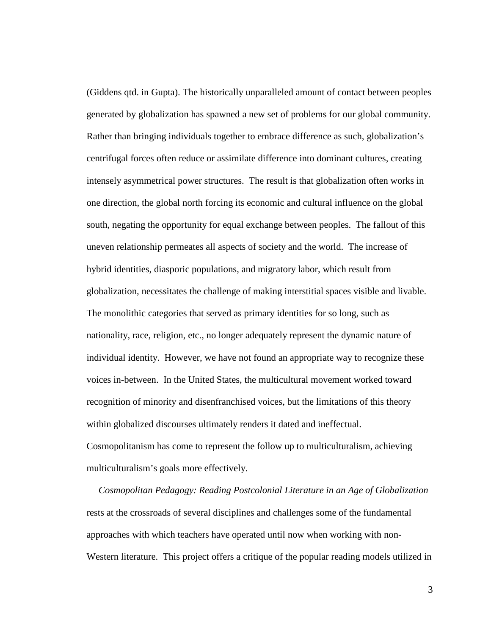(Giddens qtd. in Gupta). The historically unparalleled amount of contact between peoples generated by globalization has spawned a new set of problems for our global community. Rather than bringing individuals together to embrace difference as such, globalization's centrifugal forces often reduce or assimilate difference into dominant cultures, creating intensely asymmetrical power structures. The result is that globalization often works in one direction, the global north forcing its economic and cultural influence on the global south, negating the opportunity for equal exchange between peoples. The fallout of this uneven relationship permeates all aspects of society and the world. The increase of hybrid identities, diasporic populations, and migratory labor, which result from globalization, necessitates the challenge of making interstitial spaces visible and livable. The monolithic categories that served as primary identities for so long, such as nationality, race, religion, etc., no longer adequately represent the dynamic nature of individual identity. However, we have not found an appropriate way to recognize these voices in-between. In the United States, the multicultural movement worked toward recognition of minority and disenfranchised voices, but the limitations of this theory within globalized discourses ultimately renders it dated and ineffectual. Cosmopolitanism has come to represent the follow up to multiculturalism, achieving multiculturalism's goals more effectively.

 *Cosmopolitan Pedagogy: Reading Postcolonial Literature in an Age of Globalization*  rests at the crossroads of several disciplines and challenges some of the fundamental approaches with which teachers have operated until now when working with non-Western literature. This project offers a critique of the popular reading models utilized in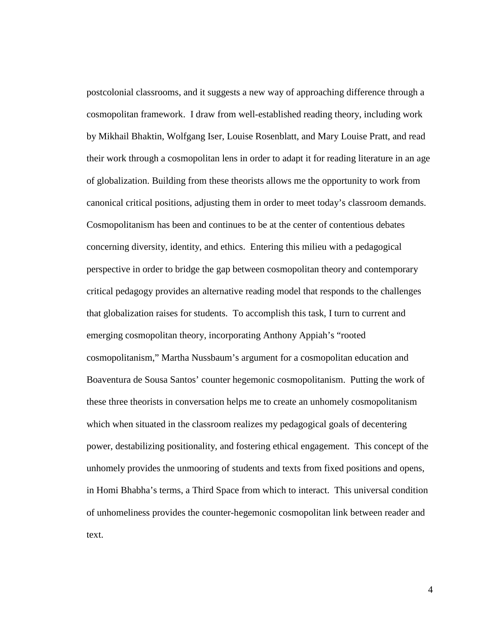postcolonial classrooms, and it suggests a new way of approaching difference through a cosmopolitan framework. I draw from well-established reading theory, including work by Mikhail Bhaktin, Wolfgang Iser, Louise Rosenblatt, and Mary Louise Pratt, and read their work through a cosmopolitan lens in order to adapt it for reading literature in an age of globalization. Building from these theorists allows me the opportunity to work from canonical critical positions, adjusting them in order to meet today's classroom demands. Cosmopolitanism has been and continues to be at the center of contentious debates concerning diversity, identity, and ethics. Entering this milieu with a pedagogical perspective in order to bridge the gap between cosmopolitan theory and contemporary critical pedagogy provides an alternative reading model that responds to the challenges that globalization raises for students. To accomplish this task, I turn to current and emerging cosmopolitan theory, incorporating Anthony Appiah's "rooted cosmopolitanism," Martha Nussbaum's argument for a cosmopolitan education and Boaventura de Sousa Santos' counter hegemonic cosmopolitanism. Putting the work of these three theorists in conversation helps me to create an unhomely cosmopolitanism which when situated in the classroom realizes my pedagogical goals of decentering power, destabilizing positionality, and fostering ethical engagement. This concept of the unhomely provides the unmooring of students and texts from fixed positions and opens, in Homi Bhabha's terms, a Third Space from which to interact. This universal condition of unhomeliness provides the counter-hegemonic cosmopolitan link between reader and text.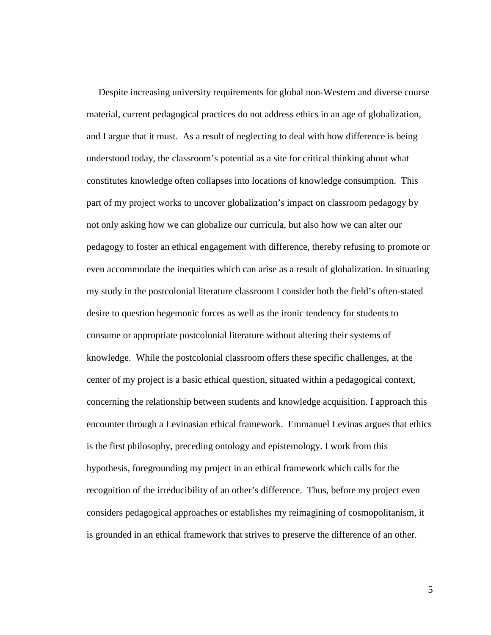Despite increasing university requirements for global non-Western and diverse course material, current pedagogical practices do not address ethics in an age of globalization, and I argue that it must. As a result of neglecting to deal with how difference is being understood today, the classroom's potential as a site for critical thinking about what constitutes knowledge often collapses into locations of knowledge consumption. This part of my project works to uncover globalization's impact on classroom pedagogy by not only asking how we can globalize our curricula, but also how we can alter our pedagogy to foster an ethical engagement with difference, thereby refusing to promote or even accommodate the inequities which can arise as a result of globalization. In situating my study in the postcolonial literature classroom I consider both the field's often-stated desire to question hegemonic forces as well as the ironic tendency for students to consume or appropriate postcolonial literature without altering their systems of knowledge. While the postcolonial classroom offers these specific challenges, at the center of my project is a basic ethical question, situated within a pedagogical context, concerning the relationship between students and knowledge acquisition. I approach this encounter through a Levinasian ethical framework. Emmanuel Levinas argues that ethics is the first philosophy, preceding ontology and epistemology. I work from this hypothesis, foregrounding my project in an ethical framework which calls for the recognition of the irreducibility of an other's difference. Thus, before my project even considers pedagogical approaches or establishes my reimagining of cosmopolitanism, it is grounded in an ethical framework that strives to preserve the difference of an other.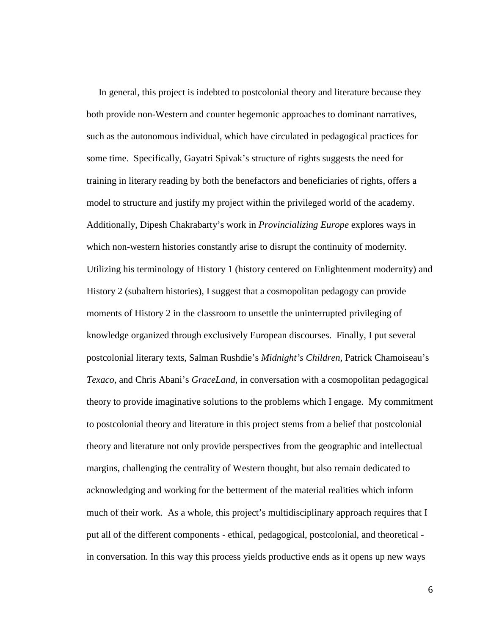In general, this project is indebted to postcolonial theory and literature because they both provide non-Western and counter hegemonic approaches to dominant narratives, such as the autonomous individual, which have circulated in pedagogical practices for some time. Specifically, Gayatri Spivak's structure of rights suggests the need for training in literary reading by both the benefactors and beneficiaries of rights, offers a model to structure and justify my project within the privileged world of the academy. Additionally, Dipesh Chakrabarty's work in *Provincializing Europe* explores ways in which non-western histories constantly arise to disrupt the continuity of modernity. Utilizing his terminology of History 1 (history centered on Enlightenment modernity) and History 2 (subaltern histories), I suggest that a cosmopolitan pedagogy can provide moments of History 2 in the classroom to unsettle the uninterrupted privileging of knowledge organized through exclusively European discourses. Finally, I put several postcolonial literary texts, Salman Rushdie's *Midnight's Children*, Patrick Chamoiseau's *Texaco*, and Chris Abani's *GraceLand*, in conversation with a cosmopolitan pedagogical theory to provide imaginative solutions to the problems which I engage. My commitment to postcolonial theory and literature in this project stems from a belief that postcolonial theory and literature not only provide perspectives from the geographic and intellectual margins, challenging the centrality of Western thought, but also remain dedicated to acknowledging and working for the betterment of the material realities which inform much of their work. As a whole, this project's multidisciplinary approach requires that I put all of the different components - ethical, pedagogical, postcolonial, and theoretical in conversation. In this way this process yields productive ends as it opens up new ways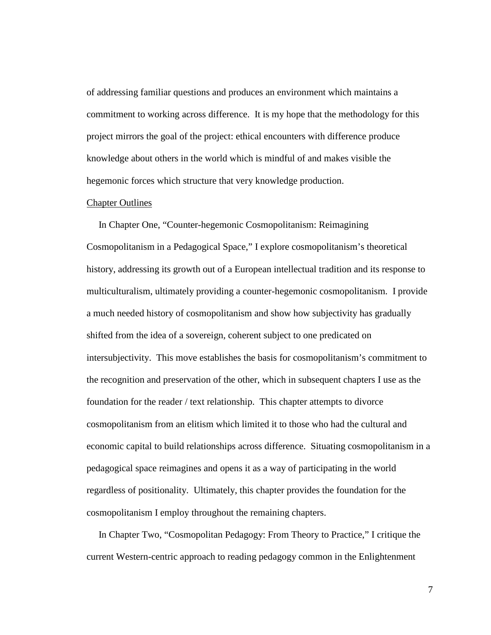of addressing familiar questions and produces an environment which maintains a commitment to working across difference. It is my hope that the methodology for this project mirrors the goal of the project: ethical encounters with difference produce knowledge about others in the world which is mindful of and makes visible the hegemonic forces which structure that very knowledge production.

### Chapter Outlines

 In Chapter One, "Counter-hegemonic Cosmopolitanism: Reimagining Cosmopolitanism in a Pedagogical Space," I explore cosmopolitanism's theoretical history, addressing its growth out of a European intellectual tradition and its response to multiculturalism, ultimately providing a counter-hegemonic cosmopolitanism. I provide a much needed history of cosmopolitanism and show how subjectivity has gradually shifted from the idea of a sovereign, coherent subject to one predicated on intersubjectivity. This move establishes the basis for cosmopolitanism's commitment to the recognition and preservation of the other, which in subsequent chapters I use as the foundation for the reader / text relationship. This chapter attempts to divorce cosmopolitanism from an elitism which limited it to those who had the cultural and economic capital to build relationships across difference. Situating cosmopolitanism in a pedagogical space reimagines and opens it as a way of participating in the world regardless of positionality. Ultimately, this chapter provides the foundation for the cosmopolitanism I employ throughout the remaining chapters.

 In Chapter Two, "Cosmopolitan Pedagogy: From Theory to Practice," I critique the current Western-centric approach to reading pedagogy common in the Enlightenment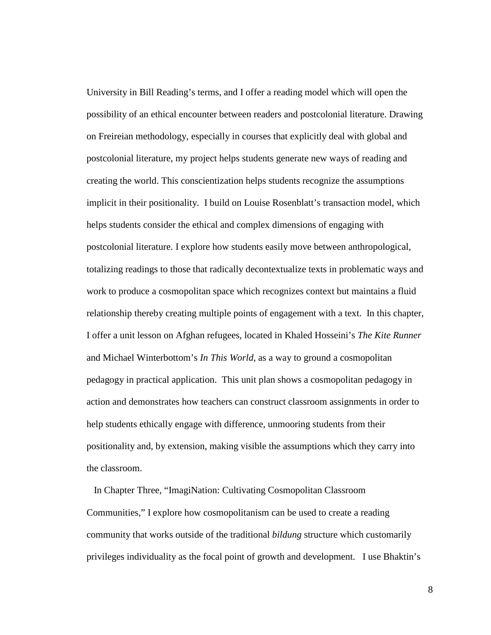University in Bill Reading's terms, and I offer a reading model which will open the possibility of an ethical encounter between readers and postcolonial literature. Drawing on Freireian methodology, especially in courses that explicitly deal with global and postcolonial literature, my project helps students generate new ways of reading and creating the world. This conscientization helps students recognize the assumptions implicit in their positionality. I build on Louise Rosenblatt's transaction model, which helps students consider the ethical and complex dimensions of engaging with postcolonial literature. I explore how students easily move between anthropological, totalizing readings to those that radically decontextualize texts in problematic ways and work to produce a cosmopolitan space which recognizes context but maintains a fluid relationship thereby creating multiple points of engagement with a text. In this chapter, I offer a unit lesson on Afghan refugees, located in Khaled Hosseini's *The Kite Runner* and Michael Winterbottom's *In This World*, as a way to ground a cosmopolitan pedagogy in practical application. This unit plan shows a cosmopolitan pedagogy in action and demonstrates how teachers can construct classroom assignments in order to help students ethically engage with difference, unmooring students from their positionality and, by extension, making visible the assumptions which they carry into the classroom.

 In Chapter Three, "ImagiNation: Cultivating Cosmopolitan Classroom Communities," I explore how cosmopolitanism can be used to create a reading community that works outside of the traditional *bildung* structure which customarily privileges individuality as the focal point of growth and development. I use Bhaktin's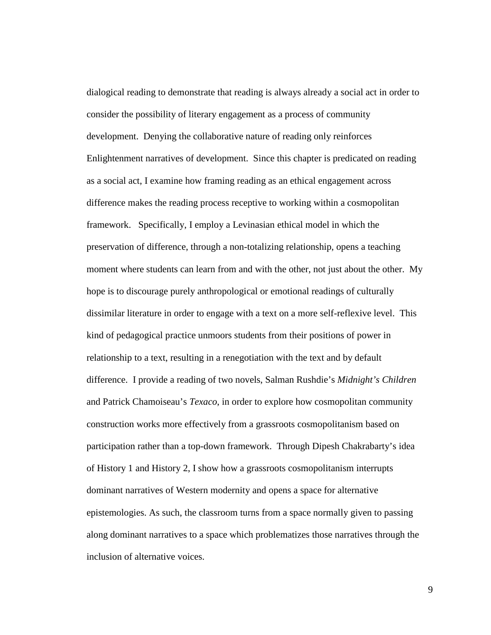dialogical reading to demonstrate that reading is always already a social act in order to consider the possibility of literary engagement as a process of community development. Denying the collaborative nature of reading only reinforces Enlightenment narratives of development. Since this chapter is predicated on reading as a social act, I examine how framing reading as an ethical engagement across difference makes the reading process receptive to working within a cosmopolitan framework. Specifically, I employ a Levinasian ethical model in which the preservation of difference, through a non-totalizing relationship, opens a teaching moment where students can learn from and with the other, not just about the other. My hope is to discourage purely anthropological or emotional readings of culturally dissimilar literature in order to engage with a text on a more self-reflexive level. This kind of pedagogical practice unmoors students from their positions of power in relationship to a text, resulting in a renegotiation with the text and by default difference. I provide a reading of two novels, Salman Rushdie's *Midnight's Children* and Patrick Chamoiseau's *Texaco*, in order to explore how cosmopolitan community construction works more effectively from a grassroots cosmopolitanism based on participation rather than a top-down framework. Through Dipesh Chakrabarty's idea of History 1 and History 2, I show how a grassroots cosmopolitanism interrupts dominant narratives of Western modernity and opens a space for alternative epistemologies. As such, the classroom turns from a space normally given to passing along dominant narratives to a space which problematizes those narratives through the inclusion of alternative voices.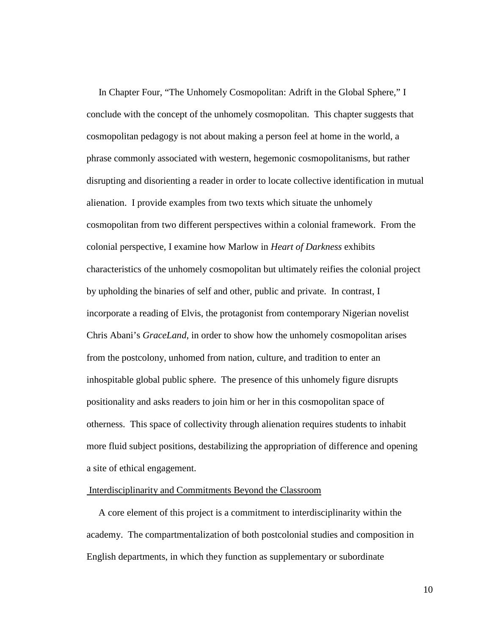In Chapter Four, "The Unhomely Cosmopolitan: Adrift in the Global Sphere," I conclude with the concept of the unhomely cosmopolitan. This chapter suggests that cosmopolitan pedagogy is not about making a person feel at home in the world, a phrase commonly associated with western, hegemonic cosmopolitanisms, but rather disrupting and disorienting a reader in order to locate collective identification in mutual alienation. I provide examples from two texts which situate the unhomely cosmopolitan from two different perspectives within a colonial framework. From the colonial perspective, I examine how Marlow in *Heart of Darkness* exhibits characteristics of the unhomely cosmopolitan but ultimately reifies the colonial project by upholding the binaries of self and other, public and private. In contrast, I incorporate a reading of Elvis, the protagonist from contemporary Nigerian novelist Chris Abani's *GraceLand*, in order to show how the unhomely cosmopolitan arises from the postcolony, unhomed from nation, culture, and tradition to enter an inhospitable global public sphere. The presence of this unhomely figure disrupts positionality and asks readers to join him or her in this cosmopolitan space of otherness. This space of collectivity through alienation requires students to inhabit more fluid subject positions, destabilizing the appropriation of difference and opening a site of ethical engagement.

### Interdisciplinarity and Commitments Beyond the Classroom

 A core element of this project is a commitment to interdisciplinarity within the academy. The compartmentalization of both postcolonial studies and composition in English departments, in which they function as supplementary or subordinate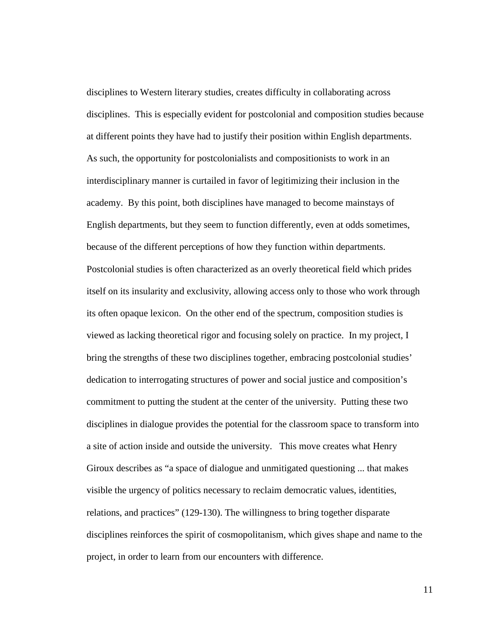disciplines to Western literary studies, creates difficulty in collaborating across disciplines. This is especially evident for postcolonial and composition studies because at different points they have had to justify their position within English departments. As such, the opportunity for postcolonialists and compositionists to work in an interdisciplinary manner is curtailed in favor of legitimizing their inclusion in the academy. By this point, both disciplines have managed to become mainstays of English departments, but they seem to function differently, even at odds sometimes, because of the different perceptions of how they function within departments. Postcolonial studies is often characterized as an overly theoretical field which prides itself on its insularity and exclusivity, allowing access only to those who work through its often opaque lexicon. On the other end of the spectrum, composition studies is viewed as lacking theoretical rigor and focusing solely on practice. In my project, I bring the strengths of these two disciplines together, embracing postcolonial studies' dedication to interrogating structures of power and social justice and composition's commitment to putting the student at the center of the university. Putting these two disciplines in dialogue provides the potential for the classroom space to transform into a site of action inside and outside the university. This move creates what Henry Giroux describes as "a space of dialogue and unmitigated questioning ... that makes visible the urgency of politics necessary to reclaim democratic values, identities, relations, and practices" (129-130). The willingness to bring together disparate disciplines reinforces the spirit of cosmopolitanism, which gives shape and name to the project, in order to learn from our encounters with difference.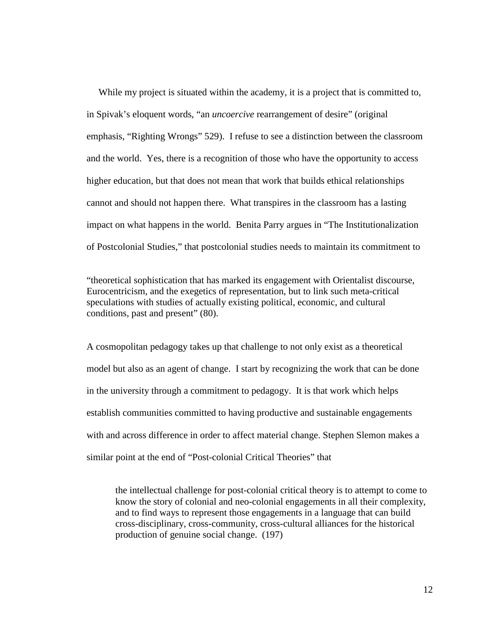While my project is situated within the academy, it is a project that is committed to, in Spivak's eloquent words, "an *uncoercive* rearrangement of desire" (original emphasis, "Righting Wrongs" 529). I refuse to see a distinction between the classroom and the world. Yes, there is a recognition of those who have the opportunity to access higher education, but that does not mean that work that builds ethical relationships cannot and should not happen there. What transpires in the classroom has a lasting impact on what happens in the world. Benita Parry argues in "The Institutionalization of Postcolonial Studies," that postcolonial studies needs to maintain its commitment to

"theoretical sophistication that has marked its engagement with Orientalist discourse, Eurocentricism, and the exegetics of representation, but to link such meta-critical speculations with studies of actually existing political, economic, and cultural conditions, past and present" (80).

A cosmopolitan pedagogy takes up that challenge to not only exist as a theoretical model but also as an agent of change. I start by recognizing the work that can be done in the university through a commitment to pedagogy. It is that work which helps establish communities committed to having productive and sustainable engagements with and across difference in order to affect material change. Stephen Slemon makes a similar point at the end of "Post-colonial Critical Theories" that

the intellectual challenge for post-colonial critical theory is to attempt to come to know the story of colonial and neo-colonial engagements in all their complexity, and to find ways to represent those engagements in a language that can build cross-disciplinary, cross-community, cross-cultural alliances for the historical production of genuine social change. (197)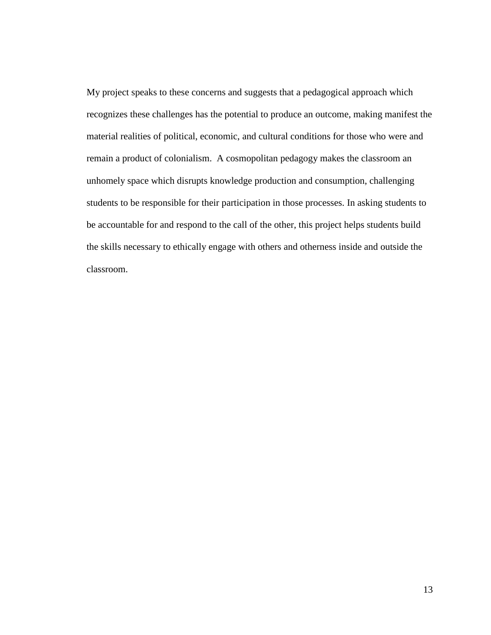My project speaks to these concerns and suggests that a pedagogical approach which recognizes these challenges has the potential to produce an outcome, making manifest the material realities of political, economic, and cultural conditions for those who were and remain a product of colonialism. A cosmopolitan pedagogy makes the classroom an unhomely space which disrupts knowledge production and consumption, challenging students to be responsible for their participation in those processes. In asking students to be accountable for and respond to the call of the other, this project helps students build the skills necessary to ethically engage with others and otherness inside and outside the classroom.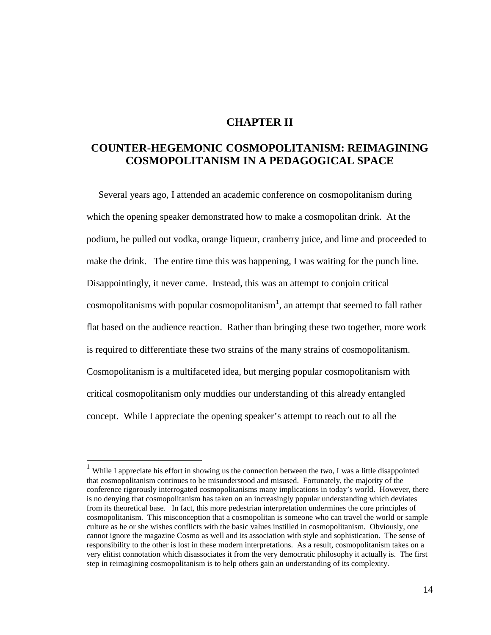# **CHAPTER II**

# **COUNTER-HEGEMONIC COSMOPOLITANISM: REIMAGINING COSMOPOLITANISM IN A PEDAGOGICAL SPACE**

 Several years ago, I attended an academic conference on cosmopolitanism during which the opening speaker demonstrated how to make a cosmopolitan drink. At the podium, he pulled out vodka, orange liqueur, cranberry juice, and lime and proceeded to make the drink. The entire time this was happening, I was waiting for the punch line. Disappointingly, it never came. Instead, this was an attempt to conjoin critical cosmopolitanisms with popular cosmopolitanism<sup>[1](#page-19-0)</sup>, an attempt that seemed to fall rather flat based on the audience reaction. Rather than bringing these two together, more work is required to differentiate these two strains of the many strains of cosmopolitanism. Cosmopolitanism is a multifaceted idea, but merging popular cosmopolitanism with critical cosmopolitanism only muddies our understanding of this already entangled concept. While I appreciate the opening speaker's attempt to reach out to all the

<span id="page-19-0"></span><sup>&</sup>lt;sup>1</sup> While I appreciate his effort in showing us the connection between the two, I was a little disappointed that cosmopolitanism continues to be misunderstood and misused. Fortunately, the majority of the conference rigorously interrogated cosmopolitanisms many implications in today's world. However, there is no denying that cosmopolitanism has taken on an increasingly popular understanding which deviates from its theoretical base. In fact, this more pedestrian interpretation undermines the core principles of cosmopolitanism. This misconception that a cosmopolitan is someone who can travel the world or sample culture as he or she wishes conflicts with the basic values instilled in cosmopolitanism. Obviously, one cannot ignore the magazine Cosmo as well and its association with style and sophistication. The sense of responsibility to the other is lost in these modern interpretations. As a result, cosmopolitanism takes on a very elitist connotation which disassociates it from the very democratic philosophy it actually is. The first step in reimagining cosmopolitanism is to help others gain an understanding of its complexity.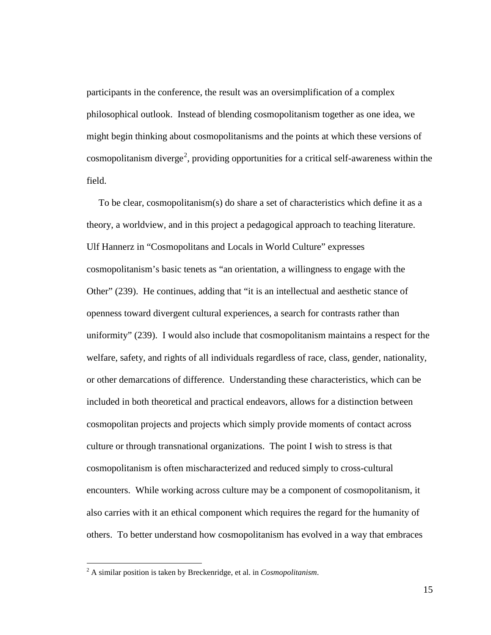participants in the conference, the result was an oversimplification of a complex philosophical outlook. Instead of blending cosmopolitanism together as one idea, we might begin thinking about cosmopolitanisms and the points at which these versions of cosmopolitanism diverge<sup>[2](#page-20-0)</sup>, providing opportunities for a critical self-awareness within the field.

 To be clear, cosmopolitanism(s) do share a set of characteristics which define it as a theory, a worldview, and in this project a pedagogical approach to teaching literature. Ulf Hannerz in "Cosmopolitans and Locals in World Culture" expresses cosmopolitanism's basic tenets as "an orientation, a willingness to engage with the Other" (239). He continues, adding that "it is an intellectual and aesthetic stance of openness toward divergent cultural experiences, a search for contrasts rather than uniformity" (239). I would also include that cosmopolitanism maintains a respect for the welfare, safety, and rights of all individuals regardless of race, class, gender, nationality, or other demarcations of difference. Understanding these characteristics, which can be included in both theoretical and practical endeavors, allows for a distinction between cosmopolitan projects and projects which simply provide moments of contact across culture or through transnational organizations. The point I wish to stress is that cosmopolitanism is often mischaracterized and reduced simply to cross-cultural encounters. While working across culture may be a component of cosmopolitanism, it also carries with it an ethical component which requires the regard for the humanity of others. To better understand how cosmopolitanism has evolved in a way that embraces

<span id="page-20-0"></span> <sup>2</sup> A similar position is taken by Breckenridge, et al. in *Cosmopolitanism*.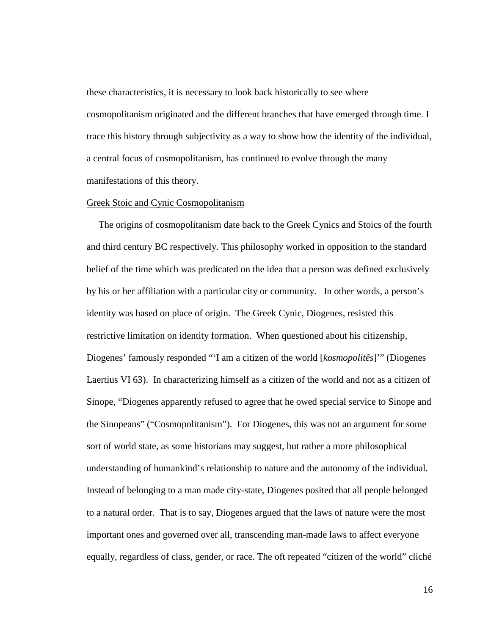these characteristics, it is necessary to look back historically to see where cosmopolitanism originated and the different branches that have emerged through time. I trace this history through subjectivity as a way to show how the identity of the individual, a central focus of cosmopolitanism, has continued to evolve through the many manifestations of this theory.

### Greek Stoic and Cynic Cosmopolitanism

 The origins of cosmopolitanism date back to the Greek Cynics and Stoics of the fourth and third century BC respectively. This philosophy worked in opposition to the standard belief of the time which was predicated on the idea that a person was defined exclusively by his or her affiliation with a particular city or community. In other words, a person's identity was based on place of origin. The Greek Cynic, Diogenes, resisted this restrictive limitation on identity formation. When questioned about his citizenship, Diogenes' famously responded "'I am a citizen of the world [*kosmopolitês*]'" (Diogenes Laertius VI 63). In characterizing himself as a citizen of the world and not as a citizen of Sinope, "Diogenes apparently refused to agree that he owed special service to Sinope and the Sinopeans" ("Cosmopolitanism"). For Diogenes, this was not an argument for some sort of world state, as some historians may suggest, but rather a more philosophical understanding of humankind's relationship to nature and the autonomy of the individual. Instead of belonging to a man made city-state, Diogenes posited that all people belonged to a natural order. That is to say, Diogenes argued that the laws of nature were the most important ones and governed over all, transcending man-made laws to affect everyone equally, regardless of class, gender, or race. The oft repeated "citizen of the world" cliché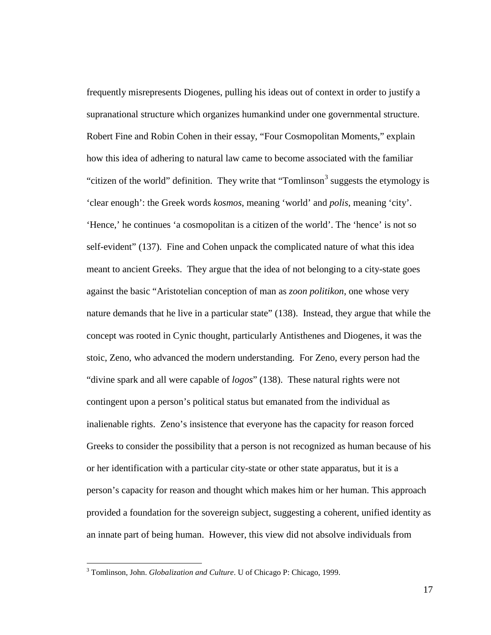frequently misrepresents Diogenes, pulling his ideas out of context in order to justify a supranational structure which organizes humankind under one governmental structure. Robert Fine and Robin Cohen in their essay, "Four Cosmopolitan Moments," explain how this idea of adhering to natural law came to become associated with the familiar "citizen of the world" definition. They write that "Tomlinson<sup>[3](#page-22-0)</sup> suggests the etymology is 'clear enough': the Greek words *kosmos*, meaning 'world' and *polis*, meaning 'city'. 'Hence,' he continues 'a cosmopolitan is a citizen of the world'. The 'hence' is not so self-evident" (137). Fine and Cohen unpack the complicated nature of what this idea meant to ancient Greeks. They argue that the idea of not belonging to a city-state goes against the basic "Aristotelian conception of man as *zoon politikon*, one whose very nature demands that he live in a particular state" (138). Instead, they argue that while the concept was rooted in Cynic thought, particularly Antisthenes and Diogenes, it was the stoic, Zeno, who advanced the modern understanding. For Zeno, every person had the "divine spark and all were capable of *logos*" (138). These natural rights were not contingent upon a person's political status but emanated from the individual as inalienable rights. Zeno's insistence that everyone has the capacity for reason forced Greeks to consider the possibility that a person is not recognized as human because of his or her identification with a particular city-state or other state apparatus, but it is a person's capacity for reason and thought which makes him or her human. This approach provided a foundation for the sovereign subject, suggesting a coherent, unified identity as an innate part of being human. However, this view did not absolve individuals from

<span id="page-22-0"></span> <sup>3</sup> Tomlinson, John. *Globalization and Culture*. U of Chicago P: Chicago, 1999.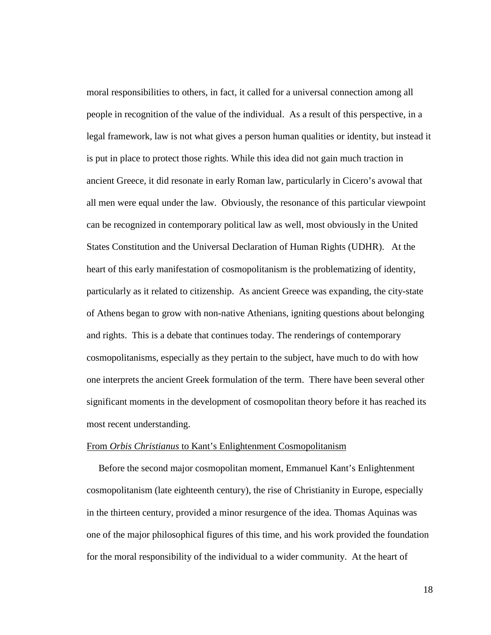moral responsibilities to others, in fact, it called for a universal connection among all people in recognition of the value of the individual. As a result of this perspective, in a legal framework, law is not what gives a person human qualities or identity, but instead it is put in place to protect those rights. While this idea did not gain much traction in ancient Greece, it did resonate in early Roman law, particularly in Cicero's avowal that all men were equal under the law. Obviously, the resonance of this particular viewpoint can be recognized in contemporary political law as well, most obviously in the United States Constitution and the Universal Declaration of Human Rights (UDHR). At the heart of this early manifestation of cosmopolitanism is the problematizing of identity, particularly as it related to citizenship. As ancient Greece was expanding, the city-state of Athens began to grow with non-native Athenians, igniting questions about belonging and rights. This is a debate that continues today. The renderings of contemporary cosmopolitanisms, especially as they pertain to the subject, have much to do with how one interprets the ancient Greek formulation of the term. There have been several other significant moments in the development of cosmopolitan theory before it has reached its most recent understanding.

### From *Orbis Christianus* to Kant's Enlightenment Cosmopolitanism

 Before the second major cosmopolitan moment, Emmanuel Kant's Enlightenment cosmopolitanism (late eighteenth century), the rise of Christianity in Europe, especially in the thirteen century, provided a minor resurgence of the idea. Thomas Aquinas was one of the major philosophical figures of this time, and his work provided the foundation for the moral responsibility of the individual to a wider community. At the heart of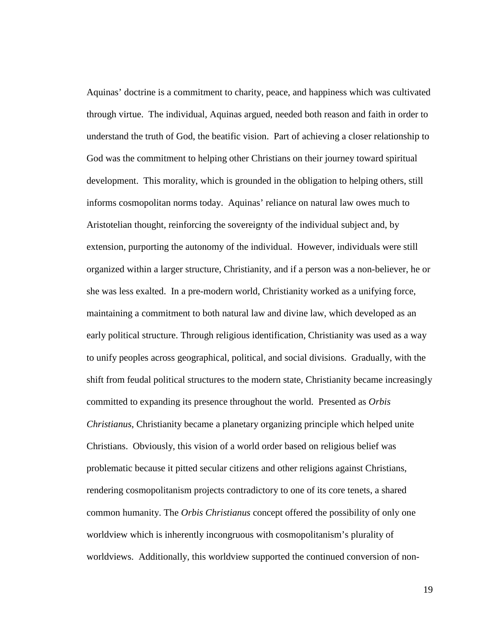Aquinas' doctrine is a commitment to charity, peace, and happiness which was cultivated through virtue. The individual, Aquinas argued, needed both reason and faith in order to understand the truth of God, the beatific vision. Part of achieving a closer relationship to God was the commitment to helping other Christians on their journey toward spiritual development. This morality, which is grounded in the obligation to helping others, still informs cosmopolitan norms today. Aquinas' reliance on natural law owes much to Aristotelian thought, reinforcing the sovereignty of the individual subject and, by extension, purporting the autonomy of the individual. However, individuals were still organized within a larger structure, Christianity, and if a person was a non-believer, he or she was less exalted. In a pre-modern world, Christianity worked as a unifying force, maintaining a commitment to both natural law and divine law, which developed as an early political structure. Through religious identification, Christianity was used as a way to unify peoples across geographical, political, and social divisions. Gradually, with the shift from feudal political structures to the modern state, Christianity became increasingly committed to expanding its presence throughout the world. Presented as *Orbis Christianus*, Christianity became a planetary organizing principle which helped unite Christians. Obviously, this vision of a world order based on religious belief was problematic because it pitted secular citizens and other religions against Christians, rendering cosmopolitanism projects contradictory to one of its core tenets, a shared common humanity. The *Orbis Christianus* concept offered the possibility of only one worldview which is inherently incongruous with cosmopolitanism's plurality of worldviews. Additionally, this worldview supported the continued conversion of non-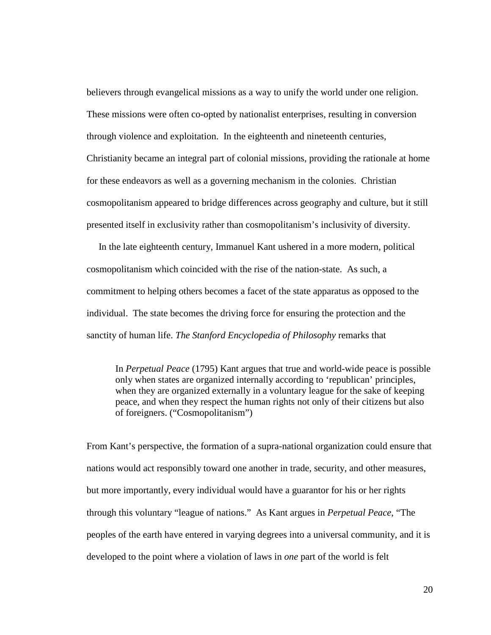believers through evangelical missions as a way to unify the world under one religion. These missions were often co-opted by nationalist enterprises, resulting in conversion through violence and exploitation. In the eighteenth and nineteenth centuries, Christianity became an integral part of colonial missions, providing the rationale at home for these endeavors as well as a governing mechanism in the colonies. Christian cosmopolitanism appeared to bridge differences across geography and culture, but it still presented itself in exclusivity rather than cosmopolitanism's inclusivity of diversity.

 In the late eighteenth century, Immanuel Kant ushered in a more modern, political cosmopolitanism which coincided with the rise of the nation-state. As such, a commitment to helping others becomes a facet of the state apparatus as opposed to the individual. The state becomes the driving force for ensuring the protection and the sanctity of human life. *The Stanford Encyclopedia of Philosophy* remarks that

In *Perpetual Peace* (1795) Kant argues that true and world-wide peace is possible only when states are organized internally according to 'republican' principles, when they are organized externally in a voluntary league for the sake of keeping peace, and when they respect the human rights not only of their citizens but also of foreigners. ("Cosmopolitanism")

From Kant's perspective, the formation of a supra-national organization could ensure that nations would act responsibly toward one another in trade, security, and other measures, but more importantly, every individual would have a guarantor for his or her rights through this voluntary "league of nations." As Kant argues in *Perpetual Peace*, "The peoples of the earth have entered in varying degrees into a universal community, and it is developed to the point where a violation of laws in *one* part of the world is felt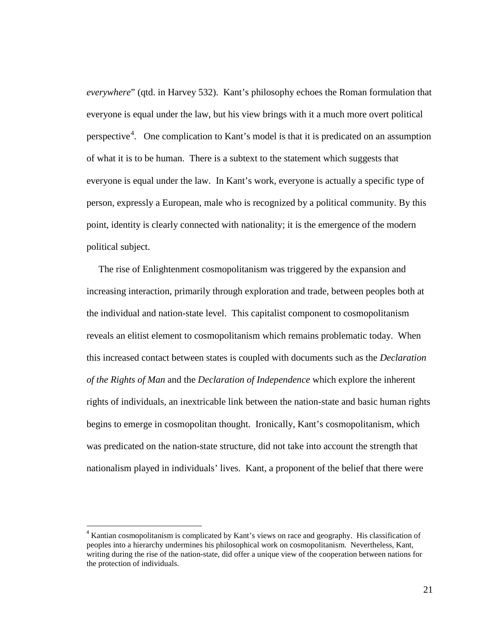*everywhere*" (qtd. in Harvey 532). Kant's philosophy echoes the Roman formulation that everyone is equal under the law, but his view brings with it a much more overt political perspective<sup>[4](#page-26-0)</sup>. One complication to Kant's model is that it is predicated on an assumption of what it is to be human. There is a subtext to the statement which suggests that everyone is equal under the law. In Kant's work, everyone is actually a specific type of person, expressly a European, male who is recognized by a political community. By this point, identity is clearly connected with nationality; it is the emergence of the modern political subject.

 The rise of Enlightenment cosmopolitanism was triggered by the expansion and increasing interaction, primarily through exploration and trade, between peoples both at the individual and nation-state level. This capitalist component to cosmopolitanism reveals an elitist element to cosmopolitanism which remains problematic today. When this increased contact between states is coupled with documents such as the *Declaration of the Rights of Man* and the *Declaration of Independence* which explore the inherent rights of individuals, an inextricable link between the nation-state and basic human rights begins to emerge in cosmopolitan thought. Ironically, Kant's cosmopolitanism, which was predicated on the nation-state structure, did not take into account the strength that nationalism played in individuals' lives. Kant, a proponent of the belief that there were

<span id="page-26-0"></span><sup>&</sup>lt;sup>4</sup> Kantian cosmopolitanism is complicated by Kant's views on race and geography. His classification of peoples into a hierarchy undermines his philosophical work on cosmopolitanism. Nevertheless, Kant, writing during the rise of the nation-state, did offer a unique view of the cooperation between nations for the protection of individuals.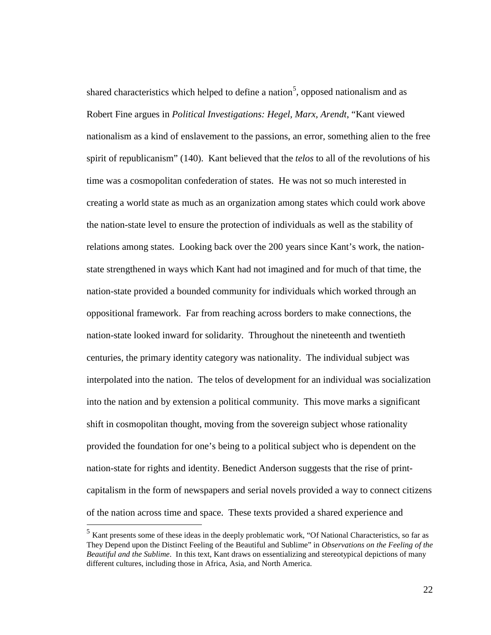shared characteristics which helped to define a nation<sup>[5](#page-27-0)</sup>, opposed nationalism and as Robert Fine argues in *Political Investigations: Hegel, Marx, Arendt*, "Kant viewed nationalism as a kind of enslavement to the passions, an error, something alien to the free spirit of republicanism" (140). Kant believed that the *telos* to all of the revolutions of his time was a cosmopolitan confederation of states. He was not so much interested in creating a world state as much as an organization among states which could work above the nation-state level to ensure the protection of individuals as well as the stability of relations among states. Looking back over the 200 years since Kant's work, the nationstate strengthened in ways which Kant had not imagined and for much of that time, the nation-state provided a bounded community for individuals which worked through an oppositional framework. Far from reaching across borders to make connections, the nation-state looked inward for solidarity. Throughout the nineteenth and twentieth centuries, the primary identity category was nationality. The individual subject was interpolated into the nation. The telos of development for an individual was socialization into the nation and by extension a political community. This move marks a significant shift in cosmopolitan thought, moving from the sovereign subject whose rationality provided the foundation for one's being to a political subject who is dependent on the nation-state for rights and identity. Benedict Anderson suggests that the rise of printcapitalism in the form of newspapers and serial novels provided a way to connect citizens of the nation across time and space. These texts provided a shared experience and

<span id="page-27-0"></span> <sup>5</sup> Kant presents some of these ideas in the deeply problematic work, "Of National Characteristics, so far as They Depend upon the Distinct Feeling of the Beautiful and Sublime" in *Observations on the Feeling of the Beautiful and the Sublime*. In this text, Kant draws on essentializing and stereotypical depictions of many different cultures, including those in Africa, Asia, and North America.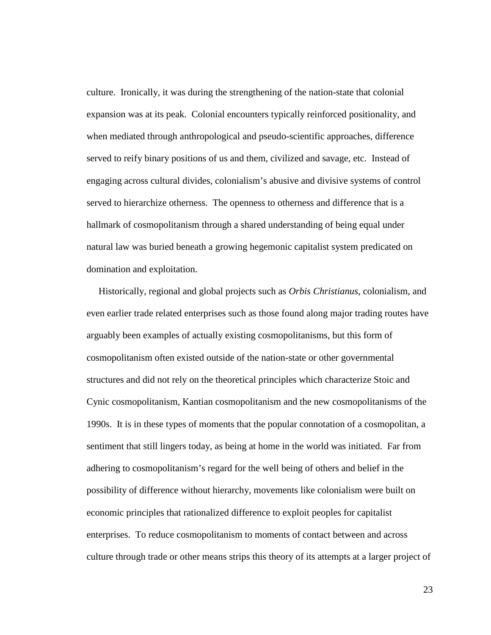culture. Ironically, it was during the strengthening of the nation-state that colonial expansion was at its peak. Colonial encounters typically reinforced positionality, and when mediated through anthropological and pseudo-scientific approaches, difference served to reify binary positions of us and them, civilized and savage, etc. Instead of engaging across cultural divides, colonialism's abusive and divisive systems of control served to hierarchize otherness. The openness to otherness and difference that is a hallmark of cosmopolitanism through a shared understanding of being equal under natural law was buried beneath a growing hegemonic capitalist system predicated on domination and exploitation.

Historically, regional and global projects such as *Orbis Christianus*, colonialism, and even earlier trade related enterprises such as those found along major trading routes have arguably been examples of actually existing cosmopolitanisms, but this form of cosmopolitanism often existed outside of the nation-state or other governmental structures and did not rely on the theoretical principles which characterize Stoic and Cynic cosmopolitanism, Kantian cosmopolitanism and the new cosmopolitanisms of the 1990s. It is in these types of moments that the popular connotation of a cosmopolitan, a sentiment that still lingers today, as being at home in the world was initiated. Far from adhering to cosmopolitanism's regard for the well being of others and belief in the possibility of difference without hierarchy, movements like colonialism were built on economic principles that rationalized difference to exploit peoples for capitalist enterprises. To reduce cosmopolitanism to moments of contact between and across culture through trade or other means strips this theory of its attempts at a larger project of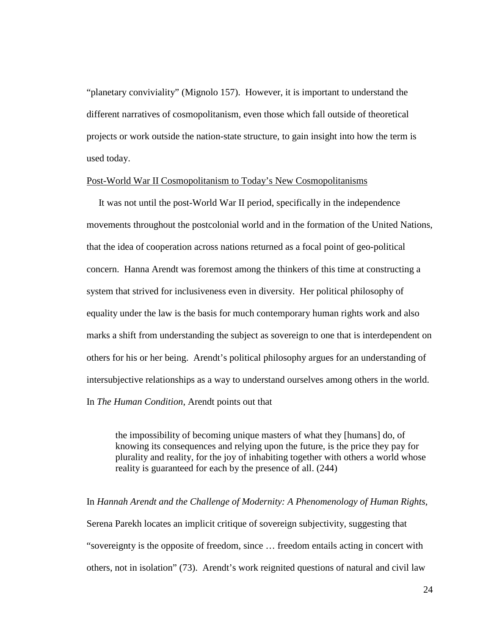"planetary conviviality" (Mignolo 157). However, it is important to understand the different narratives of cosmopolitanism, even those which fall outside of theoretical projects or work outside the nation-state structure, to gain insight into how the term is used today.

## Post-World War II Cosmopolitanism to Today's New Cosmopolitanisms

 It was not until the post-World War II period, specifically in the independence movements throughout the postcolonial world and in the formation of the United Nations, that the idea of cooperation across nations returned as a focal point of geo-political concern. Hanna Arendt was foremost among the thinkers of this time at constructing a system that strived for inclusiveness even in diversity. Her political philosophy of equality under the law is the basis for much contemporary human rights work and also marks a shift from understanding the subject as sovereign to one that is interdependent on others for his or her being. Arendt's political philosophy argues for an understanding of intersubjective relationships as a way to understand ourselves among others in the world. In *The Human Condition*, Arendt points out that

the impossibility of becoming unique masters of what they [humans] do, of knowing its consequences and relying upon the future, is the price they pay for plurality and reality, for the joy of inhabiting together with others a world whose reality is guaranteed for each by the presence of all. (244)

In *Hannah Arendt and the Challenge of Modernity: A Phenomenology of Human Rights,*  Serena Parekh locates an implicit critique of sovereign subjectivity, suggesting that "sovereignty is the opposite of freedom, since … freedom entails acting in concert with others, not in isolation" (73). Arendt's work reignited questions of natural and civil law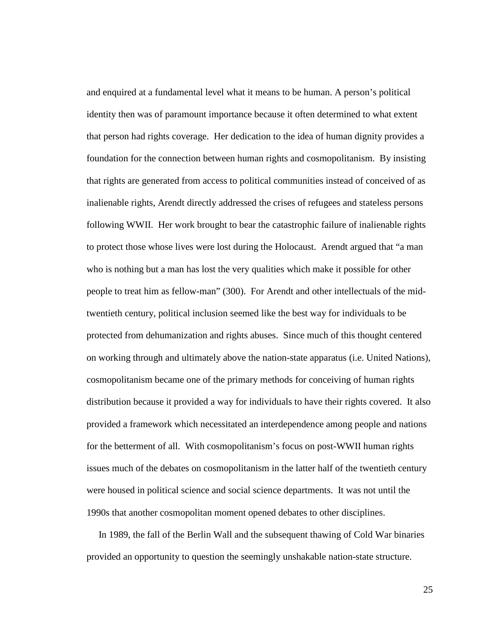and enquired at a fundamental level what it means to be human. A person's political identity then was of paramount importance because it often determined to what extent that person had rights coverage. Her dedication to the idea of human dignity provides a foundation for the connection between human rights and cosmopolitanism. By insisting that rights are generated from access to political communities instead of conceived of as inalienable rights, Arendt directly addressed the crises of refugees and stateless persons following WWII. Her work brought to bear the catastrophic failure of inalienable rights to protect those whose lives were lost during the Holocaust. Arendt argued that "a man who is nothing but a man has lost the very qualities which make it possible for other people to treat him as fellow-man" (300). For Arendt and other intellectuals of the midtwentieth century, political inclusion seemed like the best way for individuals to be protected from dehumanization and rights abuses. Since much of this thought centered on working through and ultimately above the nation-state apparatus (i.e. United Nations), cosmopolitanism became one of the primary methods for conceiving of human rights distribution because it provided a way for individuals to have their rights covered. It also provided a framework which necessitated an interdependence among people and nations for the betterment of all. With cosmopolitanism's focus on post-WWII human rights issues much of the debates on cosmopolitanism in the latter half of the twentieth century were housed in political science and social science departments. It was not until the 1990s that another cosmopolitan moment opened debates to other disciplines.

 In 1989, the fall of the Berlin Wall and the subsequent thawing of Cold War binaries provided an opportunity to question the seemingly unshakable nation-state structure.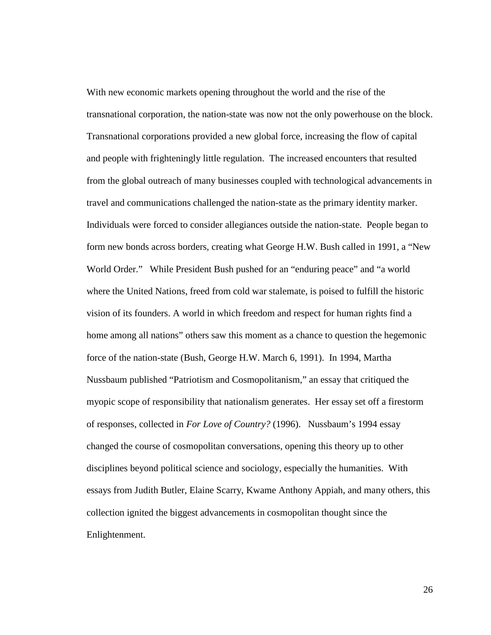With new economic markets opening throughout the world and the rise of the transnational corporation, the nation-state was now not the only powerhouse on the block. Transnational corporations provided a new global force, increasing the flow of capital and people with frighteningly little regulation. The increased encounters that resulted from the global outreach of many businesses coupled with technological advancements in travel and communications challenged the nation-state as the primary identity marker. Individuals were forced to consider allegiances outside the nation-state. People began to form new bonds across borders, creating what George H.W. Bush called in 1991, a "New World Order." While President Bush pushed for an "enduring peace" and "a world where the United Nations, freed from cold war stalemate, is poised to fulfill the historic vision of its founders. A world in which freedom and respect for human rights find a home among all nations" others saw this moment as a chance to question the hegemonic force of the nation-state (Bush, George H.W. March 6, 1991). In 1994, Martha Nussbaum published "Patriotism and Cosmopolitanism," an essay that critiqued the myopic scope of responsibility that nationalism generates. Her essay set off a firestorm of responses, collected in *For Love of Country?* (1996). Nussbaum's 1994 essay changed the course of cosmopolitan conversations, opening this theory up to other disciplines beyond political science and sociology, especially the humanities. With essays from Judith Butler, Elaine Scarry, Kwame Anthony Appiah, and many others, this collection ignited the biggest advancements in cosmopolitan thought since the Enlightenment.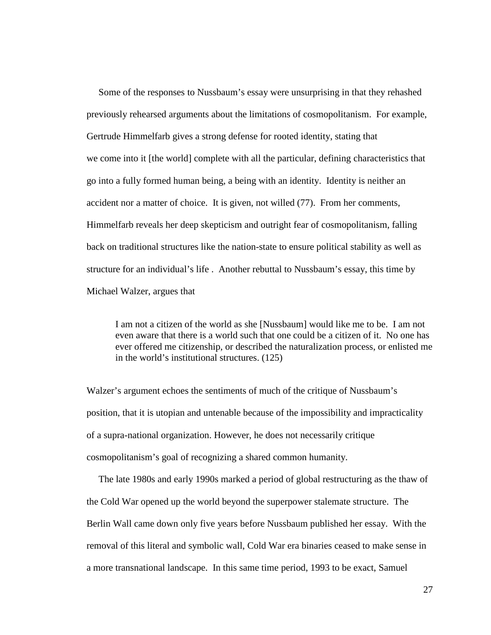Some of the responses to Nussbaum's essay were unsurprising in that they rehashed previously rehearsed arguments about the limitations of cosmopolitanism. For example, Gertrude Himmelfarb gives a strong defense for rooted identity, stating that we come into it [the world] complete with all the particular, defining characteristics that go into a fully formed human being, a being with an identity. Identity is neither an accident nor a matter of choice. It is given, not willed (77). From her comments, Himmelfarb reveals her deep skepticism and outright fear of cosmopolitanism, falling back on traditional structures like the nation-state to ensure political stability as well as structure for an individual's life . Another rebuttal to Nussbaum's essay, this time by Michael Walzer, argues that

I am not a citizen of the world as she [Nussbaum] would like me to be. I am not even aware that there is a world such that one could be a citizen of it. No one has ever offered me citizenship, or described the naturalization process, or enlisted me in the world's institutional structures. (125)

Walzer's argument echoes the sentiments of much of the critique of Nussbaum's position, that it is utopian and untenable because of the impossibility and impracticality of a supra-national organization. However, he does not necessarily critique cosmopolitanism's goal of recognizing a shared common humanity.

 The late 1980s and early 1990s marked a period of global restructuring as the thaw of the Cold War opened up the world beyond the superpower stalemate structure. The Berlin Wall came down only five years before Nussbaum published her essay. With the removal of this literal and symbolic wall, Cold War era binaries ceased to make sense in a more transnational landscape. In this same time period, 1993 to be exact, Samuel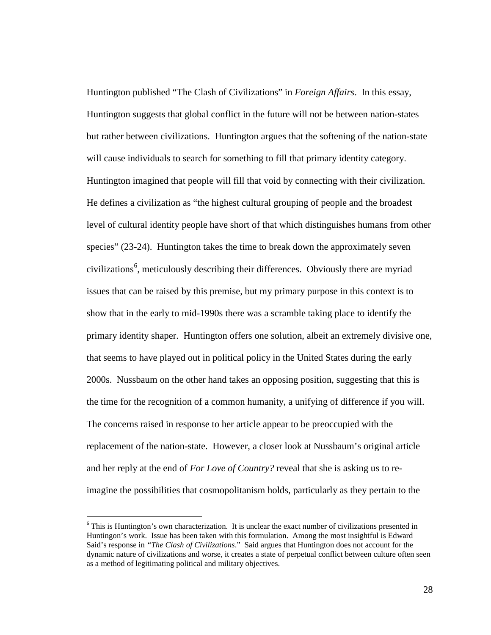Huntington published "The Clash of Civilizations" in *Foreign Affairs*. In this essay, Huntington suggests that global conflict in the future will not be between nation-states but rather between civilizations. Huntington argues that the softening of the nation-state will cause individuals to search for something to fill that primary identity category. Huntington imagined that people will fill that void by connecting with their civilization. He defines a civilization as "the highest cultural grouping of people and the broadest level of cultural identity people have short of that which distinguishes humans from other species" (23-24). Huntington takes the time to break down the approximately seven civilizations<sup>[6](#page-33-0)</sup>, meticulously describing their differences. Obviously there are myriad issues that can be raised by this premise, but my primary purpose in this context is to show that in the early to mid-1990s there was a scramble taking place to identify the primary identity shaper. Huntington offers one solution, albeit an extremely divisive one, that seems to have played out in political policy in the United States during the early 2000s. Nussbaum on the other hand takes an opposing position, suggesting that this is the time for the recognition of a common humanity, a unifying of difference if you will. The concerns raised in response to her article appear to be preoccupied with the replacement of the nation-state. However, a closer look at Nussbaum's original article and her reply at the end of *For Love of Country?* reveal that she is asking us to reimagine the possibilities that cosmopolitanism holds, particularly as they pertain to the

<span id="page-33-0"></span><sup>&</sup>lt;sup>6</sup> This is Huntington's own characterization. It is unclear the exact number of civilizations presented in Huntingon's work. Issue has been taken with this formulation. Among the most insightful is Edward Said's response in *"The Clash of Civilizations*." Said argues that Huntington does not account for the dynamic nature of civilizations and worse, it creates a state of perpetual conflict between culture often seen as a method of legitimating political and military objectives.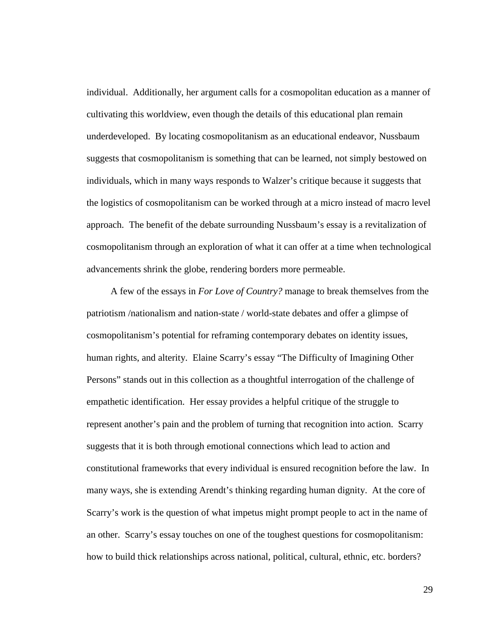individual. Additionally, her argument calls for a cosmopolitan education as a manner of cultivating this worldview, even though the details of this educational plan remain underdeveloped. By locating cosmopolitanism as an educational endeavor, Nussbaum suggests that cosmopolitanism is something that can be learned, not simply bestowed on individuals, which in many ways responds to Walzer's critique because it suggests that the logistics of cosmopolitanism can be worked through at a micro instead of macro level approach. The benefit of the debate surrounding Nussbaum's essay is a revitalization of cosmopolitanism through an exploration of what it can offer at a time when technological advancements shrink the globe, rendering borders more permeable.

 A few of the essays in *For Love of Country?* manage to break themselves from the patriotism /nationalism and nation-state / world-state debates and offer a glimpse of cosmopolitanism's potential for reframing contemporary debates on identity issues, human rights, and alterity. Elaine Scarry's essay "The Difficulty of Imagining Other Persons" stands out in this collection as a thoughtful interrogation of the challenge of empathetic identification. Her essay provides a helpful critique of the struggle to represent another's pain and the problem of turning that recognition into action. Scarry suggests that it is both through emotional connections which lead to action and constitutional frameworks that every individual is ensured recognition before the law. In many ways, she is extending Arendt's thinking regarding human dignity. At the core of Scarry's work is the question of what impetus might prompt people to act in the name of an other. Scarry's essay touches on one of the toughest questions for cosmopolitanism: how to build thick relationships across national, political, cultural, ethnic, etc. borders?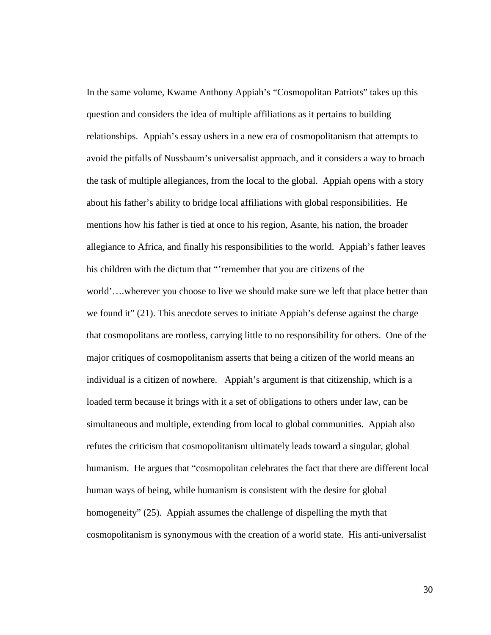In the same volume, Kwame Anthony Appiah's "Cosmopolitan Patriots" takes up this question and considers the idea of multiple affiliations as it pertains to building relationships. Appiah's essay ushers in a new era of cosmopolitanism that attempts to avoid the pitfalls of Nussbaum's universalist approach, and it considers a way to broach the task of multiple allegiances, from the local to the global. Appiah opens with a story about his father's ability to bridge local affiliations with global responsibilities. He mentions how his father is tied at once to his region, Asante, his nation, the broader allegiance to Africa, and finally his responsibilities to the world. Appiah's father leaves his children with the dictum that "'remember that you are citizens of the world'….wherever you choose to live we should make sure we left that place better than we found it" (21). This anecdote serves to initiate Appiah's defense against the charge that cosmopolitans are rootless, carrying little to no responsibility for others. One of the major critiques of cosmopolitanism asserts that being a citizen of the world means an individual is a citizen of nowhere. Appiah's argument is that citizenship, which is a loaded term because it brings with it a set of obligations to others under law, can be simultaneous and multiple, extending from local to global communities. Appiah also refutes the criticism that cosmopolitanism ultimately leads toward a singular, global humanism. He argues that "cosmopolitan celebrates the fact that there are different local human ways of being, while humanism is consistent with the desire for global homogeneity" (25). Appiah assumes the challenge of dispelling the myth that cosmopolitanism is synonymous with the creation of a world state. His anti-universalist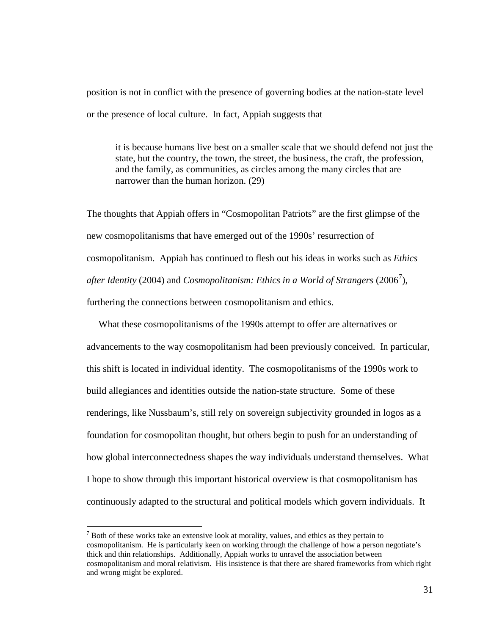position is not in conflict with the presence of governing bodies at the nation-state level or the presence of local culture. In fact, Appiah suggests that

it is because humans live best on a smaller scale that we should defend not just the state, but the country, the town, the street, the business, the craft, the profession, and the family, as communities, as circles among the many circles that are narrower than the human horizon. (29)

The thoughts that Appiah offers in "Cosmopolitan Patriots" are the first glimpse of the new cosmopolitanisms that have emerged out of the 1990s' resurrection of cosmopolitanism. Appiah has continued to flesh out his ideas in works such as *Ethics*  after Identity (2004) and *Cosmopolitanism: Ethics in a World of Strangers* (2006<sup>[7](#page-36-0)</sup>), furthering the connections between cosmopolitanism and ethics.

 What these cosmopolitanisms of the 1990s attempt to offer are alternatives or advancements to the way cosmopolitanism had been previously conceived. In particular, this shift is located in individual identity. The cosmopolitanisms of the 1990s work to build allegiances and identities outside the nation-state structure. Some of these renderings, like Nussbaum's, still rely on sovereign subjectivity grounded in logos as a foundation for cosmopolitan thought, but others begin to push for an understanding of how global interconnectedness shapes the way individuals understand themselves. What I hope to show through this important historical overview is that cosmopolitanism has continuously adapted to the structural and political models which govern individuals. It

<span id="page-36-0"></span> $<sup>7</sup>$  Both of these works take an extensive look at morality, values, and ethics as they pertain to</sup> cosmopolitanism. He is particularly keen on working through the challenge of how a person negotiate's thick and thin relationships. Additionally, Appiah works to unravel the association between cosmopolitanism and moral relativism. His insistence is that there are shared frameworks from which right and wrong might be explored.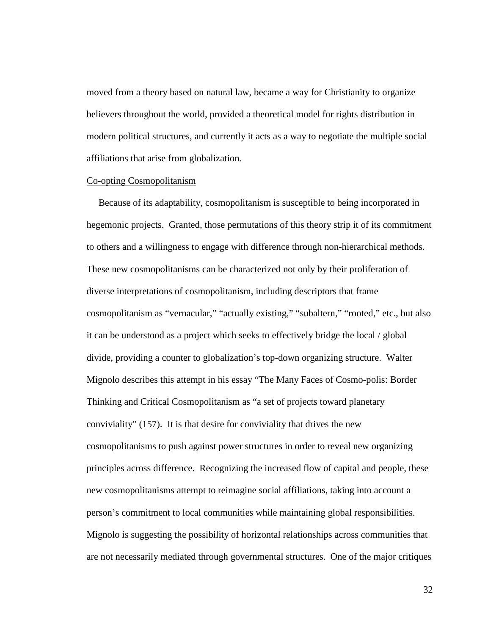moved from a theory based on natural law, became a way for Christianity to organize believers throughout the world, provided a theoretical model for rights distribution in modern political structures, and currently it acts as a way to negotiate the multiple social affiliations that arise from globalization.

# Co-opting Cosmopolitanism

 Because of its adaptability, cosmopolitanism is susceptible to being incorporated in hegemonic projects. Granted, those permutations of this theory strip it of its commitment to others and a willingness to engage with difference through non-hierarchical methods. These new cosmopolitanisms can be characterized not only by their proliferation of diverse interpretations of cosmopolitanism, including descriptors that frame cosmopolitanism as "vernacular," "actually existing," "subaltern," "rooted," etc., but also it can be understood as a project which seeks to effectively bridge the local / global divide, providing a counter to globalization's top-down organizing structure. Walter Mignolo describes this attempt in his essay "The Many Faces of Cosmo-polis: Border Thinking and Critical Cosmopolitanism as "a set of projects toward planetary conviviality" (157). It is that desire for conviviality that drives the new cosmopolitanisms to push against power structures in order to reveal new organizing principles across difference. Recognizing the increased flow of capital and people, these new cosmopolitanisms attempt to reimagine social affiliations, taking into account a person's commitment to local communities while maintaining global responsibilities. Mignolo is suggesting the possibility of horizontal relationships across communities that are not necessarily mediated through governmental structures. One of the major critiques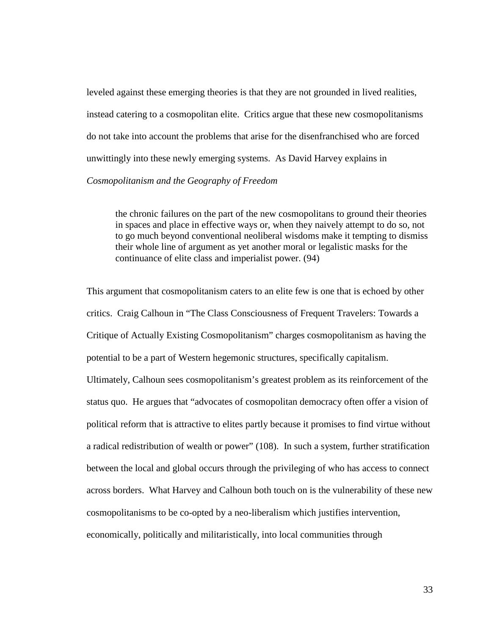leveled against these emerging theories is that they are not grounded in lived realities, instead catering to a cosmopolitan elite. Critics argue that these new cosmopolitanisms do not take into account the problems that arise for the disenfranchised who are forced unwittingly into these newly emerging systems. As David Harvey explains in *Cosmopolitanism and the Geography of Freedom* 

the chronic failures on the part of the new cosmopolitans to ground their theories in spaces and place in effective ways or, when they naively attempt to do so, not to go much beyond conventional neoliberal wisdoms make it tempting to dismiss their whole line of argument as yet another moral or legalistic masks for the continuance of elite class and imperialist power. (94)

This argument that cosmopolitanism caters to an elite few is one that is echoed by other critics. Craig Calhoun in "The Class Consciousness of Frequent Travelers: Towards a Critique of Actually Existing Cosmopolitanism" charges cosmopolitanism as having the potential to be a part of Western hegemonic structures, specifically capitalism.

Ultimately, Calhoun sees cosmopolitanism's greatest problem as its reinforcement of the status quo. He argues that "advocates of cosmopolitan democracy often offer a vision of political reform that is attractive to elites partly because it promises to find virtue without a radical redistribution of wealth or power" (108). In such a system, further stratification between the local and global occurs through the privileging of who has access to connect across borders. What Harvey and Calhoun both touch on is the vulnerability of these new cosmopolitanisms to be co-opted by a neo-liberalism which justifies intervention, economically, politically and militaristically, into local communities through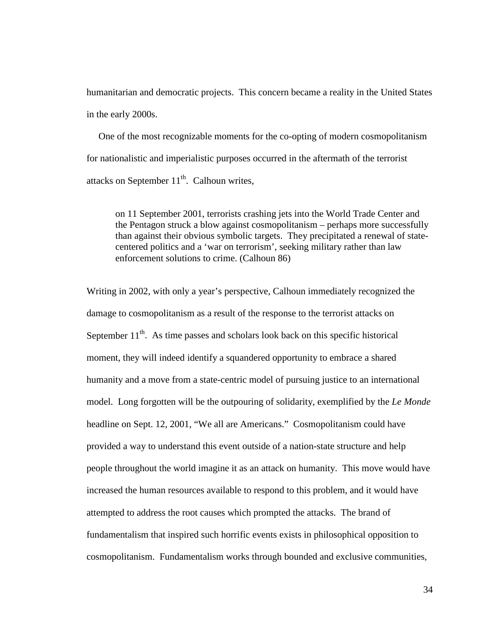humanitarian and democratic projects. This concern became a reality in the United States in the early 2000s.

 One of the most recognizable moments for the co-opting of modern cosmopolitanism for nationalistic and imperialistic purposes occurred in the aftermath of the terrorist attacks on September  $11<sup>th</sup>$ . Calhoun writes,

on 11 September 2001, terrorists crashing jets into the World Trade Center and the Pentagon struck a blow against cosmopolitanism – perhaps more successfully than against their obvious symbolic targets. They precipitated a renewal of statecentered politics and a 'war on terrorism', seeking military rather than law enforcement solutions to crime. (Calhoun 86)

Writing in 2002, with only a year's perspective, Calhoun immediately recognized the damage to cosmopolitanism as a result of the response to the terrorist attacks on September  $11<sup>th</sup>$ . As time passes and scholars look back on this specific historical moment, they will indeed identify a squandered opportunity to embrace a shared humanity and a move from a state-centric model of pursuing justice to an international model. Long forgotten will be the outpouring of solidarity, exemplified by the *Le Monde* headline on Sept. 12, 2001, "We all are Americans." Cosmopolitanism could have provided a way to understand this event outside of a nation-state structure and help people throughout the world imagine it as an attack on humanity. This move would have increased the human resources available to respond to this problem, and it would have attempted to address the root causes which prompted the attacks. The brand of fundamentalism that inspired such horrific events exists in philosophical opposition to cosmopolitanism. Fundamentalism works through bounded and exclusive communities,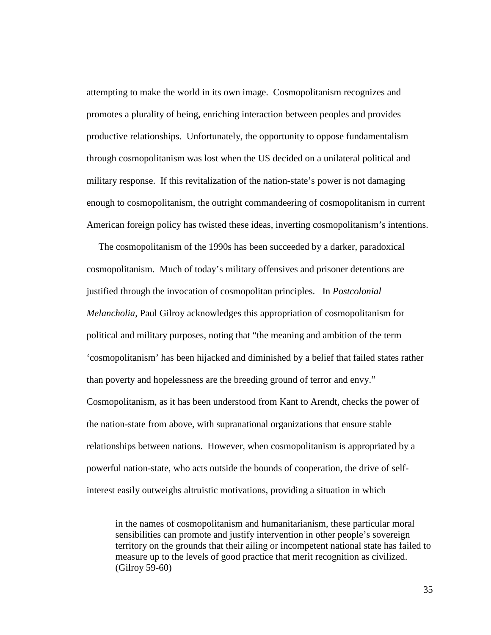attempting to make the world in its own image. Cosmopolitanism recognizes and promotes a plurality of being, enriching interaction between peoples and provides productive relationships. Unfortunately, the opportunity to oppose fundamentalism through cosmopolitanism was lost when the US decided on a unilateral political and military response. If this revitalization of the nation-state's power is not damaging enough to cosmopolitanism, the outright commandeering of cosmopolitanism in current American foreign policy has twisted these ideas, inverting cosmopolitanism's intentions.

 The cosmopolitanism of the 1990s has been succeeded by a darker, paradoxical cosmopolitanism. Much of today's military offensives and prisoner detentions are justified through the invocation of cosmopolitan principles. In *Postcolonial Melancholia*, Paul Gilroy acknowledges this appropriation of cosmopolitanism for political and military purposes, noting that "the meaning and ambition of the term 'cosmopolitanism' has been hijacked and diminished by a belief that failed states rather than poverty and hopelessness are the breeding ground of terror and envy." Cosmopolitanism, as it has been understood from Kant to Arendt, checks the power of the nation-state from above, with supranational organizations that ensure stable relationships between nations. However, when cosmopolitanism is appropriated by a powerful nation-state, who acts outside the bounds of cooperation, the drive of selfinterest easily outweighs altruistic motivations, providing a situation in which

in the names of cosmopolitanism and humanitarianism, these particular moral sensibilities can promote and justify intervention in other people's sovereign territory on the grounds that their ailing or incompetent national state has failed to measure up to the levels of good practice that merit recognition as civilized. (Gilroy 59-60)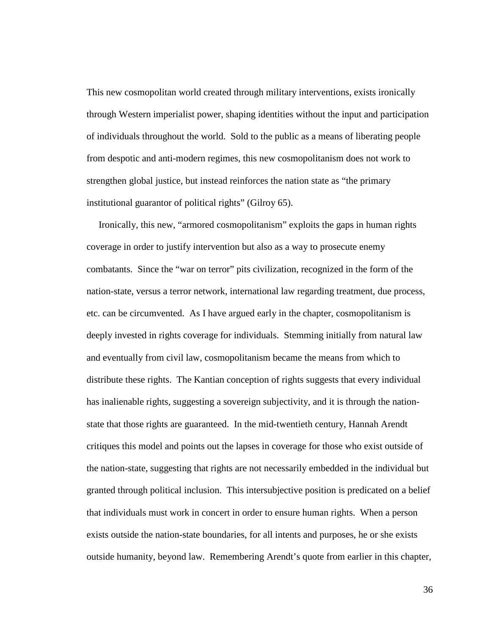This new cosmopolitan world created through military interventions, exists ironically through Western imperialist power, shaping identities without the input and participation of individuals throughout the world. Sold to the public as a means of liberating people from despotic and anti-modern regimes, this new cosmopolitanism does not work to strengthen global justice, but instead reinforces the nation state as "the primary institutional guarantor of political rights" (Gilroy 65).

 Ironically, this new, "armored cosmopolitanism" exploits the gaps in human rights coverage in order to justify intervention but also as a way to prosecute enemy combatants. Since the "war on terror" pits civilization, recognized in the form of the nation-state, versus a terror network, international law regarding treatment, due process, etc. can be circumvented. As I have argued early in the chapter, cosmopolitanism is deeply invested in rights coverage for individuals. Stemming initially from natural law and eventually from civil law, cosmopolitanism became the means from which to distribute these rights. The Kantian conception of rights suggests that every individual has inalienable rights, suggesting a sovereign subjectivity, and it is through the nationstate that those rights are guaranteed. In the mid-twentieth century, Hannah Arendt critiques this model and points out the lapses in coverage for those who exist outside of the nation-state, suggesting that rights are not necessarily embedded in the individual but granted through political inclusion. This intersubjective position is predicated on a belief that individuals must work in concert in order to ensure human rights. When a person exists outside the nation-state boundaries, for all intents and purposes, he or she exists outside humanity, beyond law. Remembering Arendt's quote from earlier in this chapter,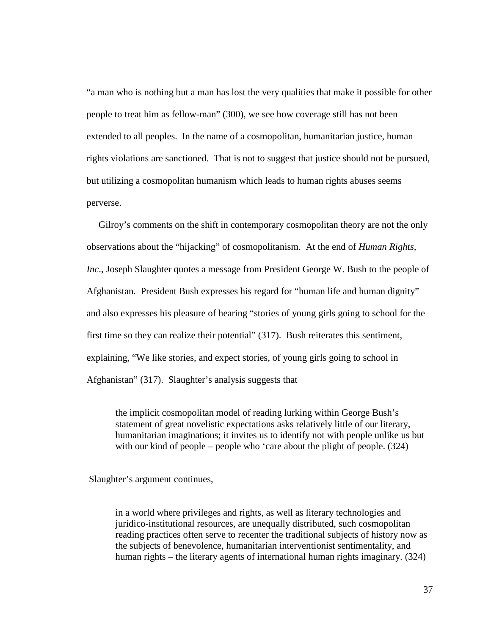"a man who is nothing but a man has lost the very qualities that make it possible for other people to treat him as fellow-man" (300), we see how coverage still has not been extended to all peoples. In the name of a cosmopolitan, humanitarian justice, human rights violations are sanctioned. That is not to suggest that justice should not be pursued, but utilizing a cosmopolitan humanism which leads to human rights abuses seems perverse.

 Gilroy's comments on the shift in contemporary cosmopolitan theory are not the only observations about the "hijacking" of cosmopolitanism. At the end of *Human Rights, Inc*., Joseph Slaughter quotes a message from President George W. Bush to the people of Afghanistan. President Bush expresses his regard for "human life and human dignity" and also expresses his pleasure of hearing "stories of young girls going to school for the first time so they can realize their potential" (317). Bush reiterates this sentiment, explaining, "We like stories, and expect stories, of young girls going to school in Afghanistan" (317). Slaughter's analysis suggests that

the implicit cosmopolitan model of reading lurking within George Bush's statement of great novelistic expectations asks relatively little of our literary, humanitarian imaginations; it invites us to identify not with people unlike us but with our kind of people – people who 'care about the plight of people. (324)

Slaughter's argument continues,

in a world where privileges and rights, as well as literary technologies and juridico-institutional resources, are unequally distributed, such cosmopolitan reading practices often serve to recenter the traditional subjects of history now as the subjects of benevolence, humanitarian interventionist sentimentality, and human rights – the literary agents of international human rights imaginary. (324)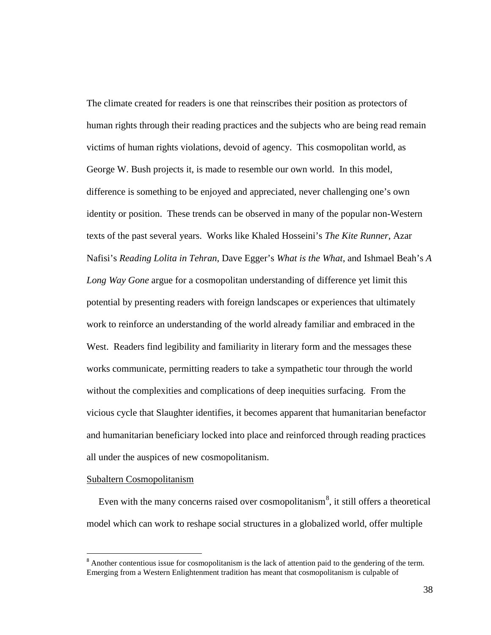The climate created for readers is one that reinscribes their position as protectors of human rights through their reading practices and the subjects who are being read remain victims of human rights violations, devoid of agency. This cosmopolitan world, as George W. Bush projects it, is made to resemble our own world. In this model, difference is something to be enjoyed and appreciated, never challenging one's own identity or position. These trends can be observed in many of the popular non-Western texts of the past several years. Works like Khaled Hosseini's *The Kite Runner*, Azar Nafisi's *Reading Lolita in Tehran*, Dave Egger's *What is the What*, and Ishmael Beah's *A Long Way Gone* argue for a cosmopolitan understanding of difference yet limit this potential by presenting readers with foreign landscapes or experiences that ultimately work to reinforce an understanding of the world already familiar and embraced in the West. Readers find legibility and familiarity in literary form and the messages these works communicate, permitting readers to take a sympathetic tour through the world without the complexities and complications of deep inequities surfacing. From the vicious cycle that Slaughter identifies, it becomes apparent that humanitarian benefactor and humanitarian beneficiary locked into place and reinforced through reading practices all under the auspices of new cosmopolitanism.

#### Subaltern Cosmopolitanism

Even with the many concerns raised over cosmopolitanism<sup>[8](#page-43-0)</sup>, it still offers a theoretical model which can work to reshape social structures in a globalized world, offer multiple

<span id="page-43-0"></span><sup>&</sup>lt;sup>8</sup> Another contentious issue for cosmopolitanism is the lack of attention paid to the gendering of the term. Emerging from a Western Enlightenment tradition has meant that cosmopolitanism is culpable of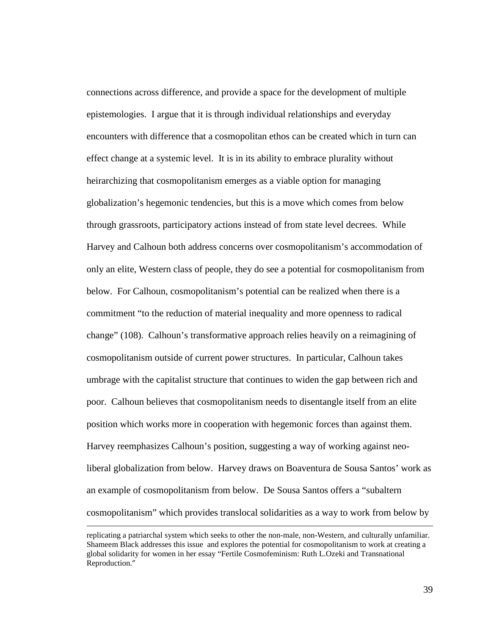connections across difference, and provide a space for the development of multiple epistemologies. I argue that it is through individual relationships and everyday encounters with difference that a cosmopolitan ethos can be created which in turn can effect change at a systemic level. It is in its ability to embrace plurality without heirarchizing that cosmopolitanism emerges as a viable option for managing globalization's hegemonic tendencies, but this is a move which comes from below through grassroots, participatory actions instead of from state level decrees. While Harvey and Calhoun both address concerns over cosmopolitanism's accommodation of only an elite, Western class of people, they do see a potential for cosmopolitanism from below. For Calhoun, cosmopolitanism's potential can be realized when there is a commitment "to the reduction of material inequality and more openness to radical change" (108). Calhoun's transformative approach relies heavily on a reimagining of cosmopolitanism outside of current power structures. In particular, Calhoun takes umbrage with the capitalist structure that continues to widen the gap between rich and poor. Calhoun believes that cosmopolitanism needs to disentangle itself from an elite position which works more in cooperation with hegemonic forces than against them. Harvey reemphasizes Calhoun's position, suggesting a way of working against neoliberal globalization from below. Harvey draws on Boaventura de Sousa Santos' work as an example of cosmopolitanism from below. De Sousa Santos offers a "subaltern cosmopolitanism" which provides translocal solidarities as a way to work from below by

replicating a patriarchal system which seeks to other the non-male, non-Western, and culturally unfamiliar. Shameem Black addresses this issue and explores the potential for cosmopolitanism to work at creating a global solidarity for women in her essay "Fertile Cosmofeminism: Ruth L.Ozeki and Transnational Reproduction."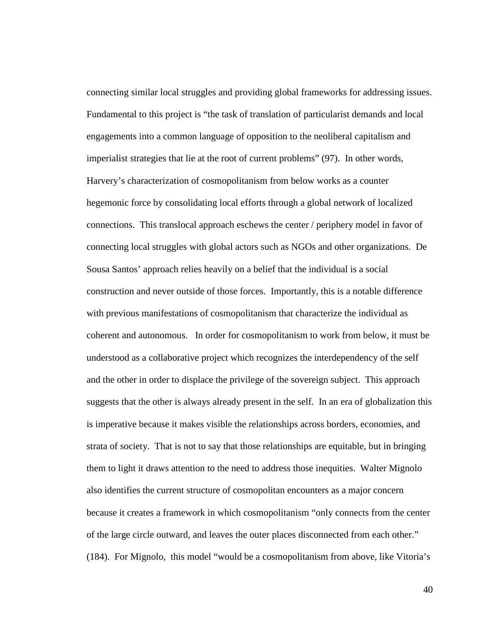connecting similar local struggles and providing global frameworks for addressing issues. Fundamental to this project is "the task of translation of particularist demands and local engagements into a common language of opposition to the neoliberal capitalism and imperialist strategies that lie at the root of current problems" (97). In other words, Harvery's characterization of cosmopolitanism from below works as a counter hegemonic force by consolidating local efforts through a global network of localized connections. This translocal approach eschews the center / periphery model in favor of connecting local struggles with global actors such as NGOs and other organizations. De Sousa Santos' approach relies heavily on a belief that the individual is a social construction and never outside of those forces. Importantly, this is a notable difference with previous manifestations of cosmopolitanism that characterize the individual as coherent and autonomous. In order for cosmopolitanism to work from below, it must be understood as a collaborative project which recognizes the interdependency of the self and the other in order to displace the privilege of the sovereign subject. This approach suggests that the other is always already present in the self. In an era of globalization this is imperative because it makes visible the relationships across borders, economies, and strata of society. That is not to say that those relationships are equitable, but in bringing them to light it draws attention to the need to address those inequities. Walter Mignolo also identifies the current structure of cosmopolitan encounters as a major concern because it creates a framework in which cosmopolitanism "only connects from the center of the large circle outward, and leaves the outer places disconnected from each other." (184). For Mignolo, this model "would be a cosmopolitanism from above, like Vitoria's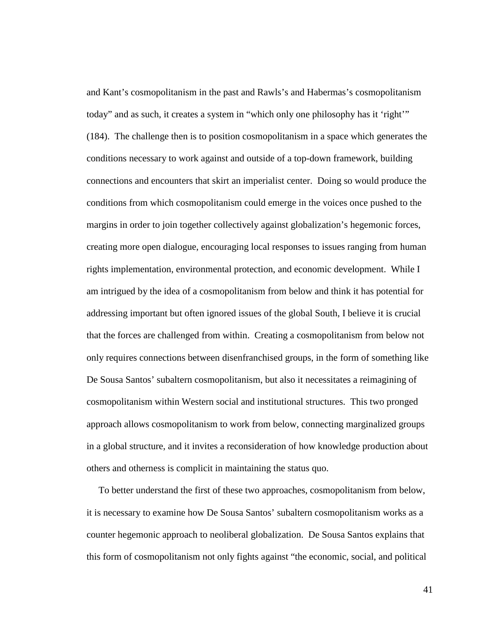and Kant's cosmopolitanism in the past and Rawls's and Habermas's cosmopolitanism today" and as such, it creates a system in "which only one philosophy has it 'right'" (184). The challenge then is to position cosmopolitanism in a space which generates the conditions necessary to work against and outside of a top-down framework, building connections and encounters that skirt an imperialist center. Doing so would produce the conditions from which cosmopolitanism could emerge in the voices once pushed to the margins in order to join together collectively against globalization's hegemonic forces, creating more open dialogue, encouraging local responses to issues ranging from human rights implementation, environmental protection, and economic development. While I am intrigued by the idea of a cosmopolitanism from below and think it has potential for addressing important but often ignored issues of the global South, I believe it is crucial that the forces are challenged from within. Creating a cosmopolitanism from below not only requires connections between disenfranchised groups, in the form of something like De Sousa Santos' subaltern cosmopolitanism, but also it necessitates a reimagining of cosmopolitanism within Western social and institutional structures. This two pronged approach allows cosmopolitanism to work from below, connecting marginalized groups in a global structure, and it invites a reconsideration of how knowledge production about others and otherness is complicit in maintaining the status quo.

 To better understand the first of these two approaches, cosmopolitanism from below, it is necessary to examine how De Sousa Santos' subaltern cosmopolitanism works as a counter hegemonic approach to neoliberal globalization. De Sousa Santos explains that this form of cosmopolitanism not only fights against "the economic, social, and political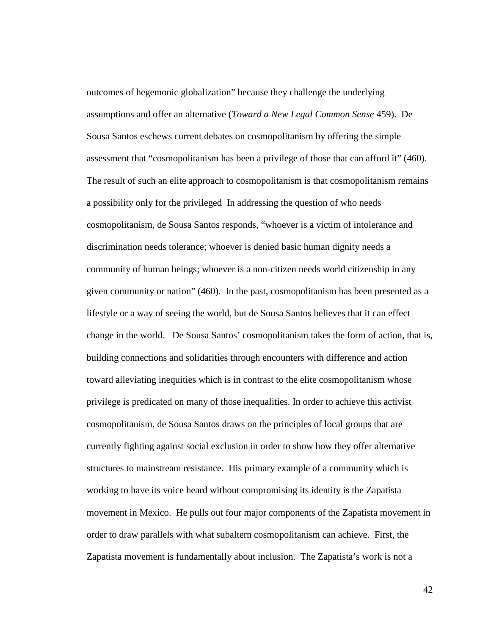outcomes of hegemonic globalization" because they challenge the underlying assumptions and offer an alternative (*Toward a New Legal Common Sense* 459). De Sousa Santos eschews current debates on cosmopolitanism by offering the simple assessment that "cosmopolitanism has been a privilege of those that can afford it" (460). The result of such an elite approach to cosmopolitanism is that cosmopolitanism remains a possibility only for the privileged In addressing the question of who needs cosmopolitanism, de Sousa Santos responds, "whoever is a victim of intolerance and discrimination needs tolerance; whoever is denied basic human dignity needs a community of human beings; whoever is a non-citizen needs world citizenship in any given community or nation" (460). In the past, cosmopolitanism has been presented as a lifestyle or a way of seeing the world, but de Sousa Santos believes that it can effect change in the world. De Sousa Santos' cosmopolitanism takes the form of action, that is, building connections and solidarities through encounters with difference and action toward alleviating inequities which is in contrast to the elite cosmopolitanism whose privilege is predicated on many of those inequalities. In order to achieve this activist cosmopolitanism, de Sousa Santos draws on the principles of local groups that are currently fighting against social exclusion in order to show how they offer alternative structures to mainstream resistance. His primary example of a community which is working to have its voice heard without compromising its identity is the Zapatista movement in Mexico. He pulls out four major components of the Zapatista movement in order to draw parallels with what subaltern cosmopolitanism can achieve. First, the Zapatista movement is fundamentally about inclusion. The Zapatista's work is not a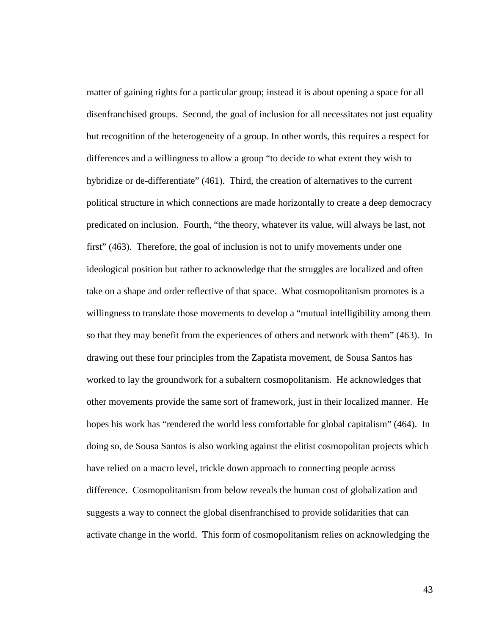matter of gaining rights for a particular group; instead it is about opening a space for all disenfranchised groups. Second, the goal of inclusion for all necessitates not just equality but recognition of the heterogeneity of a group. In other words, this requires a respect for differences and a willingness to allow a group "to decide to what extent they wish to hybridize or de-differentiate" (461). Third, the creation of alternatives to the current political structure in which connections are made horizontally to create a deep democracy predicated on inclusion. Fourth, "the theory, whatever its value, will always be last, not first" (463). Therefore, the goal of inclusion is not to unify movements under one ideological position but rather to acknowledge that the struggles are localized and often take on a shape and order reflective of that space. What cosmopolitanism promotes is a willingness to translate those movements to develop a "mutual intelligibility among them so that they may benefit from the experiences of others and network with them" (463). In drawing out these four principles from the Zapatista movement, de Sousa Santos has worked to lay the groundwork for a subaltern cosmopolitanism. He acknowledges that other movements provide the same sort of framework, just in their localized manner. He hopes his work has "rendered the world less comfortable for global capitalism" (464). In doing so, de Sousa Santos is also working against the elitist cosmopolitan projects which have relied on a macro level, trickle down approach to connecting people across difference. Cosmopolitanism from below reveals the human cost of globalization and suggests a way to connect the global disenfranchised to provide solidarities that can activate change in the world. This form of cosmopolitanism relies on acknowledging the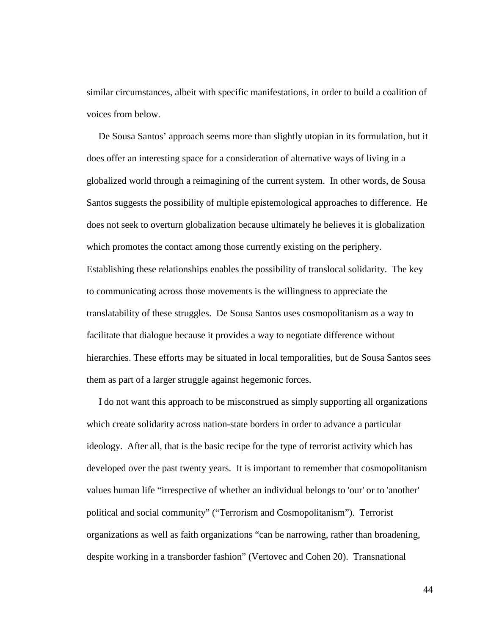similar circumstances, albeit with specific manifestations, in order to build a coalition of voices from below.

 De Sousa Santos' approach seems more than slightly utopian in its formulation, but it does offer an interesting space for a consideration of alternative ways of living in a globalized world through a reimagining of the current system. In other words, de Sousa Santos suggests the possibility of multiple epistemological approaches to difference. He does not seek to overturn globalization because ultimately he believes it is globalization which promotes the contact among those currently existing on the periphery. Establishing these relationships enables the possibility of translocal solidarity. The key to communicating across those movements is the willingness to appreciate the translatability of these struggles. De Sousa Santos uses cosmopolitanism as a way to facilitate that dialogue because it provides a way to negotiate difference without hierarchies. These efforts may be situated in local temporalities, but de Sousa Santos sees them as part of a larger struggle against hegemonic forces.

 I do not want this approach to be misconstrued as simply supporting all organizations which create solidarity across nation-state borders in order to advance a particular ideology. After all, that is the basic recipe for the type of terrorist activity which has developed over the past twenty years. It is important to remember that cosmopolitanism values human life "irrespective of whether an individual belongs to 'our' or to 'another' political and social community" ("Terrorism and Cosmopolitanism"). Terrorist organizations as well as faith organizations "can be narrowing, rather than broadening, despite working in a transborder fashion" (Vertovec and Cohen 20). Transnational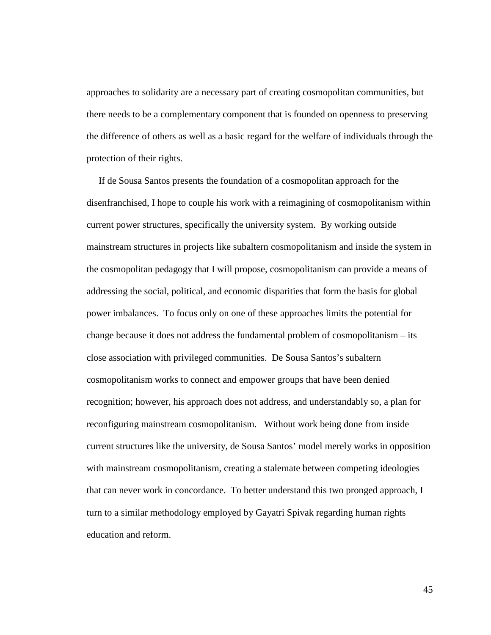approaches to solidarity are a necessary part of creating cosmopolitan communities, but there needs to be a complementary component that is founded on openness to preserving the difference of others as well as a basic regard for the welfare of individuals through the protection of their rights.

 If de Sousa Santos presents the foundation of a cosmopolitan approach for the disenfranchised, I hope to couple his work with a reimagining of cosmopolitanism within current power structures, specifically the university system. By working outside mainstream structures in projects like subaltern cosmopolitanism and inside the system in the cosmopolitan pedagogy that I will propose, cosmopolitanism can provide a means of addressing the social, political, and economic disparities that form the basis for global power imbalances. To focus only on one of these approaches limits the potential for change because it does not address the fundamental problem of cosmopolitanism – its close association with privileged communities. De Sousa Santos's subaltern cosmopolitanism works to connect and empower groups that have been denied recognition; however, his approach does not address, and understandably so, a plan for reconfiguring mainstream cosmopolitanism. Without work being done from inside current structures like the university, de Sousa Santos' model merely works in opposition with mainstream cosmopolitanism, creating a stalemate between competing ideologies that can never work in concordance. To better understand this two pronged approach, I turn to a similar methodology employed by Gayatri Spivak regarding human rights education and reform.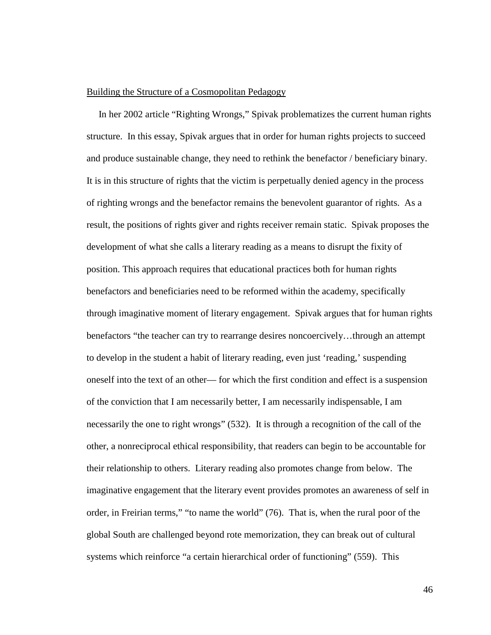### Building the Structure of a Cosmopolitan Pedagogy

 In her 2002 article "Righting Wrongs," Spivak problematizes the current human rights structure. In this essay, Spivak argues that in order for human rights projects to succeed and produce sustainable change, they need to rethink the benefactor / beneficiary binary. It is in this structure of rights that the victim is perpetually denied agency in the process of righting wrongs and the benefactor remains the benevolent guarantor of rights. As a result, the positions of rights giver and rights receiver remain static. Spivak proposes the development of what she calls a literary reading as a means to disrupt the fixity of position. This approach requires that educational practices both for human rights benefactors and beneficiaries need to be reformed within the academy, specifically through imaginative moment of literary engagement. Spivak argues that for human rights benefactors "the teacher can try to rearrange desires noncoercively…through an attempt to develop in the student a habit of literary reading, even just 'reading,' suspending oneself into the text of an other— for which the first condition and effect is a suspension of the conviction that I am necessarily better, I am necessarily indispensable, I am necessarily the one to right wrongs" (532). It is through a recognition of the call of the other, a nonreciprocal ethical responsibility, that readers can begin to be accountable for their relationship to others. Literary reading also promotes change from below. The imaginative engagement that the literary event provides promotes an awareness of self in order, in Freirian terms," "to name the world" (76). That is, when the rural poor of the global South are challenged beyond rote memorization, they can break out of cultural systems which reinforce "a certain hierarchical order of functioning" (559). This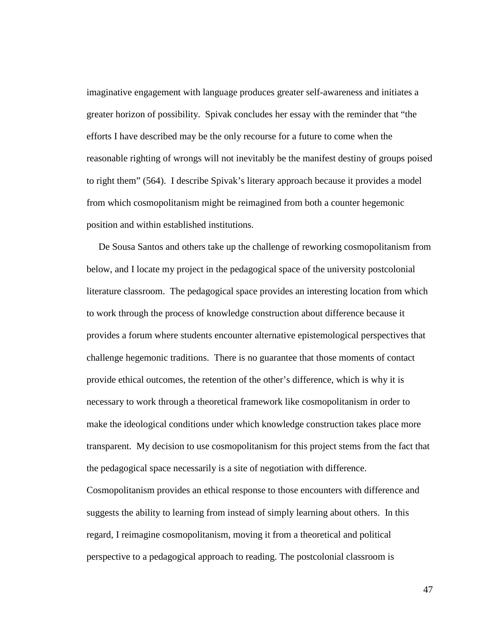imaginative engagement with language produces greater self-awareness and initiates a greater horizon of possibility. Spivak concludes her essay with the reminder that "the efforts I have described may be the only recourse for a future to come when the reasonable righting of wrongs will not inevitably be the manifest destiny of groups poised to right them" (564). I describe Spivak's literary approach because it provides a model from which cosmopolitanism might be reimagined from both a counter hegemonic position and within established institutions.

 De Sousa Santos and others take up the challenge of reworking cosmopolitanism from below, and I locate my project in the pedagogical space of the university postcolonial literature classroom. The pedagogical space provides an interesting location from which to work through the process of knowledge construction about difference because it provides a forum where students encounter alternative epistemological perspectives that challenge hegemonic traditions. There is no guarantee that those moments of contact provide ethical outcomes, the retention of the other's difference, which is why it is necessary to work through a theoretical framework like cosmopolitanism in order to make the ideological conditions under which knowledge construction takes place more transparent. My decision to use cosmopolitanism for this project stems from the fact that the pedagogical space necessarily is a site of negotiation with difference.

Cosmopolitanism provides an ethical response to those encounters with difference and suggests the ability to learning from instead of simply learning about others. In this regard, I reimagine cosmopolitanism, moving it from a theoretical and political perspective to a pedagogical approach to reading. The postcolonial classroom is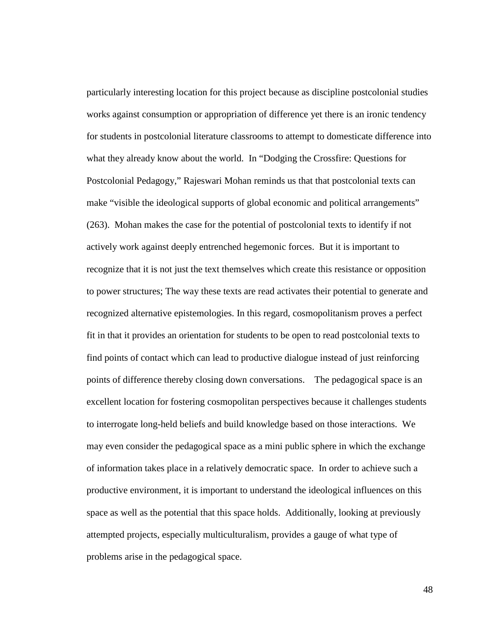particularly interesting location for this project because as discipline postcolonial studies works against consumption or appropriation of difference yet there is an ironic tendency for students in postcolonial literature classrooms to attempt to domesticate difference into what they already know about the world. In "Dodging the Crossfire: Questions for Postcolonial Pedagogy," Rajeswari Mohan reminds us that that postcolonial texts can make "visible the ideological supports of global economic and political arrangements" (263). Mohan makes the case for the potential of postcolonial texts to identify if not actively work against deeply entrenched hegemonic forces. But it is important to recognize that it is not just the text themselves which create this resistance or opposition to power structures; The way these texts are read activates their potential to generate and recognized alternative epistemologies. In this regard, cosmopolitanism proves a perfect fit in that it provides an orientation for students to be open to read postcolonial texts to find points of contact which can lead to productive dialogue instead of just reinforcing points of difference thereby closing down conversations. The pedagogical space is an excellent location for fostering cosmopolitan perspectives because it challenges students to interrogate long-held beliefs and build knowledge based on those interactions. We may even consider the pedagogical space as a mini public sphere in which the exchange of information takes place in a relatively democratic space. In order to achieve such a productive environment, it is important to understand the ideological influences on this space as well as the potential that this space holds. Additionally, looking at previously attempted projects, especially multiculturalism, provides a gauge of what type of problems arise in the pedagogical space.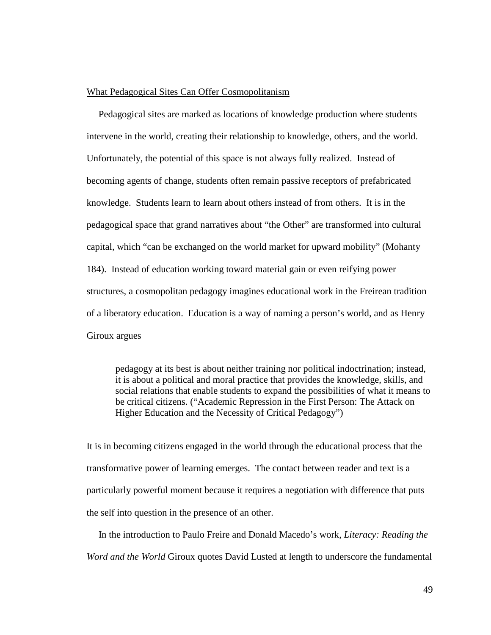# What Pedagogical Sites Can Offer Cosmopolitanism

Pedagogical sites are marked as locations of knowledge production where students intervene in the world, creating their relationship to knowledge, others, and the world. Unfortunately, the potential of this space is not always fully realized. Instead of becoming agents of change, students often remain passive receptors of prefabricated knowledge. Students learn to learn about others instead of from others. It is in the pedagogical space that grand narratives about "the Other" are transformed into cultural capital, which "can be exchanged on the world market for upward mobility" (Mohanty 184). Instead of education working toward material gain or even reifying power structures, a cosmopolitan pedagogy imagines educational work in the Freirean tradition of a liberatory education. Education is a way of naming a person's world, and as Henry Giroux argues

pedagogy at its best is about neither training nor political indoctrination; instead, it is about a political and moral practice that provides the knowledge, skills, and social relations that enable students to expand the possibilities of what it means to be critical citizens. ("Academic Repression in the First Person: The Attack on Higher Education and the Necessity of Critical Pedagogy")

It is in becoming citizens engaged in the world through the educational process that the transformative power of learning emerges. The contact between reader and text is a particularly powerful moment because it requires a negotiation with difference that puts the self into question in the presence of an other.

 In the introduction to Paulo Freire and Donald Macedo's work, *Literacy: Reading the Word and the World* Giroux quotes David Lusted at length to underscore the fundamental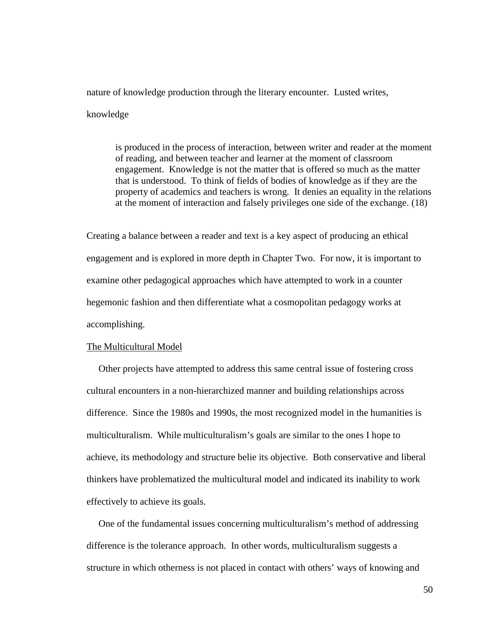nature of knowledge production through the literary encounter. Lusted writes,

# knowledge

is produced in the process of interaction, between writer and reader at the moment of reading, and between teacher and learner at the moment of classroom engagement. Knowledge is not the matter that is offered so much as the matter that is understood. To think of fields of bodies of knowledge as if they are the property of academics and teachers is wrong. It denies an equality in the relations at the moment of interaction and falsely privileges one side of the exchange. (18)

Creating a balance between a reader and text is a key aspect of producing an ethical engagement and is explored in more depth in Chapter Two. For now, it is important to examine other pedagogical approaches which have attempted to work in a counter hegemonic fashion and then differentiate what a cosmopolitan pedagogy works at accomplishing.

#### The Multicultural Model

 Other projects have attempted to address this same central issue of fostering cross cultural encounters in a non-hierarchized manner and building relationships across difference. Since the 1980s and 1990s, the most recognized model in the humanities is multiculturalism. While multiculturalism's goals are similar to the ones I hope to achieve, its methodology and structure belie its objective. Both conservative and liberal thinkers have problematized the multicultural model and indicated its inability to work effectively to achieve its goals.

 One of the fundamental issues concerning multiculturalism's method of addressing difference is the tolerance approach. In other words, multiculturalism suggests a structure in which otherness is not placed in contact with others' ways of knowing and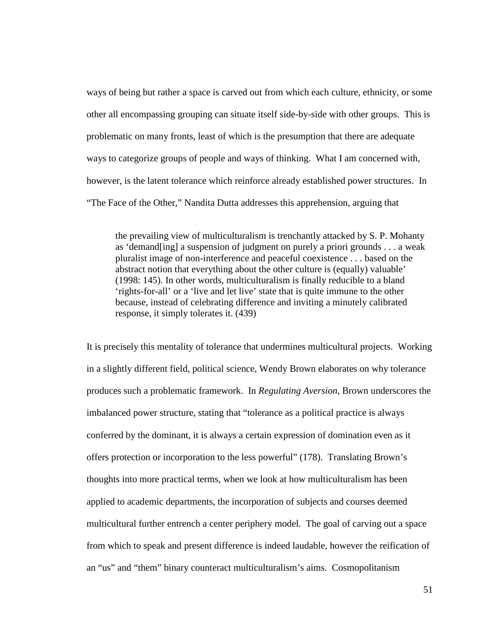ways of being but rather a space is carved out from which each culture, ethnicity, or some other all encompassing grouping can situate itself side-by-side with other groups. This is problematic on many fronts, least of which is the presumption that there are adequate ways to categorize groups of people and ways of thinking. What I am concerned with, however, is the latent tolerance which reinforce already established power structures. In "The Face of the Other," Nandita Dutta addresses this apprehension, arguing that

the prevailing view of multiculturalism is trenchantly attacked by S. P. Mohanty as 'demand[ing] a suspension of judgment on purely a priori grounds . . . a weak pluralist image of non-interference and peaceful coexistence . . . based on the abstract notion that everything about the other culture is (equally) valuable' (1998: 145). In other words, multiculturalism is finally reducible to a bland 'rights-for-all' or a 'live and let live' state that is quite immune to the other because, instead of celebrating difference and inviting a minutely calibrated response, it simply tolerates it. (439)

It is precisely this mentality of tolerance that undermines multicultural projects. Working in a slightly different field, political science, Wendy Brown elaborates on why tolerance produces such a problematic framework. In *Regulating Aversion*, Brown underscores the imbalanced power structure, stating that "tolerance as a political practice is always conferred by the dominant, it is always a certain expression of domination even as it offers protection or incorporation to the less powerful" (178). Translating Brown's thoughts into more practical terms, when we look at how multiculturalism has been applied to academic departments, the incorporation of subjects and courses deemed multicultural further entrench a center periphery model. The goal of carving out a space from which to speak and present difference is indeed laudable, however the reification of an "us" and "them" binary counteract multiculturalism's aims. Cosmopolitanism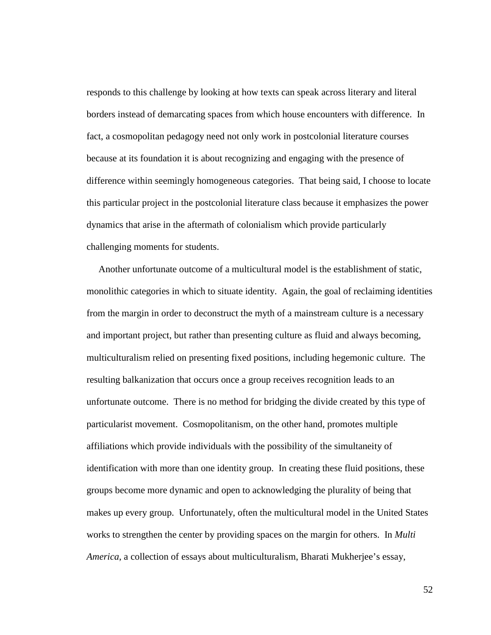responds to this challenge by looking at how texts can speak across literary and literal borders instead of demarcating spaces from which house encounters with difference. In fact, a cosmopolitan pedagogy need not only work in postcolonial literature courses because at its foundation it is about recognizing and engaging with the presence of difference within seemingly homogeneous categories. That being said, I choose to locate this particular project in the postcolonial literature class because it emphasizes the power dynamics that arise in the aftermath of colonialism which provide particularly challenging moments for students.

 Another unfortunate outcome of a multicultural model is the establishment of static, monolithic categories in which to situate identity. Again, the goal of reclaiming identities from the margin in order to deconstruct the myth of a mainstream culture is a necessary and important project, but rather than presenting culture as fluid and always becoming, multiculturalism relied on presenting fixed positions, including hegemonic culture. The resulting balkanization that occurs once a group receives recognition leads to an unfortunate outcome. There is no method for bridging the divide created by this type of particularist movement. Cosmopolitanism, on the other hand, promotes multiple affiliations which provide individuals with the possibility of the simultaneity of identification with more than one identity group. In creating these fluid positions, these groups become more dynamic and open to acknowledging the plurality of being that makes up every group. Unfortunately, often the multicultural model in the United States works to strengthen the center by providing spaces on the margin for others. In *Multi America*, a collection of essays about multiculturalism, Bharati Mukherjee's essay,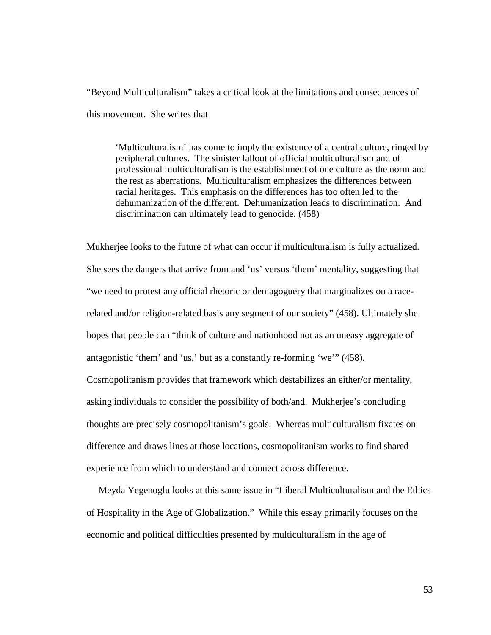"Beyond Multiculturalism" takes a critical look at the limitations and consequences of this movement. She writes that

'Multiculturalism' has come to imply the existence of a central culture, ringed by peripheral cultures. The sinister fallout of official multiculturalism and of professional multiculturalism is the establishment of one culture as the norm and the rest as aberrations. Multiculturalism emphasizes the differences between racial heritages. This emphasis on the differences has too often led to the dehumanization of the different. Dehumanization leads to discrimination. And discrimination can ultimately lead to genocide. (458)

Mukherjee looks to the future of what can occur if multiculturalism is fully actualized. She sees the dangers that arrive from and 'us' versus 'them' mentality, suggesting that "we need to protest any official rhetoric or demagoguery that marginalizes on a racerelated and/or religion-related basis any segment of our society" (458). Ultimately she hopes that people can "think of culture and nationhood not as an uneasy aggregate of antagonistic 'them' and 'us,' but as a constantly re-forming 'we'" (458). Cosmopolitanism provides that framework which destabilizes an either/or mentality, asking individuals to consider the possibility of both/and. Mukherjee's concluding thoughts are precisely cosmopolitanism's goals. Whereas multiculturalism fixates on difference and draws lines at those locations, cosmopolitanism works to find shared experience from which to understand and connect across difference.

 Meyda Yegenoglu looks at this same issue in "Liberal Multiculturalism and the Ethics of Hospitality in the Age of Globalization." While this essay primarily focuses on the economic and political difficulties presented by multiculturalism in the age of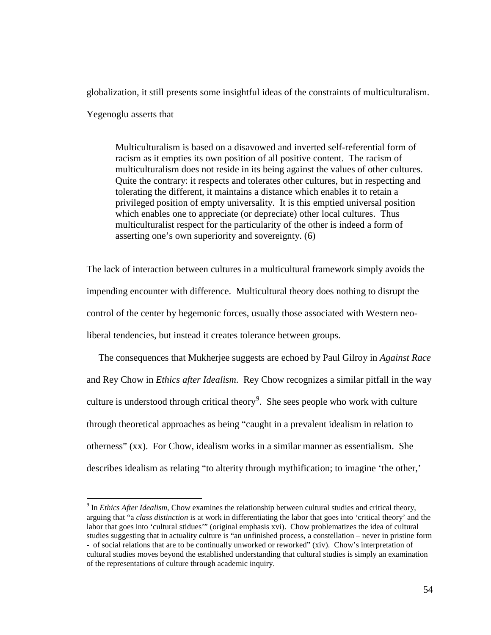globalization, it still presents some insightful ideas of the constraints of multiculturalism.

Yegenoglu asserts that

Multiculturalism is based on a disavowed and inverted self-referential form of racism as it empties its own position of all positive content. The racism of multiculturalism does not reside in its being against the values of other cultures. Quite the contrary: it respects and tolerates other cultures, but in respecting and tolerating the different, it maintains a distance which enables it to retain a privileged position of empty universality. It is this emptied universal position which enables one to appreciate (or depreciate) other local cultures. Thus multiculturalist respect for the particularity of the other is indeed a form of asserting one's own superiority and sovereignty. (6)

The lack of interaction between cultures in a multicultural framework simply avoids the impending encounter with difference. Multicultural theory does nothing to disrupt the control of the center by hegemonic forces, usually those associated with Western neoliberal tendencies, but instead it creates tolerance between groups.

 The consequences that Mukherjee suggests are echoed by Paul Gilroy in *Against Race* and Rey Chow in *Ethics after Idealism*. Rey Chow recognizes a similar pitfall in the way culture is understood through critical theory<sup>[9](#page-59-0)</sup>. She sees people who work with culture through theoretical approaches as being "caught in a prevalent idealism in relation to otherness" (xx). For Chow, idealism works in a similar manner as essentialism. She describes idealism as relating "to alterity through mythification; to imagine 'the other,'

<span id="page-59-0"></span><sup>&</sup>lt;sup>9</sup> In *Ethics After Idealism*, Chow examines the relationship between cultural studies and critical theory, arguing that "a *class distinction* is at work in differentiating the labor that goes into 'critical theory' and the labor that goes into 'cultural stidues'" (original emphasis xvi). Chow problematizes the idea of cultural studies suggesting that in actuality culture is "an unfinished process, a constellation – never in pristine form - of social relations that are to be continually unworked or reworked" (xiv). Chow's interpretation of cultural studies moves beyond the established understanding that cultural studies is simply an examination of the representations of culture through academic inquiry.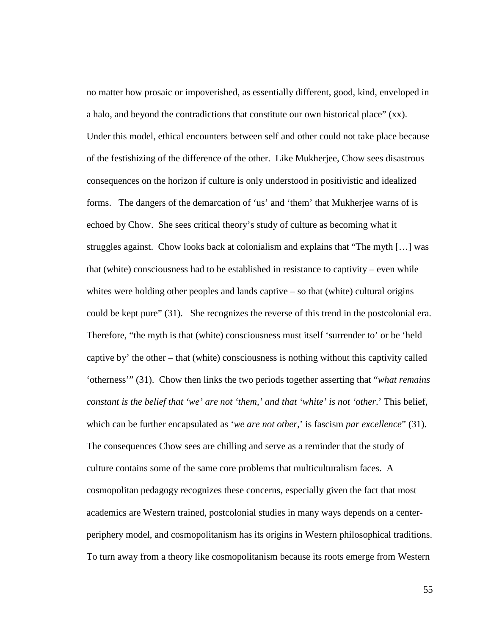no matter how prosaic or impoverished, as essentially different, good, kind, enveloped in a halo, and beyond the contradictions that constitute our own historical place" (xx). Under this model, ethical encounters between self and other could not take place because of the festishizing of the difference of the other. Like Mukherjee, Chow sees disastrous consequences on the horizon if culture is only understood in positivistic and idealized forms. The dangers of the demarcation of 'us' and 'them' that Mukherjee warns of is echoed by Chow. She sees critical theory's study of culture as becoming what it struggles against. Chow looks back at colonialism and explains that "The myth […] was that (white) consciousness had to be established in resistance to captivity – even while whites were holding other peoples and lands captive – so that (white) cultural origins could be kept pure" (31). She recognizes the reverse of this trend in the postcolonial era. Therefore, "the myth is that (white) consciousness must itself 'surrender to' or be 'held captive by' the other – that (white) consciousness is nothing without this captivity called 'otherness'" (31). Chow then links the two periods together asserting that "*what remains constant is the belief that 'we' are not 'them,' and that 'white' is not 'other*.' This belief, which can be further encapsulated as *'we are not other*,' is fascism *par excellence*" (31). The consequences Chow sees are chilling and serve as a reminder that the study of culture contains some of the same core problems that multiculturalism faces. A cosmopolitan pedagogy recognizes these concerns, especially given the fact that most academics are Western trained, postcolonial studies in many ways depends on a centerperiphery model, and cosmopolitanism has its origins in Western philosophical traditions. To turn away from a theory like cosmopolitanism because its roots emerge from Western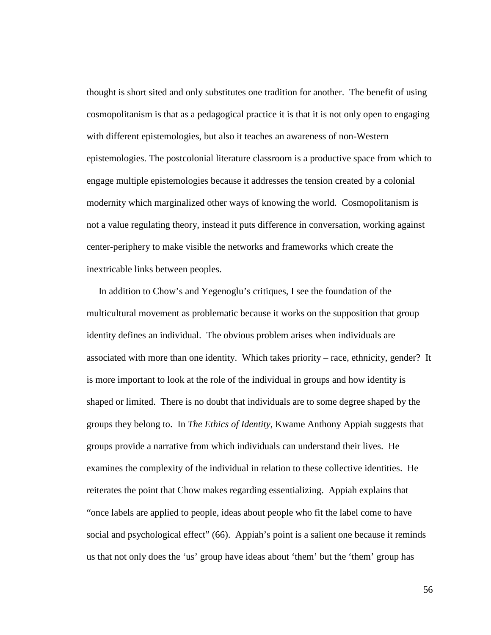thought is short sited and only substitutes one tradition for another. The benefit of using cosmopolitanism is that as a pedagogical practice it is that it is not only open to engaging with different epistemologies, but also it teaches an awareness of non-Western epistemologies. The postcolonial literature classroom is a productive space from which to engage multiple epistemologies because it addresses the tension created by a colonial modernity which marginalized other ways of knowing the world. Cosmopolitanism is not a value regulating theory, instead it puts difference in conversation, working against center-periphery to make visible the networks and frameworks which create the inextricable links between peoples.

 In addition to Chow's and Yegenoglu's critiques, I see the foundation of the multicultural movement as problematic because it works on the supposition that group identity defines an individual. The obvious problem arises when individuals are associated with more than one identity. Which takes priority – race, ethnicity, gender? It is more important to look at the role of the individual in groups and how identity is shaped or limited. There is no doubt that individuals are to some degree shaped by the groups they belong to. In *The Ethics of Identity*, Kwame Anthony Appiah suggests that groups provide a narrative from which individuals can understand their lives. He examines the complexity of the individual in relation to these collective identities. He reiterates the point that Chow makes regarding essentializing. Appiah explains that "once labels are applied to people, ideas about people who fit the label come to have social and psychological effect" (66). Appiah's point is a salient one because it reminds us that not only does the 'us' group have ideas about 'them' but the 'them' group has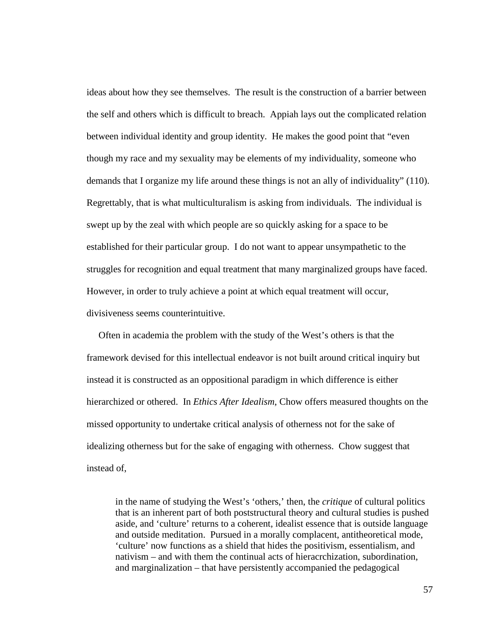ideas about how they see themselves. The result is the construction of a barrier between the self and others which is difficult to breach. Appiah lays out the complicated relation between individual identity and group identity. He makes the good point that "even though my race and my sexuality may be elements of my individuality, someone who demands that I organize my life around these things is not an ally of individuality" (110). Regrettably, that is what multiculturalism is asking from individuals. The individual is swept up by the zeal with which people are so quickly asking for a space to be established for their particular group. I do not want to appear unsympathetic to the struggles for recognition and equal treatment that many marginalized groups have faced. However, in order to truly achieve a point at which equal treatment will occur, divisiveness seems counterintuitive.

 Often in academia the problem with the study of the West's others is that the framework devised for this intellectual endeavor is not built around critical inquiry but instead it is constructed as an oppositional paradigm in which difference is either hierarchized or othered. In *Ethics After Idealism*, Chow offers measured thoughts on the missed opportunity to undertake critical analysis of otherness not for the sake of idealizing otherness but for the sake of engaging with otherness. Chow suggest that instead of,

in the name of studying the West's 'others,' then, the *critique* of cultural politics that is an inherent part of both poststructural theory and cultural studies is pushed aside, and 'culture' returns to a coherent, idealist essence that is outside language and outside meditation. Pursued in a morally complacent, antitheoretical mode, 'culture' now functions as a shield that hides the positivism, essentialism, and nativism – and with them the continual acts of hieracrchization, subordination, and marginalization – that have persistently accompanied the pedagogical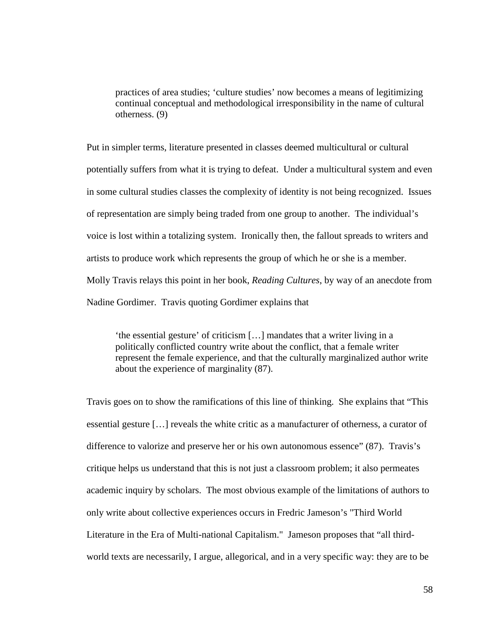practices of area studies; 'culture studies' now becomes a means of legitimizing continual conceptual and methodological irresponsibility in the name of cultural otherness. (9)

Put in simpler terms, literature presented in classes deemed multicultural or cultural potentially suffers from what it is trying to defeat. Under a multicultural system and even in some cultural studies classes the complexity of identity is not being recognized. Issues of representation are simply being traded from one group to another. The individual's voice is lost within a totalizing system. Ironically then, the fallout spreads to writers and artists to produce work which represents the group of which he or she is a member. Molly Travis relays this point in her book, *Reading Cultures*, by way of an anecdote from Nadine Gordimer. Travis quoting Gordimer explains that

'the essential gesture' of criticism […] mandates that a writer living in a politically conflicted country write about the conflict, that a female writer represent the female experience, and that the culturally marginalized author write about the experience of marginality (87).

Travis goes on to show the ramifications of this line of thinking. She explains that "This essential gesture […] reveals the white critic as a manufacturer of otherness, a curator of difference to valorize and preserve her or his own autonomous essence" (87). Travis's critique helps us understand that this is not just a classroom problem; it also permeates academic inquiry by scholars. The most obvious example of the limitations of authors to only write about collective experiences occurs in Fredric Jameson's "Third World Literature in the Era of Multi-national Capitalism." Jameson proposes that "all thirdworld texts are necessarily, I argue, allegorical, and in a very specific way: they are to be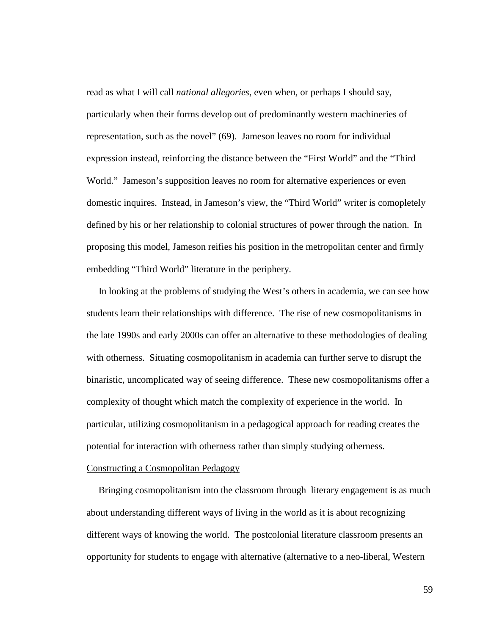read as what I will call *national allegories*, even when, or perhaps I should say, particularly when their forms develop out of predominantly western machineries of representation, such as the novel" (69). Jameson leaves no room for individual expression instead, reinforcing the distance between the "First World" and the "Third World." Jameson's supposition leaves no room for alternative experiences or even domestic inquires. Instead, in Jameson's view, the "Third World" writer is comopletely defined by his or her relationship to colonial structures of power through the nation. In proposing this model, Jameson reifies his position in the metropolitan center and firmly embedding "Third World" literature in the periphery.

 In looking at the problems of studying the West's others in academia, we can see how students learn their relationships with difference. The rise of new cosmopolitanisms in the late 1990s and early 2000s can offer an alternative to these methodologies of dealing with otherness. Situating cosmopolitanism in academia can further serve to disrupt the binaristic, uncomplicated way of seeing difference. These new cosmopolitanisms offer a complexity of thought which match the complexity of experience in the world. In particular, utilizing cosmopolitanism in a pedagogical approach for reading creates the potential for interaction with otherness rather than simply studying otherness.

### Constructing a Cosmopolitan Pedagogy

 Bringing cosmopolitanism into the classroom through literary engagement is as much about understanding different ways of living in the world as it is about recognizing different ways of knowing the world. The postcolonial literature classroom presents an opportunity for students to engage with alternative (alternative to a neo-liberal, Western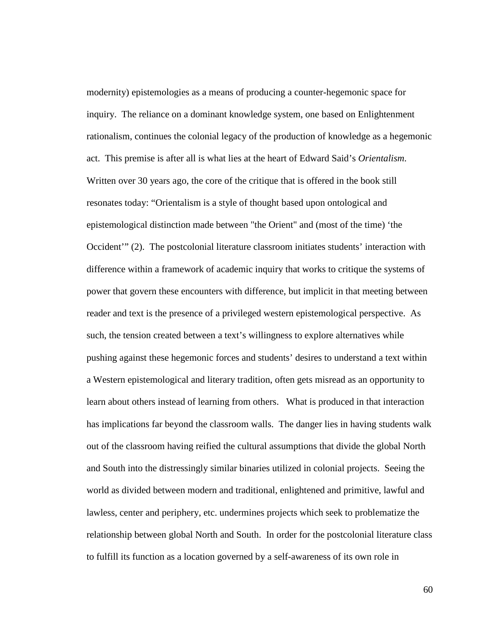modernity) epistemologies as a means of producing a counter-hegemonic space for inquiry. The reliance on a dominant knowledge system, one based on Enlightenment rationalism, continues the colonial legacy of the production of knowledge as a hegemonic act. This premise is after all is what lies at the heart of Edward Said's *Orientalism*. Written over 30 years ago, the core of the critique that is offered in the book still resonates today: "Orientalism is a style of thought based upon ontological and epistemological distinction made between "the Orient" and (most of the time) 'the Occident'" (2). The postcolonial literature classroom initiates students' interaction with difference within a framework of academic inquiry that works to critique the systems of power that govern these encounters with difference, but implicit in that meeting between reader and text is the presence of a privileged western epistemological perspective. As such, the tension created between a text's willingness to explore alternatives while pushing against these hegemonic forces and students' desires to understand a text within a Western epistemological and literary tradition, often gets misread as an opportunity to learn about others instead of learning from others. What is produced in that interaction has implications far beyond the classroom walls. The danger lies in having students walk out of the classroom having reified the cultural assumptions that divide the global North and South into the distressingly similar binaries utilized in colonial projects. Seeing the world as divided between modern and traditional, enlightened and primitive, lawful and lawless, center and periphery, etc. undermines projects which seek to problematize the relationship between global North and South. In order for the postcolonial literature class to fulfill its function as a location governed by a self-awareness of its own role in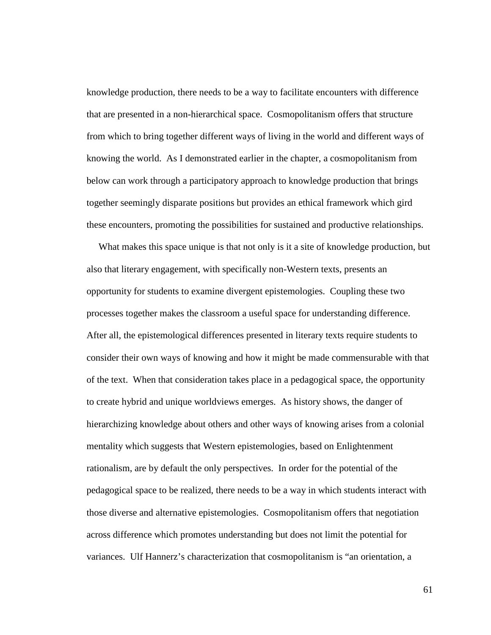knowledge production, there needs to be a way to facilitate encounters with difference that are presented in a non-hierarchical space. Cosmopolitanism offers that structure from which to bring together different ways of living in the world and different ways of knowing the world. As I demonstrated earlier in the chapter, a cosmopolitanism from below can work through a participatory approach to knowledge production that brings together seemingly disparate positions but provides an ethical framework which gird these encounters, promoting the possibilities for sustained and productive relationships.

 What makes this space unique is that not only is it a site of knowledge production, but also that literary engagement, with specifically non-Western texts, presents an opportunity for students to examine divergent epistemologies. Coupling these two processes together makes the classroom a useful space for understanding difference. After all, the epistemological differences presented in literary texts require students to consider their own ways of knowing and how it might be made commensurable with that of the text. When that consideration takes place in a pedagogical space, the opportunity to create hybrid and unique worldviews emerges. As history shows, the danger of hierarchizing knowledge about others and other ways of knowing arises from a colonial mentality which suggests that Western epistemologies, based on Enlightenment rationalism, are by default the only perspectives. In order for the potential of the pedagogical space to be realized, there needs to be a way in which students interact with those diverse and alternative epistemologies. Cosmopolitanism offers that negotiation across difference which promotes understanding but does not limit the potential for variances. Ulf Hannerz's characterization that cosmopolitanism is "an orientation, a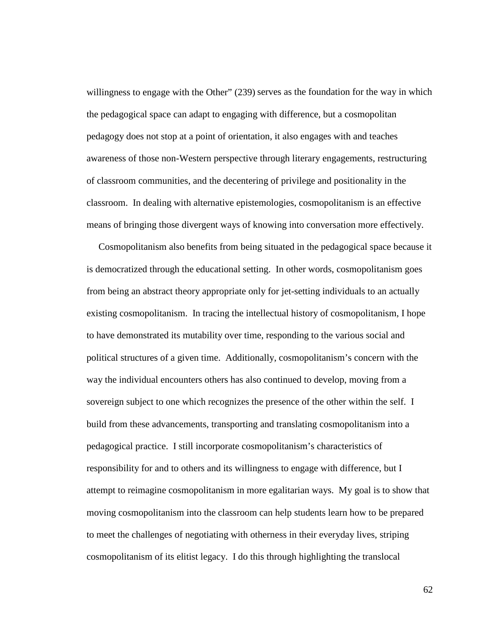willingness to engage with the Other" (239) serves as the foundation for the way in which the pedagogical space can adapt to engaging with difference, but a cosmopolitan pedagogy does not stop at a point of orientation, it also engages with and teaches awareness of those non-Western perspective through literary engagements, restructuring of classroom communities, and the decentering of privilege and positionality in the classroom. In dealing with alternative epistemologies, cosmopolitanism is an effective means of bringing those divergent ways of knowing into conversation more effectively.

 Cosmopolitanism also benefits from being situated in the pedagogical space because it is democratized through the educational setting. In other words, cosmopolitanism goes from being an abstract theory appropriate only for jet-setting individuals to an actually existing cosmopolitanism. In tracing the intellectual history of cosmopolitanism, I hope to have demonstrated its mutability over time, responding to the various social and political structures of a given time. Additionally, cosmopolitanism's concern with the way the individual encounters others has also continued to develop, moving from a sovereign subject to one which recognizes the presence of the other within the self. I build from these advancements, transporting and translating cosmopolitanism into a pedagogical practice. I still incorporate cosmopolitanism's characteristics of responsibility for and to others and its willingness to engage with difference, but I attempt to reimagine cosmopolitanism in more egalitarian ways. My goal is to show that moving cosmopolitanism into the classroom can help students learn how to be prepared to meet the challenges of negotiating with otherness in their everyday lives, striping cosmopolitanism of its elitist legacy. I do this through highlighting the translocal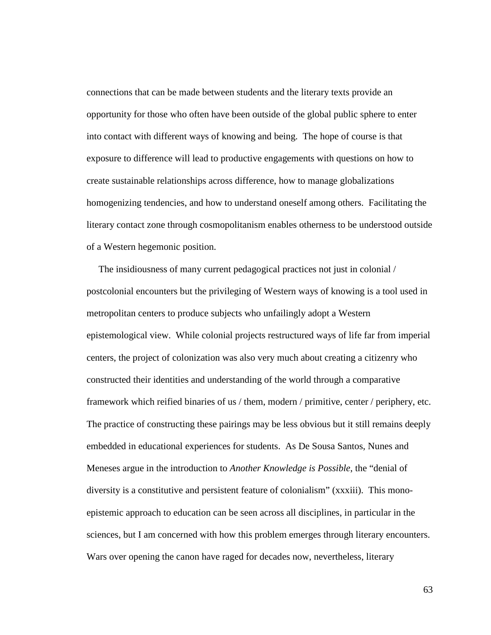connections that can be made between students and the literary texts provide an opportunity for those who often have been outside of the global public sphere to enter into contact with different ways of knowing and being. The hope of course is that exposure to difference will lead to productive engagements with questions on how to create sustainable relationships across difference, how to manage globalizations homogenizing tendencies, and how to understand oneself among others. Facilitating the literary contact zone through cosmopolitanism enables otherness to be understood outside of a Western hegemonic position.

 The insidiousness of many current pedagogical practices not just in colonial / postcolonial encounters but the privileging of Western ways of knowing is a tool used in metropolitan centers to produce subjects who unfailingly adopt a Western epistemological view. While colonial projects restructured ways of life far from imperial centers, the project of colonization was also very much about creating a citizenry who constructed their identities and understanding of the world through a comparative framework which reified binaries of us / them, modern / primitive, center / periphery, etc. The practice of constructing these pairings may be less obvious but it still remains deeply embedded in educational experiences for students. As De Sousa Santos, Nunes and Meneses argue in the introduction to *Another Knowledge is Possible*, the "denial of diversity is a constitutive and persistent feature of colonialism" (xxxiii). This monoepistemic approach to education can be seen across all disciplines, in particular in the sciences, but I am concerned with how this problem emerges through literary encounters. Wars over opening the canon have raged for decades now, nevertheless, literary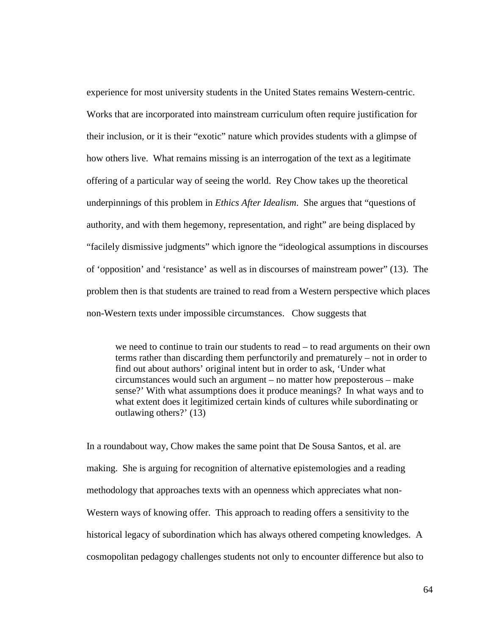experience for most university students in the United States remains Western-centric. Works that are incorporated into mainstream curriculum often require justification for their inclusion, or it is their "exotic" nature which provides students with a glimpse of how others live. What remains missing is an interrogation of the text as a legitimate offering of a particular way of seeing the world. Rey Chow takes up the theoretical underpinnings of this problem in *Ethics After Idealism*. She argues that "questions of authority, and with them hegemony, representation, and right" are being displaced by "facilely dismissive judgments" which ignore the "ideological assumptions in discourses of 'opposition' and 'resistance' as well as in discourses of mainstream power" (13). The problem then is that students are trained to read from a Western perspective which places non-Western texts under impossible circumstances. Chow suggests that

we need to continue to train our students to read – to read arguments on their own terms rather than discarding them perfunctorily and prematurely – not in order to find out about authors' original intent but in order to ask, 'Under what circumstances would such an argument – no matter how preposterous – make sense?' With what assumptions does it produce meanings? In what ways and to what extent does it legitimized certain kinds of cultures while subordinating or outlawing others?' (13)

In a roundabout way, Chow makes the same point that De Sousa Santos, et al. are making. She is arguing for recognition of alternative epistemologies and a reading methodology that approaches texts with an openness which appreciates what non-Western ways of knowing offer. This approach to reading offers a sensitivity to the historical legacy of subordination which has always othered competing knowledges. A cosmopolitan pedagogy challenges students not only to encounter difference but also to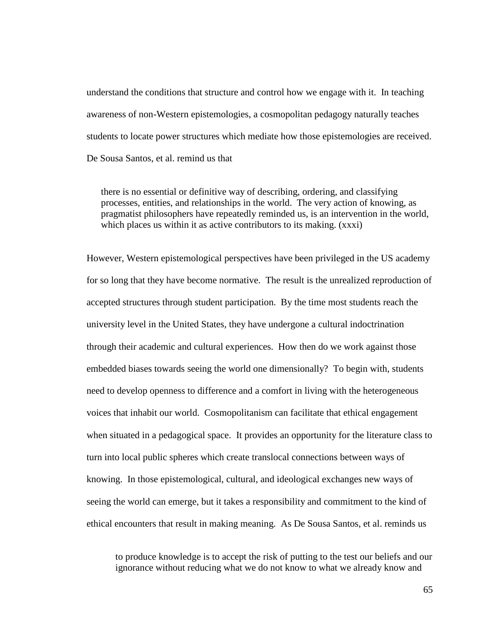understand the conditions that structure and control how we engage with it. In teaching awareness of non-Western epistemologies, a cosmopolitan pedagogy naturally teaches students to locate power structures which mediate how those epistemologies are received. De Sousa Santos, et al. remind us that

there is no essential or definitive way of describing, ordering, and classifying processes, entities, and relationships in the world. The very action of knowing, as pragmatist philosophers have repeatedly reminded us, is an intervention in the world, which places us within it as active contributors to its making. (xxxi)

However, Western epistemological perspectives have been privileged in the US academy for so long that they have become normative. The result is the unrealized reproduction of accepted structures through student participation. By the time most students reach the university level in the United States, they have undergone a cultural indoctrination through their academic and cultural experiences. How then do we work against those embedded biases towards seeing the world one dimensionally? To begin with, students need to develop openness to difference and a comfort in living with the heterogeneous voices that inhabit our world. Cosmopolitanism can facilitate that ethical engagement when situated in a pedagogical space. It provides an opportunity for the literature class to turn into local public spheres which create translocal connections between ways of knowing. In those epistemological, cultural, and ideological exchanges new ways of seeing the world can emerge, but it takes a responsibility and commitment to the kind of ethical encounters that result in making meaning. As De Sousa Santos, et al. reminds us

to produce knowledge is to accept the risk of putting to the test our beliefs and our ignorance without reducing what we do not know to what we already know and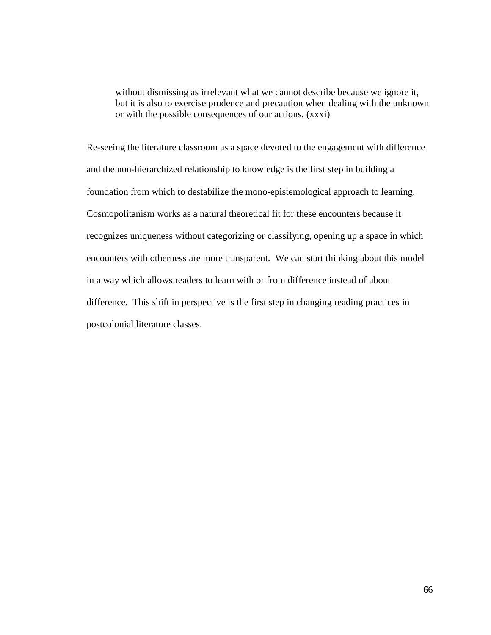without dismissing as irrelevant what we cannot describe because we ignore it, but it is also to exercise prudence and precaution when dealing with the unknown or with the possible consequences of our actions. (xxxi)

Re-seeing the literature classroom as a space devoted to the engagement with difference and the non-hierarchized relationship to knowledge is the first step in building a foundation from which to destabilize the mono-epistemological approach to learning. Cosmopolitanism works as a natural theoretical fit for these encounters because it recognizes uniqueness without categorizing or classifying, opening up a space in which encounters with otherness are more transparent. We can start thinking about this model in a way which allows readers to learn with or from difference instead of about difference. This shift in perspective is the first step in changing reading practices in postcolonial literature classes.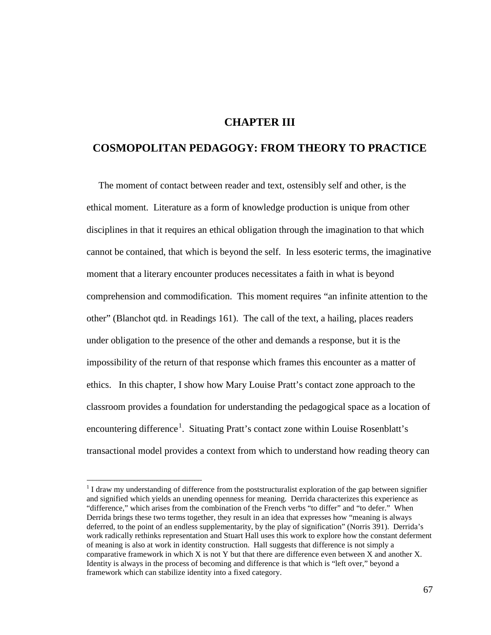## **CHAPTER III**

# **COSMOPOLITAN PEDAGOGY: FROM THEORY TO PRACTICE**

 The moment of contact between reader and text, ostensibly self and other, is the ethical moment. Literature as a form of knowledge production is unique from other disciplines in that it requires an ethical obligation through the imagination to that which cannot be contained, that which is beyond the self. In less esoteric terms, the imaginative moment that a literary encounter produces necessitates a faith in what is beyond comprehension and commodification. This moment requires "an infinite attention to the other" (Blanchot qtd. in Readings 161). The call of the text, a hailing, places readers under obligation to the presence of the other and demands a response, but it is the impossibility of the return of that response which frames this encounter as a matter of ethics. In this chapter, I show how Mary Louise Pratt's contact zone approach to the classroom provides a foundation for understanding the pedagogical space as a location of encountering difference<sup>[1](#page-72-0)</sup>. Situating Pratt's contact zone within Louise Rosenblatt's transactional model provides a context from which to understand how reading theory can

<span id="page-72-0"></span><sup>&</sup>lt;sup>1</sup> I draw my understanding of difference from the poststructuralist exploration of the gap between signifier and signified which yields an unending openness for meaning. Derrida characterizes this experience as "difference," which arises from the combination of the French verbs "to differ" and "to defer." When Derrida brings these two terms together, they result in an idea that expresses how "meaning is always deferred, to the point of an endless supplementarity, by the play of signification" (Norris 391). Derrida's work radically rethinks representation and Stuart Hall uses this work to explore how the constant deferment of meaning is also at work in identity construction. Hall suggests that difference is not simply a comparative framework in which X is not Y but that there are difference even between X and another X. Identity is always in the process of becoming and difference is that which is "left over," beyond a framework which can stabilize identity into a fixed category.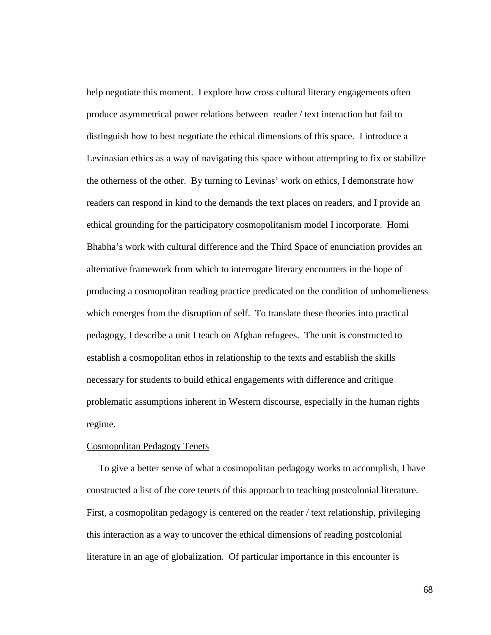help negotiate this moment. I explore how cross cultural literary engagements often produce asymmetrical power relations between reader / text interaction but fail to distinguish how to best negotiate the ethical dimensions of this space. I introduce a Levinasian ethics as a way of navigating this space without attempting to fix or stabilize the otherness of the other. By turning to Levinas' work on ethics, I demonstrate how readers can respond in kind to the demands the text places on readers, and I provide an ethical grounding for the participatory cosmopolitanism model I incorporate. Homi Bhabha's work with cultural difference and the Third Space of enunciation provides an alternative framework from which to interrogate literary encounters in the hope of producing a cosmopolitan reading practice predicated on the condition of unhomelieness which emerges from the disruption of self. To translate these theories into practical pedagogy, I describe a unit I teach on Afghan refugees. The unit is constructed to establish a cosmopolitan ethos in relationship to the texts and establish the skills necessary for students to build ethical engagements with difference and critique problematic assumptions inherent in Western discourse, especially in the human rights regime.

## Cosmopolitan Pedagogy Tenets

 To give a better sense of what a cosmopolitan pedagogy works to accomplish, I have constructed a list of the core tenets of this approach to teaching postcolonial literature. First, a cosmopolitan pedagogy is centered on the reader / text relationship, privileging this interaction as a way to uncover the ethical dimensions of reading postcolonial literature in an age of globalization. Of particular importance in this encounter is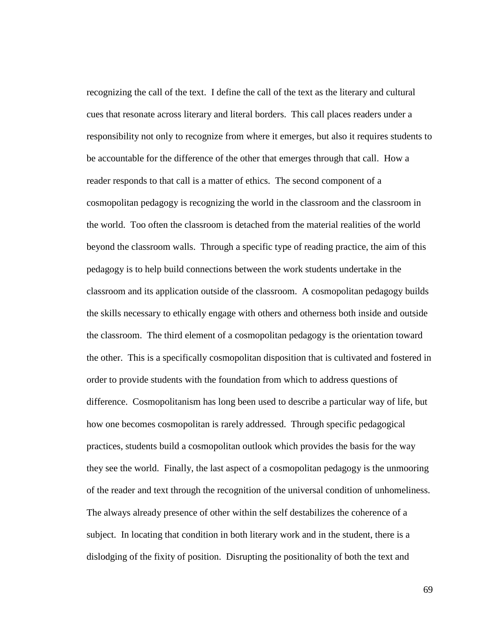recognizing the call of the text. I define the call of the text as the literary and cultural cues that resonate across literary and literal borders. This call places readers under a responsibility not only to recognize from where it emerges, but also it requires students to be accountable for the difference of the other that emerges through that call. How a reader responds to that call is a matter of ethics. The second component of a cosmopolitan pedagogy is recognizing the world in the classroom and the classroom in the world. Too often the classroom is detached from the material realities of the world beyond the classroom walls. Through a specific type of reading practice, the aim of this pedagogy is to help build connections between the work students undertake in the classroom and its application outside of the classroom. A cosmopolitan pedagogy builds the skills necessary to ethically engage with others and otherness both inside and outside the classroom. The third element of a cosmopolitan pedagogy is the orientation toward the other. This is a specifically cosmopolitan disposition that is cultivated and fostered in order to provide students with the foundation from which to address questions of difference. Cosmopolitanism has long been used to describe a particular way of life, but how one becomes cosmopolitan is rarely addressed. Through specific pedagogical practices, students build a cosmopolitan outlook which provides the basis for the way they see the world. Finally, the last aspect of a cosmopolitan pedagogy is the unmooring of the reader and text through the recognition of the universal condition of unhomeliness. The always already presence of other within the self destabilizes the coherence of a subject. In locating that condition in both literary work and in the student, there is a dislodging of the fixity of position. Disrupting the positionality of both the text and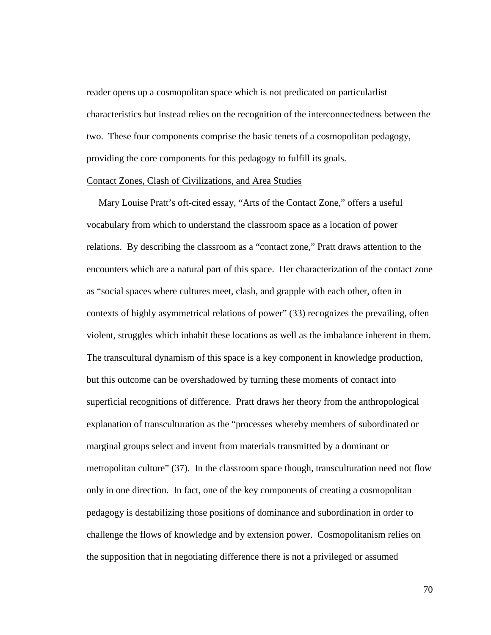reader opens up a cosmopolitan space which is not predicated on particularlist characteristics but instead relies on the recognition of the interconnectedness between the two. These four components comprise the basic tenets of a cosmopolitan pedagogy, providing the core components for this pedagogy to fulfill its goals.

## Contact Zones, Clash of Civilizations, and Area Studies

 Mary Louise Pratt's oft-cited essay, "Arts of the Contact Zone," offers a useful vocabulary from which to understand the classroom space as a location of power relations. By describing the classroom as a "contact zone," Pratt draws attention to the encounters which are a natural part of this space. Her characterization of the contact zone as "social spaces where cultures meet, clash, and grapple with each other, often in contexts of highly asymmetrical relations of power" (33) recognizes the prevailing, often violent, struggles which inhabit these locations as well as the imbalance inherent in them. The transcultural dynamism of this space is a key component in knowledge production, but this outcome can be overshadowed by turning these moments of contact into superficial recognitions of difference. Pratt draws her theory from the anthropological explanation of transculturation as the "processes whereby members of subordinated or marginal groups select and invent from materials transmitted by a dominant or metropolitan culture" (37). In the classroom space though, transculturation need not flow only in one direction. In fact, one of the key components of creating a cosmopolitan pedagogy is destabilizing those positions of dominance and subordination in order to challenge the flows of knowledge and by extension power. Cosmopolitanism relies on the supposition that in negotiating difference there is not a privileged or assumed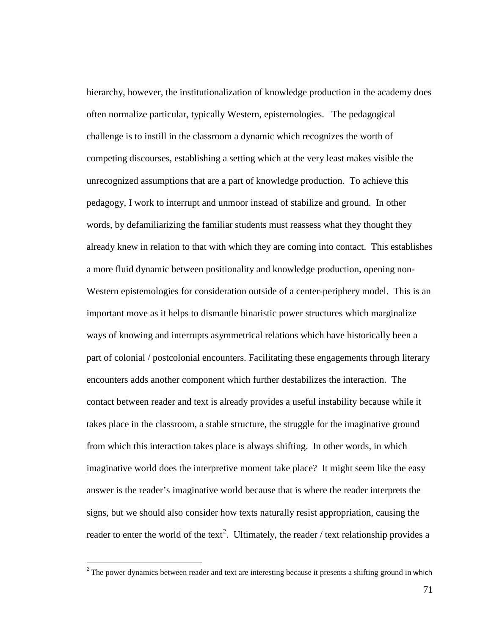hierarchy, however, the institutionalization of knowledge production in the academy does often normalize particular, typically Western, epistemologies. The pedagogical challenge is to instill in the classroom a dynamic which recognizes the worth of competing discourses, establishing a setting which at the very least makes visible the unrecognized assumptions that are a part of knowledge production. To achieve this pedagogy, I work to interrupt and unmoor instead of stabilize and ground. In other words, by defamiliarizing the familiar students must reassess what they thought they already knew in relation to that with which they are coming into contact. This establishes a more fluid dynamic between positionality and knowledge production, opening non-Western epistemologies for consideration outside of a center-periphery model. This is an important move as it helps to dismantle binaristic power structures which marginalize ways of knowing and interrupts asymmetrical relations which have historically been a part of colonial / postcolonial encounters. Facilitating these engagements through literary encounters adds another component which further destabilizes the interaction. The contact between reader and text is already provides a useful instability because while it takes place in the classroom, a stable structure, the struggle for the imaginative ground from which this interaction takes place is always shifting. In other words, in which imaginative world does the interpretive moment take place? It might seem like the easy answer is the reader's imaginative world because that is where the reader interprets the signs, but we should also consider how texts naturally resist appropriation, causing the reader to enter the world of the text<sup>[2](#page-76-0)</sup>. Ultimately, the reader / text relationship provides a

<span id="page-76-0"></span> $<sup>2</sup>$  The power dynamics between reader and text are interesting because it presents a shifting ground in which</sup>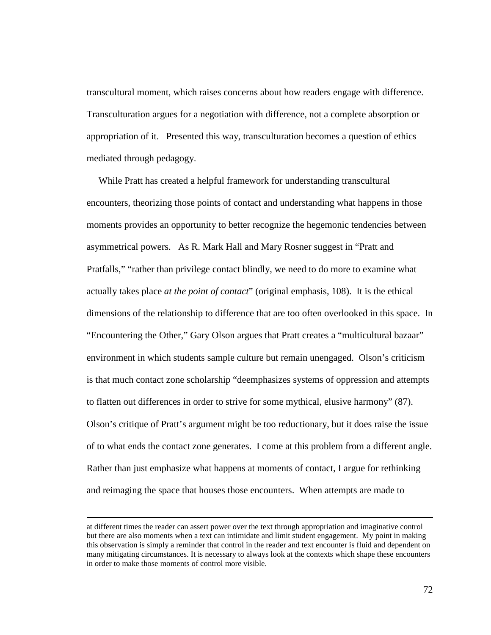transcultural moment, which raises concerns about how readers engage with difference. Transculturation argues for a negotiation with difference, not a complete absorption or appropriation of it. Presented this way, transculturation becomes a question of ethics mediated through pedagogy.

 While Pratt has created a helpful framework for understanding transcultural encounters, theorizing those points of contact and understanding what happens in those moments provides an opportunity to better recognize the hegemonic tendencies between asymmetrical powers. As R. Mark Hall and Mary Rosner suggest in "Pratt and Pratfalls," "rather than privilege contact blindly, we need to do more to examine what actually takes place *at the point of contact*" (original emphasis, 108). It is the ethical dimensions of the relationship to difference that are too often overlooked in this space. In "Encountering the Other," Gary Olson argues that Pratt creates a "multicultural bazaar" environment in which students sample culture but remain unengaged. Olson's criticism is that much contact zone scholarship "deemphasizes systems of oppression and attempts to flatten out differences in order to strive for some mythical, elusive harmony" (87). Olson's critique of Pratt's argument might be too reductionary, but it does raise the issue of to what ends the contact zone generates. I come at this problem from a different angle. Rather than just emphasize what happens at moments of contact, I argue for rethinking and reimaging the space that houses those encounters. When attempts are made to

 $\overline{a}$ 

at different times the reader can assert power over the text through appropriation and imaginative control but there are also moments when a text can intimidate and limit student engagement. My point in making this observation is simply a reminder that control in the reader and text encounter is fluid and dependent on many mitigating circumstances. It is necessary to always look at the contexts which shape these encounters in order to make those moments of control more visible.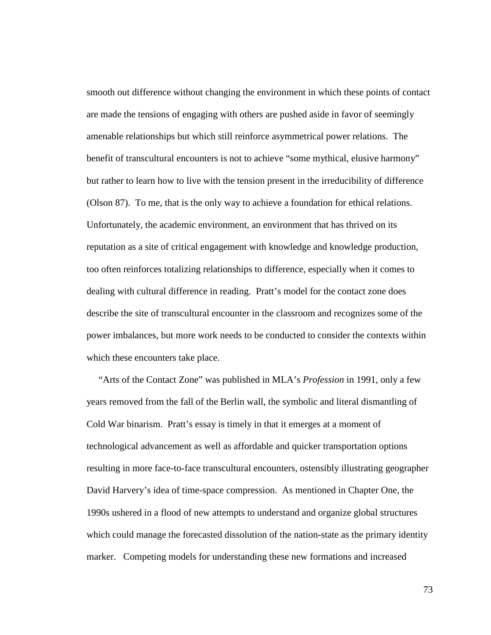smooth out difference without changing the environment in which these points of contact are made the tensions of engaging with others are pushed aside in favor of seemingly amenable relationships but which still reinforce asymmetrical power relations. The benefit of transcultural encounters is not to achieve "some mythical, elusive harmony" but rather to learn how to live with the tension present in the irreducibility of difference (Olson 87). To me, that is the only way to achieve a foundation for ethical relations. Unfortunately, the academic environment, an environment that has thrived on its reputation as a site of critical engagement with knowledge and knowledge production, too often reinforces totalizing relationships to difference, especially when it comes to dealing with cultural difference in reading. Pratt's model for the contact zone does describe the site of transcultural encounter in the classroom and recognizes some of the power imbalances, but more work needs to be conducted to consider the contexts within which these encounters take place.

 "Arts of the Contact Zone" was published in MLA's *Profession* in 1991, only a few years removed from the fall of the Berlin wall, the symbolic and literal dismantling of Cold War binarism. Pratt's essay is timely in that it emerges at a moment of technological advancement as well as affordable and quicker transportation options resulting in more face-to-face transcultural encounters, ostensibly illustrating geographer David Harvery's idea of time-space compression. As mentioned in Chapter One, the 1990s ushered in a flood of new attempts to understand and organize global structures which could manage the forecasted dissolution of the nation-state as the primary identity marker. Competing models for understanding these new formations and increased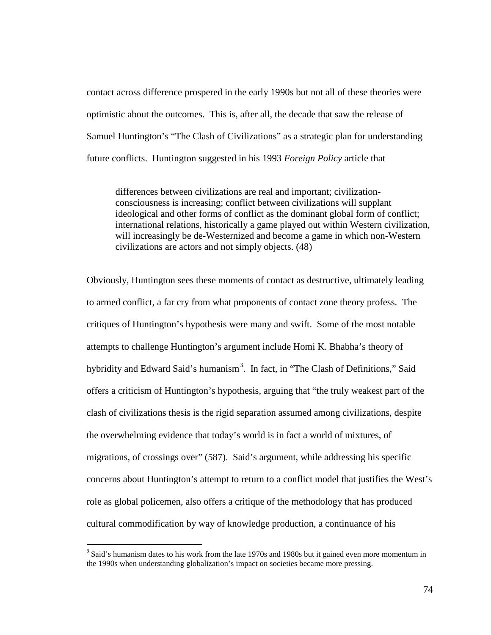contact across difference prospered in the early 1990s but not all of these theories were optimistic about the outcomes. This is, after all, the decade that saw the release of Samuel Huntington's "The Clash of Civilizations" as a strategic plan for understanding future conflicts. Huntington suggested in his 1993 *Foreign Policy* article that

differences between civilizations are real and important; civilizationconsciousness is increasing; conflict between civilizations will supplant ideological and other forms of conflict as the dominant global form of conflict; international relations, historically a game played out within Western civilization, will increasingly be de-Westernized and become a game in which non-Western civilizations are actors and not simply objects. (48)

Obviously, Huntington sees these moments of contact as destructive, ultimately leading to armed conflict, a far cry from what proponents of contact zone theory profess. The critiques of Huntington's hypothesis were many and swift. Some of the most notable attempts to challenge Huntington's argument include Homi K. Bhabha's theory of hybridity and Edward Said's humanism<sup>[3](#page-79-0)</sup>. In fact, in "The Clash of Definitions," Said offers a criticism of Huntington's hypothesis, arguing that "the truly weakest part of the clash of civilizations thesis is the rigid separation assumed among civilizations, despite the overwhelming evidence that today's world is in fact a world of mixtures, of migrations, of crossings over" (587). Said's argument, while addressing his specific concerns about Huntington's attempt to return to a conflict model that justifies the West's role as global policemen, also offers a critique of the methodology that has produced cultural commodification by way of knowledge production, a continuance of his

<span id="page-79-0"></span><sup>&</sup>lt;sup>3</sup> Said's humanism dates to his work from the late 1970s and 1980s but it gained even more momentum in the 1990s when understanding globalization's impact on societies became more pressing.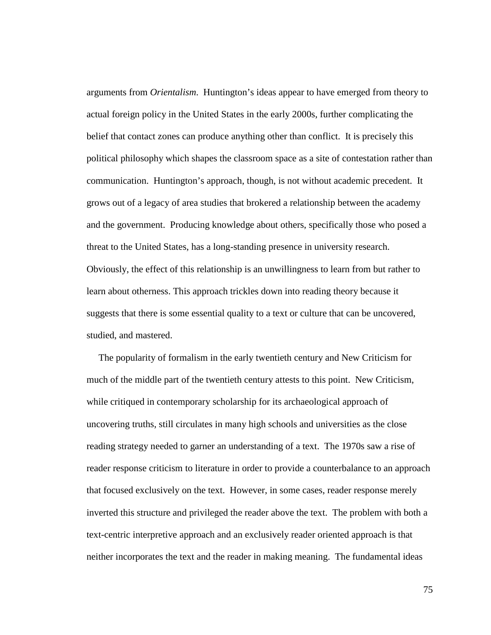arguments from *Orientalism*. Huntington's ideas appear to have emerged from theory to actual foreign policy in the United States in the early 2000s, further complicating the belief that contact zones can produce anything other than conflict. It is precisely this political philosophy which shapes the classroom space as a site of contestation rather than communication. Huntington's approach, though, is not without academic precedent. It grows out of a legacy of area studies that brokered a relationship between the academy and the government. Producing knowledge about others, specifically those who posed a threat to the United States, has a long-standing presence in university research. Obviously, the effect of this relationship is an unwillingness to learn from but rather to learn about otherness. This approach trickles down into reading theory because it suggests that there is some essential quality to a text or culture that can be uncovered, studied, and mastered.

 The popularity of formalism in the early twentieth century and New Criticism for much of the middle part of the twentieth century attests to this point. New Criticism, while critiqued in contemporary scholarship for its archaeological approach of uncovering truths, still circulates in many high schools and universities as the close reading strategy needed to garner an understanding of a text. The 1970s saw a rise of reader response criticism to literature in order to provide a counterbalance to an approach that focused exclusively on the text. However, in some cases, reader response merely inverted this structure and privileged the reader above the text. The problem with both a text-centric interpretive approach and an exclusively reader oriented approach is that neither incorporates the text and the reader in making meaning. The fundamental ideas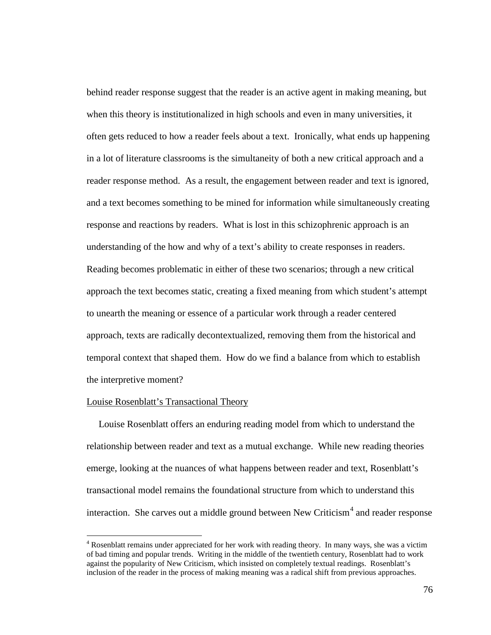behind reader response suggest that the reader is an active agent in making meaning, but when this theory is institutionalized in high schools and even in many universities, it often gets reduced to how a reader feels about a text. Ironically, what ends up happening in a lot of literature classrooms is the simultaneity of both a new critical approach and a reader response method. As a result, the engagement between reader and text is ignored, and a text becomes something to be mined for information while simultaneously creating response and reactions by readers. What is lost in this schizophrenic approach is an understanding of the how and why of a text's ability to create responses in readers. Reading becomes problematic in either of these two scenarios; through a new critical approach the text becomes static, creating a fixed meaning from which student's attempt to unearth the meaning or essence of a particular work through a reader centered approach, texts are radically decontextualized, removing them from the historical and temporal context that shaped them. How do we find a balance from which to establish the interpretive moment?

## Louise Rosenblatt's Transactional Theory

 Louise Rosenblatt offers an enduring reading model from which to understand the relationship between reader and text as a mutual exchange. While new reading theories emerge, looking at the nuances of what happens between reader and text, Rosenblatt's transactional model remains the foundational structure from which to understand this interaction. She carves out a middle ground between New Criticism<sup>[4](#page-81-0)</sup> and reader response

<span id="page-81-0"></span> $4$  Rosenblatt remains under appreciated for her work with reading theory. In many ways, she was a victim of bad timing and popular trends. Writing in the middle of the twentieth century, Rosenblatt had to work against the popularity of New Criticism, which insisted on completely textual readings. Rosenblatt's inclusion of the reader in the process of making meaning was a radical shift from previous approaches.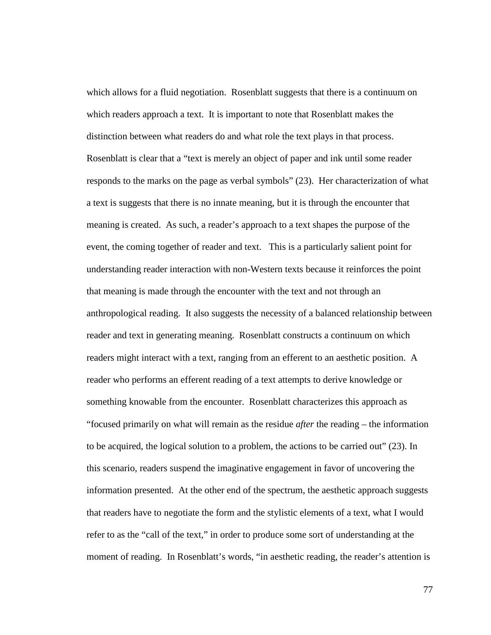which allows for a fluid negotiation. Rosenblatt suggests that there is a continuum on which readers approach a text. It is important to note that Rosenblatt makes the distinction between what readers do and what role the text plays in that process. Rosenblatt is clear that a "text is merely an object of paper and ink until some reader responds to the marks on the page as verbal symbols" (23). Her characterization of what a text is suggests that there is no innate meaning, but it is through the encounter that meaning is created. As such, a reader's approach to a text shapes the purpose of the event, the coming together of reader and text. This is a particularly salient point for understanding reader interaction with non-Western texts because it reinforces the point that meaning is made through the encounter with the text and not through an anthropological reading. It also suggests the necessity of a balanced relationship between reader and text in generating meaning. Rosenblatt constructs a continuum on which readers might interact with a text, ranging from an efferent to an aesthetic position. A reader who performs an efferent reading of a text attempts to derive knowledge or something knowable from the encounter. Rosenblatt characterizes this approach as "focused primarily on what will remain as the residue *after* the reading – the information to be acquired, the logical solution to a problem, the actions to be carried out" (23). In this scenario, readers suspend the imaginative engagement in favor of uncovering the information presented. At the other end of the spectrum, the aesthetic approach suggests that readers have to negotiate the form and the stylistic elements of a text, what I would refer to as the "call of the text," in order to produce some sort of understanding at the moment of reading. In Rosenblatt's words, "in aesthetic reading, the reader's attention is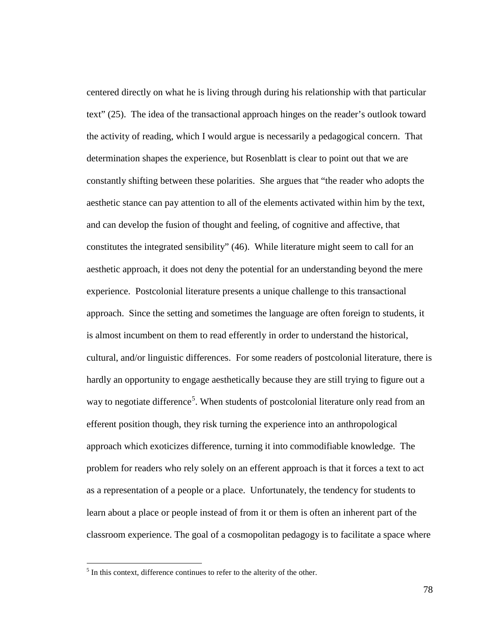centered directly on what he is living through during his relationship with that particular text" (25). The idea of the transactional approach hinges on the reader's outlook toward the activity of reading, which I would argue is necessarily a pedagogical concern. That determination shapes the experience, but Rosenblatt is clear to point out that we are constantly shifting between these polarities. She argues that "the reader who adopts the aesthetic stance can pay attention to all of the elements activated within him by the text, and can develop the fusion of thought and feeling, of cognitive and affective, that constitutes the integrated sensibility" (46). While literature might seem to call for an aesthetic approach, it does not deny the potential for an understanding beyond the mere experience. Postcolonial literature presents a unique challenge to this transactional approach. Since the setting and sometimes the language are often foreign to students, it is almost incumbent on them to read efferently in order to understand the historical, cultural, and/or linguistic differences. For some readers of postcolonial literature, there is hardly an opportunity to engage aesthetically because they are still trying to figure out a way to negotiate difference<sup>[5](#page-83-0)</sup>. When students of postcolonial literature only read from an efferent position though, they risk turning the experience into an anthropological approach which exoticizes difference, turning it into commodifiable knowledge. The problem for readers who rely solely on an efferent approach is that it forces a text to act as a representation of a people or a place. Unfortunately, the tendency for students to learn about a place or people instead of from it or them is often an inherent part of the classroom experience. The goal of a cosmopolitan pedagogy is to facilitate a space where

<span id="page-83-0"></span> $<sup>5</sup>$  In this context, difference continues to refer to the alterity of the other.</sup>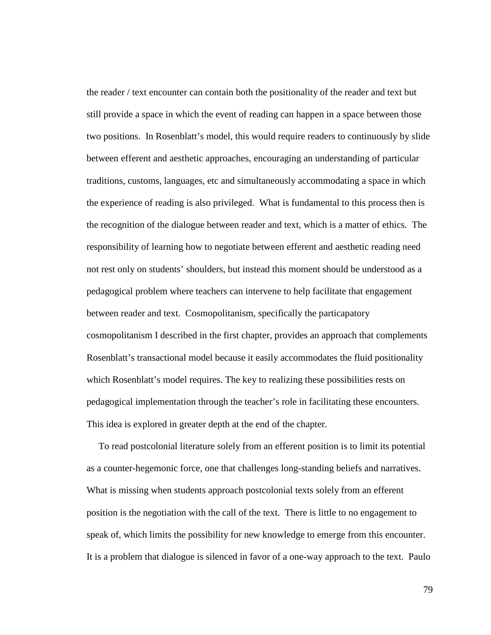the reader / text encounter can contain both the positionality of the reader and text but still provide a space in which the event of reading can happen in a space between those two positions. In Rosenblatt's model, this would require readers to continuously by slide between efferent and aesthetic approaches, encouraging an understanding of particular traditions, customs, languages, etc and simultaneously accommodating a space in which the experience of reading is also privileged. What is fundamental to this process then is the recognition of the dialogue between reader and text, which is a matter of ethics. The responsibility of learning how to negotiate between efferent and aesthetic reading need not rest only on students' shoulders, but instead this moment should be understood as a pedagogical problem where teachers can intervene to help facilitate that engagement between reader and text. Cosmopolitanism, specifically the particapatory cosmopolitanism I described in the first chapter, provides an approach that complements Rosenblatt's transactional model because it easily accommodates the fluid positionality which Rosenblatt's model requires. The key to realizing these possibilities rests on pedagogical implementation through the teacher's role in facilitating these encounters. This idea is explored in greater depth at the end of the chapter.

 To read postcolonial literature solely from an efferent position is to limit its potential as a counter-hegemonic force, one that challenges long-standing beliefs and narratives. What is missing when students approach postcolonial texts solely from an efferent position is the negotiation with the call of the text. There is little to no engagement to speak of, which limits the possibility for new knowledge to emerge from this encounter. It is a problem that dialogue is silenced in favor of a one-way approach to the text. Paulo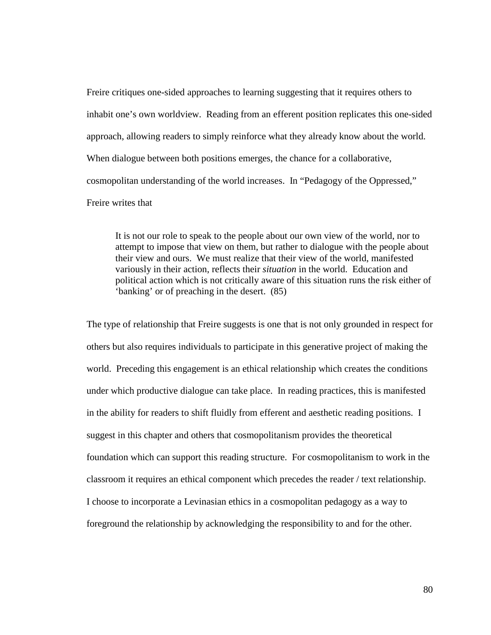Freire critiques one-sided approaches to learning suggesting that it requires others to inhabit one's own worldview. Reading from an efferent position replicates this one-sided approach, allowing readers to simply reinforce what they already know about the world. When dialogue between both positions emerges, the chance for a collaborative, cosmopolitan understanding of the world increases. In "Pedagogy of the Oppressed," Freire writes that

It is not our role to speak to the people about our own view of the world, nor to attempt to impose that view on them, but rather to dialogue with the people about their view and ours. We must realize that their view of the world, manifested variously in their action, reflects their *situation* in the world. Education and political action which is not critically aware of this situation runs the risk either of 'banking' or of preaching in the desert. (85)

The type of relationship that Freire suggests is one that is not only grounded in respect for others but also requires individuals to participate in this generative project of making the world. Preceding this engagement is an ethical relationship which creates the conditions under which productive dialogue can take place. In reading practices, this is manifested in the ability for readers to shift fluidly from efferent and aesthetic reading positions. I suggest in this chapter and others that cosmopolitanism provides the theoretical foundation which can support this reading structure. For cosmopolitanism to work in the classroom it requires an ethical component which precedes the reader / text relationship. I choose to incorporate a Levinasian ethics in a cosmopolitan pedagogy as a way to foreground the relationship by acknowledging the responsibility to and for the other.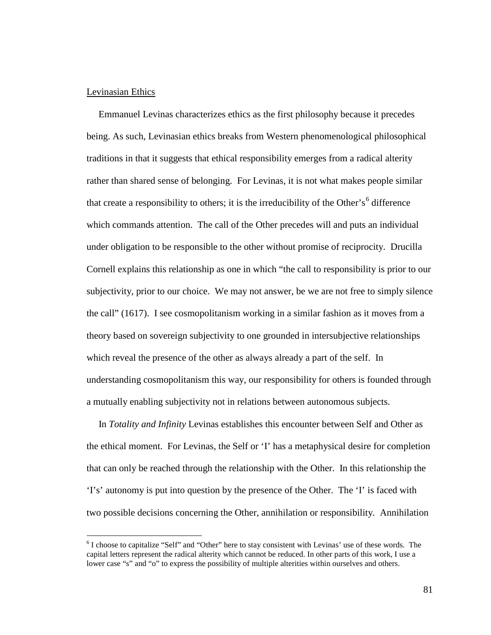### Levinasian Ethics

 Emmanuel Levinas characterizes ethics as the first philosophy because it precedes being. As such, Levinasian ethics breaks from Western phenomenological philosophical traditions in that it suggests that ethical responsibility emerges from a radical alterity rather than shared sense of belonging. For Levinas, it is not what makes people similar that create a responsibility to others; it is the irreducibility of the Other's<sup>[6](#page-86-0)</sup> difference which commands attention. The call of the Other precedes will and puts an individual under obligation to be responsible to the other without promise of reciprocity. Drucilla Cornell explains this relationship as one in which "the call to responsibility is prior to our subjectivity, prior to our choice. We may not answer, be we are not free to simply silence the call" (1617). I see cosmopolitanism working in a similar fashion as it moves from a theory based on sovereign subjectivity to one grounded in intersubjective relationships which reveal the presence of the other as always already a part of the self. In understanding cosmopolitanism this way, our responsibility for others is founded through a mutually enabling subjectivity not in relations between autonomous subjects.

 In *Totality and Infinity* Levinas establishes this encounter between Self and Other as the ethical moment. For Levinas, the Self or 'I' has a metaphysical desire for completion that can only be reached through the relationship with the Other. In this relationship the 'I's' autonomy is put into question by the presence of the Other. The 'I' is faced with two possible decisions concerning the Other, annihilation or responsibility. Annihilation

<span id="page-86-0"></span> <sup>6</sup> I choose to capitalize "Self" and "Other" here to stay consistent with Levinas' use of these words. The capital letters represent the radical alterity which cannot be reduced. In other parts of this work, I use a lower case "s" and "o" to express the possibility of multiple alterities within ourselves and others.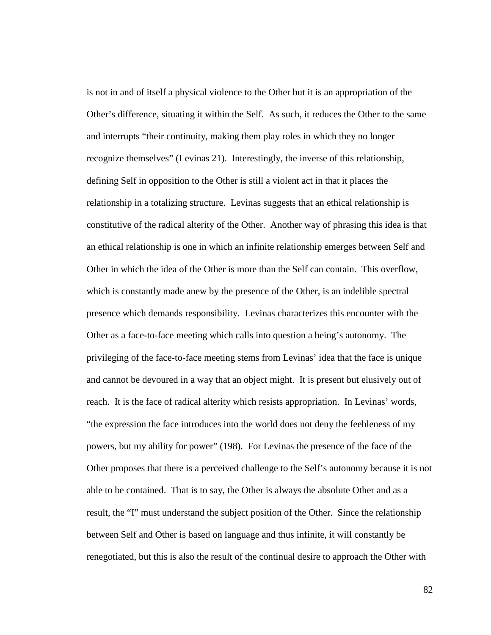is not in and of itself a physical violence to the Other but it is an appropriation of the Other's difference, situating it within the Self. As such, it reduces the Other to the same and interrupts "their continuity, making them play roles in which they no longer recognize themselves" (Levinas 21). Interestingly, the inverse of this relationship, defining Self in opposition to the Other is still a violent act in that it places the relationship in a totalizing structure. Levinas suggests that an ethical relationship is constitutive of the radical alterity of the Other. Another way of phrasing this idea is that an ethical relationship is one in which an infinite relationship emerges between Self and Other in which the idea of the Other is more than the Self can contain. This overflow, which is constantly made anew by the presence of the Other, is an indelible spectral presence which demands responsibility. Levinas characterizes this encounter with the Other as a face-to-face meeting which calls into question a being's autonomy. The privileging of the face-to-face meeting stems from Levinas' idea that the face is unique and cannot be devoured in a way that an object might. It is present but elusively out of reach. It is the face of radical alterity which resists appropriation. In Levinas' words, "the expression the face introduces into the world does not deny the feebleness of my powers, but my ability for power" (198). For Levinas the presence of the face of the Other proposes that there is a perceived challenge to the Self's autonomy because it is not able to be contained. That is to say, the Other is always the absolute Other and as a result, the "I" must understand the subject position of the Other. Since the relationship between Self and Other is based on language and thus infinite, it will constantly be renegotiated, but this is also the result of the continual desire to approach the Other with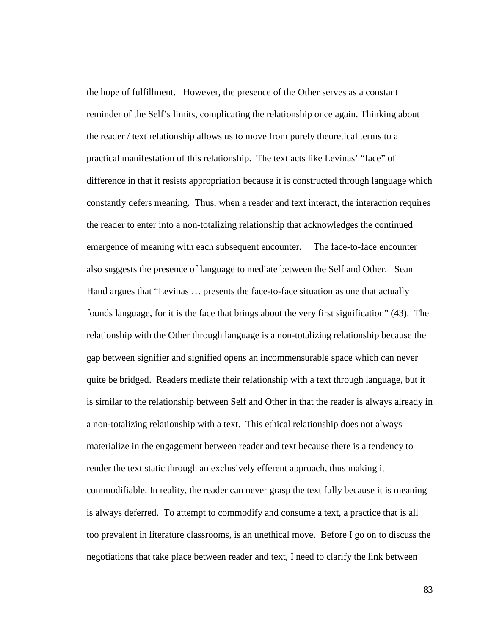the hope of fulfillment. However, the presence of the Other serves as a constant reminder of the Self's limits, complicating the relationship once again. Thinking about the reader / text relationship allows us to move from purely theoretical terms to a practical manifestation of this relationship. The text acts like Levinas' "face" of difference in that it resists appropriation because it is constructed through language which constantly defers meaning. Thus, when a reader and text interact, the interaction requires the reader to enter into a non-totalizing relationship that acknowledges the continued emergence of meaning with each subsequent encounter. The face-to-face encounter also suggests the presence of language to mediate between the Self and Other. Sean Hand argues that "Levinas … presents the face-to-face situation as one that actually founds language, for it is the face that brings about the very first signification" (43). The relationship with the Other through language is a non-totalizing relationship because the gap between signifier and signified opens an incommensurable space which can never quite be bridged. Readers mediate their relationship with a text through language, but it is similar to the relationship between Self and Other in that the reader is always already in a non-totalizing relationship with a text. This ethical relationship does not always materialize in the engagement between reader and text because there is a tendency to render the text static through an exclusively efferent approach, thus making it commodifiable. In reality, the reader can never grasp the text fully because it is meaning is always deferred. To attempt to commodify and consume a text, a practice that is all too prevalent in literature classrooms, is an unethical move. Before I go on to discuss the negotiations that take place between reader and text, I need to clarify the link between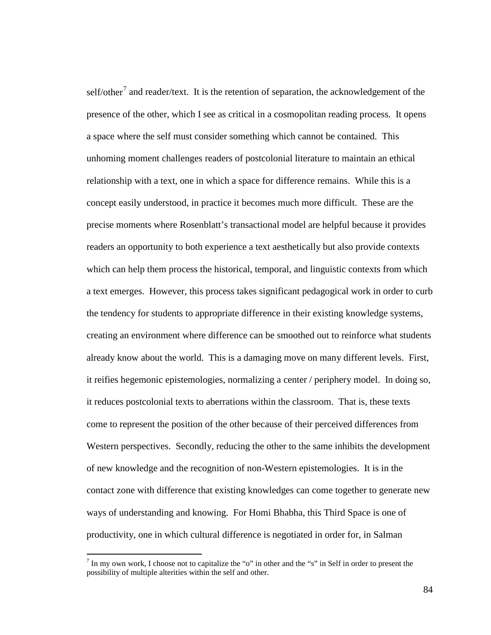self/other<sup>[7](#page-89-0)</sup> and reader/text. It is the retention of separation, the acknowledgement of the presence of the other, which I see as critical in a cosmopolitan reading process. It opens a space where the self must consider something which cannot be contained. This unhoming moment challenges readers of postcolonial literature to maintain an ethical relationship with a text, one in which a space for difference remains. While this is a concept easily understood, in practice it becomes much more difficult. These are the precise moments where Rosenblatt's transactional model are helpful because it provides readers an opportunity to both experience a text aesthetically but also provide contexts which can help them process the historical, temporal, and linguistic contexts from which a text emerges. However, this process takes significant pedagogical work in order to curb the tendency for students to appropriate difference in their existing knowledge systems, creating an environment where difference can be smoothed out to reinforce what students already know about the world. This is a damaging move on many different levels. First, it reifies hegemonic epistemologies, normalizing a center / periphery model. In doing so, it reduces postcolonial texts to aberrations within the classroom. That is, these texts come to represent the position of the other because of their perceived differences from Western perspectives. Secondly, reducing the other to the same inhibits the development of new knowledge and the recognition of non-Western epistemologies. It is in the contact zone with difference that existing knowledges can come together to generate new ways of understanding and knowing. For Homi Bhabha, this Third Space is one of productivity, one in which cultural difference is negotiated in order for, in Salman

<span id="page-89-0"></span><sup>&</sup>lt;sup>7</sup> In my own work, I choose not to capitalize the "o" in other and the "s" in Self in order to present the possibility of multiple alterities within the self and other.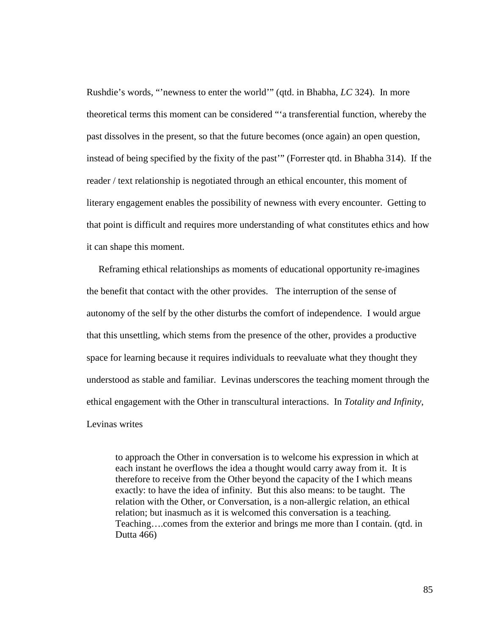Rushdie's words, "'newness to enter the world'" (qtd. in Bhabha, *LC* 324). In more theoretical terms this moment can be considered "'a transferential function, whereby the past dissolves in the present, so that the future becomes (once again) an open question, instead of being specified by the fixity of the past'" (Forrester qtd. in Bhabha 314). If the reader / text relationship is negotiated through an ethical encounter, this moment of literary engagement enables the possibility of newness with every encounter. Getting to that point is difficult and requires more understanding of what constitutes ethics and how it can shape this moment.

 Reframing ethical relationships as moments of educational opportunity re-imagines the benefit that contact with the other provides. The interruption of the sense of autonomy of the self by the other disturbs the comfort of independence. I would argue that this unsettling, which stems from the presence of the other, provides a productive space for learning because it requires individuals to reevaluate what they thought they understood as stable and familiar. Levinas underscores the teaching moment through the ethical engagement with the Other in transcultural interactions. In *Totality and Infinity*, Levinas writes

to approach the Other in conversation is to welcome his expression in which at each instant he overflows the idea a thought would carry away from it. It is therefore to receive from the Other beyond the capacity of the I which means exactly: to have the idea of infinity. But this also means: to be taught. The relation with the Other, or Conversation, is a non-allergic relation, an ethical relation; but inasmuch as it is welcomed this conversation is a teaching. Teaching….comes from the exterior and brings me more than I contain. (qtd. in Dutta 466)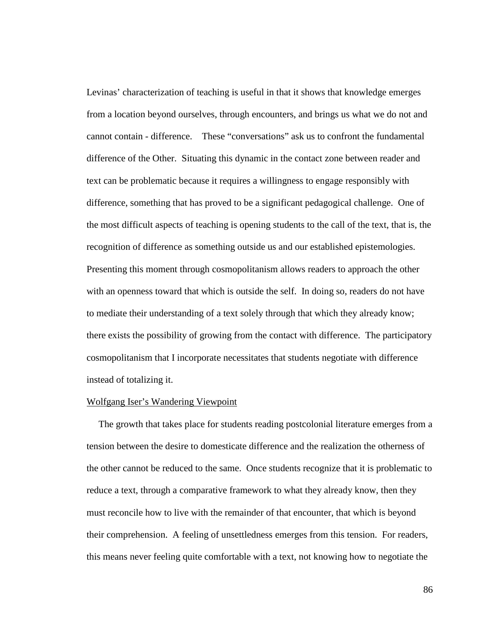Levinas' characterization of teaching is useful in that it shows that knowledge emerges from a location beyond ourselves, through encounters, and brings us what we do not and cannot contain - difference. These "conversations" ask us to confront the fundamental difference of the Other. Situating this dynamic in the contact zone between reader and text can be problematic because it requires a willingness to engage responsibly with difference, something that has proved to be a significant pedagogical challenge. One of the most difficult aspects of teaching is opening students to the call of the text, that is, the recognition of difference as something outside us and our established epistemologies. Presenting this moment through cosmopolitanism allows readers to approach the other with an openness toward that which is outside the self. In doing so, readers do not have to mediate their understanding of a text solely through that which they already know; there exists the possibility of growing from the contact with difference. The participatory cosmopolitanism that I incorporate necessitates that students negotiate with difference instead of totalizing it.

## Wolfgang Iser's Wandering Viewpoint

 The growth that takes place for students reading postcolonial literature emerges from a tension between the desire to domesticate difference and the realization the otherness of the other cannot be reduced to the same. Once students recognize that it is problematic to reduce a text, through a comparative framework to what they already know, then they must reconcile how to live with the remainder of that encounter, that which is beyond their comprehension. A feeling of unsettledness emerges from this tension. For readers, this means never feeling quite comfortable with a text, not knowing how to negotiate the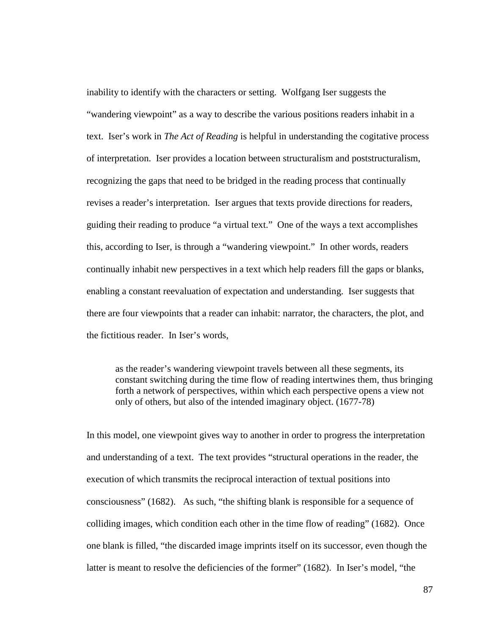inability to identify with the characters or setting. Wolfgang Iser suggests the "wandering viewpoint" as a way to describe the various positions readers inhabit in a text. Iser's work in *The Act of Reading* is helpful in understanding the cogitative process of interpretation. Iser provides a location between structuralism and poststructuralism, recognizing the gaps that need to be bridged in the reading process that continually revises a reader's interpretation. Iser argues that texts provide directions for readers, guiding their reading to produce "a virtual text." One of the ways a text accomplishes this, according to Iser, is through a "wandering viewpoint." In other words, readers continually inhabit new perspectives in a text which help readers fill the gaps or blanks, enabling a constant reevaluation of expectation and understanding. Iser suggests that there are four viewpoints that a reader can inhabit: narrator, the characters, the plot, and the fictitious reader. In Iser's words,

as the reader's wandering viewpoint travels between all these segments, its constant switching during the time flow of reading intertwines them, thus bringing forth a network of perspectives, within which each perspective opens a view not only of others, but also of the intended imaginary object. (1677-78)

In this model, one viewpoint gives way to another in order to progress the interpretation and understanding of a text. The text provides "structural operations in the reader, the execution of which transmits the reciprocal interaction of textual positions into consciousness" (1682). As such, "the shifting blank is responsible for a sequence of colliding images, which condition each other in the time flow of reading" (1682). Once one blank is filled, "the discarded image imprints itself on its successor, even though the latter is meant to resolve the deficiencies of the former" (1682). In Iser's model, "the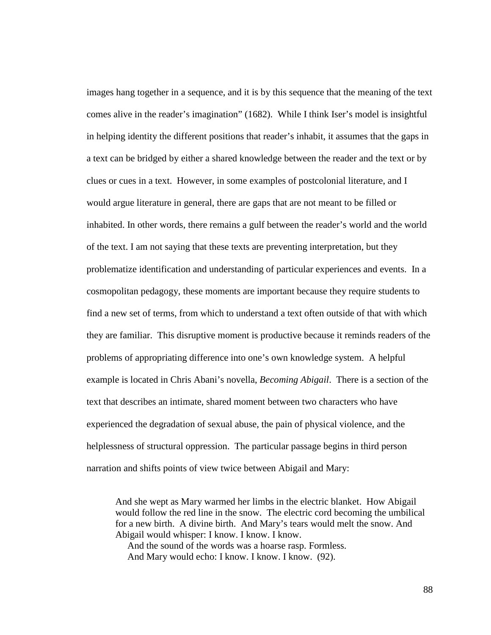images hang together in a sequence, and it is by this sequence that the meaning of the text comes alive in the reader's imagination" (1682). While I think Iser's model is insightful in helping identity the different positions that reader's inhabit, it assumes that the gaps in a text can be bridged by either a shared knowledge between the reader and the text or by clues or cues in a text. However, in some examples of postcolonial literature, and I would argue literature in general, there are gaps that are not meant to be filled or inhabited. In other words, there remains a gulf between the reader's world and the world of the text. I am not saying that these texts are preventing interpretation, but they problematize identification and understanding of particular experiences and events. In a cosmopolitan pedagogy, these moments are important because they require students to find a new set of terms, from which to understand a text often outside of that with which they are familiar. This disruptive moment is productive because it reminds readers of the problems of appropriating difference into one's own knowledge system. A helpful example is located in Chris Abani's novella, *Becoming Abigail*. There is a section of the text that describes an intimate, shared moment between two characters who have experienced the degradation of sexual abuse, the pain of physical violence, and the helplessness of structural oppression. The particular passage begins in third person narration and shifts points of view twice between Abigail and Mary:

And she wept as Mary warmed her limbs in the electric blanket. How Abigail would follow the red line in the snow. The electric cord becoming the umbilical for a new birth. A divine birth. And Mary's tears would melt the snow. And Abigail would whisper: I know. I know. I know.

 And the sound of the words was a hoarse rasp. Formless. And Mary would echo: I know. I know. I know. (92).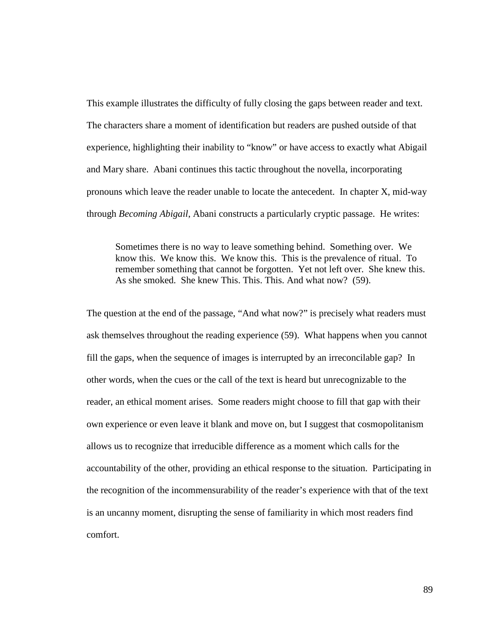This example illustrates the difficulty of fully closing the gaps between reader and text. The characters share a moment of identification but readers are pushed outside of that experience, highlighting their inability to "know" or have access to exactly what Abigail and Mary share. Abani continues this tactic throughout the novella, incorporating pronouns which leave the reader unable to locate the antecedent. In chapter X, mid-way through *Becoming Abigail*, Abani constructs a particularly cryptic passage. He writes:

Sometimes there is no way to leave something behind. Something over. We know this. We know this. We know this. This is the prevalence of ritual. To remember something that cannot be forgotten. Yet not left over. She knew this. As she smoked. She knew This. This. This. And what now? (59).

The question at the end of the passage, "And what now?" is precisely what readers must ask themselves throughout the reading experience (59). What happens when you cannot fill the gaps, when the sequence of images is interrupted by an irreconcilable gap? In other words, when the cues or the call of the text is heard but unrecognizable to the reader, an ethical moment arises. Some readers might choose to fill that gap with their own experience or even leave it blank and move on, but I suggest that cosmopolitanism allows us to recognize that irreducible difference as a moment which calls for the accountability of the other, providing an ethical response to the situation. Participating in the recognition of the incommensurability of the reader's experience with that of the text is an uncanny moment, disrupting the sense of familiarity in which most readers find comfort.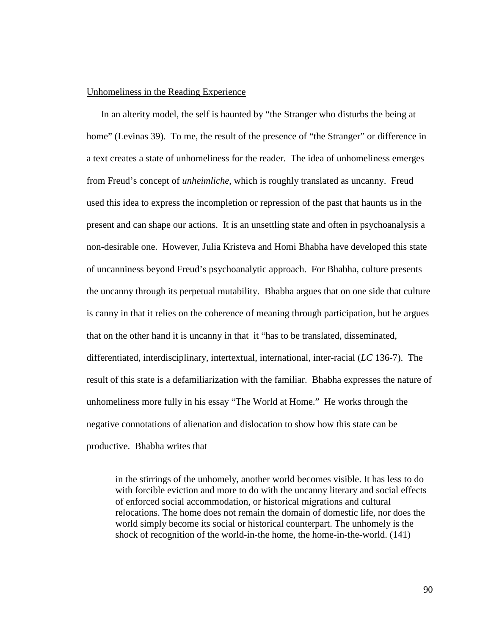## Unhomeliness in the Reading Experience

 In an alterity model, the self is haunted by "the Stranger who disturbs the being at home" (Levinas 39). To me, the result of the presence of "the Stranger" or difference in a text creates a state of unhomeliness for the reader. The idea of unhomeliness emerges from Freud's concept of *unheimliche*, which is roughly translated as uncanny. Freud used this idea to express the incompletion or repression of the past that haunts us in the present and can shape our actions. It is an unsettling state and often in psychoanalysis a non-desirable one. However, Julia Kristeva and Homi Bhabha have developed this state of uncanniness beyond Freud's psychoanalytic approach. For Bhabha, culture presents the uncanny through its perpetual mutability. Bhabha argues that on one side that culture is canny in that it relies on the coherence of meaning through participation, but he argues that on the other hand it is uncanny in that it "has to be translated, disseminated, differentiated, interdisciplinary, intertextual, international, inter-racial (*LC* 136-7). The result of this state is a defamiliarization with the familiar. Bhabha expresses the nature of unhomeliness more fully in his essay "The World at Home." He works through the negative connotations of alienation and dislocation to show how this state can be productive. Bhabha writes that

in the stirrings of the unhomely, another world becomes visible. It has less to do with forcible eviction and more to do with the uncanny literary and social effects of enforced social accommodation, or historical migrations and cultural relocations. The home does not remain the domain of domestic life, nor does the world simply become its social or historical counterpart. The unhomely is the shock of recognition of the world-in-the home, the home-in-the-world. (141)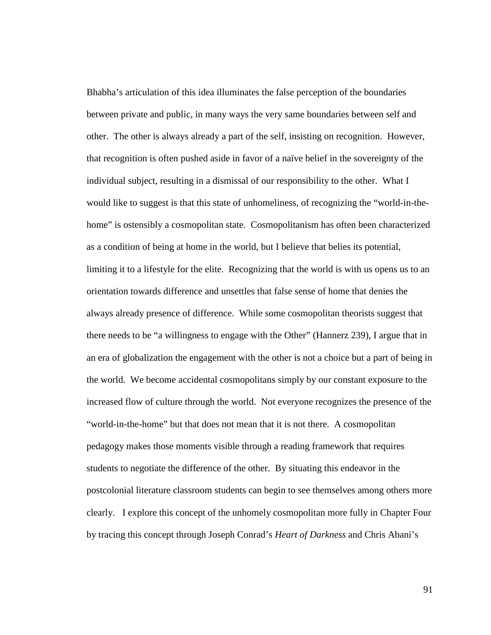Bhabha's articulation of this idea illuminates the false perception of the boundaries between private and public, in many ways the very same boundaries between self and other. The other is always already a part of the self, insisting on recognition. However, that recognition is often pushed aside in favor of a naïve belief in the sovereignty of the individual subject, resulting in a dismissal of our responsibility to the other. What I would like to suggest is that this state of unhomeliness, of recognizing the "world-in-thehome" is ostensibly a cosmopolitan state. Cosmopolitanism has often been characterized as a condition of being at home in the world, but I believe that belies its potential, limiting it to a lifestyle for the elite. Recognizing that the world is with us opens us to an orientation towards difference and unsettles that false sense of home that denies the always already presence of difference. While some cosmopolitan theorists suggest that there needs to be "a willingness to engage with the Other" (Hannerz 239), I argue that in an era of globalization the engagement with the other is not a choice but a part of being in the world. We become accidental cosmopolitans simply by our constant exposure to the increased flow of culture through the world. Not everyone recognizes the presence of the "world-in-the-home" but that does not mean that it is not there. A cosmopolitan pedagogy makes those moments visible through a reading framework that requires students to negotiate the difference of the other. By situating this endeavor in the postcolonial literature classroom students can begin to see themselves among others more clearly. I explore this concept of the unhomely cosmopolitan more fully in Chapter Four by tracing this concept through Joseph Conrad's *Heart of Darkness* and Chris Abani's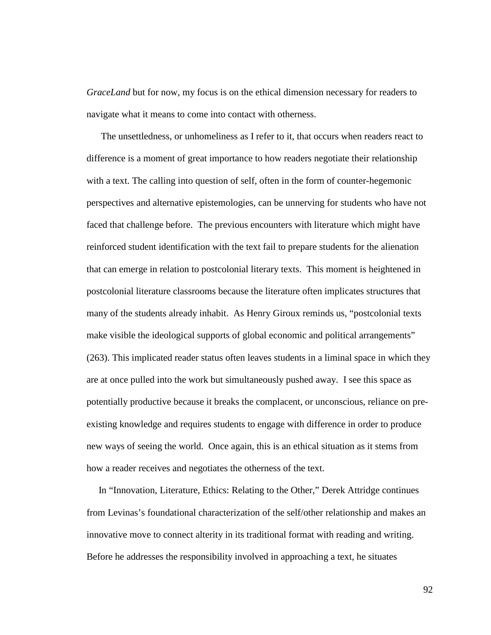*GraceLand* but for now, my focus is on the ethical dimension necessary for readers to navigate what it means to come into contact with otherness.

 The unsettledness, or unhomeliness as I refer to it, that occurs when readers react to difference is a moment of great importance to how readers negotiate their relationship with a text. The calling into question of self, often in the form of counter-hegemonic perspectives and alternative epistemologies, can be unnerving for students who have not faced that challenge before. The previous encounters with literature which might have reinforced student identification with the text fail to prepare students for the alienation that can emerge in relation to postcolonial literary texts. This moment is heightened in postcolonial literature classrooms because the literature often implicates structures that many of the students already inhabit. As Henry Giroux reminds us, "postcolonial texts make visible the ideological supports of global economic and political arrangements" (263). This implicated reader status often leaves students in a liminal space in which they are at once pulled into the work but simultaneously pushed away. I see this space as potentially productive because it breaks the complacent, or unconscious, reliance on preexisting knowledge and requires students to engage with difference in order to produce new ways of seeing the world. Once again, this is an ethical situation as it stems from how a reader receives and negotiates the otherness of the text.

 In "Innovation, Literature, Ethics: Relating to the Other," Derek Attridge continues from Levinas's foundational characterization of the self/other relationship and makes an innovative move to connect alterity in its traditional format with reading and writing. Before he addresses the responsibility involved in approaching a text, he situates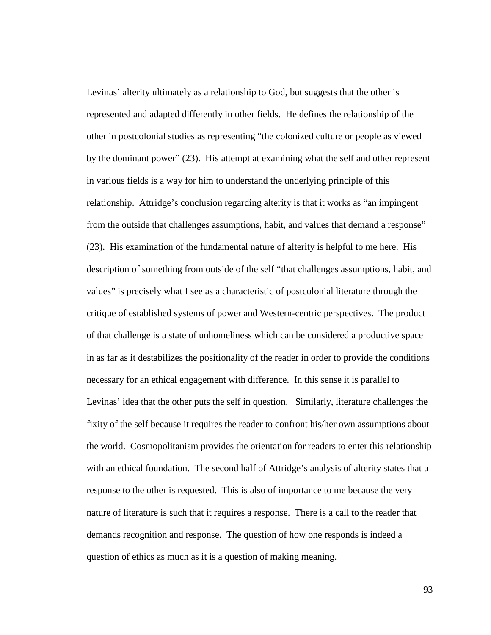Levinas' alterity ultimately as a relationship to God, but suggests that the other is represented and adapted differently in other fields. He defines the relationship of the other in postcolonial studies as representing "the colonized culture or people as viewed by the dominant power" (23). His attempt at examining what the self and other represent in various fields is a way for him to understand the underlying principle of this relationship. Attridge's conclusion regarding alterity is that it works as "an impingent from the outside that challenges assumptions, habit, and values that demand a response" (23). His examination of the fundamental nature of alterity is helpful to me here. His description of something from outside of the self "that challenges assumptions, habit, and values" is precisely what I see as a characteristic of postcolonial literature through the critique of established systems of power and Western-centric perspectives. The product of that challenge is a state of unhomeliness which can be considered a productive space in as far as it destabilizes the positionality of the reader in order to provide the conditions necessary for an ethical engagement with difference. In this sense it is parallel to Levinas' idea that the other puts the self in question. Similarly, literature challenges the fixity of the self because it requires the reader to confront his/her own assumptions about the world. Cosmopolitanism provides the orientation for readers to enter this relationship with an ethical foundation. The second half of Attridge's analysis of alterity states that a response to the other is requested. This is also of importance to me because the very nature of literature is such that it requires a response. There is a call to the reader that demands recognition and response. The question of how one responds is indeed a question of ethics as much as it is a question of making meaning.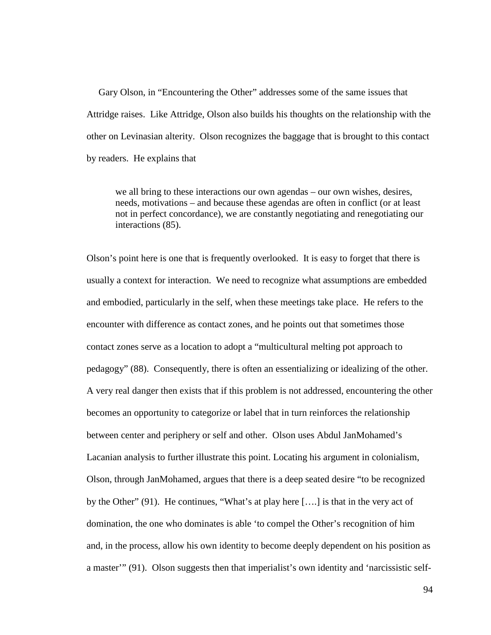Gary Olson, in "Encountering the Other" addresses some of the same issues that Attridge raises. Like Attridge, Olson also builds his thoughts on the relationship with the other on Levinasian alterity. Olson recognizes the baggage that is brought to this contact by readers. He explains that

we all bring to these interactions our own agendas – our own wishes, desires, needs, motivations – and because these agendas are often in conflict (or at least not in perfect concordance), we are constantly negotiating and renegotiating our interactions (85).

Olson's point here is one that is frequently overlooked. It is easy to forget that there is usually a context for interaction. We need to recognize what assumptions are embedded and embodied, particularly in the self, when these meetings take place. He refers to the encounter with difference as contact zones, and he points out that sometimes those contact zones serve as a location to adopt a "multicultural melting pot approach to pedagogy" (88). Consequently, there is often an essentializing or idealizing of the other. A very real danger then exists that if this problem is not addressed, encountering the other becomes an opportunity to categorize or label that in turn reinforces the relationship between center and periphery or self and other. Olson uses Abdul JanMohamed's Lacanian analysis to further illustrate this point. Locating his argument in colonialism, Olson, through JanMohamed, argues that there is a deep seated desire "to be recognized by the Other" (91). He continues, "What's at play here [….] is that in the very act of domination, the one who dominates is able 'to compel the Other's recognition of him and, in the process, allow his own identity to become deeply dependent on his position as a master'" (91). Olson suggests then that imperialist's own identity and 'narcissistic self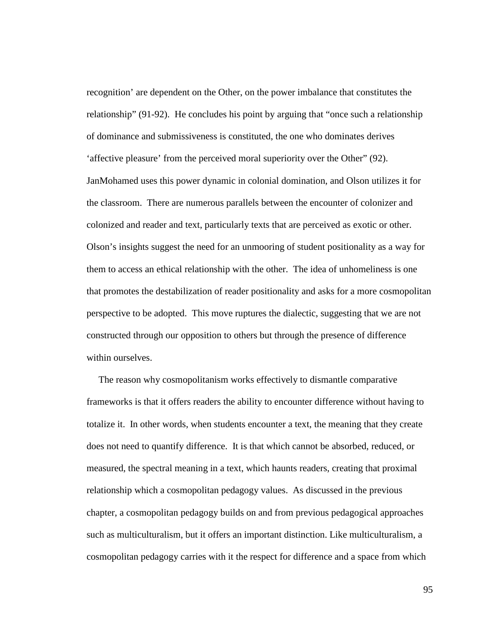recognition' are dependent on the Other, on the power imbalance that constitutes the relationship" (91-92). He concludes his point by arguing that "once such a relationship of dominance and submissiveness is constituted, the one who dominates derives 'affective pleasure' from the perceived moral superiority over the Other" (92). JanMohamed uses this power dynamic in colonial domination, and Olson utilizes it for the classroom. There are numerous parallels between the encounter of colonizer and colonized and reader and text, particularly texts that are perceived as exotic or other. Olson's insights suggest the need for an unmooring of student positionality as a way for them to access an ethical relationship with the other. The idea of unhomeliness is one that promotes the destabilization of reader positionality and asks for a more cosmopolitan perspective to be adopted. This move ruptures the dialectic, suggesting that we are not constructed through our opposition to others but through the presence of difference within ourselves.

 The reason why cosmopolitanism works effectively to dismantle comparative frameworks is that it offers readers the ability to encounter difference without having to totalize it. In other words, when students encounter a text, the meaning that they create does not need to quantify difference. It is that which cannot be absorbed, reduced, or measured, the spectral meaning in a text, which haunts readers, creating that proximal relationship which a cosmopolitan pedagogy values. As discussed in the previous chapter, a cosmopolitan pedagogy builds on and from previous pedagogical approaches such as multiculturalism, but it offers an important distinction. Like multiculturalism, a cosmopolitan pedagogy carries with it the respect for difference and a space from which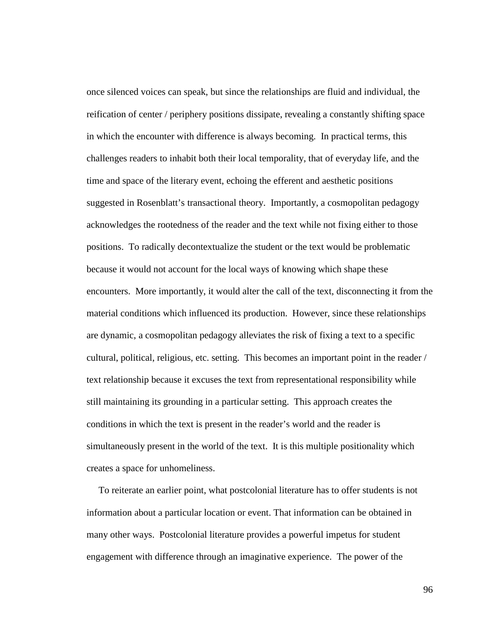once silenced voices can speak, but since the relationships are fluid and individual, the reification of center / periphery positions dissipate, revealing a constantly shifting space in which the encounter with difference is always becoming. In practical terms, this challenges readers to inhabit both their local temporality, that of everyday life, and the time and space of the literary event, echoing the efferent and aesthetic positions suggested in Rosenblatt's transactional theory. Importantly, a cosmopolitan pedagogy acknowledges the rootedness of the reader and the text while not fixing either to those positions. To radically decontextualize the student or the text would be problematic because it would not account for the local ways of knowing which shape these encounters. More importantly, it would alter the call of the text, disconnecting it from the material conditions which influenced its production. However, since these relationships are dynamic, a cosmopolitan pedagogy alleviates the risk of fixing a text to a specific cultural, political, religious, etc. setting. This becomes an important point in the reader / text relationship because it excuses the text from representational responsibility while still maintaining its grounding in a particular setting. This approach creates the conditions in which the text is present in the reader's world and the reader is simultaneously present in the world of the text. It is this multiple positionality which creates a space for unhomeliness.

 To reiterate an earlier point, what postcolonial literature has to offer students is not information about a particular location or event. That information can be obtained in many other ways. Postcolonial literature provides a powerful impetus for student engagement with difference through an imaginative experience. The power of the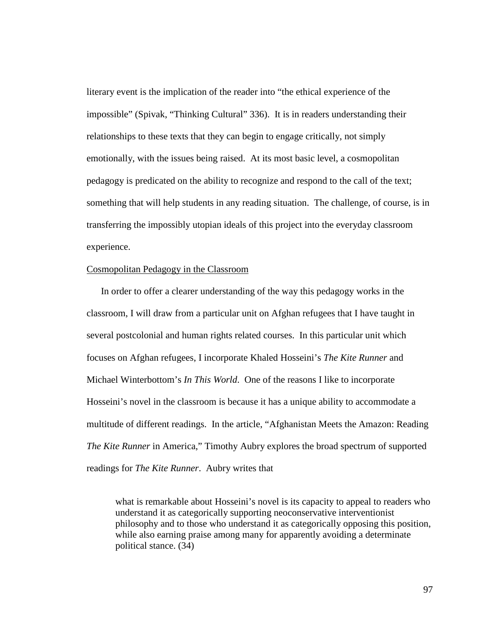literary event is the implication of the reader into "the ethical experience of the impossible" (Spivak, "Thinking Cultural" 336). It is in readers understanding their relationships to these texts that they can begin to engage critically, not simply emotionally, with the issues being raised. At its most basic level, a cosmopolitan pedagogy is predicated on the ability to recognize and respond to the call of the text; something that will help students in any reading situation. The challenge, of course, is in transferring the impossibly utopian ideals of this project into the everyday classroom experience.

## Cosmopolitan Pedagogy in the Classroom

In order to offer a clearer understanding of the way this pedagogy works in the classroom, I will draw from a particular unit on Afghan refugees that I have taught in several postcolonial and human rights related courses. In this particular unit which focuses on Afghan refugees, I incorporate Khaled Hosseini's *The Kite Runner* and Michael Winterbottom's *In This World*. One of the reasons I like to incorporate Hosseini's novel in the classroom is because it has a unique ability to accommodate a multitude of different readings. In the article, "Afghanistan Meets the Amazon: Reading *The Kite Runner* in America," Timothy Aubry explores the broad spectrum of supported readings for *The Kite Runner*. Aubry writes that

what is remarkable about Hosseini's novel is its capacity to appeal to readers who understand it as categorically supporting neoconservative interventionist philosophy and to those who understand it as categorically opposing this position, while also earning praise among many for apparently avoiding a determinate political stance. (34)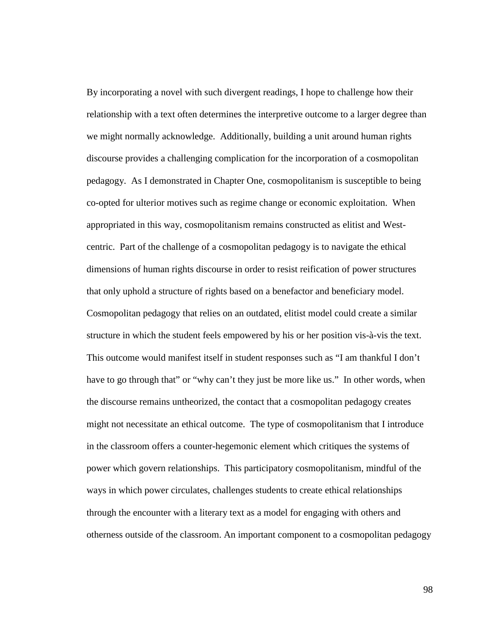By incorporating a novel with such divergent readings, I hope to challenge how their relationship with a text often determines the interpretive outcome to a larger degree than we might normally acknowledge. Additionally, building a unit around human rights discourse provides a challenging complication for the incorporation of a cosmopolitan pedagogy. As I demonstrated in Chapter One, cosmopolitanism is susceptible to being co-opted for ulterior motives such as regime change or economic exploitation. When appropriated in this way, cosmopolitanism remains constructed as elitist and Westcentric. Part of the challenge of a cosmopolitan pedagogy is to navigate the ethical dimensions of human rights discourse in order to resist reification of power structures that only uphold a structure of rights based on a benefactor and beneficiary model. Cosmopolitan pedagogy that relies on an outdated, elitist model could create a similar structure in which the student feels empowered by his or her position vis-à-vis the text. This outcome would manifest itself in student responses such as "I am thankful I don't have to go through that" or "why can't they just be more like us." In other words, when the discourse remains untheorized, the contact that a cosmopolitan pedagogy creates might not necessitate an ethical outcome. The type of cosmopolitanism that I introduce in the classroom offers a counter-hegemonic element which critiques the systems of power which govern relationships. This participatory cosmopolitanism, mindful of the ways in which power circulates, challenges students to create ethical relationships through the encounter with a literary text as a model for engaging with others and otherness outside of the classroom. An important component to a cosmopolitan pedagogy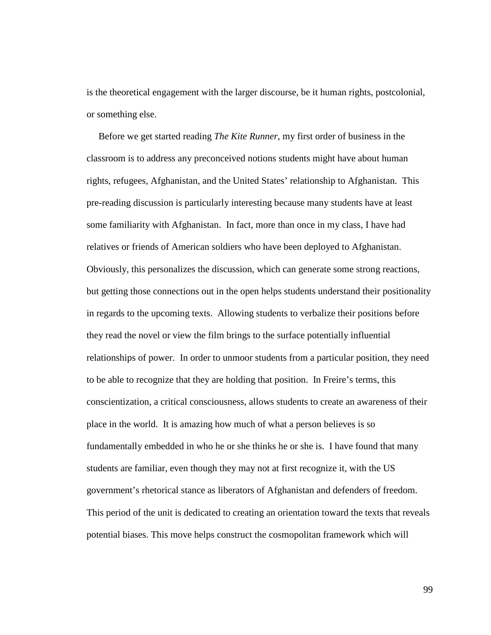is the theoretical engagement with the larger discourse, be it human rights, postcolonial, or something else.

 Before we get started reading *The Kite Runner*, my first order of business in the classroom is to address any preconceived notions students might have about human rights, refugees, Afghanistan, and the United States' relationship to Afghanistan. This pre-reading discussion is particularly interesting because many students have at least some familiarity with Afghanistan. In fact, more than once in my class, I have had relatives or friends of American soldiers who have been deployed to Afghanistan. Obviously, this personalizes the discussion, which can generate some strong reactions, but getting those connections out in the open helps students understand their positionality in regards to the upcoming texts. Allowing students to verbalize their positions before they read the novel or view the film brings to the surface potentially influential relationships of power. In order to unmoor students from a particular position, they need to be able to recognize that they are holding that position. In Freire's terms, this conscientization, a critical consciousness, allows students to create an awareness of their place in the world. It is amazing how much of what a person believes is so fundamentally embedded in who he or she thinks he or she is. I have found that many students are familiar, even though they may not at first recognize it, with the US government's rhetorical stance as liberators of Afghanistan and defenders of freedom. This period of the unit is dedicated to creating an orientation toward the texts that reveals potential biases. This move helps construct the cosmopolitan framework which will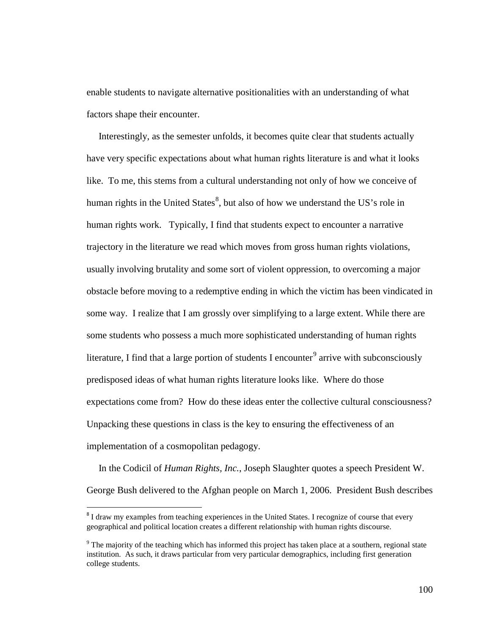enable students to navigate alternative positionalities with an understanding of what factors shape their encounter.

 Interestingly, as the semester unfolds, it becomes quite clear that students actually have very specific expectations about what human rights literature is and what it looks like. To me, this stems from a cultural understanding not only of how we conceive of human rights in the United States<sup>[8](#page-105-0)</sup>, but also of how we understand the US's role in human rights work. Typically, I find that students expect to encounter a narrative trajectory in the literature we read which moves from gross human rights violations, usually involving brutality and some sort of violent oppression, to overcoming a major obstacle before moving to a redemptive ending in which the victim has been vindicated in some way. I realize that I am grossly over simplifying to a large extent. While there are some students who possess a much more sophisticated understanding of human rights literature, I find that a large portion of students I encounter<sup>[9](#page-105-1)</sup> arrive with subconsciously predisposed ideas of what human rights literature looks like. Where do those expectations come from? How do these ideas enter the collective cultural consciousness? Unpacking these questions in class is the key to ensuring the effectiveness of an implementation of a cosmopolitan pedagogy.

 In the Codicil of *Human Rights, Inc.*, Joseph Slaughter quotes a speech President W. George Bush delivered to the Afghan people on March 1, 2006. President Bush describes

<span id="page-105-0"></span> $8$ I draw my examples from teaching experiences in the United States. I recognize of course that every geographical and political location creates a different relationship with human rights discourse.

<span id="page-105-1"></span><sup>9</sup> The majority of the teaching which has informed this project has taken place at a southern, regional state institution. As such, it draws particular from very particular demographics, including first generation college students.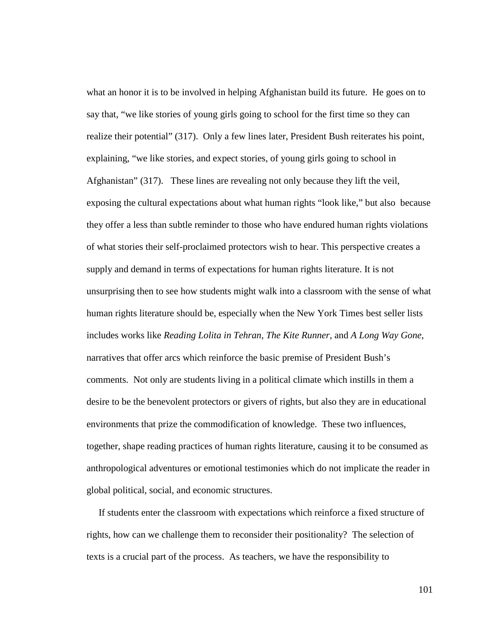what an honor it is to be involved in helping Afghanistan build its future. He goes on to say that, "we like stories of young girls going to school for the first time so they can realize their potential" (317). Only a few lines later, President Bush reiterates his point, explaining, "we like stories, and expect stories, of young girls going to school in Afghanistan" (317). These lines are revealing not only because they lift the veil, exposing the cultural expectations about what human rights "look like," but also because they offer a less than subtle reminder to those who have endured human rights violations of what stories their self-proclaimed protectors wish to hear. This perspective creates a supply and demand in terms of expectations for human rights literature. It is not unsurprising then to see how students might walk into a classroom with the sense of what human rights literature should be, especially when the New York Times best seller lists includes works like *Reading Lolita in Tehran*, *The Kite Runner*, and *A Long Way Gone*, narratives that offer arcs which reinforce the basic premise of President Bush's comments. Not only are students living in a political climate which instills in them a desire to be the benevolent protectors or givers of rights, but also they are in educational environments that prize the commodification of knowledge. These two influences, together, shape reading practices of human rights literature, causing it to be consumed as anthropological adventures or emotional testimonies which do not implicate the reader in global political, social, and economic structures.

 If students enter the classroom with expectations which reinforce a fixed structure of rights, how can we challenge them to reconsider their positionality? The selection of texts is a crucial part of the process. As teachers, we have the responsibility to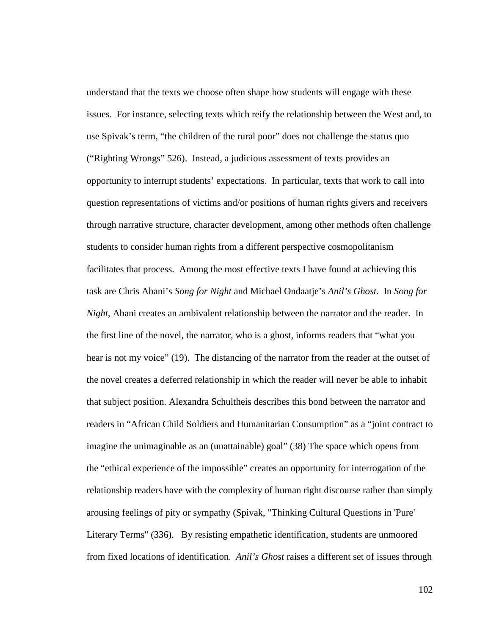understand that the texts we choose often shape how students will engage with these issues. For instance, selecting texts which reify the relationship between the West and, to use Spivak's term, "the children of the rural poor" does not challenge the status quo ("Righting Wrongs" 526). Instead, a judicious assessment of texts provides an opportunity to interrupt students' expectations. In particular, texts that work to call into question representations of victims and/or positions of human rights givers and receivers through narrative structure, character development, among other methods often challenge students to consider human rights from a different perspective cosmopolitanism facilitates that process. Among the most effective texts I have found at achieving this task are Chris Abani's *Song for Night* and Michael Ondaatje's *Anil's Ghost*. In *Song for Night*, Abani creates an ambivalent relationship between the narrator and the reader. In the first line of the novel, the narrator, who is a ghost, informs readers that "what you hear is not my voice" (19). The distancing of the narrator from the reader at the outset of the novel creates a deferred relationship in which the reader will never be able to inhabit that subject position. Alexandra Schultheis describes this bond between the narrator and readers in "African Child Soldiers and Humanitarian Consumption" as a "joint contract to imagine the unimaginable as an (unattainable) goal" (38) The space which opens from the "ethical experience of the impossible" creates an opportunity for interrogation of the relationship readers have with the complexity of human right discourse rather than simply arousing feelings of pity or sympathy (Spivak, "Thinking Cultural Questions in 'Pure' Literary Terms" (336). By resisting empathetic identification, students are unmoored from fixed locations of identification. *Anil's Ghost* raises a different set of issues through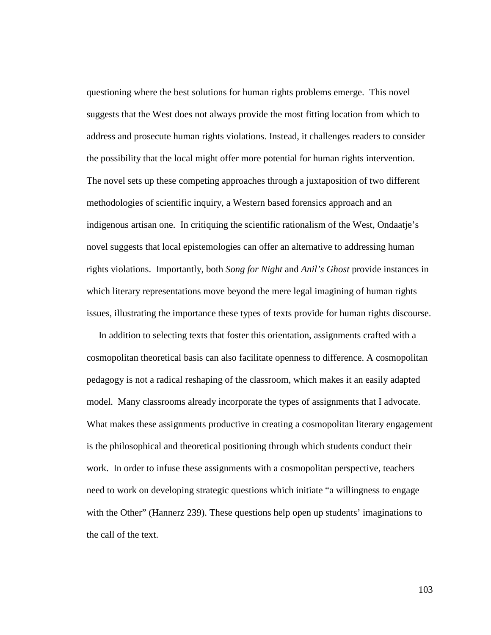questioning where the best solutions for human rights problems emerge. This novel suggests that the West does not always provide the most fitting location from which to address and prosecute human rights violations. Instead, it challenges readers to consider the possibility that the local might offer more potential for human rights intervention. The novel sets up these competing approaches through a juxtaposition of two different methodologies of scientific inquiry, a Western based forensics approach and an indigenous artisan one. In critiquing the scientific rationalism of the West, Ondaatje's novel suggests that local epistemologies can offer an alternative to addressing human rights violations. Importantly, both *Song for Night* and *Anil's Ghost* provide instances in which literary representations move beyond the mere legal imagining of human rights issues, illustrating the importance these types of texts provide for human rights discourse.

 In addition to selecting texts that foster this orientation, assignments crafted with a cosmopolitan theoretical basis can also facilitate openness to difference. A cosmopolitan pedagogy is not a radical reshaping of the classroom, which makes it an easily adapted model. Many classrooms already incorporate the types of assignments that I advocate. What makes these assignments productive in creating a cosmopolitan literary engagement is the philosophical and theoretical positioning through which students conduct their work. In order to infuse these assignments with a cosmopolitan perspective, teachers need to work on developing strategic questions which initiate "a willingness to engage with the Other" (Hannerz 239). These questions help open up students' imaginations to the call of the text.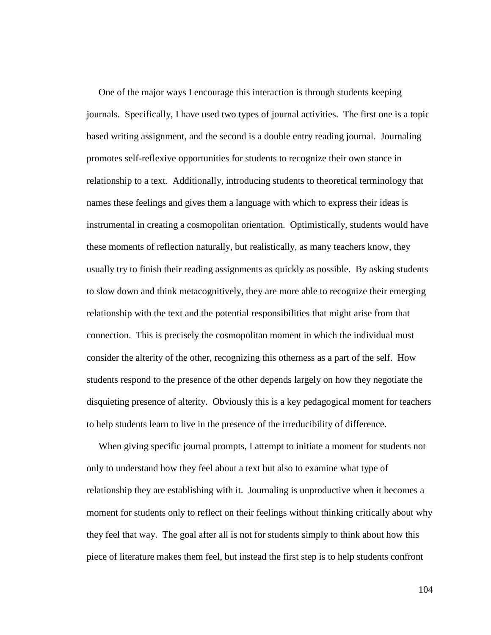One of the major ways I encourage this interaction is through students keeping journals. Specifically, I have used two types of journal activities. The first one is a topic based writing assignment, and the second is a double entry reading journal. Journaling promotes self-reflexive opportunities for students to recognize their own stance in relationship to a text. Additionally, introducing students to theoretical terminology that names these feelings and gives them a language with which to express their ideas is instrumental in creating a cosmopolitan orientation. Optimistically, students would have these moments of reflection naturally, but realistically, as many teachers know, they usually try to finish their reading assignments as quickly as possible. By asking students to slow down and think metacognitively, they are more able to recognize their emerging relationship with the text and the potential responsibilities that might arise from that connection. This is precisely the cosmopolitan moment in which the individual must consider the alterity of the other, recognizing this otherness as a part of the self. How students respond to the presence of the other depends largely on how they negotiate the disquieting presence of alterity. Obviously this is a key pedagogical moment for teachers to help students learn to live in the presence of the irreducibility of difference.

 When giving specific journal prompts, I attempt to initiate a moment for students not only to understand how they feel about a text but also to examine what type of relationship they are establishing with it. Journaling is unproductive when it becomes a moment for students only to reflect on their feelings without thinking critically about why they feel that way. The goal after all is not for students simply to think about how this piece of literature makes them feel, but instead the first step is to help students confront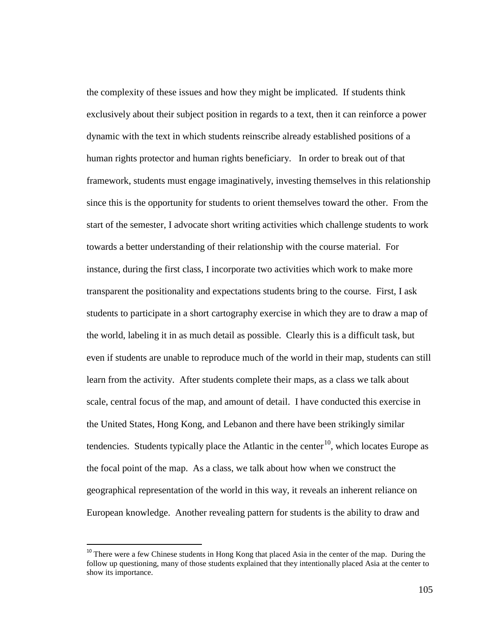the complexity of these issues and how they might be implicated. If students think exclusively about their subject position in regards to a text, then it can reinforce a power dynamic with the text in which students reinscribe already established positions of a human rights protector and human rights beneficiary. In order to break out of that framework, students must engage imaginatively, investing themselves in this relationship since this is the opportunity for students to orient themselves toward the other. From the start of the semester, I advocate short writing activities which challenge students to work towards a better understanding of their relationship with the course material. For instance, during the first class, I incorporate two activities which work to make more transparent the positionality and expectations students bring to the course. First, I ask students to participate in a short cartography exercise in which they are to draw a map of the world, labeling it in as much detail as possible. Clearly this is a difficult task, but even if students are unable to reproduce much of the world in their map, students can still learn from the activity. After students complete their maps, as a class we talk about scale, central focus of the map, and amount of detail. I have conducted this exercise in the United States, Hong Kong, and Lebanon and there have been strikingly similar tendencies. Students typically place the Atlantic in the center<sup>[10](#page-110-0)</sup>, which locates Europe as the focal point of the map. As a class, we talk about how when we construct the geographical representation of the world in this way, it reveals an inherent reliance on European knowledge. Another revealing pattern for students is the ability to draw and

<span id="page-110-0"></span><sup>&</sup>lt;sup>10</sup> There were a few Chinese students in Hong Kong that placed Asia in the center of the map. During the follow up questioning, many of those students explained that they intentionally placed Asia at the center to show its importance.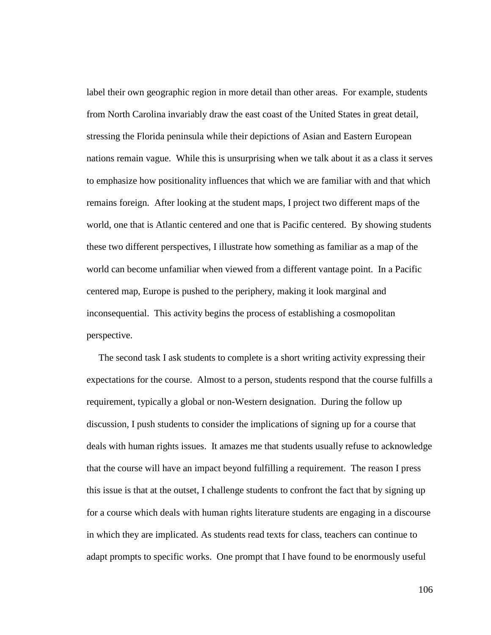label their own geographic region in more detail than other areas. For example, students from North Carolina invariably draw the east coast of the United States in great detail, stressing the Florida peninsula while their depictions of Asian and Eastern European nations remain vague. While this is unsurprising when we talk about it as a class it serves to emphasize how positionality influences that which we are familiar with and that which remains foreign. After looking at the student maps, I project two different maps of the world, one that is Atlantic centered and one that is Pacific centered. By showing students these two different perspectives, I illustrate how something as familiar as a map of the world can become unfamiliar when viewed from a different vantage point. In a Pacific centered map, Europe is pushed to the periphery, making it look marginal and inconsequential. This activity begins the process of establishing a cosmopolitan perspective.

 The second task I ask students to complete is a short writing activity expressing their expectations for the course. Almost to a person, students respond that the course fulfills a requirement, typically a global or non-Western designation. During the follow up discussion, I push students to consider the implications of signing up for a course that deals with human rights issues. It amazes me that students usually refuse to acknowledge that the course will have an impact beyond fulfilling a requirement. The reason I press this issue is that at the outset, I challenge students to confront the fact that by signing up for a course which deals with human rights literature students are engaging in a discourse in which they are implicated. As students read texts for class, teachers can continue to adapt prompts to specific works. One prompt that I have found to be enormously useful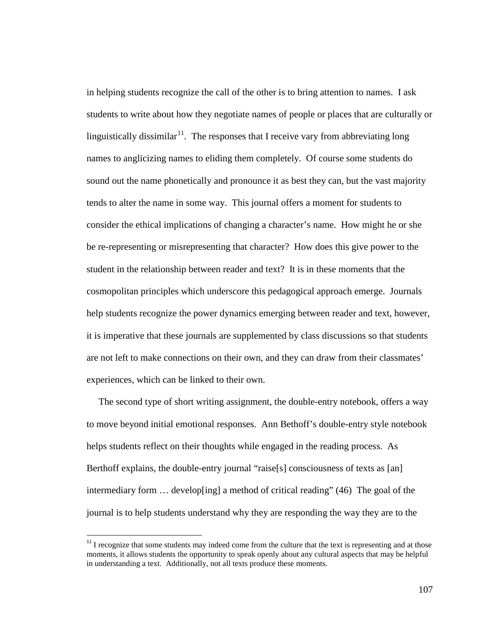in helping students recognize the call of the other is to bring attention to names. I ask students to write about how they negotiate names of people or places that are culturally or linguistically dissimilar<sup>[11](#page-112-0)</sup>. The responses that I receive vary from abbreviating long names to anglicizing names to eliding them completely. Of course some students do sound out the name phonetically and pronounce it as best they can, but the vast majority tends to alter the name in some way. This journal offers a moment for students to consider the ethical implications of changing a character's name. How might he or she be re-representing or misrepresenting that character? How does this give power to the student in the relationship between reader and text? It is in these moments that the cosmopolitan principles which underscore this pedagogical approach emerge. Journals help students recognize the power dynamics emerging between reader and text, however, it is imperative that these journals are supplemented by class discussions so that students are not left to make connections on their own, and they can draw from their classmates' experiences, which can be linked to their own.

 The second type of short writing assignment, the double-entry notebook, offers a way to move beyond initial emotional responses. Ann Bethoff's double-entry style notebook helps students reflect on their thoughts while engaged in the reading process. As Berthoff explains, the double-entry journal "raise[s] consciousness of texts as [an] intermediary form  $\ldots$  developeing a method of critical reading" (46) The goal of the journal is to help students understand why they are responding the way they are to the

<span id="page-112-0"></span><sup>&</sup>lt;sup>11</sup> I recognize that some students may indeed come from the culture that the text is representing and at those moments, it allows students the opportunity to speak openly about any cultural aspects that may be helpful in understanding a text. Additionally, not all texts produce these moments.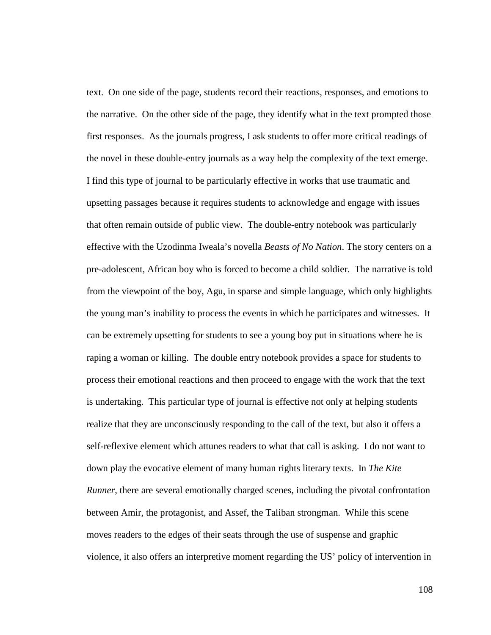text. On one side of the page, students record their reactions, responses, and emotions to the narrative. On the other side of the page, they identify what in the text prompted those first responses. As the journals progress, I ask students to offer more critical readings of the novel in these double-entry journals as a way help the complexity of the text emerge. I find this type of journal to be particularly effective in works that use traumatic and upsetting passages because it requires students to acknowledge and engage with issues that often remain outside of public view. The double-entry notebook was particularly effective with the Uzodinma Iweala's novella *Beasts of No Nation*. The story centers on a pre-adolescent, African boy who is forced to become a child soldier. The narrative is told from the viewpoint of the boy, Agu, in sparse and simple language, which only highlights the young man's inability to process the events in which he participates and witnesses. It can be extremely upsetting for students to see a young boy put in situations where he is raping a woman or killing. The double entry notebook provides a space for students to process their emotional reactions and then proceed to engage with the work that the text is undertaking. This particular type of journal is effective not only at helping students realize that they are unconsciously responding to the call of the text, but also it offers a self-reflexive element which attunes readers to what that call is asking. I do not want to down play the evocative element of many human rights literary texts. In *The Kite Runner*, there are several emotionally charged scenes, including the pivotal confrontation between Amir, the protagonist, and Assef, the Taliban strongman. While this scene moves readers to the edges of their seats through the use of suspense and graphic violence, it also offers an interpretive moment regarding the US' policy of intervention in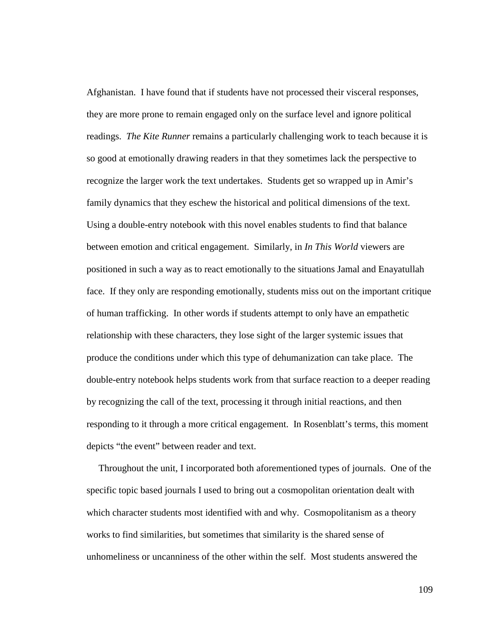Afghanistan. I have found that if students have not processed their visceral responses, they are more prone to remain engaged only on the surface level and ignore political readings. *The Kite Runner* remains a particularly challenging work to teach because it is so good at emotionally drawing readers in that they sometimes lack the perspective to recognize the larger work the text undertakes. Students get so wrapped up in Amir's family dynamics that they eschew the historical and political dimensions of the text. Using a double-entry notebook with this novel enables students to find that balance between emotion and critical engagement. Similarly, in *In This World* viewers are positioned in such a way as to react emotionally to the situations Jamal and Enayatullah face. If they only are responding emotionally, students miss out on the important critique of human trafficking. In other words if students attempt to only have an empathetic relationship with these characters, they lose sight of the larger systemic issues that produce the conditions under which this type of dehumanization can take place. The double-entry notebook helps students work from that surface reaction to a deeper reading by recognizing the call of the text, processing it through initial reactions, and then responding to it through a more critical engagement. In Rosenblatt's terms, this moment depicts "the event" between reader and text.

 Throughout the unit, I incorporated both aforementioned types of journals. One of the specific topic based journals I used to bring out a cosmopolitan orientation dealt with which character students most identified with and why. Cosmopolitanism as a theory works to find similarities, but sometimes that similarity is the shared sense of unhomeliness or uncanniness of the other within the self. Most students answered the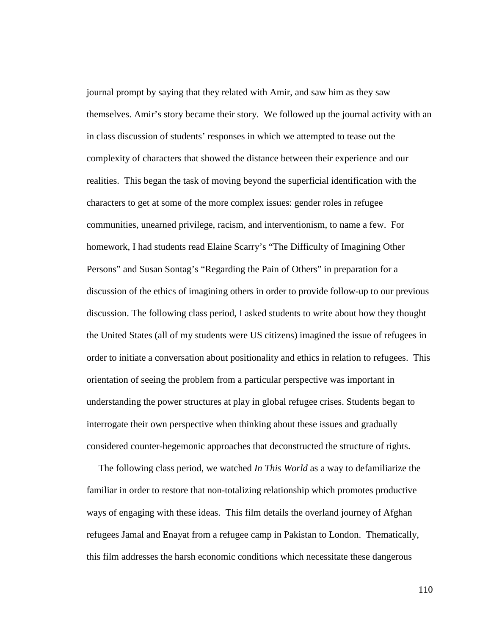journal prompt by saying that they related with Amir, and saw him as they saw themselves. Amir's story became their story. We followed up the journal activity with an in class discussion of students' responses in which we attempted to tease out the complexity of characters that showed the distance between their experience and our realities. This began the task of moving beyond the superficial identification with the characters to get at some of the more complex issues: gender roles in refugee communities, unearned privilege, racism, and interventionism, to name a few. For homework, I had students read Elaine Scarry's "The Difficulty of Imagining Other Persons" and Susan Sontag's "Regarding the Pain of Others" in preparation for a discussion of the ethics of imagining others in order to provide follow-up to our previous discussion. The following class period, I asked students to write about how they thought the United States (all of my students were US citizens) imagined the issue of refugees in order to initiate a conversation about positionality and ethics in relation to refugees. This orientation of seeing the problem from a particular perspective was important in understanding the power structures at play in global refugee crises. Students began to interrogate their own perspective when thinking about these issues and gradually considered counter-hegemonic approaches that deconstructed the structure of rights.

 The following class period, we watched *In This World* as a way to defamiliarize the familiar in order to restore that non-totalizing relationship which promotes productive ways of engaging with these ideas. This film details the overland journey of Afghan refugees Jamal and Enayat from a refugee camp in Pakistan to London. Thematically, this film addresses the harsh economic conditions which necessitate these dangerous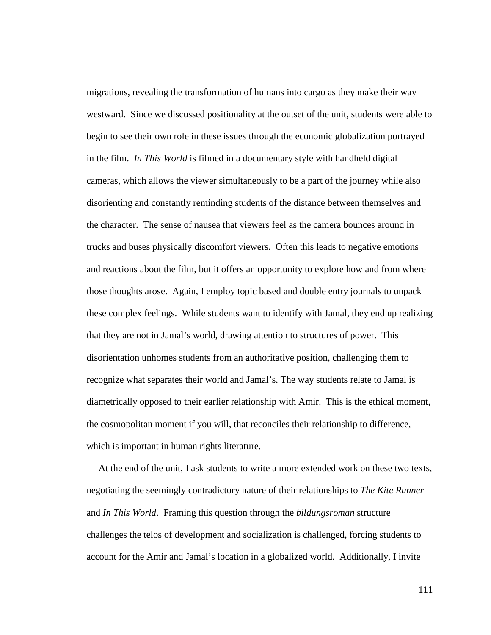migrations, revealing the transformation of humans into cargo as they make their way westward. Since we discussed positionality at the outset of the unit, students were able to begin to see their own role in these issues through the economic globalization portrayed in the film. *In This World* is filmed in a documentary style with handheld digital cameras, which allows the viewer simultaneously to be a part of the journey while also disorienting and constantly reminding students of the distance between themselves and the character. The sense of nausea that viewers feel as the camera bounces around in trucks and buses physically discomfort viewers. Often this leads to negative emotions and reactions about the film, but it offers an opportunity to explore how and from where those thoughts arose. Again, I employ topic based and double entry journals to unpack these complex feelings. While students want to identify with Jamal, they end up realizing that they are not in Jamal's world, drawing attention to structures of power. This disorientation unhomes students from an authoritative position, challenging them to recognize what separates their world and Jamal's. The way students relate to Jamal is diametrically opposed to their earlier relationship with Amir. This is the ethical moment, the cosmopolitan moment if you will, that reconciles their relationship to difference, which is important in human rights literature.

 At the end of the unit, I ask students to write a more extended work on these two texts, negotiating the seemingly contradictory nature of their relationships to *The Kite Runner* and *In This World*. Framing this question through the *bildungsroman* structure challenges the telos of development and socialization is challenged, forcing students to account for the Amir and Jamal's location in a globalized world. Additionally, I invite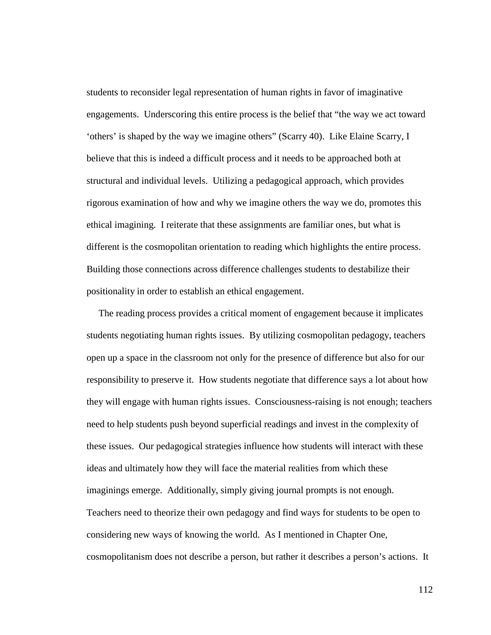students to reconsider legal representation of human rights in favor of imaginative engagements. Underscoring this entire process is the belief that "the way we act toward 'others' is shaped by the way we imagine others" (Scarry 40). Like Elaine Scarry, I believe that this is indeed a difficult process and it needs to be approached both at structural and individual levels. Utilizing a pedagogical approach, which provides rigorous examination of how and why we imagine others the way we do, promotes this ethical imagining. I reiterate that these assignments are familiar ones, but what is different is the cosmopolitan orientation to reading which highlights the entire process. Building those connections across difference challenges students to destabilize their positionality in order to establish an ethical engagement.

 The reading process provides a critical moment of engagement because it implicates students negotiating human rights issues. By utilizing cosmopolitan pedagogy, teachers open up a space in the classroom not only for the presence of difference but also for our responsibility to preserve it. How students negotiate that difference says a lot about how they will engage with human rights issues. Consciousness-raising is not enough; teachers need to help students push beyond superficial readings and invest in the complexity of these issues. Our pedagogical strategies influence how students will interact with these ideas and ultimately how they will face the material realities from which these imaginings emerge. Additionally, simply giving journal prompts is not enough. Teachers need to theorize their own pedagogy and find ways for students to be open to considering new ways of knowing the world. As I mentioned in Chapter One, cosmopolitanism does not describe a person, but rather it describes a person's actions. It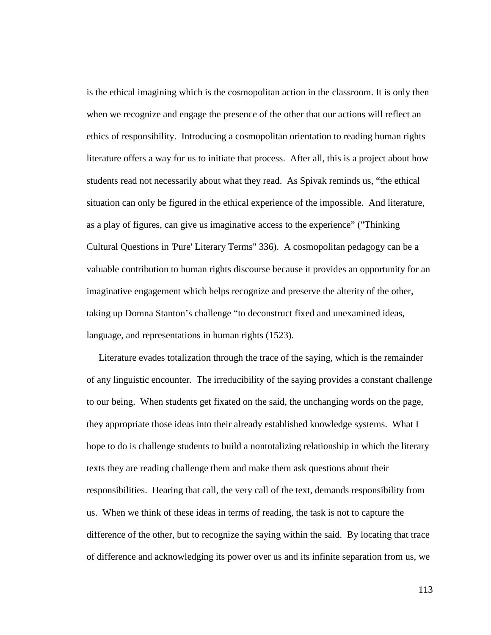is the ethical imagining which is the cosmopolitan action in the classroom. It is only then when we recognize and engage the presence of the other that our actions will reflect an ethics of responsibility. Introducing a cosmopolitan orientation to reading human rights literature offers a way for us to initiate that process. After all, this is a project about how students read not necessarily about what they read. As Spivak reminds us, "the ethical situation can only be figured in the ethical experience of the impossible. And literature, as a play of figures, can give us imaginative access to the experience" ("Thinking Cultural Questions in 'Pure' Literary Terms" 336). A cosmopolitan pedagogy can be a valuable contribution to human rights discourse because it provides an opportunity for an imaginative engagement which helps recognize and preserve the alterity of the other, taking up Domna Stanton's challenge "to deconstruct fixed and unexamined ideas, language, and representations in human rights (1523).

 Literature evades totalization through the trace of the saying, which is the remainder of any linguistic encounter. The irreducibility of the saying provides a constant challenge to our being. When students get fixated on the said, the unchanging words on the page, they appropriate those ideas into their already established knowledge systems. What I hope to do is challenge students to build a nontotalizing relationship in which the literary texts they are reading challenge them and make them ask questions about their responsibilities. Hearing that call, the very call of the text, demands responsibility from us. When we think of these ideas in terms of reading, the task is not to capture the difference of the other, but to recognize the saying within the said. By locating that trace of difference and acknowledging its power over us and its infinite separation from us, we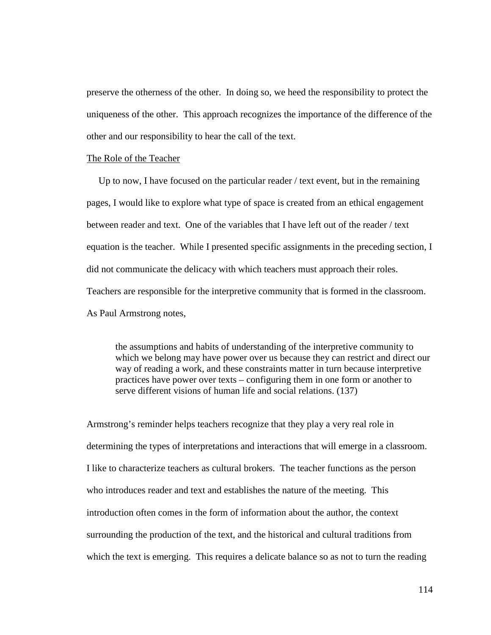preserve the otherness of the other. In doing so, we heed the responsibility to protect the uniqueness of the other. This approach recognizes the importance of the difference of the other and our responsibility to hear the call of the text.

#### The Role of the Teacher

Up to now, I have focused on the particular reader / text event, but in the remaining pages, I would like to explore what type of space is created from an ethical engagement between reader and text. One of the variables that I have left out of the reader / text equation is the teacher. While I presented specific assignments in the preceding section, I did not communicate the delicacy with which teachers must approach their roles. Teachers are responsible for the interpretive community that is formed in the classroom. As Paul Armstrong notes,

the assumptions and habits of understanding of the interpretive community to which we belong may have power over us because they can restrict and direct our way of reading a work, and these constraints matter in turn because interpretive practices have power over texts – configuring them in one form or another to serve different visions of human life and social relations. (137)

Armstrong's reminder helps teachers recognize that they play a very real role in determining the types of interpretations and interactions that will emerge in a classroom. I like to characterize teachers as cultural brokers. The teacher functions as the person who introduces reader and text and establishes the nature of the meeting. This introduction often comes in the form of information about the author, the context surrounding the production of the text, and the historical and cultural traditions from which the text is emerging. This requires a delicate balance so as not to turn the reading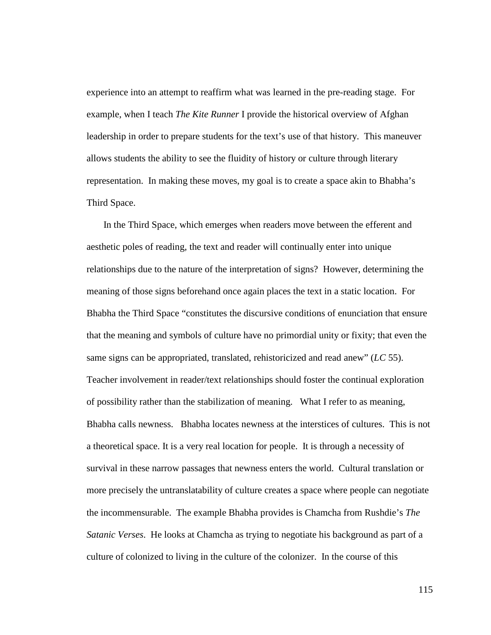experience into an attempt to reaffirm what was learned in the pre-reading stage. For example, when I teach *The Kite Runner* I provide the historical overview of Afghan leadership in order to prepare students for the text's use of that history. This maneuver allows students the ability to see the fluidity of history or culture through literary representation. In making these moves, my goal is to create a space akin to Bhabha's Third Space.

 In the Third Space, which emerges when readers move between the efferent and aesthetic poles of reading, the text and reader will continually enter into unique relationships due to the nature of the interpretation of signs? However, determining the meaning of those signs beforehand once again places the text in a static location. For Bhabha the Third Space "constitutes the discursive conditions of enunciation that ensure that the meaning and symbols of culture have no primordial unity or fixity; that even the same signs can be appropriated, translated, rehistoricized and read anew" (*LC* 55). Teacher involvement in reader/text relationships should foster the continual exploration of possibility rather than the stabilization of meaning. What I refer to as meaning, Bhabha calls newness. Bhabha locates newness at the interstices of cultures. This is not a theoretical space. It is a very real location for people. It is through a necessity of survival in these narrow passages that newness enters the world. Cultural translation or more precisely the untranslatability of culture creates a space where people can negotiate the incommensurable. The example Bhabha provides is Chamcha from Rushdie's *The Satanic Verses*. He looks at Chamcha as trying to negotiate his background as part of a culture of colonized to living in the culture of the colonizer. In the course of this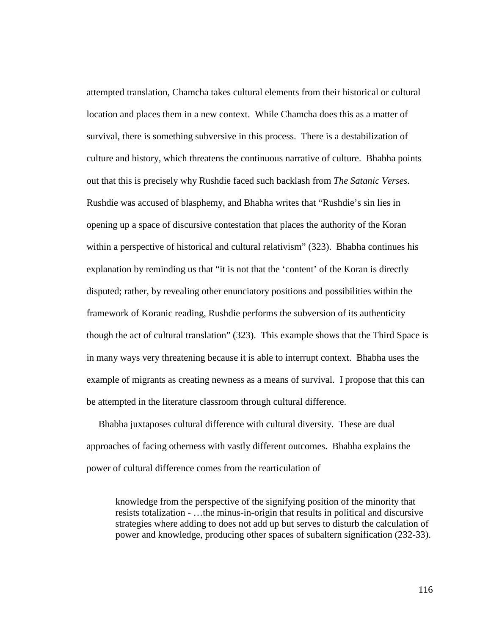attempted translation, Chamcha takes cultural elements from their historical or cultural location and places them in a new context. While Chamcha does this as a matter of survival, there is something subversive in this process. There is a destabilization of culture and history, which threatens the continuous narrative of culture. Bhabha points out that this is precisely why Rushdie faced such backlash from *The Satanic Verses*. Rushdie was accused of blasphemy, and Bhabha writes that "Rushdie's sin lies in opening up a space of discursive contestation that places the authority of the Koran within a perspective of historical and cultural relativism" (323). Bhabha continues his explanation by reminding us that "it is not that the 'content' of the Koran is directly disputed; rather, by revealing other enunciatory positions and possibilities within the framework of Koranic reading, Rushdie performs the subversion of its authenticity though the act of cultural translation" (323). This example shows that the Third Space is in many ways very threatening because it is able to interrupt context. Bhabha uses the example of migrants as creating newness as a means of survival. I propose that this can be attempted in the literature classroom through cultural difference.

 Bhabha juxtaposes cultural difference with cultural diversity. These are dual approaches of facing otherness with vastly different outcomes. Bhabha explains the power of cultural difference comes from the rearticulation of

knowledge from the perspective of the signifying position of the minority that resists totalization - …the minus-in-origin that results in political and discursive strategies where adding to does not add up but serves to disturb the calculation of power and knowledge, producing other spaces of subaltern signification (232-33).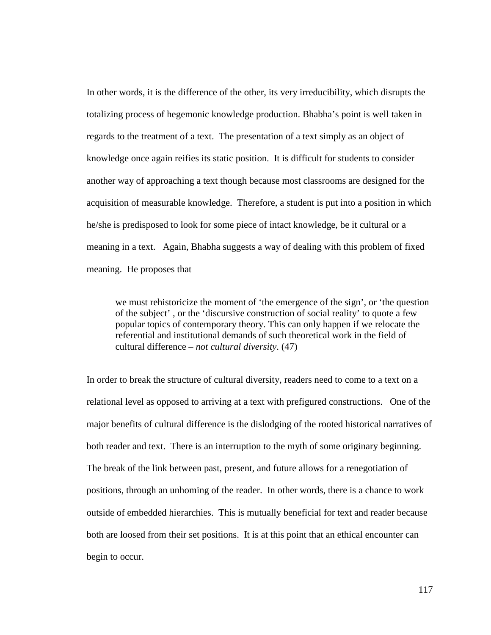In other words, it is the difference of the other, its very irreducibility, which disrupts the totalizing process of hegemonic knowledge production. Bhabha's point is well taken in regards to the treatment of a text. The presentation of a text simply as an object of knowledge once again reifies its static position. It is difficult for students to consider another way of approaching a text though because most classrooms are designed for the acquisition of measurable knowledge. Therefore, a student is put into a position in which he/she is predisposed to look for some piece of intact knowledge, be it cultural or a meaning in a text. Again, Bhabha suggests a way of dealing with this problem of fixed meaning. He proposes that

we must rehistoricize the moment of 'the emergence of the sign', or 'the question of the subject' , or the 'discursive construction of social reality' to quote a few popular topics of contemporary theory. This can only happen if we relocate the referential and institutional demands of such theoretical work in the field of cultural difference – *not cultural diversity*. (47)

In order to break the structure of cultural diversity, readers need to come to a text on a relational level as opposed to arriving at a text with prefigured constructions. One of the major benefits of cultural difference is the dislodging of the rooted historical narratives of both reader and text. There is an interruption to the myth of some originary beginning. The break of the link between past, present, and future allows for a renegotiation of positions, through an unhoming of the reader. In other words, there is a chance to work outside of embedded hierarchies. This is mutually beneficial for text and reader because both are loosed from their set positions. It is at this point that an ethical encounter can begin to occur.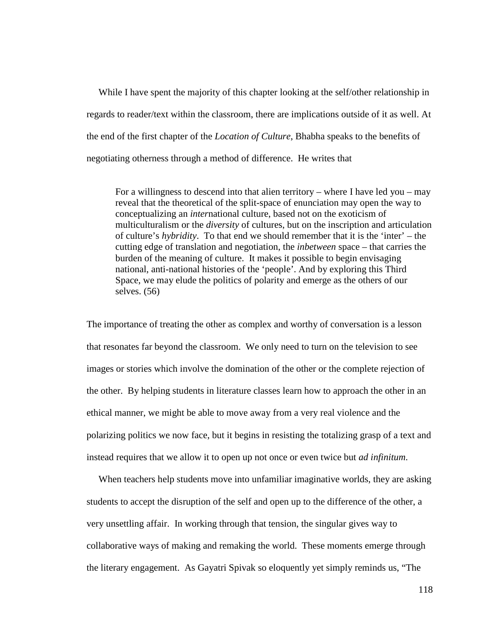While I have spent the majority of this chapter looking at the self/other relationship in regards to reader/text within the classroom, there are implications outside of it as well. At the end of the first chapter of the *Location of Culture*, Bhabha speaks to the benefits of negotiating otherness through a method of difference. He writes that

For a willingness to descend into that alien territory – where I have led you – may reveal that the theoretical of the split-space of enunciation may open the way to conceptualizing an *inter*national culture, based not on the exoticism of multiculturalism or the *diversity* of cultures, but on the inscription and articulation of culture's *hybridity*. To that end we should remember that it is the 'inter' – the cutting edge of translation and negotiation, the *inbetween* space – that carries the burden of the meaning of culture. It makes it possible to begin envisaging national, anti-national histories of the 'people'. And by exploring this Third Space, we may elude the politics of polarity and emerge as the others of our selves. (56)

The importance of treating the other as complex and worthy of conversation is a lesson that resonates far beyond the classroom. We only need to turn on the television to see images or stories which involve the domination of the other or the complete rejection of the other. By helping students in literature classes learn how to approach the other in an ethical manner, we might be able to move away from a very real violence and the polarizing politics we now face, but it begins in resisting the totalizing grasp of a text and instead requires that we allow it to open up not once or even twice but *ad infinitum*.

 When teachers help students move into unfamiliar imaginative worlds, they are asking students to accept the disruption of the self and open up to the difference of the other, a very unsettling affair. In working through that tension, the singular gives way to collaborative ways of making and remaking the world. These moments emerge through the literary engagement. As Gayatri Spivak so eloquently yet simply reminds us, "The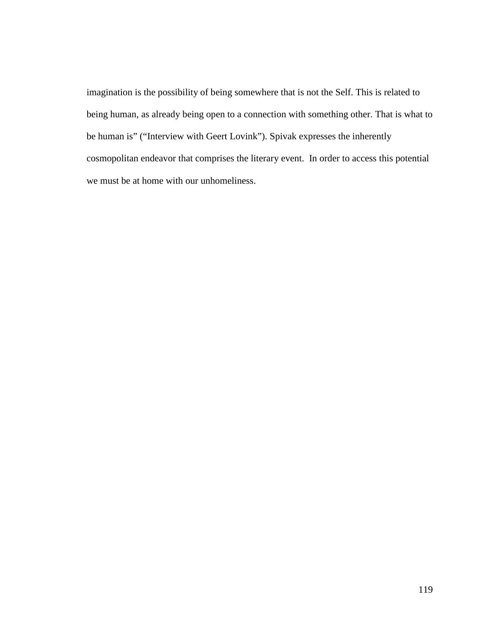imagination is the possibility of being somewhere that is not the Self. This is related to being human, as already being open to a connection with something other. That is what to be human is" ("Interview with Geert Lovink"). Spivak expresses the inherently cosmopolitan endeavor that comprises the literary event. In order to access this potential we must be at home with our unhomeliness.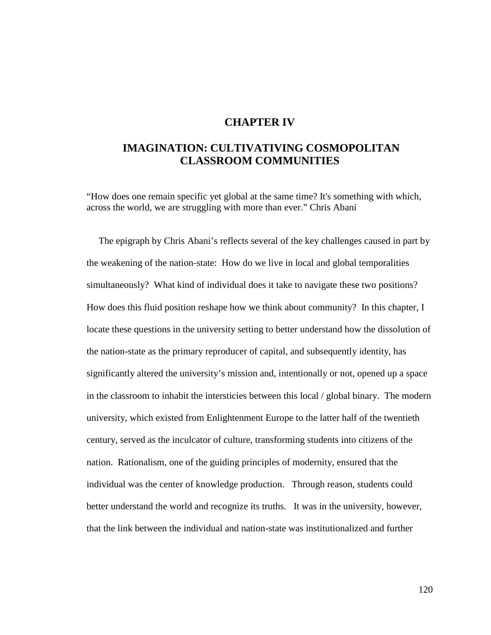## **CHAPTER IV**

# **IMAGINATION: CULTIVATIVING COSMOPOLITAN CLASSROOM COMMUNITIES**

"How does one remain specific yet global at the same time? It's something with which, across the world, we are struggling with more than ever." Chris Abani

 The epigraph by Chris Abani's reflects several of the key challenges caused in part by the weakening of the nation-state: How do we live in local and global temporalities simultaneously? What kind of individual does it take to navigate these two positions? How does this fluid position reshape how we think about community? In this chapter, I locate these questions in the university setting to better understand how the dissolution of the nation-state as the primary reproducer of capital, and subsequently identity, has significantly altered the university's mission and, intentionally or not, opened up a space in the classroom to inhabit the intersticies between this local / global binary. The modern university, which existed from Enlightenment Europe to the latter half of the twentieth century, served as the inculcator of culture, transforming students into citizens of the nation. Rationalism, one of the guiding principles of modernity, ensured that the individual was the center of knowledge production. Through reason, students could better understand the world and recognize its truths. It was in the university, however, that the link between the individual and nation-state was institutionalized and further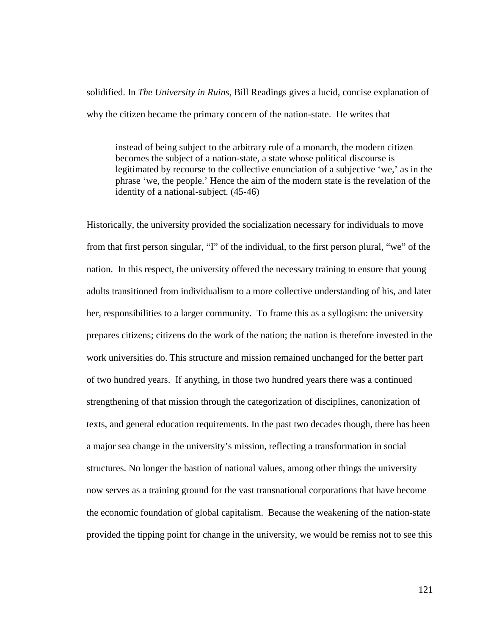solidified. In *The University in Ruins*, Bill Readings gives a lucid, concise explanation of why the citizen became the primary concern of the nation-state. He writes that

instead of being subject to the arbitrary rule of a monarch, the modern citizen becomes the subject of a nation-state, a state whose political discourse is legitimated by recourse to the collective enunciation of a subjective 'we,' as in the phrase 'we, the people.' Hence the aim of the modern state is the revelation of the identity of a national-subject. (45-46)

Historically, the university provided the socialization necessary for individuals to move from that first person singular, "I" of the individual, to the first person plural, "we" of the nation. In this respect, the university offered the necessary training to ensure that young adults transitioned from individualism to a more collective understanding of his, and later her, responsibilities to a larger community. To frame this as a syllogism: the university prepares citizens; citizens do the work of the nation; the nation is therefore invested in the work universities do. This structure and mission remained unchanged for the better part of two hundred years. If anything, in those two hundred years there was a continued strengthening of that mission through the categorization of disciplines, canonization of texts, and general education requirements. In the past two decades though, there has been a major sea change in the university's mission, reflecting a transformation in social structures. No longer the bastion of national values, among other things the university now serves as a training ground for the vast transnational corporations that have become the economic foundation of global capitalism. Because the weakening of the nation-state provided the tipping point for change in the university, we would be remiss not to see this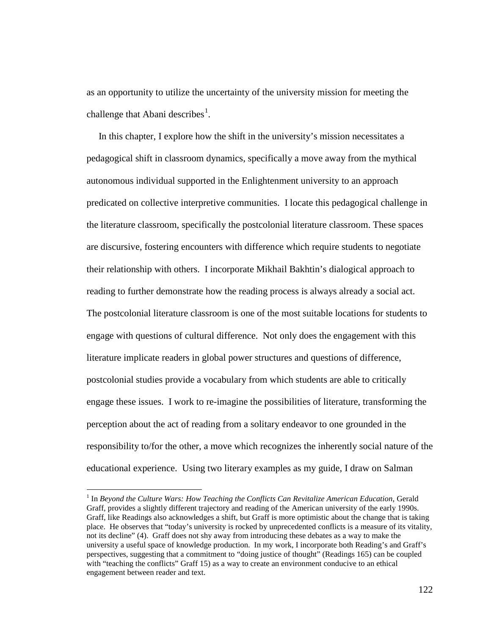as an opportunity to utilize the uncertainty of the university mission for meeting the challenge that Abani describes $<sup>1</sup>$  $<sup>1</sup>$  $<sup>1</sup>$ .</sup>

 In this chapter, I explore how the shift in the university's mission necessitates a pedagogical shift in classroom dynamics, specifically a move away from the mythical autonomous individual supported in the Enlightenment university to an approach predicated on collective interpretive communities. I locate this pedagogical challenge in the literature classroom, specifically the postcolonial literature classroom. These spaces are discursive, fostering encounters with difference which require students to negotiate their relationship with others. I incorporate Mikhail Bakhtin's dialogical approach to reading to further demonstrate how the reading process is always already a social act. The postcolonial literature classroom is one of the most suitable locations for students to engage with questions of cultural difference. Not only does the engagement with this literature implicate readers in global power structures and questions of difference, postcolonial studies provide a vocabulary from which students are able to critically engage these issues. I work to re-imagine the possibilities of literature, transforming the perception about the act of reading from a solitary endeavor to one grounded in the responsibility to/for the other, a move which recognizes the inherently social nature of the educational experience. Using two literary examples as my guide, I draw on Salman

<span id="page-127-0"></span> <sup>1</sup> In *Beyond the Culture Wars: How Teaching the Conflicts Can Revitalize American Education*, Gerald Graff, provides a slightly different trajectory and reading of the American university of the early 1990s. Graff, like Readings also acknowledges a shift, but Graff is more optimistic about the change that is taking place. He observes that "today's university is rocked by unprecedented conflicts is a measure of its vitality, not its decline" (4). Graff does not shy away from introducing these debates as a way to make the university a useful space of knowledge production. In my work, I incorporate both Reading's and Graff's perspectives, suggesting that a commitment to "doing justice of thought" (Readings 165) can be coupled with "teaching the conflicts" Graff 15) as a way to create an environment conducive to an ethical engagement between reader and text.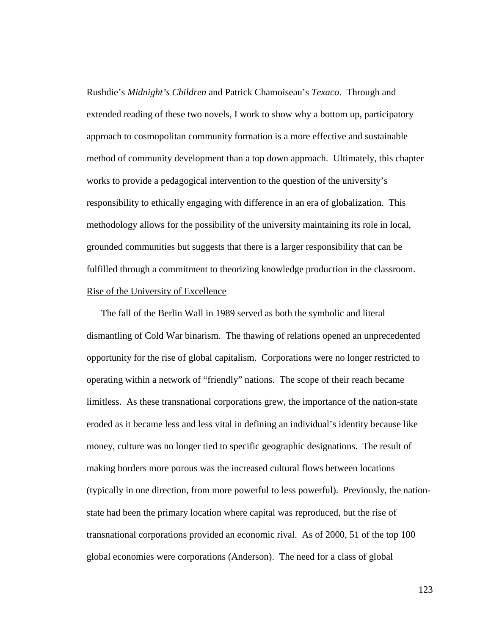Rushdie's *Midnight's Children* and Patrick Chamoiseau's *Texaco*. Through and extended reading of these two novels, I work to show why a bottom up, participatory approach to cosmopolitan community formation is a more effective and sustainable method of community development than a top down approach. Ultimately, this chapter works to provide a pedagogical intervention to the question of the university's responsibility to ethically engaging with difference in an era of globalization. This methodology allows for the possibility of the university maintaining its role in local, grounded communities but suggests that there is a larger responsibility that can be fulfilled through a commitment to theorizing knowledge production in the classroom. Rise of the University of Excellence

 The fall of the Berlin Wall in 1989 served as both the symbolic and literal dismantling of Cold War binarism. The thawing of relations opened an unprecedented opportunity for the rise of global capitalism. Corporations were no longer restricted to operating within a network of "friendly" nations. The scope of their reach became limitless. As these transnational corporations grew, the importance of the nation-state eroded as it became less and less vital in defining an individual's identity because like money, culture was no longer tied to specific geographic designations. The result of making borders more porous was the increased cultural flows between locations (typically in one direction, from more powerful to less powerful). Previously, the nationstate had been the primary location where capital was reproduced, but the rise of transnational corporations provided an economic rival. As of 2000, 51 of the top 100 global economies were corporations (Anderson). The need for a class of global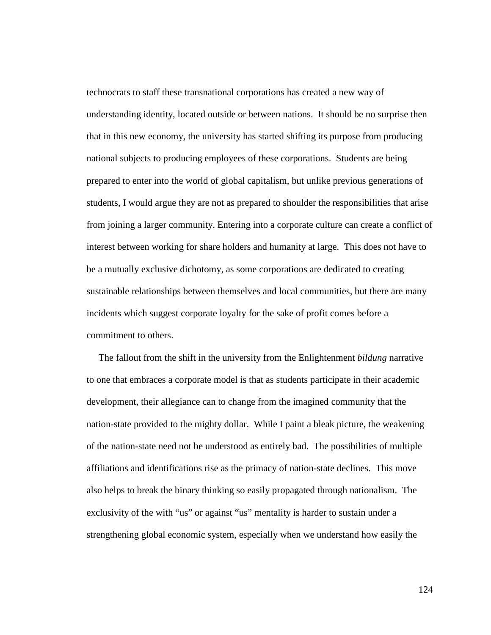technocrats to staff these transnational corporations has created a new way of understanding identity, located outside or between nations. It should be no surprise then that in this new economy, the university has started shifting its purpose from producing national subjects to producing employees of these corporations. Students are being prepared to enter into the world of global capitalism, but unlike previous generations of students, I would argue they are not as prepared to shoulder the responsibilities that arise from joining a larger community. Entering into a corporate culture can create a conflict of interest between working for share holders and humanity at large. This does not have to be a mutually exclusive dichotomy, as some corporations are dedicated to creating sustainable relationships between themselves and local communities, but there are many incidents which suggest corporate loyalty for the sake of profit comes before a commitment to others.

 The fallout from the shift in the university from the Enlightenment *bildung* narrative to one that embraces a corporate model is that as students participate in their academic development, their allegiance can to change from the imagined community that the nation-state provided to the mighty dollar. While I paint a bleak picture, the weakening of the nation-state need not be understood as entirely bad. The possibilities of multiple affiliations and identifications rise as the primacy of nation-state declines. This move also helps to break the binary thinking so easily propagated through nationalism. The exclusivity of the with "us" or against "us" mentality is harder to sustain under a strengthening global economic system, especially when we understand how easily the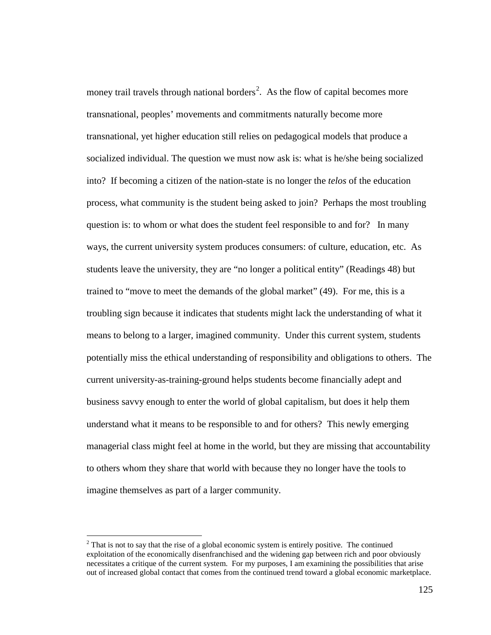money trail travels through national borders<sup>[2](#page-130-0)</sup>. As the flow of capital becomes more transnational, peoples' movements and commitments naturally become more transnational, yet higher education still relies on pedagogical models that produce a socialized individual. The question we must now ask is: what is he/she being socialized into? If becoming a citizen of the nation-state is no longer the *telos* of the education process, what community is the student being asked to join? Perhaps the most troubling question is: to whom or what does the student feel responsible to and for? In many ways, the current university system produces consumers: of culture, education, etc. As students leave the university, they are "no longer a political entity" (Readings 48) but trained to "move to meet the demands of the global market" (49). For me, this is a troubling sign because it indicates that students might lack the understanding of what it means to belong to a larger, imagined community. Under this current system, students potentially miss the ethical understanding of responsibility and obligations to others. The current university-as-training-ground helps students become financially adept and business savvy enough to enter the world of global capitalism, but does it help them understand what it means to be responsible to and for others? This newly emerging managerial class might feel at home in the world, but they are missing that accountability to others whom they share that world with because they no longer have the tools to imagine themselves as part of a larger community.

<span id="page-130-0"></span> $2$ <sup>2</sup> That is not to say that the rise of a global economic system is entirely positive. The continued exploitation of the economically disenfranchised and the widening gap between rich and poor obviously necessitates a critique of the current system. For my purposes, I am examining the possibilities that arise out of increased global contact that comes from the continued trend toward a global economic marketplace.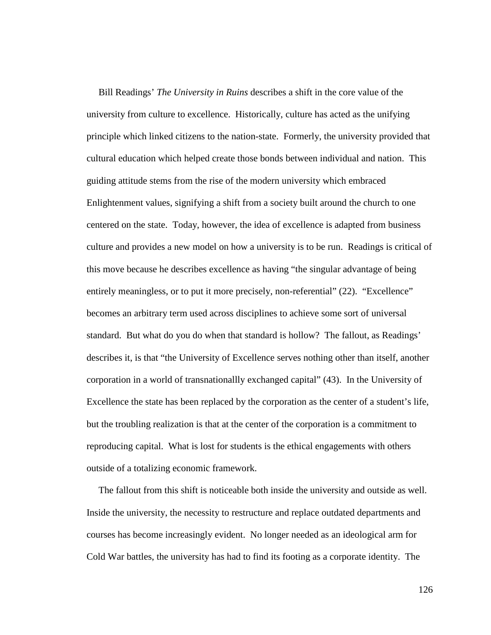Bill Readings' *The University in Ruins* describes a shift in the core value of the university from culture to excellence. Historically, culture has acted as the unifying principle which linked citizens to the nation-state. Formerly, the university provided that cultural education which helped create those bonds between individual and nation. This guiding attitude stems from the rise of the modern university which embraced Enlightenment values, signifying a shift from a society built around the church to one centered on the state. Today, however, the idea of excellence is adapted from business culture and provides a new model on how a university is to be run. Readings is critical of this move because he describes excellence as having "the singular advantage of being entirely meaningless, or to put it more precisely, non-referential" (22). "Excellence" becomes an arbitrary term used across disciplines to achieve some sort of universal standard. But what do you do when that standard is hollow? The fallout, as Readings' describes it, is that "the University of Excellence serves nothing other than itself, another corporation in a world of transnationallly exchanged capital" (43). In the University of Excellence the state has been replaced by the corporation as the center of a student's life, but the troubling realization is that at the center of the corporation is a commitment to reproducing capital. What is lost for students is the ethical engagements with others outside of a totalizing economic framework.

 The fallout from this shift is noticeable both inside the university and outside as well. Inside the university, the necessity to restructure and replace outdated departments and courses has become increasingly evident. No longer needed as an ideological arm for Cold War battles, the university has had to find its footing as a corporate identity. The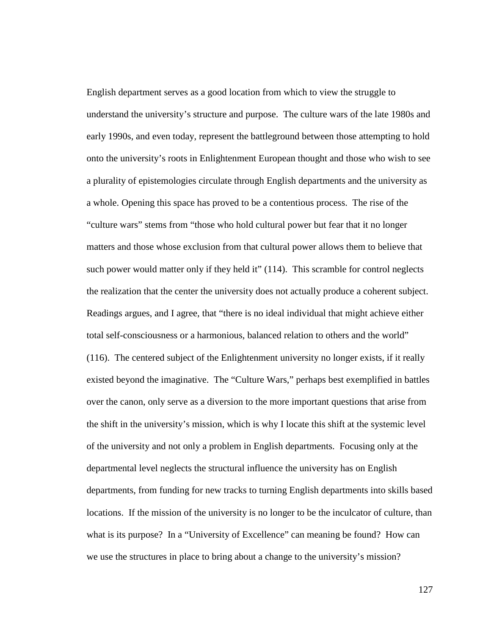English department serves as a good location from which to view the struggle to understand the university's structure and purpose. The culture wars of the late 1980s and early 1990s, and even today, represent the battleground between those attempting to hold onto the university's roots in Enlightenment European thought and those who wish to see a plurality of epistemologies circulate through English departments and the university as a whole. Opening this space has proved to be a contentious process. The rise of the "culture wars" stems from "those who hold cultural power but fear that it no longer matters and those whose exclusion from that cultural power allows them to believe that such power would matter only if they held it" (114). This scramble for control neglects the realization that the center the university does not actually produce a coherent subject. Readings argues, and I agree, that "there is no ideal individual that might achieve either total self-consciousness or a harmonious, balanced relation to others and the world" (116). The centered subject of the Enlightenment university no longer exists, if it really existed beyond the imaginative. The "Culture Wars," perhaps best exemplified in battles over the canon, only serve as a diversion to the more important questions that arise from the shift in the university's mission, which is why I locate this shift at the systemic level of the university and not only a problem in English departments. Focusing only at the departmental level neglects the structural influence the university has on English departments, from funding for new tracks to turning English departments into skills based locations. If the mission of the university is no longer to be the inculcator of culture, than what is its purpose? In a "University of Excellence" can meaning be found? How can we use the structures in place to bring about a change to the university's mission?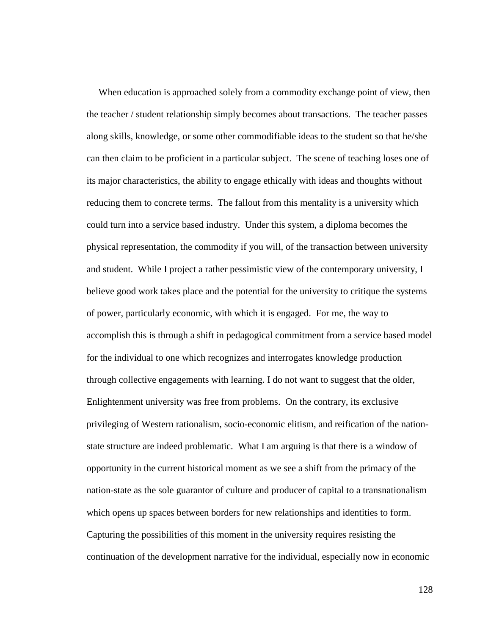When education is approached solely from a commodity exchange point of view, then the teacher / student relationship simply becomes about transactions. The teacher passes along skills, knowledge, or some other commodifiable ideas to the student so that he/she can then claim to be proficient in a particular subject. The scene of teaching loses one of its major characteristics, the ability to engage ethically with ideas and thoughts without reducing them to concrete terms. The fallout from this mentality is a university which could turn into a service based industry. Under this system, a diploma becomes the physical representation, the commodity if you will, of the transaction between university and student. While I project a rather pessimistic view of the contemporary university, I believe good work takes place and the potential for the university to critique the systems of power, particularly economic, with which it is engaged. For me, the way to accomplish this is through a shift in pedagogical commitment from a service based model for the individual to one which recognizes and interrogates knowledge production through collective engagements with learning. I do not want to suggest that the older, Enlightenment university was free from problems. On the contrary, its exclusive privileging of Western rationalism, socio-economic elitism, and reification of the nationstate structure are indeed problematic. What I am arguing is that there is a window of opportunity in the current historical moment as we see a shift from the primacy of the nation-state as the sole guarantor of culture and producer of capital to a transnationalism which opens up spaces between borders for new relationships and identities to form. Capturing the possibilities of this moment in the university requires resisting the continuation of the development narrative for the individual, especially now in economic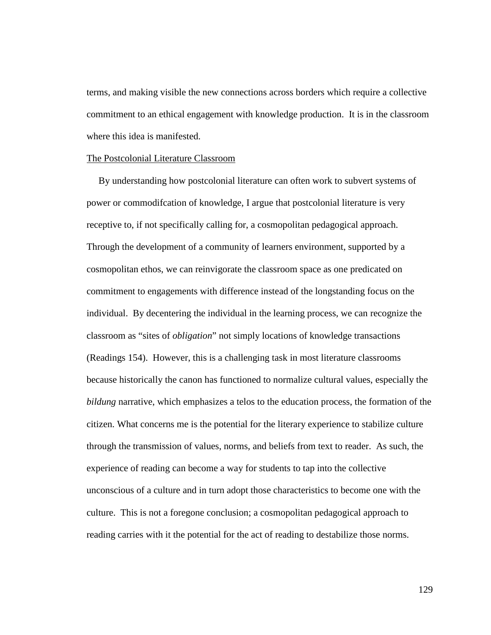terms, and making visible the new connections across borders which require a collective commitment to an ethical engagement with knowledge production. It is in the classroom where this idea is manifested.

### The Postcolonial Literature Classroom

 By understanding how postcolonial literature can often work to subvert systems of power or commodifcation of knowledge, I argue that postcolonial literature is very receptive to, if not specifically calling for, a cosmopolitan pedagogical approach. Through the development of a community of learners environment, supported by a cosmopolitan ethos, we can reinvigorate the classroom space as one predicated on commitment to engagements with difference instead of the longstanding focus on the individual. By decentering the individual in the learning process, we can recognize the classroom as "sites of *obligation*" not simply locations of knowledge transactions (Readings 154). However, this is a challenging task in most literature classrooms because historically the canon has functioned to normalize cultural values, especially the *bildung* narrative, which emphasizes a telos to the education process, the formation of the citizen. What concerns me is the potential for the literary experience to stabilize culture through the transmission of values, norms, and beliefs from text to reader. As such, the experience of reading can become a way for students to tap into the collective unconscious of a culture and in turn adopt those characteristics to become one with the culture. This is not a foregone conclusion; a cosmopolitan pedagogical approach to reading carries with it the potential for the act of reading to destabilize those norms.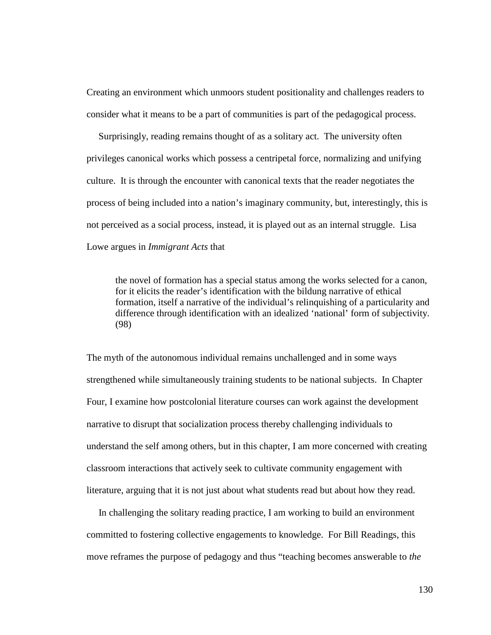Creating an environment which unmoors student positionality and challenges readers to consider what it means to be a part of communities is part of the pedagogical process.

 Surprisingly, reading remains thought of as a solitary act. The university often privileges canonical works which possess a centripetal force, normalizing and unifying culture. It is through the encounter with canonical texts that the reader negotiates the process of being included into a nation's imaginary community, but, interestingly, this is not perceived as a social process, instead, it is played out as an internal struggle. Lisa Lowe argues in *Immigrant Acts* that

the novel of formation has a special status among the works selected for a canon, for it elicits the reader's identification with the bildung narrative of ethical formation, itself a narrative of the individual's relinquishing of a particularity and difference through identification with an idealized 'national' form of subjectivity. (98)

The myth of the autonomous individual remains unchallenged and in some ways strengthened while simultaneously training students to be national subjects. In Chapter Four, I examine how postcolonial literature courses can work against the development narrative to disrupt that socialization process thereby challenging individuals to understand the self among others, but in this chapter, I am more concerned with creating classroom interactions that actively seek to cultivate community engagement with literature, arguing that it is not just about what students read but about how they read.

 In challenging the solitary reading practice, I am working to build an environment committed to fostering collective engagements to knowledge. For Bill Readings, this move reframes the purpose of pedagogy and thus "teaching becomes answerable to *the*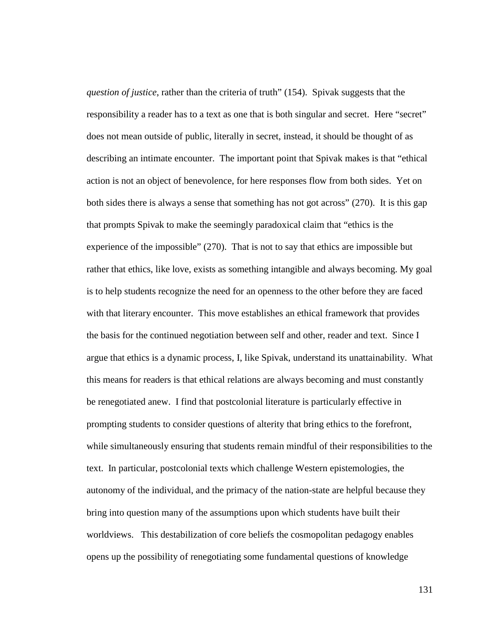*question of justice*, rather than the criteria of truth" (154). Spivak suggests that the responsibility a reader has to a text as one that is both singular and secret. Here "secret" does not mean outside of public, literally in secret, instead, it should be thought of as describing an intimate encounter. The important point that Spivak makes is that "ethical action is not an object of benevolence, for here responses flow from both sides. Yet on both sides there is always a sense that something has not got across" (270). It is this gap that prompts Spivak to make the seemingly paradoxical claim that "ethics is the experience of the impossible" (270). That is not to say that ethics are impossible but rather that ethics, like love, exists as something intangible and always becoming. My goal is to help students recognize the need for an openness to the other before they are faced with that literary encounter. This move establishes an ethical framework that provides the basis for the continued negotiation between self and other, reader and text. Since I argue that ethics is a dynamic process, I, like Spivak, understand its unattainability. What this means for readers is that ethical relations are always becoming and must constantly be renegotiated anew. I find that postcolonial literature is particularly effective in prompting students to consider questions of alterity that bring ethics to the forefront, while simultaneously ensuring that students remain mindful of their responsibilities to the text. In particular, postcolonial texts which challenge Western epistemologies, the autonomy of the individual, and the primacy of the nation-state are helpful because they bring into question many of the assumptions upon which students have built their worldviews. This destabilization of core beliefs the cosmopolitan pedagogy enables opens up the possibility of renegotiating some fundamental questions of knowledge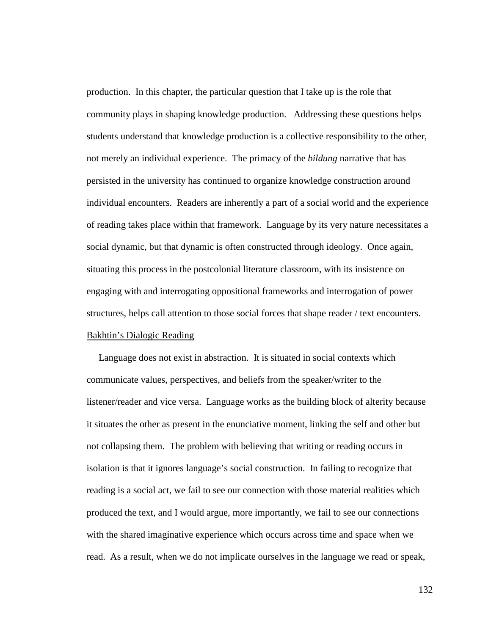production. In this chapter, the particular question that I take up is the role that community plays in shaping knowledge production. Addressing these questions helps students understand that knowledge production is a collective responsibility to the other, not merely an individual experience. The primacy of the *bildung* narrative that has persisted in the university has continued to organize knowledge construction around individual encounters. Readers are inherently a part of a social world and the experience of reading takes place within that framework. Language by its very nature necessitates a social dynamic, but that dynamic is often constructed through ideology. Once again, situating this process in the postcolonial literature classroom, with its insistence on engaging with and interrogating oppositional frameworks and interrogation of power structures, helps call attention to those social forces that shape reader / text encounters. Bakhtin's Dialogic Reading

 Language does not exist in abstraction. It is situated in social contexts which communicate values, perspectives, and beliefs from the speaker/writer to the listener/reader and vice versa. Language works as the building block of alterity because it situates the other as present in the enunciative moment, linking the self and other but not collapsing them. The problem with believing that writing or reading occurs in isolation is that it ignores language's social construction. In failing to recognize that reading is a social act, we fail to see our connection with those material realities which produced the text, and I would argue, more importantly, we fail to see our connections with the shared imaginative experience which occurs across time and space when we read. As a result, when we do not implicate ourselves in the language we read or speak,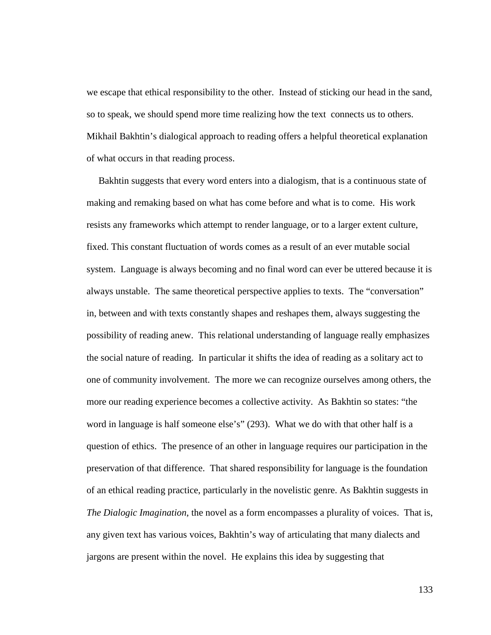we escape that ethical responsibility to the other. Instead of sticking our head in the sand, so to speak, we should spend more time realizing how the text connects us to others. Mikhail Bakhtin's dialogical approach to reading offers a helpful theoretical explanation of what occurs in that reading process.

 Bakhtin suggests that every word enters into a dialogism, that is a continuous state of making and remaking based on what has come before and what is to come. His work resists any frameworks which attempt to render language, or to a larger extent culture, fixed. This constant fluctuation of words comes as a result of an ever mutable social system. Language is always becoming and no final word can ever be uttered because it is always unstable. The same theoretical perspective applies to texts. The "conversation" in, between and with texts constantly shapes and reshapes them, always suggesting the possibility of reading anew. This relational understanding of language really emphasizes the social nature of reading. In particular it shifts the idea of reading as a solitary act to one of community involvement. The more we can recognize ourselves among others, the more our reading experience becomes a collective activity. As Bakhtin so states: "the word in language is half someone else's" (293). What we do with that other half is a question of ethics. The presence of an other in language requires our participation in the preservation of that difference. That shared responsibility for language is the foundation of an ethical reading practice, particularly in the novelistic genre. As Bakhtin suggests in *The Dialogic Imagination*, the novel as a form encompasses a plurality of voices. That is, any given text has various voices, Bakhtin's way of articulating that many dialects and jargons are present within the novel. He explains this idea by suggesting that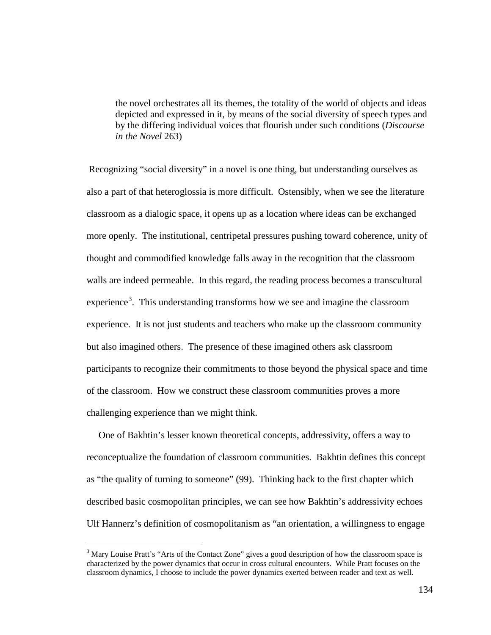the novel orchestrates all its themes, the totality of the world of objects and ideas depicted and expressed in it, by means of the social diversity of speech types and by the differing individual voices that flourish under such conditions (*Discourse in the Novel* 263)

Recognizing "social diversity" in a novel is one thing, but understanding ourselves as also a part of that heteroglossia is more difficult. Ostensibly, when we see the literature classroom as a dialogic space, it opens up as a location where ideas can be exchanged more openly. The institutional, centripetal pressures pushing toward coherence, unity of thought and commodified knowledge falls away in the recognition that the classroom walls are indeed permeable. In this regard, the reading process becomes a transcultural experience<sup>[3](#page-139-0)</sup>. This understanding transforms how we see and imagine the classroom experience. It is not just students and teachers who make up the classroom community but also imagined others. The presence of these imagined others ask classroom participants to recognize their commitments to those beyond the physical space and time of the classroom. How we construct these classroom communities proves a more challenging experience than we might think.

 One of Bakhtin's lesser known theoretical concepts, addressivity, offers a way to reconceptualize the foundation of classroom communities. Bakhtin defines this concept as "the quality of turning to someone" (99). Thinking back to the first chapter which described basic cosmopolitan principles, we can see how Bakhtin's addressivity echoes Ulf Hannerz's definition of cosmopolitanism as "an orientation, a willingness to engage

<span id="page-139-0"></span> $3$  Mary Louise Pratt's "Arts of the Contact Zone" gives a good description of how the classroom space is characterized by the power dynamics that occur in cross cultural encounters. While Pratt focuses on the classroom dynamics, I choose to include the power dynamics exerted between reader and text as well.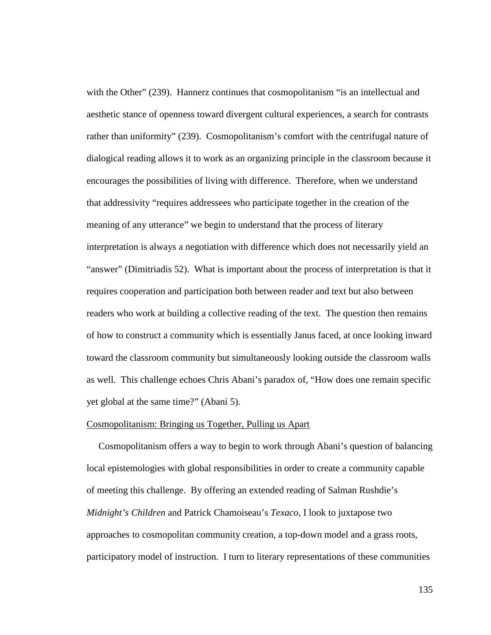with the Other" (239). Hannerz continues that cosmopolitanism "is an intellectual and aesthetic stance of openness toward divergent cultural experiences, a search for contrasts rather than uniformity" (239). Cosmopolitanism's comfort with the centrifugal nature of dialogical reading allows it to work as an organizing principle in the classroom because it encourages the possibilities of living with difference. Therefore, when we understand that addressivity "requires addressees who participate together in the creation of the meaning of any utterance" we begin to understand that the process of literary interpretation is always a negotiation with difference which does not necessarily yield an "answer" (Dimitriadis 52). What is important about the process of interpretation is that it requires cooperation and participation both between reader and text but also between readers who work at building a collective reading of the text. The question then remains of how to construct a community which is essentially Janus faced, at once looking inward toward the classroom community but simultaneously looking outside the classroom walls as well. This challenge echoes Chris Abani's paradox of, "How does one remain specific yet global at the same time?" (Abani 5).

### Cosmopolitanism: Bringing us Together, Pulling us Apart

 Cosmopolitanism offers a way to begin to work through Abani's question of balancing local epistemologies with global responsibilities in order to create a community capable of meeting this challenge. By offering an extended reading of Salman Rushdie's *Midnight's Children* and Patrick Chamoiseau's *Texaco*, I look to juxtapose two approaches to cosmopolitan community creation, a top-down model and a grass roots, participatory model of instruction. I turn to literary representations of these communities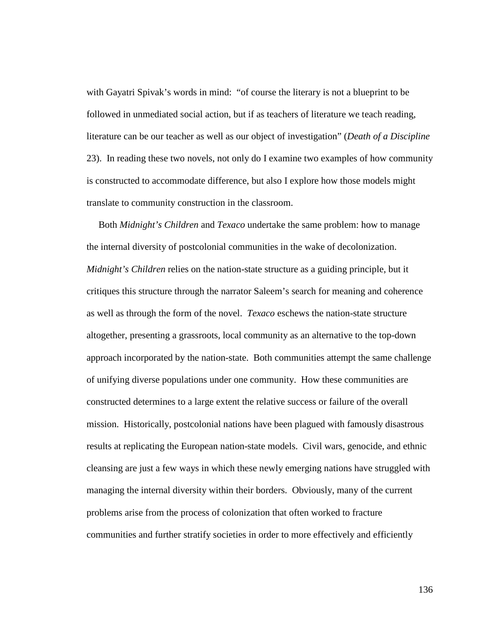with Gayatri Spivak's words in mind: "of course the literary is not a blueprint to be followed in unmediated social action, but if as teachers of literature we teach reading, literature can be our teacher as well as our object of investigation" (*Death of a Discipline* 23). In reading these two novels, not only do I examine two examples of how community is constructed to accommodate difference, but also I explore how those models might translate to community construction in the classroom.

 Both *Midnight's Children* and *Texaco* undertake the same problem: how to manage the internal diversity of postcolonial communities in the wake of decolonization. *Midnight's Children* relies on the nation-state structure as a guiding principle, but it critiques this structure through the narrator Saleem's search for meaning and coherence as well as through the form of the novel. *Texaco* eschews the nation-state structure altogether, presenting a grassroots, local community as an alternative to the top-down approach incorporated by the nation-state. Both communities attempt the same challenge of unifying diverse populations under one community. How these communities are constructed determines to a large extent the relative success or failure of the overall mission. Historically, postcolonial nations have been plagued with famously disastrous results at replicating the European nation-state models. Civil wars, genocide, and ethnic cleansing are just a few ways in which these newly emerging nations have struggled with managing the internal diversity within their borders. Obviously, many of the current problems arise from the process of colonization that often worked to fracture communities and further stratify societies in order to more effectively and efficiently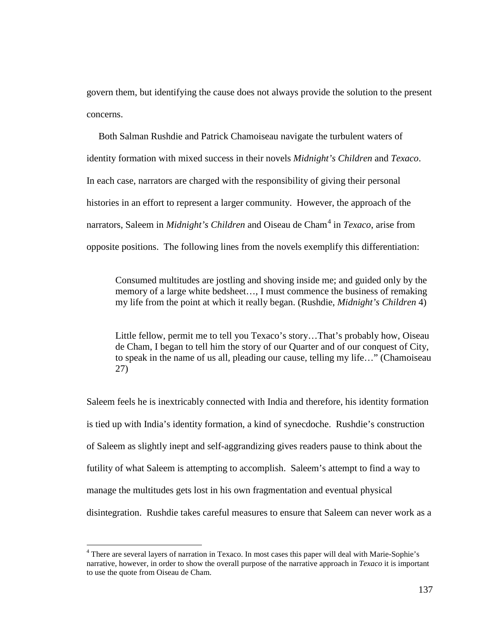govern them, but identifying the cause does not always provide the solution to the present concerns.

 Both Salman Rushdie and Patrick Chamoiseau navigate the turbulent waters of identity formation with mixed success in their novels *Midnight's Children* and *Texaco*. In each case, narrators are charged with the responsibility of giving their personal histories in an effort to represent a larger community. However, the approach of the narrators, Saleem in *Midnight's Children* and Oiseau de Cham<sup>[4](#page-142-0)</sup> in *Texaco*, arise from opposite positions. The following lines from the novels exemplify this differentiation:

Consumed multitudes are jostling and shoving inside me; and guided only by the memory of a large white bedsheet…, I must commence the business of remaking my life from the point at which it really began. (Rushdie, *Midnight's Children* 4)

Little fellow, permit me to tell you Texaco's story…That's probably how, Oiseau de Cham, I began to tell him the story of our Quarter and of our conquest of City, to speak in the name of us all, pleading our cause, telling my life…" (Chamoiseau 27)

Saleem feels he is inextricably connected with India and therefore, his identity formation is tied up with India's identity formation, a kind of synecdoche. Rushdie's construction of Saleem as slightly inept and self-aggrandizing gives readers pause to think about the futility of what Saleem is attempting to accomplish. Saleem's attempt to find a way to manage the multitudes gets lost in his own fragmentation and eventual physical disintegration. Rushdie takes careful measures to ensure that Saleem can never work as a

<span id="page-142-0"></span><sup>&</sup>lt;sup>4</sup> There are several layers of narration in Texaco. In most cases this paper will deal with Marie-Sophie's narrative, however, in order to show the overall purpose of the narrative approach in *Texaco* it is important to use the quote from Oiseau de Cham.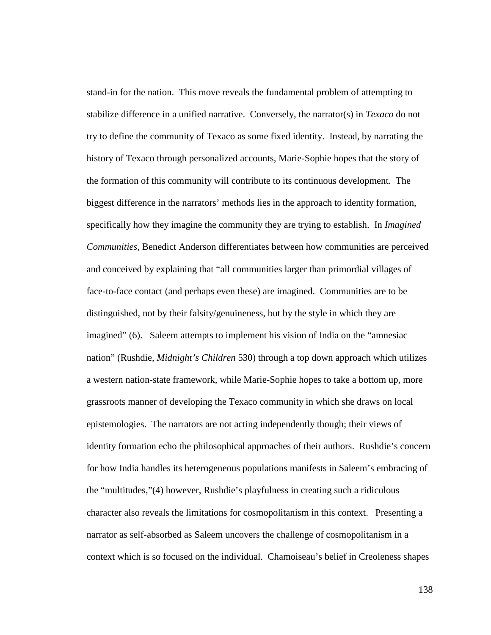stand-in for the nation. This move reveals the fundamental problem of attempting to stabilize difference in a unified narrative. Conversely, the narrator(s) in *Texaco* do not try to define the community of Texaco as some fixed identity. Instead, by narrating the history of Texaco through personalized accounts, Marie-Sophie hopes that the story of the formation of this community will contribute to its continuous development. The biggest difference in the narrators' methods lies in the approach to identity formation, specifically how they imagine the community they are trying to establish. In *Imagined Communities*, Benedict Anderson differentiates between how communities are perceived and conceived by explaining that "all communities larger than primordial villages of face-to-face contact (and perhaps even these) are imagined. Communities are to be distinguished, not by their falsity/genuineness, but by the style in which they are imagined" (6). Saleem attempts to implement his vision of India on the "amnesiac nation" (Rushdie, *Midnight's Children* 530) through a top down approach which utilizes a western nation-state framework, while Marie-Sophie hopes to take a bottom up, more grassroots manner of developing the Texaco community in which she draws on local epistemologies. The narrators are not acting independently though; their views of identity formation echo the philosophical approaches of their authors. Rushdie's concern for how India handles its heterogeneous populations manifests in Saleem's embracing of the "multitudes,"(4) however, Rushdie's playfulness in creating such a ridiculous character also reveals the limitations for cosmopolitanism in this context. Presenting a narrator as self-absorbed as Saleem uncovers the challenge of cosmopolitanism in a context which is so focused on the individual. Chamoiseau's belief in Creoleness shapes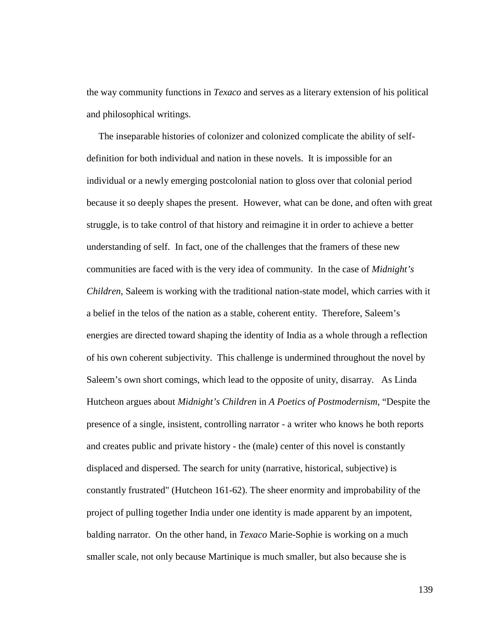the way community functions in *Texaco* and serves as a literary extension of his political and philosophical writings.

 The inseparable histories of colonizer and colonized complicate the ability of selfdefinition for both individual and nation in these novels. It is impossible for an individual or a newly emerging postcolonial nation to gloss over that colonial period because it so deeply shapes the present. However, what can be done, and often with great struggle, is to take control of that history and reimagine it in order to achieve a better understanding of self. In fact, one of the challenges that the framers of these new communities are faced with is the very idea of community. In the case of *Midnight's Children*, Saleem is working with the traditional nation-state model, which carries with it a belief in the telos of the nation as a stable, coherent entity. Therefore, Saleem's energies are directed toward shaping the identity of India as a whole through a reflection of his own coherent subjectivity. This challenge is undermined throughout the novel by Saleem's own short comings, which lead to the opposite of unity, disarray. As Linda Hutcheon argues about *Midnight's Children* in *A Poetics of Postmodernism*, "Despite the presence of a single, insistent, controlling narrator - a writer who knows he both reports and creates public and private history - the (male) center of this novel is constantly displaced and dispersed. The search for unity (narrative, historical, subjective) is constantly frustrated" (Hutcheon 161-62). The sheer enormity and improbability of the project of pulling together India under one identity is made apparent by an impotent, balding narrator. On the other hand, in *Texaco* Marie-Sophie is working on a much smaller scale, not only because Martinique is much smaller, but also because she is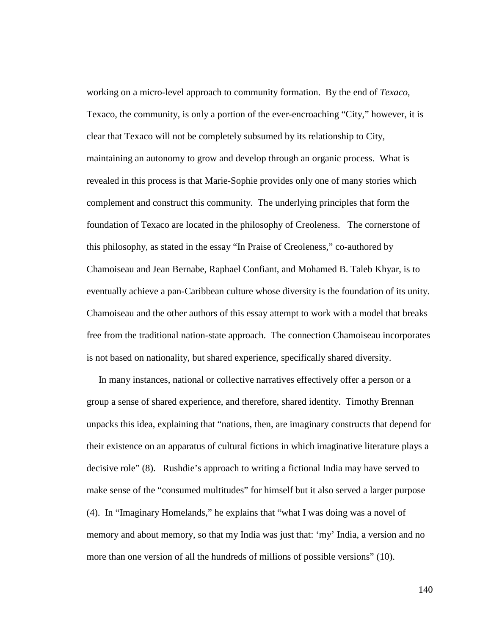working on a micro-level approach to community formation. By the end of *Texaco*, Texaco, the community, is only a portion of the ever-encroaching "City," however, it is clear that Texaco will not be completely subsumed by its relationship to City, maintaining an autonomy to grow and develop through an organic process. What is revealed in this process is that Marie-Sophie provides only one of many stories which complement and construct this community. The underlying principles that form the foundation of Texaco are located in the philosophy of Creoleness. The cornerstone of this philosophy, as stated in the essay "In Praise of Creoleness," co-authored by Chamoiseau and Jean Bernabe, Raphael Confiant, and Mohamed B. Taleb Khyar, is to eventually achieve a pan-Caribbean culture whose diversity is the foundation of its unity. Chamoiseau and the other authors of this essay attempt to work with a model that breaks free from the traditional nation-state approach. The connection Chamoiseau incorporates is not based on nationality, but shared experience, specifically shared diversity.

 In many instances, national or collective narratives effectively offer a person or a group a sense of shared experience, and therefore, shared identity. Timothy Brennan unpacks this idea, explaining that "nations, then, are imaginary constructs that depend for their existence on an apparatus of cultural fictions in which imaginative literature plays a decisive role" (8). Rushdie's approach to writing a fictional India may have served to make sense of the "consumed multitudes" for himself but it also served a larger purpose (4). In "Imaginary Homelands," he explains that "what I was doing was a novel of memory and about memory, so that my India was just that: 'my' India, a version and no more than one version of all the hundreds of millions of possible versions" (10).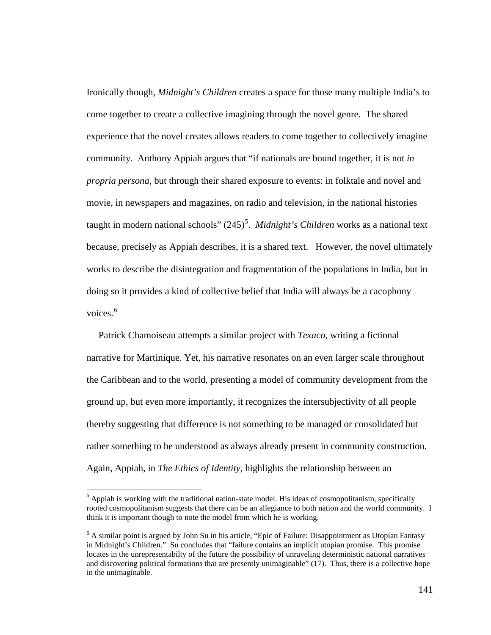Ironically though, *Midnight's Children* creates a space for those many multiple India's to come together to create a collective imagining through the novel genre. The shared experience that the novel creates allows readers to come together to collectively imagine community. Anthony Appiah argues that "if nationals are bound together, it is not *in propria persona*, but through their shared exposure to events: in folktale and novel and movie, in newspapers and magazines, on radio and television, in the national histories taught in modern national schools" (24[5](#page-146-0))<sup>5</sup>. *Midnight's Children* works as a national text because, precisely as Appiah describes, it is a shared text. However, the novel ultimately works to describe the disintegration and fragmentation of the populations in India, but in doing so it provides a kind of collective belief that India will always be a cacophony voices. [6](#page-146-1)

 Patrick Chamoiseau attempts a similar project with *Texaco*, writing a fictional narrative for Martinique. Yet, his narrative resonates on an even larger scale throughout the Caribbean and to the world, presenting a model of community development from the ground up, but even more importantly, it recognizes the intersubjectivity of all people thereby suggesting that difference is not something to be managed or consolidated but rather something to be understood as always already present in community construction. Again, Appiah, in *The Ethics of Identity*, highlights the relationship between an

<span id="page-146-0"></span><sup>&</sup>lt;sup>5</sup> Appiah is working with the traditional nation-state model. His ideas of cosmopolitanism, specifically rooted cosmopolitanism suggests that there can be an allegiance to both nation and the world community. I think it is important though to note the model from which he is working.

<span id="page-146-1"></span><sup>&</sup>lt;sup>6</sup> A similar point is argued by John Su in his article, "Epic of Failure: Disappointment as Utopian Fantasy in Midnight's Children." Su concludes that "failure contains an implicit utopian promise. This promise locates in the unrepresentabilty of the future the possibility of unraveling deterministic national narratives and discovering political formations that are presently unimaginable" (17). Thus, there is a collective hope in the unimaginable.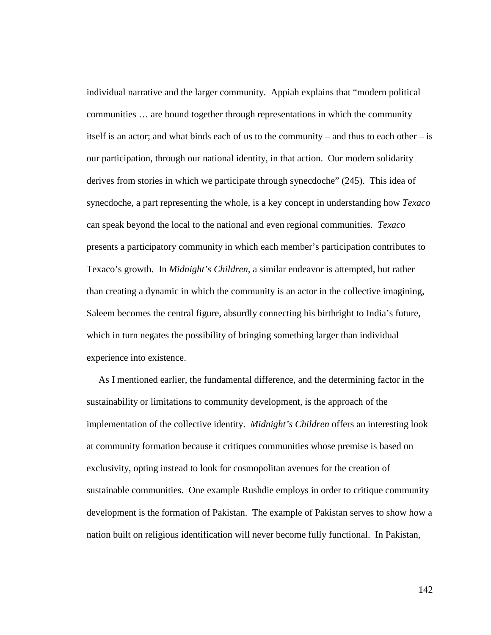individual narrative and the larger community. Appiah explains that "modern political communities … are bound together through representations in which the community itself is an actor; and what binds each of us to the community – and thus to each other – is our participation, through our national identity, in that action. Our modern solidarity derives from stories in which we participate through synecdoche" (245). This idea of synecdoche, a part representing the whole, is a key concept in understanding how *Texaco*  can speak beyond the local to the national and even regional communities. *Texaco* presents a participatory community in which each member's participation contributes to Texaco's growth. In *Midnight's Children*, a similar endeavor is attempted, but rather than creating a dynamic in which the community is an actor in the collective imagining, Saleem becomes the central figure, absurdly connecting his birthright to India's future, which in turn negates the possibility of bringing something larger than individual experience into existence.

 As I mentioned earlier, the fundamental difference, and the determining factor in the sustainability or limitations to community development, is the approach of the implementation of the collective identity. *Midnight's Children* offers an interesting look at community formation because it critiques communities whose premise is based on exclusivity, opting instead to look for cosmopolitan avenues for the creation of sustainable communities. One example Rushdie employs in order to critique community development is the formation of Pakistan. The example of Pakistan serves to show how a nation built on religious identification will never become fully functional. In Pakistan,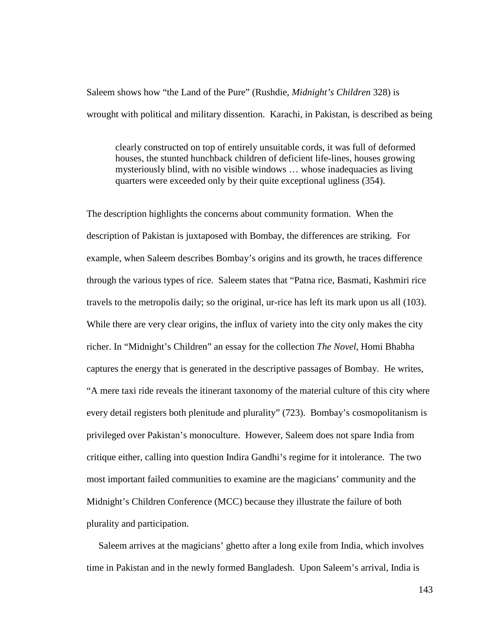Saleem shows how "the Land of the Pure" (Rushdie, *Midnight's Children* 328) is wrought with political and military dissention. Karachi, in Pakistan, is described as being

clearly constructed on top of entirely unsuitable cords, it was full of deformed houses, the stunted hunchback children of deficient life-lines, houses growing mysteriously blind, with no visible windows … whose inadequacies as living quarters were exceeded only by their quite exceptional ugliness (354).

The description highlights the concerns about community formation. When the description of Pakistan is juxtaposed with Bombay, the differences are striking. For example, when Saleem describes Bombay's origins and its growth, he traces difference through the various types of rice. Saleem states that "Patna rice, Basmati, Kashmiri rice travels to the metropolis daily; so the original, ur-rice has left its mark upon us all (103). While there are very clear origins, the influx of variety into the city only makes the city richer. In "Midnight's Children" an essay for the collection *The Novel*, Homi Bhabha captures the energy that is generated in the descriptive passages of Bombay. He writes, "A mere taxi ride reveals the itinerant taxonomy of the material culture of this city where every detail registers both plenitude and plurality" (723). Bombay's cosmopolitanism is privileged over Pakistan's monoculture. However, Saleem does not spare India from critique either, calling into question Indira Gandhi's regime for it intolerance. The two most important failed communities to examine are the magicians' community and the Midnight's Children Conference (MCC) because they illustrate the failure of both plurality and participation.

Saleem arrives at the magicians' ghetto after a long exile from India, which involves time in Pakistan and in the newly formed Bangladesh. Upon Saleem's arrival, India is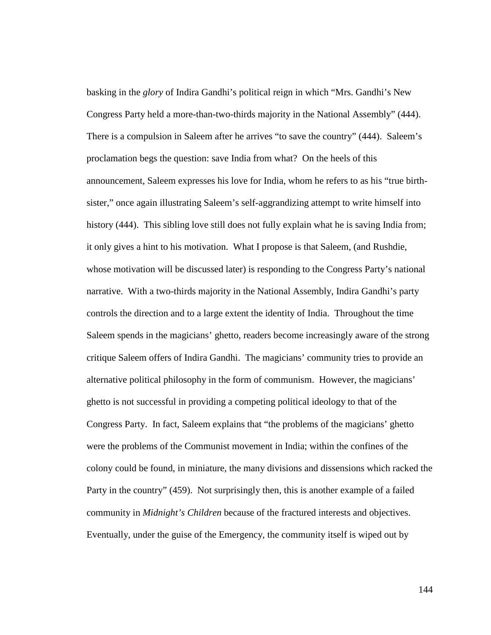basking in the *glory* of Indira Gandhi's political reign in which "Mrs. Gandhi's New Congress Party held a more-than-two-thirds majority in the National Assembly" (444). There is a compulsion in Saleem after he arrives "to save the country" (444). Saleem's proclamation begs the question: save India from what? On the heels of this announcement, Saleem expresses his love for India, whom he refers to as his "true birthsister," once again illustrating Saleem's self-aggrandizing attempt to write himself into history (444). This sibling love still does not fully explain what he is saving India from; it only gives a hint to his motivation. What I propose is that Saleem, (and Rushdie, whose motivation will be discussed later) is responding to the Congress Party's national narrative. With a two-thirds majority in the National Assembly, Indira Gandhi's party controls the direction and to a large extent the identity of India. Throughout the time Saleem spends in the magicians' ghetto, readers become increasingly aware of the strong critique Saleem offers of Indira Gandhi. The magicians' community tries to provide an alternative political philosophy in the form of communism. However, the magicians' ghetto is not successful in providing a competing political ideology to that of the Congress Party. In fact, Saleem explains that "the problems of the magicians' ghetto were the problems of the Communist movement in India; within the confines of the colony could be found, in miniature, the many divisions and dissensions which racked the Party in the country" (459). Not surprisingly then, this is another example of a failed community in *Midnight's Children* because of the fractured interests and objectives. Eventually, under the guise of the Emergency, the community itself is wiped out by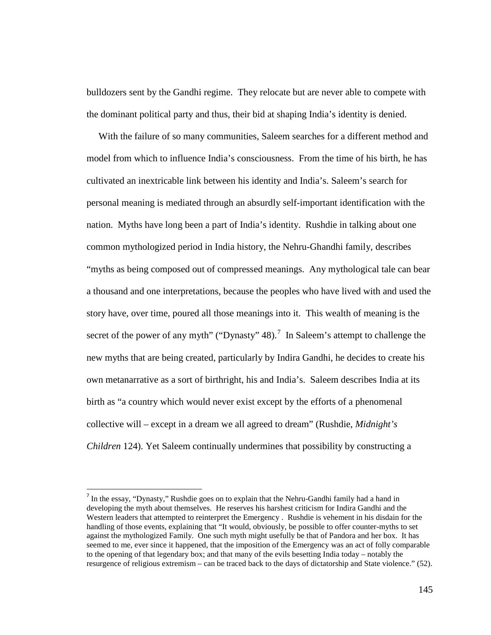bulldozers sent by the Gandhi regime. They relocate but are never able to compete with the dominant political party and thus, their bid at shaping India's identity is denied.

 With the failure of so many communities, Saleem searches for a different method and model from which to influence India's consciousness. From the time of his birth, he has cultivated an inextricable link between his identity and India's. Saleem's search for personal meaning is mediated through an absurdly self-important identification with the nation. Myths have long been a part of India's identity. Rushdie in talking about one common mythologized period in India history, the Nehru-Ghandhi family, describes "myths as being composed out of compressed meanings. Any mythological tale can bear a thousand and one interpretations, because the peoples who have lived with and used the story have, over time, poured all those meanings into it. This wealth of meaning is the secret of the power of any myth" ("Dynasty"  $48$ ).<sup>[7](#page-150-0)</sup> In Saleem's attempt to challenge the new myths that are being created, particularly by Indira Gandhi, he decides to create his own metanarrative as a sort of birthright, his and India's. Saleem describes India at its birth as "a country which would never exist except by the efforts of a phenomenal collective will – except in a dream we all agreed to dream" (Rushdie, *Midnight's Children* 124). Yet Saleem continually undermines that possibility by constructing a

<span id="page-150-0"></span><sup>&</sup>lt;sup>7</sup> In the essay, "Dynasty," Rushdie goes on to explain that the Nehru-Gandhi family had a hand in developing the myth about themselves. He reserves his harshest criticism for Indira Gandhi and the Western leaders that attempted to reinterpret the Emergency . Rushdie is vehement in his disdain for the handling of those events, explaining that "It would, obviously, be possible to offer counter-myths to set against the mythologized Family. One such myth might usefully be that of Pandora and her box. It has seemed to me, ever since it happened, that the imposition of the Emergency was an act of folly comparable to the opening of that legendary box; and that many of the evils besetting India today – notably the resurgence of religious extremism – can be traced back to the days of dictatorship and State violence." (52).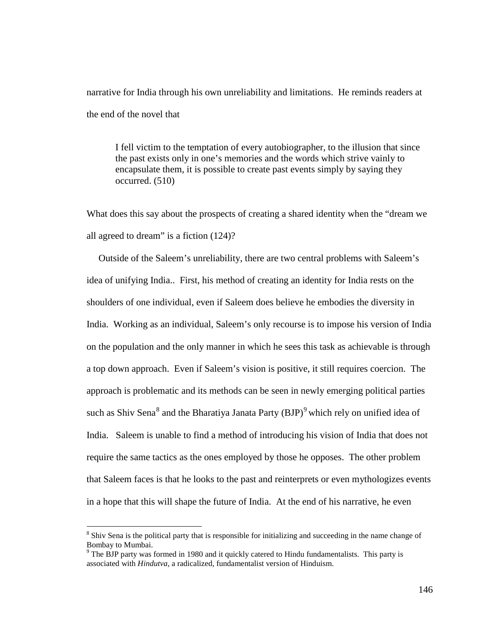narrative for India through his own unreliability and limitations. He reminds readers at the end of the novel that

I fell victim to the temptation of every autobiographer, to the illusion that since the past exists only in one's memories and the words which strive vainly to encapsulate them, it is possible to create past events simply by saying they occurred. (510)

What does this say about the prospects of creating a shared identity when the "dream we all agreed to dream" is a fiction (124)?

 Outside of the Saleem's unreliability, there are two central problems with Saleem's idea of unifying India.. First, his method of creating an identity for India rests on the shoulders of one individual, even if Saleem does believe he embodies the diversity in India. Working as an individual, Saleem's only recourse is to impose his version of India on the population and the only manner in which he sees this task as achievable is through a top down approach. Even if Saleem's vision is positive, it still requires coercion. The approach is problematic and its methods can be seen in newly emerging political parties such as Shiv Sena $^8$  $^8$  and the Bharatiya Janata Party (BJP) $^9$  $^9$  which rely on unified idea of India. Saleem is unable to find a method of introducing his vision of India that does not require the same tactics as the ones employed by those he opposes. The other problem that Saleem faces is that he looks to the past and reinterprets or even mythologizes events in a hope that this will shape the future of India. At the end of his narrative, he even

<span id="page-151-0"></span><sup>&</sup>lt;sup>8</sup> Shiv Sena is the political party that is responsible for initializing and succeeding in the name change of Bombay to Mumbai.

<span id="page-151-1"></span> $9$  The BJP party was formed in 1980 and it quickly catered to Hindu fundamentalists. This party is associated with *Hindutva*, a radicalized, fundamentalist version of Hinduism.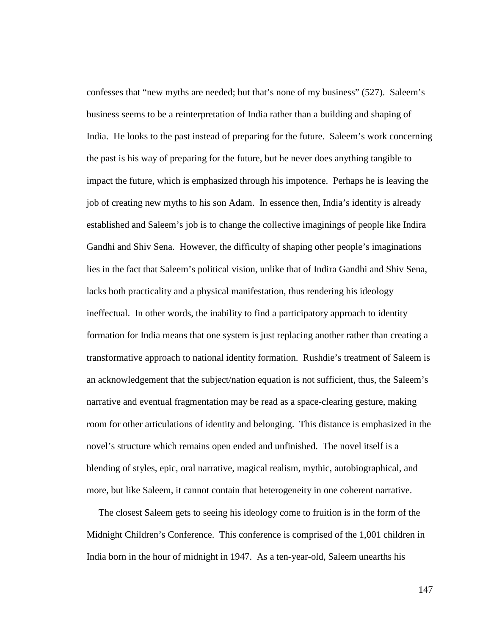confesses that "new myths are needed; but that's none of my business" (527). Saleem's business seems to be a reinterpretation of India rather than a building and shaping of India. He looks to the past instead of preparing for the future. Saleem's work concerning the past is his way of preparing for the future, but he never does anything tangible to impact the future, which is emphasized through his impotence. Perhaps he is leaving the job of creating new myths to his son Adam. In essence then, India's identity is already established and Saleem's job is to change the collective imaginings of people like Indira Gandhi and Shiv Sena. However, the difficulty of shaping other people's imaginations lies in the fact that Saleem's political vision, unlike that of Indira Gandhi and Shiv Sena, lacks both practicality and a physical manifestation, thus rendering his ideology ineffectual. In other words, the inability to find a participatory approach to identity formation for India means that one system is just replacing another rather than creating a transformative approach to national identity formation. Rushdie's treatment of Saleem is an acknowledgement that the subject/nation equation is not sufficient, thus, the Saleem's narrative and eventual fragmentation may be read as a space-clearing gesture, making room for other articulations of identity and belonging. This distance is emphasized in the novel's structure which remains open ended and unfinished. The novel itself is a blending of styles, epic, oral narrative, magical realism, mythic, autobiographical, and more, but like Saleem, it cannot contain that heterogeneity in one coherent narrative.

 The closest Saleem gets to seeing his ideology come to fruition is in the form of the Midnight Children's Conference. This conference is comprised of the 1,001 children in India born in the hour of midnight in 1947. As a ten-year-old, Saleem unearths his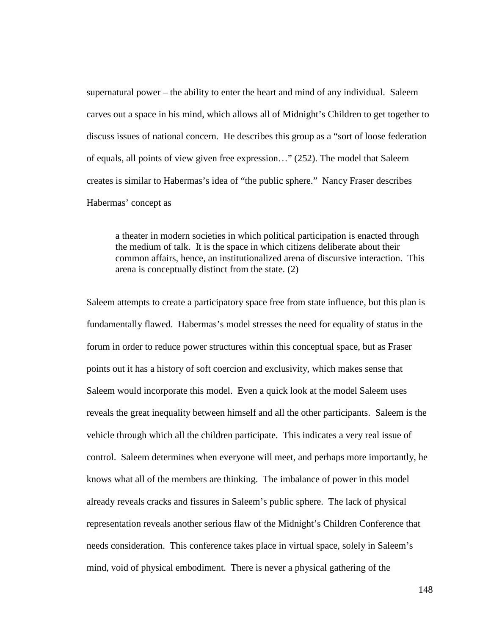supernatural power – the ability to enter the heart and mind of any individual. Saleem carves out a space in his mind, which allows all of Midnight's Children to get together to discuss issues of national concern. He describes this group as a "sort of loose federation of equals, all points of view given free expression…" (252). The model that Saleem creates is similar to Habermas's idea of "the public sphere." Nancy Fraser describes Habermas' concept as

a theater in modern societies in which political participation is enacted through the medium of talk. It is the space in which citizens deliberate about their common affairs, hence, an institutionalized arena of discursive interaction. This arena is conceptually distinct from the state. (2)

Saleem attempts to create a participatory space free from state influence, but this plan is fundamentally flawed. Habermas's model stresses the need for equality of status in the forum in order to reduce power structures within this conceptual space, but as Fraser points out it has a history of soft coercion and exclusivity, which makes sense that Saleem would incorporate this model. Even a quick look at the model Saleem uses reveals the great inequality between himself and all the other participants. Saleem is the vehicle through which all the children participate. This indicates a very real issue of control. Saleem determines when everyone will meet, and perhaps more importantly, he knows what all of the members are thinking. The imbalance of power in this model already reveals cracks and fissures in Saleem's public sphere. The lack of physical representation reveals another serious flaw of the Midnight's Children Conference that needs consideration. This conference takes place in virtual space, solely in Saleem's mind, void of physical embodiment. There is never a physical gathering of the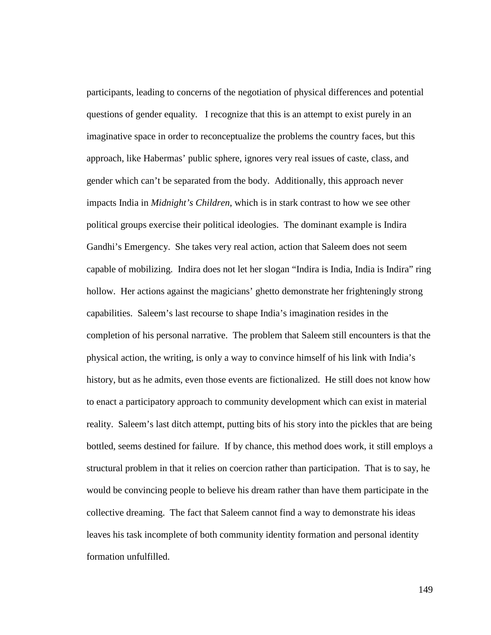participants, leading to concerns of the negotiation of physical differences and potential questions of gender equality.I recognize that this is an attempt to exist purely in an imaginative space in order to reconceptualize the problems the country faces, but this approach, like Habermas' public sphere, ignores very real issues of caste, class, and gender which can't be separated from the body. Additionally, this approach never impacts India in *Midnight's Children*, which is in stark contrast to how we see other political groups exercise their political ideologies. The dominant example is Indira Gandhi's Emergency. She takes very real action, action that Saleem does not seem capable of mobilizing. Indira does not let her slogan "Indira is India, India is Indira" ring hollow. Her actions against the magicians' ghetto demonstrate her frighteningly strong capabilities. Saleem's last recourse to shape India's imagination resides in the completion of his personal narrative. The problem that Saleem still encounters is that the physical action, the writing, is only a way to convince himself of his link with India's history, but as he admits, even those events are fictionalized. He still does not know how to enact a participatory approach to community development which can exist in material reality. Saleem's last ditch attempt, putting bits of his story into the pickles that are being bottled, seems destined for failure. If by chance, this method does work, it still employs a structural problem in that it relies on coercion rather than participation. That is to say, he would be convincing people to believe his dream rather than have them participate in the collective dreaming. The fact that Saleem cannot find a way to demonstrate his ideas leaves his task incomplete of both community identity formation and personal identity formation unfulfilled.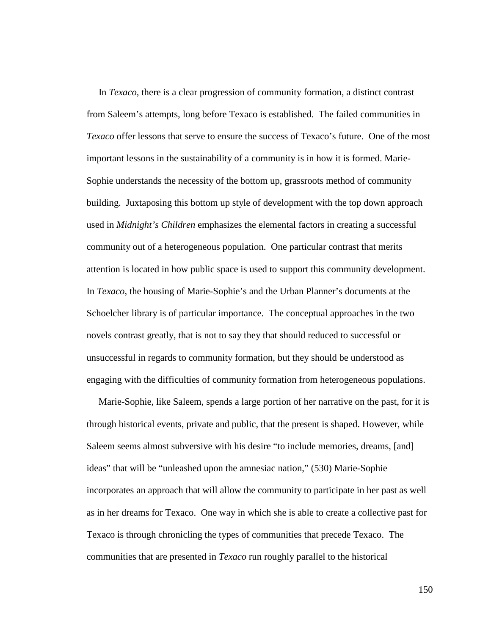In *Texaco*, there is a clear progression of community formation, a distinct contrast from Saleem's attempts, long before Texaco is established. The failed communities in *Texaco* offer lessons that serve to ensure the success of Texaco's future. One of the most important lessons in the sustainability of a community is in how it is formed. Marie-Sophie understands the necessity of the bottom up, grassroots method of community building. Juxtaposing this bottom up style of development with the top down approach used in *Midnight's Children* emphasizes the elemental factors in creating a successful community out of a heterogeneous population. One particular contrast that merits attention is located in how public space is used to support this community development. In *Texaco*, the housing of Marie-Sophie's and the Urban Planner's documents at the Schoelcher library is of particular importance. The conceptual approaches in the two novels contrast greatly, that is not to say they that should reduced to successful or unsuccessful in regards to community formation, but they should be understood as engaging with the difficulties of community formation from heterogeneous populations.

 Marie-Sophie, like Saleem, spends a large portion of her narrative on the past, for it is through historical events, private and public, that the present is shaped. However, while Saleem seems almost subversive with his desire "to include memories, dreams, [and] ideas" that will be "unleashed upon the amnesiac nation," (530) Marie-Sophie incorporates an approach that will allow the community to participate in her past as well as in her dreams for Texaco. One way in which she is able to create a collective past for Texaco is through chronicling the types of communities that precede Texaco. The communities that are presented in *Texaco* run roughly parallel to the historical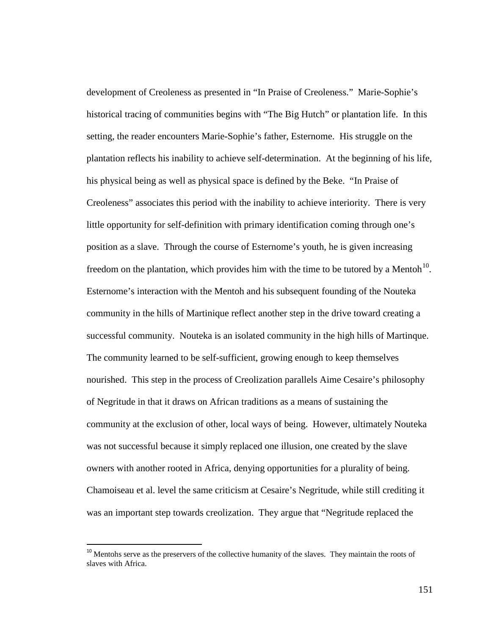development of Creoleness as presented in "In Praise of Creoleness." Marie-Sophie's historical tracing of communities begins with "The Big Hutch" or plantation life. In this setting, the reader encounters Marie-Sophie's father, Esternome. His struggle on the plantation reflects his inability to achieve self-determination. At the beginning of his life, his physical being as well as physical space is defined by the Beke. "In Praise of Creoleness" associates this period with the inability to achieve interiority. There is very little opportunity for self-definition with primary identification coming through one's position as a slave. Through the course of Esternome's youth, he is given increasing freedom on the plantation, which provides him with the time to be tutored by a Mentoh $^{10}$  $^{10}$  $^{10}$ . Esternome's interaction with the Mentoh and his subsequent founding of the Nouteka community in the hills of Martinique reflect another step in the drive toward creating a successful community. Nouteka is an isolated community in the high hills of Martinque. The community learned to be self-sufficient, growing enough to keep themselves nourished. This step in the process of Creolization parallels Aime Cesaire's philosophy of Negritude in that it draws on African traditions as a means of sustaining the community at the exclusion of other, local ways of being. However, ultimately Nouteka was not successful because it simply replaced one illusion, one created by the slave owners with another rooted in Africa, denying opportunities for a plurality of being. Chamoiseau et al. level the same criticism at Cesaire's Negritude, while still crediting it was an important step towards creolization. They argue that "Negritude replaced the

<span id="page-156-0"></span><sup>&</sup>lt;sup>10</sup> Mentohs serve as the preservers of the collective humanity of the slaves. They maintain the roots of slaves with Africa.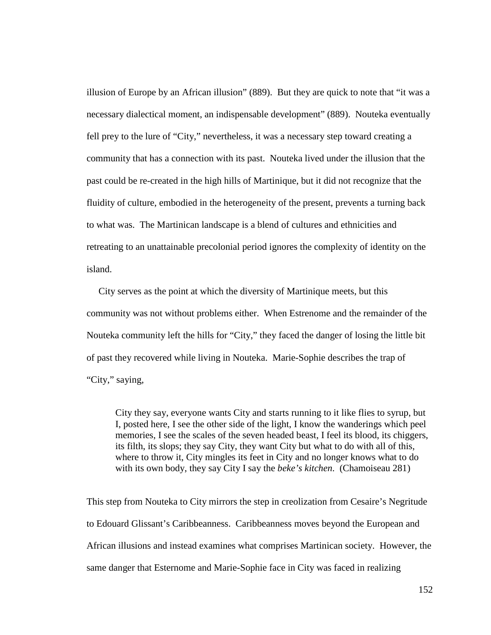illusion of Europe by an African illusion" (889). But they are quick to note that "it was a necessary dialectical moment, an indispensable development" (889). Nouteka eventually fell prey to the lure of "City," nevertheless, it was a necessary step toward creating a community that has a connection with its past. Nouteka lived under the illusion that the past could be re-created in the high hills of Martinique, but it did not recognize that the fluidity of culture, embodied in the heterogeneity of the present, prevents a turning back to what was. The Martinican landscape is a blend of cultures and ethnicities and retreating to an unattainable precolonial period ignores the complexity of identity on the island.

 City serves as the point at which the diversity of Martinique meets, but this community was not without problems either. When Estrenome and the remainder of the Nouteka community left the hills for "City," they faced the danger of losing the little bit of past they recovered while living in Nouteka. Marie-Sophie describes the trap of "City," saying,

City they say, everyone wants City and starts running to it like flies to syrup, but I, posted here, I see the other side of the light, I know the wanderings which peel memories, I see the scales of the seven headed beast, I feel its blood, its chiggers, its filth, its slops; they say City, they want City but what to do with all of this, where to throw it, City mingles its feet in City and no longer knows what to do with its own body, they say City I say the *beke's kitchen*. (Chamoiseau 281)

This step from Nouteka to City mirrors the step in creolization from Cesaire's Negritude to Edouard Glissant's Caribbeanness. Caribbeanness moves beyond the European and African illusions and instead examines what comprises Martinican society. However, the same danger that Esternome and Marie-Sophie face in City was faced in realizing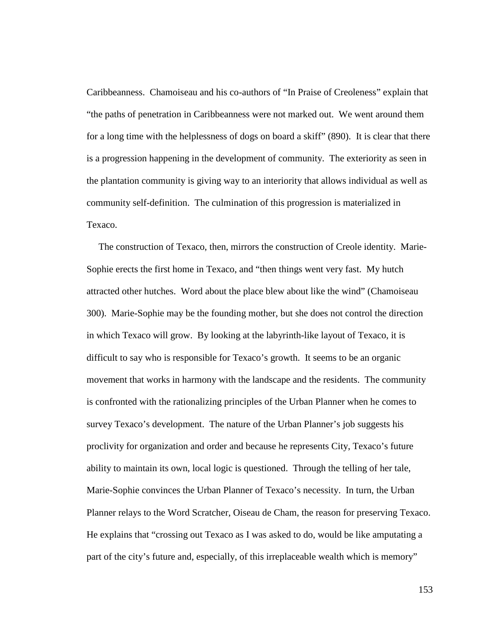Caribbeanness. Chamoiseau and his co-authors of "In Praise of Creoleness" explain that "the paths of penetration in Caribbeanness were not marked out. We went around them for a long time with the helplessness of dogs on board a skiff" (890). It is clear that there is a progression happening in the development of community. The exteriority as seen in the plantation community is giving way to an interiority that allows individual as well as community self-definition. The culmination of this progression is materialized in Texaco.

 The construction of Texaco, then, mirrors the construction of Creole identity. Marie-Sophie erects the first home in Texaco, and "then things went very fast. My hutch attracted other hutches. Word about the place blew about like the wind" (Chamoiseau 300). Marie-Sophie may be the founding mother, but she does not control the direction in which Texaco will grow. By looking at the labyrinth-like layout of Texaco, it is difficult to say who is responsible for Texaco's growth. It seems to be an organic movement that works in harmony with the landscape and the residents. The community is confronted with the rationalizing principles of the Urban Planner when he comes to survey Texaco's development. The nature of the Urban Planner's job suggests his proclivity for organization and order and because he represents City, Texaco's future ability to maintain its own, local logic is questioned. Through the telling of her tale, Marie-Sophie convinces the Urban Planner of Texaco's necessity. In turn, the Urban Planner relays to the Word Scratcher, Oiseau de Cham, the reason for preserving Texaco. He explains that "crossing out Texaco as I was asked to do, would be like amputating a part of the city's future and, especially, of this irreplaceable wealth which is memory"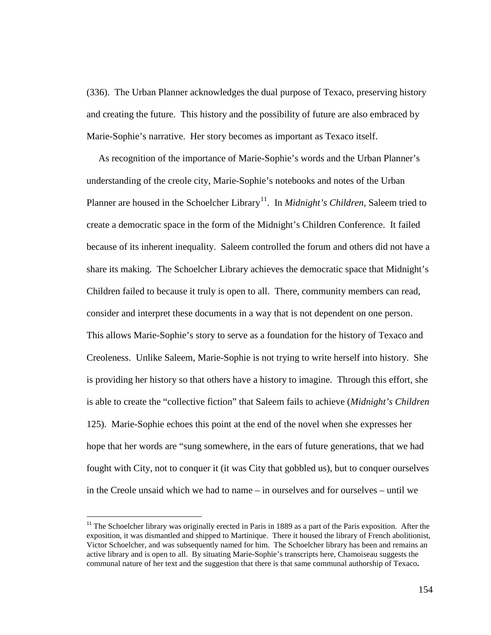(336). The Urban Planner acknowledges the dual purpose of Texaco, preserving history and creating the future. This history and the possibility of future are also embraced by Marie-Sophie's narrative. Her story becomes as important as Texaco itself.

 As recognition of the importance of Marie-Sophie's words and the Urban Planner's understanding of the creole city, Marie-Sophie's notebooks and notes of the Urban Planner are housed in the Schoelcher Library<sup>[11](#page-159-0)</sup>. In *Midnight's Children*, Saleem tried to create a democratic space in the form of the Midnight's Children Conference. It failed because of its inherent inequality. Saleem controlled the forum and others did not have a share its making. The Schoelcher Library achieves the democratic space that Midnight's Children failed to because it truly is open to all. There, community members can read, consider and interpret these documents in a way that is not dependent on one person. This allows Marie-Sophie's story to serve as a foundation for the history of Texaco and Creoleness. Unlike Saleem, Marie-Sophie is not trying to write herself into history. She is providing her history so that others have a history to imagine. Through this effort, she is able to create the "collective fiction" that Saleem fails to achieve (*Midnight's Children* 125). Marie-Sophie echoes this point at the end of the novel when she expresses her hope that her words are "sung somewhere, in the ears of future generations, that we had fought with City, not to conquer it (it was City that gobbled us), but to conquer ourselves in the Creole unsaid which we had to name – in ourselves and for ourselves – until we

<span id="page-159-0"></span><sup>&</sup>lt;sup>11</sup> The Schoelcher library was originally erected in Paris in 1889 as a part of the Paris exposition. After the exposition, it was dismantled and shipped to Martinique. There it housed the library of French abolitionist, Victor Schoelcher, and was subsequently named for him. The Schoelcher library has been and remains an active library and is open to all. By situating Marie-Sophie's transcripts here, Chamoiseau suggests the communal nature of her text and the suggestion that there is that same communal authorship of Texaco**.**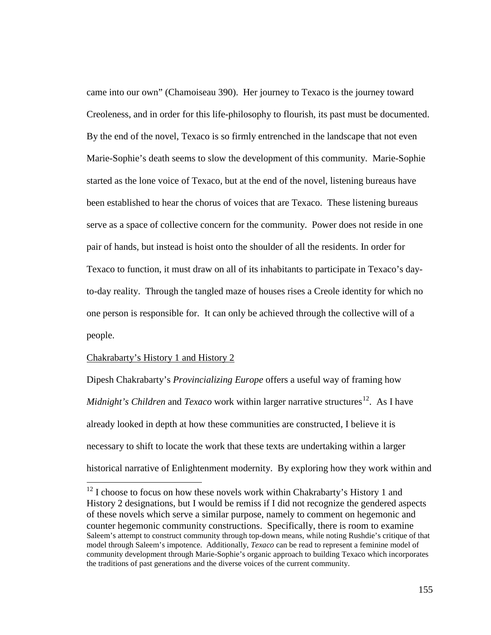came into our own" (Chamoiseau 390). Her journey to Texaco is the journey toward Creoleness, and in order for this life-philosophy to flourish, its past must be documented. By the end of the novel, Texaco is so firmly entrenched in the landscape that not even Marie-Sophie's death seems to slow the development of this community. Marie-Sophie started as the lone voice of Texaco, but at the end of the novel, listening bureaus have been established to hear the chorus of voices that are Texaco. These listening bureaus serve as a space of collective concern for the community. Power does not reside in one pair of hands, but instead is hoist onto the shoulder of all the residents. In order for Texaco to function, it must draw on all of its inhabitants to participate in Texaco's dayto-day reality. Through the tangled maze of houses rises a Creole identity for which no one person is responsible for. It can only be achieved through the collective will of a people.

## Chakrabarty's History 1 and History 2

Dipesh Chakrabarty's *Provincializing Europe* offers a useful way of framing how *Midnight's Children* and *Texaco* work within larger narrative structures<sup>[12](#page-160-0)</sup>. As I have already looked in depth at how these communities are constructed, I believe it is necessary to shift to locate the work that these texts are undertaking within a larger historical narrative of Enlightenment modernity. By exploring how they work within and

<span id="page-160-0"></span> $12$  I choose to focus on how these novels work within Chakrabarty's History 1 and History 2 designations, but I would be remiss if I did not recognize the gendered aspects of these novels which serve a similar purpose, namely to comment on hegemonic and counter hegemonic community constructions. Specifically, there is room to examine Saleem's attempt to construct community through top-down means, while noting Rushdie's critique of that model through Saleem's impotence. Additionally, *Texaco* can be read to represent a feminine model of community development through Marie-Sophie's organic approach to building Texaco which incorporates the traditions of past generations and the diverse voices of the current community.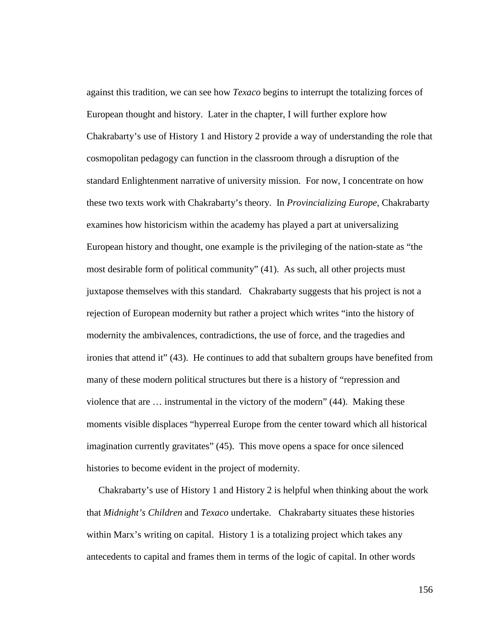against this tradition, we can see how *Texaco* begins to interrupt the totalizing forces of European thought and history. Later in the chapter, I will further explore how Chakrabarty's use of History 1 and History 2 provide a way of understanding the role that cosmopolitan pedagogy can function in the classroom through a disruption of the standard Enlightenment narrative of university mission. For now, I concentrate on how these two texts work with Chakrabarty's theory. In *Provincializing Europe*, Chakrabarty examines how historicism within the academy has played a part at universalizing European history and thought, one example is the privileging of the nation-state as "the most desirable form of political community" (41). As such, all other projects must juxtapose themselves with this standard. Chakrabarty suggests that his project is not a rejection of European modernity but rather a project which writes "into the history of modernity the ambivalences, contradictions, the use of force, and the tragedies and ironies that attend it" (43). He continues to add that subaltern groups have benefited from many of these modern political structures but there is a history of "repression and violence that are … instrumental in the victory of the modern" (44). Making these moments visible displaces "hyperreal Europe from the center toward which all historical imagination currently gravitates" (45). This move opens a space for once silenced histories to become evident in the project of modernity.

 Chakrabarty's use of History 1 and History 2 is helpful when thinking about the work that *Midnight's Children* and *Texaco* undertake. Chakrabarty situates these histories within Marx's writing on capital. History 1 is a totalizing project which takes any antecedents to capital and frames them in terms of the logic of capital. In other words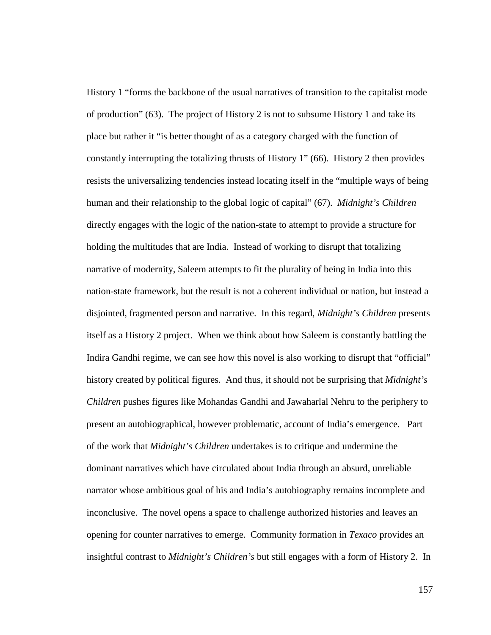History 1 "forms the backbone of the usual narratives of transition to the capitalist mode of production" (63). The project of History 2 is not to subsume History 1 and take its place but rather it "is better thought of as a category charged with the function of constantly interrupting the totalizing thrusts of History 1" (66). History 2 then provides resists the universalizing tendencies instead locating itself in the "multiple ways of being human and their relationship to the global logic of capital" (67). *Midnight's Children* directly engages with the logic of the nation-state to attempt to provide a structure for holding the multitudes that are India. Instead of working to disrupt that totalizing narrative of modernity, Saleem attempts to fit the plurality of being in India into this nation-state framework, but the result is not a coherent individual or nation, but instead a disjointed, fragmented person and narrative. In this regard, *Midnight's Children* presents itself as a History 2 project. When we think about how Saleem is constantly battling the Indira Gandhi regime, we can see how this novel is also working to disrupt that "official" history created by political figures. And thus, it should not be surprising that *Midnight's Children* pushes figures like Mohandas Gandhi and Jawaharlal Nehru to the periphery to present an autobiographical, however problematic, account of India's emergence. Part of the work that *Midnight's Children* undertakes is to critique and undermine the dominant narratives which have circulated about India through an absurd, unreliable narrator whose ambitious goal of his and India's autobiography remains incomplete and inconclusive. The novel opens a space to challenge authorized histories and leaves an opening for counter narratives to emerge. Community formation in *Texaco* provides an insightful contrast to *Midnight's Children's* but still engages with a form of History 2. In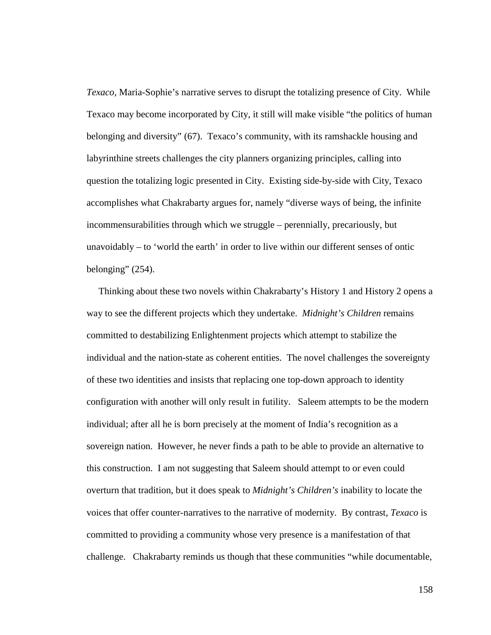*Texaco*, Maria-Sophie's narrative serves to disrupt the totalizing presence of City. While Texaco may become incorporated by City, it still will make visible "the politics of human belonging and diversity" (67). Texaco's community, with its ramshackle housing and labyrinthine streets challenges the city planners organizing principles, calling into question the totalizing logic presented in City. Existing side-by-side with City, Texaco accomplishes what Chakrabarty argues for, namely "diverse ways of being, the infinite incommensurabilities through which we struggle – perennially, precariously, but unavoidably – to 'world the earth' in order to live within our different senses of ontic belonging"  $(254)$ .

 Thinking about these two novels within Chakrabarty's History 1 and History 2 opens a way to see the different projects which they undertake. *Midnight's Children* remains committed to destabilizing Enlightenment projects which attempt to stabilize the individual and the nation-state as coherent entities. The novel challenges the sovereignty of these two identities and insists that replacing one top-down approach to identity configuration with another will only result in futility. Saleem attempts to be the modern individual; after all he is born precisely at the moment of India's recognition as a sovereign nation. However, he never finds a path to be able to provide an alternative to this construction. I am not suggesting that Saleem should attempt to or even could overturn that tradition, but it does speak to *Midnight's Children's* inability to locate the voices that offer counter-narratives to the narrative of modernity. By contrast, *Texaco* is committed to providing a community whose very presence is a manifestation of that challenge. Chakrabarty reminds us though that these communities "while documentable,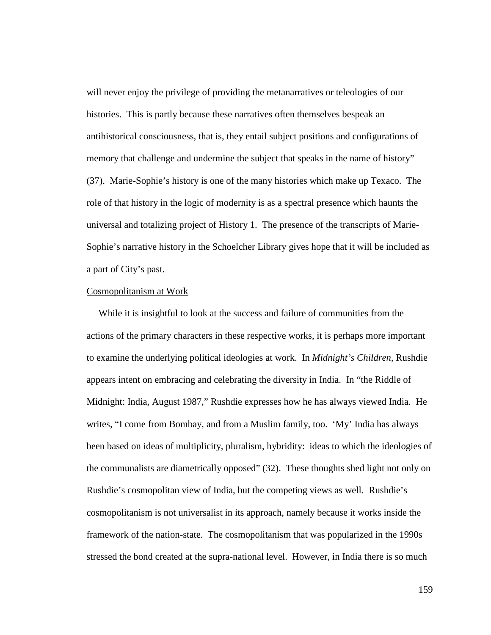will never enjoy the privilege of providing the metanarratives or teleologies of our histories. This is partly because these narratives often themselves bespeak an antihistorical consciousness, that is, they entail subject positions and configurations of memory that challenge and undermine the subject that speaks in the name of history" (37). Marie-Sophie's history is one of the many histories which make up Texaco. The role of that history in the logic of modernity is as a spectral presence which haunts the universal and totalizing project of History 1. The presence of the transcripts of Marie-Sophie's narrative history in the Schoelcher Library gives hope that it will be included as a part of City's past.

## Cosmopolitanism at Work

 While it is insightful to look at the success and failure of communities from the actions of the primary characters in these respective works, it is perhaps more important to examine the underlying political ideologies at work. In *Midnight's Children*, Rushdie appears intent on embracing and celebrating the diversity in India. In "the Riddle of Midnight: India, August 1987," Rushdie expresses how he has always viewed India. He writes, "I come from Bombay, and from a Muslim family, too. 'My' India has always been based on ideas of multiplicity, pluralism, hybridity: ideas to which the ideologies of the communalists are diametrically opposed" (32). These thoughts shed light not only on Rushdie's cosmopolitan view of India, but the competing views as well. Rushdie's cosmopolitanism is not universalist in its approach, namely because it works inside the framework of the nation-state. The cosmopolitanism that was popularized in the 1990s stressed the bond created at the supra-national level. However, in India there is so much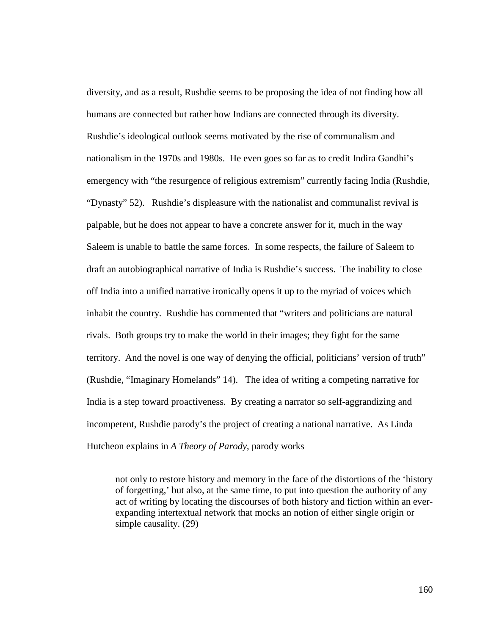diversity, and as a result, Rushdie seems to be proposing the idea of not finding how all humans are connected but rather how Indians are connected through its diversity. Rushdie's ideological outlook seems motivated by the rise of communalism and nationalism in the 1970s and 1980s. He even goes so far as to credit Indira Gandhi's emergency with "the resurgence of religious extremism" currently facing India (Rushdie, "Dynasty" 52). Rushdie's displeasure with the nationalist and communalist revival is palpable, but he does not appear to have a concrete answer for it, much in the way Saleem is unable to battle the same forces. In some respects, the failure of Saleem to draft an autobiographical narrative of India is Rushdie's success. The inability to close off India into a unified narrative ironically opens it up to the myriad of voices which inhabit the country. Rushdie has commented that "writers and politicians are natural rivals. Both groups try to make the world in their images; they fight for the same territory. And the novel is one way of denying the official, politicians' version of truth" (Rushdie, "Imaginary Homelands" 14). The idea of writing a competing narrative for India is a step toward proactiveness. By creating a narrator so self-aggrandizing and incompetent, Rushdie parody's the project of creating a national narrative. As Linda Hutcheon explains in *A Theory of Parody*, parody works

not only to restore history and memory in the face of the distortions of the 'history of forgetting,' but also, at the same time, to put into question the authority of any act of writing by locating the discourses of both history and fiction within an everexpanding intertextual network that mocks an notion of either single origin or simple causality. (29)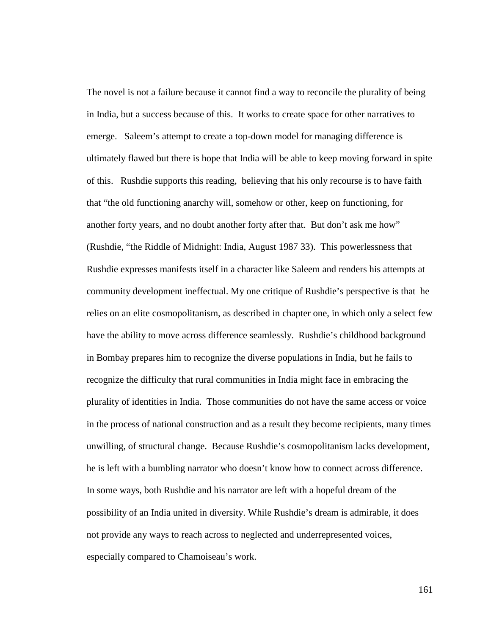The novel is not a failure because it cannot find a way to reconcile the plurality of being in India, but a success because of this. It works to create space for other narratives to emerge. Saleem's attempt to create a top-down model for managing difference is ultimately flawed but there is hope that India will be able to keep moving forward in spite of this. Rushdie supports this reading, believing that his only recourse is to have faith that "the old functioning anarchy will, somehow or other, keep on functioning, for another forty years, and no doubt another forty after that. But don't ask me how" (Rushdie, "the Riddle of Midnight: India, August 1987 33). This powerlessness that Rushdie expresses manifests itself in a character like Saleem and renders his attempts at community development ineffectual. My one critique of Rushdie's perspective is that he relies on an elite cosmopolitanism, as described in chapter one, in which only a select few have the ability to move across difference seamlessly. Rushdie's childhood background in Bombay prepares him to recognize the diverse populations in India, but he fails to recognize the difficulty that rural communities in India might face in embracing the plurality of identities in India. Those communities do not have the same access or voice in the process of national construction and as a result they become recipients, many times unwilling, of structural change. Because Rushdie's cosmopolitanism lacks development, he is left with a bumbling narrator who doesn't know how to connect across difference. In some ways, both Rushdie and his narrator are left with a hopeful dream of the possibility of an India united in diversity. While Rushdie's dream is admirable, it does not provide any ways to reach across to neglected and underrepresented voices, especially compared to Chamoiseau's work.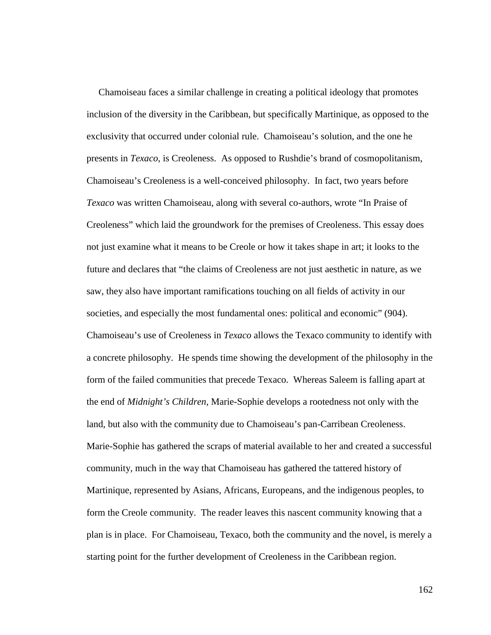Chamoiseau faces a similar challenge in creating a political ideology that promotes inclusion of the diversity in the Caribbean, but specifically Martinique, as opposed to the exclusivity that occurred under colonial rule. Chamoiseau's solution, and the one he presents in *Texaco*, is Creoleness. As opposed to Rushdie's brand of cosmopolitanism, Chamoiseau's Creoleness is a well-conceived philosophy. In fact, two years before *Texaco* was written Chamoiseau, along with several co-authors, wrote "In Praise of Creoleness" which laid the groundwork for the premises of Creoleness. This essay does not just examine what it means to be Creole or how it takes shape in art; it looks to the future and declares that "the claims of Creoleness are not just aesthetic in nature, as we saw, they also have important ramifications touching on all fields of activity in our societies, and especially the most fundamental ones: political and economic" (904). Chamoiseau's use of Creoleness in *Texaco* allows the Texaco community to identify with a concrete philosophy. He spends time showing the development of the philosophy in the form of the failed communities that precede Texaco. Whereas Saleem is falling apart at the end of *Midnight's Children*, Marie-Sophie develops a rootedness not only with the land, but also with the community due to Chamoiseau's pan-Carribean Creoleness. Marie-Sophie has gathered the scraps of material available to her and created a successful community, much in the way that Chamoiseau has gathered the tattered history of Martinique, represented by Asians, Africans, Europeans, and the indigenous peoples, to form the Creole community. The reader leaves this nascent community knowing that a plan is in place. For Chamoiseau, Texaco, both the community and the novel, is merely a starting point for the further development of Creoleness in the Caribbean region.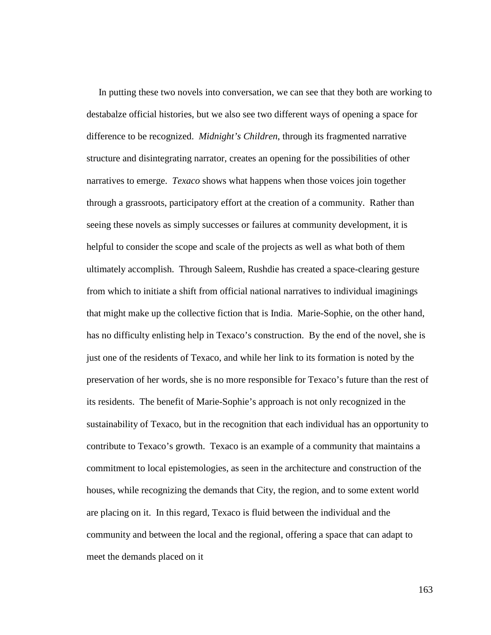In putting these two novels into conversation, we can see that they both are working to destabalze official histories, but we also see two different ways of opening a space for difference to be recognized. *Midnight's Children*, through its fragmented narrative structure and disintegrating narrator, creates an opening for the possibilities of other narratives to emerge. *Texaco* shows what happens when those voices join together through a grassroots, participatory effort at the creation of a community. Rather than seeing these novels as simply successes or failures at community development, it is helpful to consider the scope and scale of the projects as well as what both of them ultimately accomplish. Through Saleem, Rushdie has created a space-clearing gesture from which to initiate a shift from official national narratives to individual imaginings that might make up the collective fiction that is India. Marie-Sophie, on the other hand, has no difficulty enlisting help in Texaco's construction. By the end of the novel, she is just one of the residents of Texaco, and while her link to its formation is noted by the preservation of her words, she is no more responsible for Texaco's future than the rest of its residents. The benefit of Marie-Sophie's approach is not only recognized in the sustainability of Texaco, but in the recognition that each individual has an opportunity to contribute to Texaco's growth. Texaco is an example of a community that maintains a commitment to local epistemologies, as seen in the architecture and construction of the houses, while recognizing the demands that City, the region, and to some extent world are placing on it. In this regard, Texaco is fluid between the individual and the community and between the local and the regional, offering a space that can adapt to meet the demands placed on it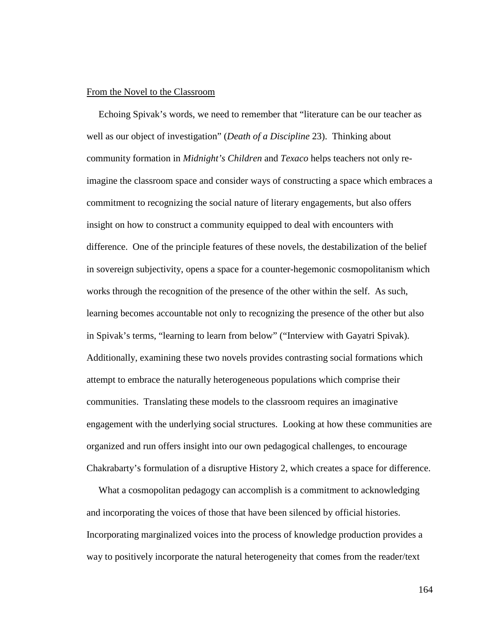#### From the Novel to the Classroom

 Echoing Spivak's words, we need to remember that "literature can be our teacher as well as our object of investigation" (*Death of a Discipline* 23). Thinking about community formation in *Midnight's Children* and *Texaco* helps teachers not only reimagine the classroom space and consider ways of constructing a space which embraces a commitment to recognizing the social nature of literary engagements, but also offers insight on how to construct a community equipped to deal with encounters with difference. One of the principle features of these novels, the destabilization of the belief in sovereign subjectivity, opens a space for a counter-hegemonic cosmopolitanism which works through the recognition of the presence of the other within the self. As such, learning becomes accountable not only to recognizing the presence of the other but also in Spivak's terms, "learning to learn from below" ("Interview with Gayatri Spivak). Additionally, examining these two novels provides contrasting social formations which attempt to embrace the naturally heterogeneous populations which comprise their communities. Translating these models to the classroom requires an imaginative engagement with the underlying social structures. Looking at how these communities are organized and run offers insight into our own pedagogical challenges, to encourage Chakrabarty's formulation of a disruptive History 2, which creates a space for difference.

 What a cosmopolitan pedagogy can accomplish is a commitment to acknowledging and incorporating the voices of those that have been silenced by official histories. Incorporating marginalized voices into the process of knowledge production provides a way to positively incorporate the natural heterogeneity that comes from the reader/text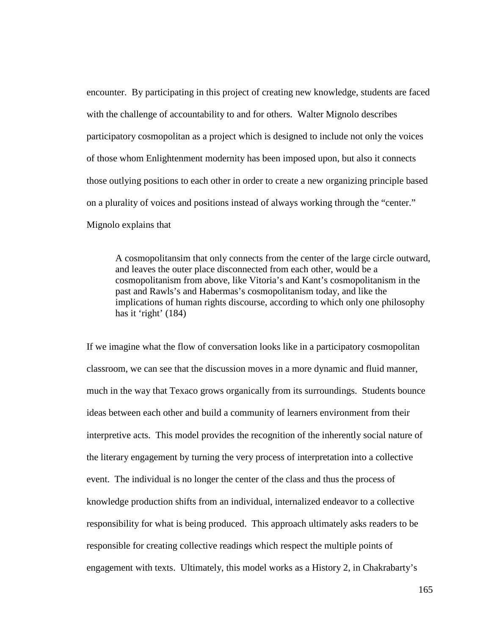encounter. By participating in this project of creating new knowledge, students are faced with the challenge of accountability to and for others. Walter Mignolo describes participatory cosmopolitan as a project which is designed to include not only the voices of those whom Enlightenment modernity has been imposed upon, but also it connects those outlying positions to each other in order to create a new organizing principle based on a plurality of voices and positions instead of always working through the "center." Mignolo explains that

A cosmopolitansim that only connects from the center of the large circle outward, and leaves the outer place disconnected from each other, would be a cosmopolitanism from above, like Vitoria's and Kant's cosmopolitanism in the past and Rawls's and Habermas's cosmopolitanism today, and like the implications of human rights discourse, according to which only one philosophy has it 'right' (184)

If we imagine what the flow of conversation looks like in a participatory cosmopolitan classroom, we can see that the discussion moves in a more dynamic and fluid manner, much in the way that Texaco grows organically from its surroundings. Students bounce ideas between each other and build a community of learners environment from their interpretive acts. This model provides the recognition of the inherently social nature of the literary engagement by turning the very process of interpretation into a collective event. The individual is no longer the center of the class and thus the process of knowledge production shifts from an individual, internalized endeavor to a collective responsibility for what is being produced. This approach ultimately asks readers to be responsible for creating collective readings which respect the multiple points of engagement with texts. Ultimately, this model works as a History 2, in Chakrabarty's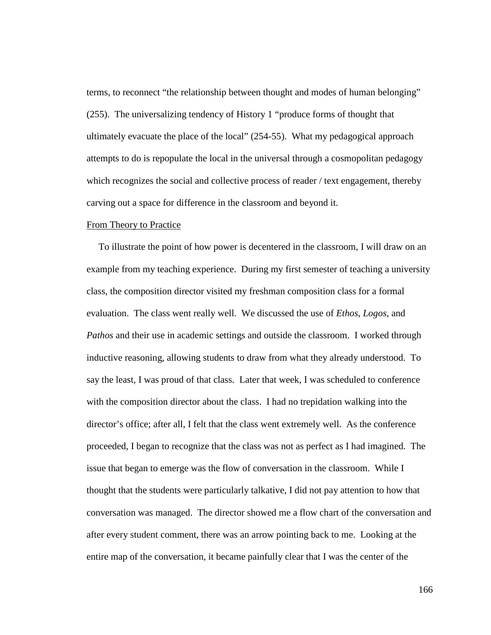terms, to reconnect "the relationship between thought and modes of human belonging" (255). The universalizing tendency of History 1 "produce forms of thought that ultimately evacuate the place of the local" (254-55). What my pedagogical approach attempts to do is repopulate the local in the universal through a cosmopolitan pedagogy which recognizes the social and collective process of reader / text engagement, thereby carving out a space for difference in the classroom and beyond it.

#### From Theory to Practice

 To illustrate the point of how power is decentered in the classroom, I will draw on an example from my teaching experience. During my first semester of teaching a university class, the composition director visited my freshman composition class for a formal evaluation. The class went really well. We discussed the use of *Ethos*, *Logos*, and *Pathos* and their use in academic settings and outside the classroom. I worked through inductive reasoning, allowing students to draw from what they already understood. To say the least, I was proud of that class. Later that week, I was scheduled to conference with the composition director about the class. I had no trepidation walking into the director's office; after all, I felt that the class went extremely well. As the conference proceeded, I began to recognize that the class was not as perfect as I had imagined. The issue that began to emerge was the flow of conversation in the classroom. While I thought that the students were particularly talkative, I did not pay attention to how that conversation was managed. The director showed me a flow chart of the conversation and after every student comment, there was an arrow pointing back to me. Looking at the entire map of the conversation, it became painfully clear that I was the center of the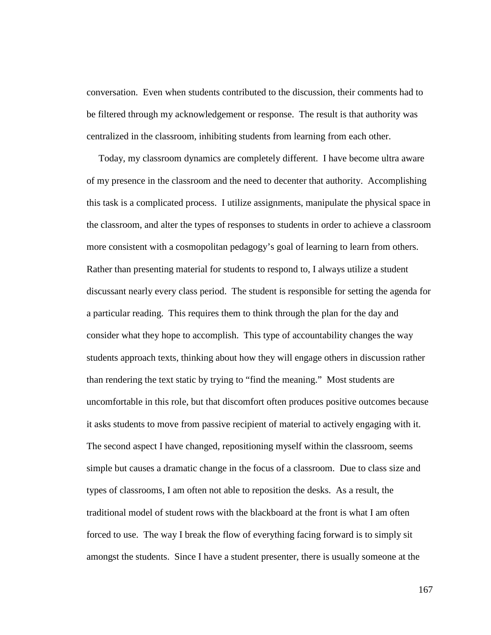conversation. Even when students contributed to the discussion, their comments had to be filtered through my acknowledgement or response. The result is that authority was centralized in the classroom, inhibiting students from learning from each other.

 Today, my classroom dynamics are completely different. I have become ultra aware of my presence in the classroom and the need to decenter that authority. Accomplishing this task is a complicated process. I utilize assignments, manipulate the physical space in the classroom, and alter the types of responses to students in order to achieve a classroom more consistent with a cosmopolitan pedagogy's goal of learning to learn from others. Rather than presenting material for students to respond to, I always utilize a student discussant nearly every class period. The student is responsible for setting the agenda for a particular reading. This requires them to think through the plan for the day and consider what they hope to accomplish. This type of accountability changes the way students approach texts, thinking about how they will engage others in discussion rather than rendering the text static by trying to "find the meaning." Most students are uncomfortable in this role, but that discomfort often produces positive outcomes because it asks students to move from passive recipient of material to actively engaging with it. The second aspect I have changed, repositioning myself within the classroom, seems simple but causes a dramatic change in the focus of a classroom. Due to class size and types of classrooms, I am often not able to reposition the desks. As a result, the traditional model of student rows with the blackboard at the front is what I am often forced to use. The way I break the flow of everything facing forward is to simply sit amongst the students. Since I have a student presenter, there is usually someone at the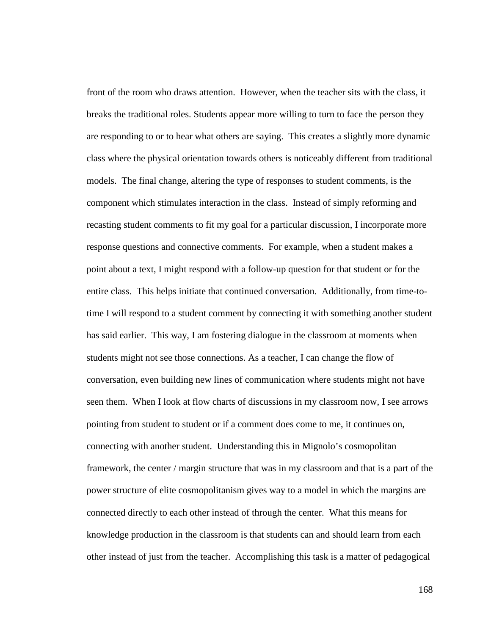front of the room who draws attention. However, when the teacher sits with the class, it breaks the traditional roles. Students appear more willing to turn to face the person they are responding to or to hear what others are saying. This creates a slightly more dynamic class where the physical orientation towards others is noticeably different from traditional models. The final change, altering the type of responses to student comments, is the component which stimulates interaction in the class. Instead of simply reforming and recasting student comments to fit my goal for a particular discussion, I incorporate more response questions and connective comments. For example, when a student makes a point about a text, I might respond with a follow-up question for that student or for the entire class. This helps initiate that continued conversation. Additionally, from time-totime I will respond to a student comment by connecting it with something another student has said earlier. This way, I am fostering dialogue in the classroom at moments when students might not see those connections. As a teacher, I can change the flow of conversation, even building new lines of communication where students might not have seen them. When I look at flow charts of discussions in my classroom now, I see arrows pointing from student to student or if a comment does come to me, it continues on, connecting with another student. Understanding this in Mignolo's cosmopolitan framework, the center / margin structure that was in my classroom and that is a part of the power structure of elite cosmopolitanism gives way to a model in which the margins are connected directly to each other instead of through the center. What this means for knowledge production in the classroom is that students can and should learn from each other instead of just from the teacher. Accomplishing this task is a matter of pedagogical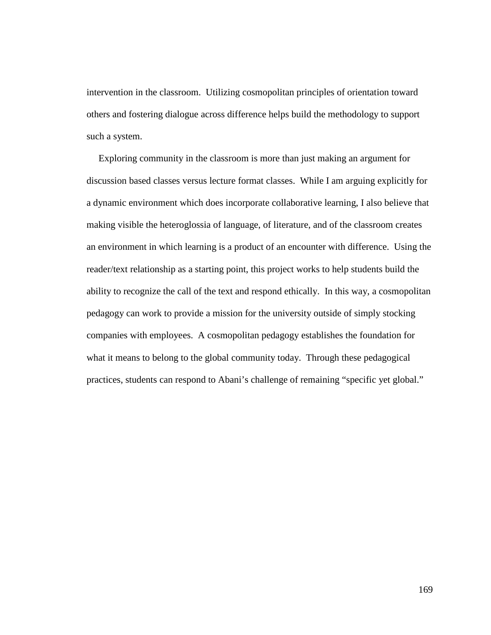intervention in the classroom. Utilizing cosmopolitan principles of orientation toward others and fostering dialogue across difference helps build the methodology to support such a system.

 Exploring community in the classroom is more than just making an argument for discussion based classes versus lecture format classes. While I am arguing explicitly for a dynamic environment which does incorporate collaborative learning, I also believe that making visible the heteroglossia of language, of literature, and of the classroom creates an environment in which learning is a product of an encounter with difference. Using the reader/text relationship as a starting point, this project works to help students build the ability to recognize the call of the text and respond ethically. In this way, a cosmopolitan pedagogy can work to provide a mission for the university outside of simply stocking companies with employees. A cosmopolitan pedagogy establishes the foundation for what it means to belong to the global community today. Through these pedagogical practices, students can respond to Abani's challenge of remaining "specific yet global."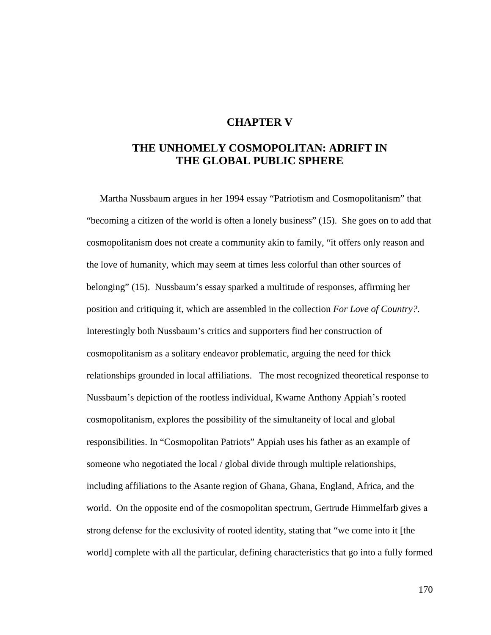# **CHAPTER V**

# **THE UNHOMELY COSMOPOLITAN: ADRIFT IN THE GLOBAL PUBLIC SPHERE**

 Martha Nussbaum argues in her 1994 essay "Patriotism and Cosmopolitanism" that "becoming a citizen of the world is often a lonely business" (15). She goes on to add that cosmopolitanism does not create a community akin to family, "it offers only reason and the love of humanity, which may seem at times less colorful than other sources of belonging" (15). Nussbaum's essay sparked a multitude of responses, affirming her position and critiquing it, which are assembled in the collection *For Love of Country?*. Interestingly both Nussbaum's critics and supporters find her construction of cosmopolitanism as a solitary endeavor problematic, arguing the need for thick relationships grounded in local affiliations. The most recognized theoretical response to Nussbaum's depiction of the rootless individual, Kwame Anthony Appiah's rooted cosmopolitanism, explores the possibility of the simultaneity of local and global responsibilities. In "Cosmopolitan Patriots" Appiah uses his father as an example of someone who negotiated the local / global divide through multiple relationships, including affiliations to the Asante region of Ghana, Ghana, England, Africa, and the world. On the opposite end of the cosmopolitan spectrum, Gertrude Himmelfarb gives a strong defense for the exclusivity of rooted identity, stating that "we come into it [the world] complete with all the particular, defining characteristics that go into a fully formed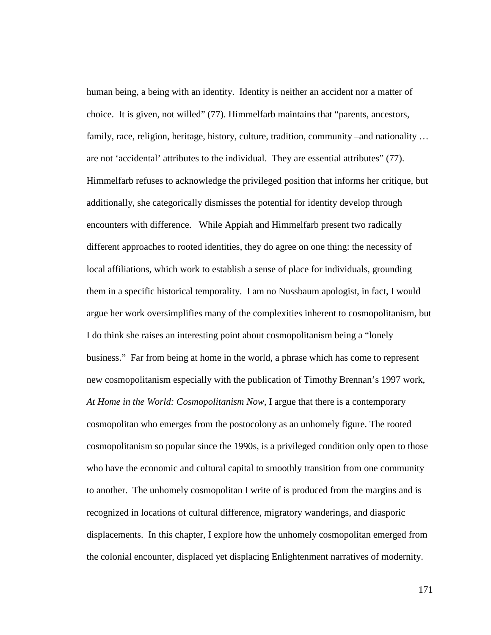human being, a being with an identity. Identity is neither an accident nor a matter of choice. It is given, not willed" (77). Himmelfarb maintains that "parents, ancestors, family, race, religion, heritage, history, culture, tradition, community –and nationality ... are not 'accidental' attributes to the individual. They are essential attributes" (77). Himmelfarb refuses to acknowledge the privileged position that informs her critique, but additionally, she categorically dismisses the potential for identity develop through encounters with difference. While Appiah and Himmelfarb present two radically different approaches to rooted identities, they do agree on one thing: the necessity of local affiliations, which work to establish a sense of place for individuals, grounding them in a specific historical temporality. I am no Nussbaum apologist, in fact, I would argue her work oversimplifies many of the complexities inherent to cosmopolitanism, but I do think she raises an interesting point about cosmopolitanism being a "lonely business." Far from being at home in the world, a phrase which has come to represent new cosmopolitanism especially with the publication of Timothy Brennan's 1997 work, *At Home in the World: Cosmopolitanism Now*, I argue that there is a contemporary cosmopolitan who emerges from the postocolony as an unhomely figure. The rooted cosmopolitanism so popular since the 1990s, is a privileged condition only open to those who have the economic and cultural capital to smoothly transition from one community to another. The unhomely cosmopolitan I write of is produced from the margins and is recognized in locations of cultural difference, migratory wanderings, and diasporic displacements. In this chapter, I explore how the unhomely cosmopolitan emerged from the colonial encounter, displaced yet displacing Enlightenment narratives of modernity.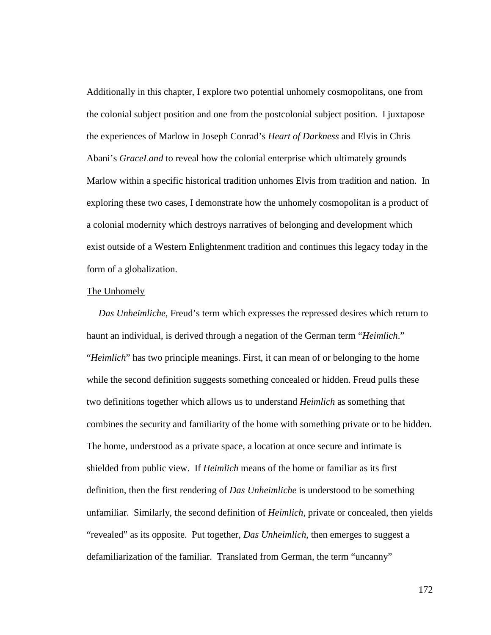Additionally in this chapter, I explore two potential unhomely cosmopolitans, one from the colonial subject position and one from the postcolonial subject position. I juxtapose the experiences of Marlow in Joseph Conrad's *Heart of Darkness* and Elvis in Chris Abani's *GraceLand* to reveal how the colonial enterprise which ultimately grounds Marlow within a specific historical tradition unhomes Elvis from tradition and nation. In exploring these two cases, I demonstrate how the unhomely cosmopolitan is a product of a colonial modernity which destroys narratives of belonging and development which exist outside of a Western Enlightenment tradition and continues this legacy today in the form of a globalization.

#### The Unhomely

 *Das Unheimliche,* Freud's term which expresses the repressed desires which return to haunt an individual, is derived through a negation of the German term "*Heimlich*." "*Heimlich*" has two principle meanings. First, it can mean of or belonging to the home while the second definition suggests something concealed or hidden. Freud pulls these two definitions together which allows us to understand *Heimlich* as something that combines the security and familiarity of the home with something private or to be hidden. The home, understood as a private space, a location at once secure and intimate is shielded from public view. If *Heimlich* means of the home or familiar as its first definition, then the first rendering of *Das Unheimliche* is understood to be something unfamiliar. Similarly, the second definition of *Heimlich*, private or concealed, then yields "revealed" as its opposite. Put together, *Das Unheimlich*, then emerges to suggest a defamiliarization of the familiar. Translated from German, the term "uncanny"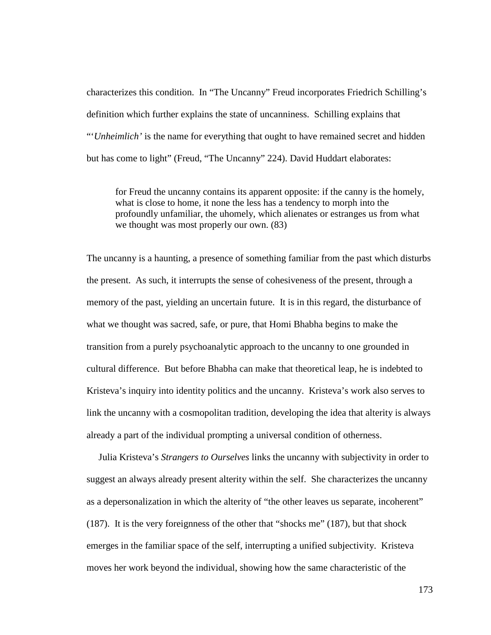characterizes this condition. In "The Uncanny" Freud incorporates Friedrich Schilling's definition which further explains the state of uncanniness. Schilling explains that "'*Unheimlich'* is the name for everything that ought to have remained secret and hidden but has come to light" (Freud, "The Uncanny" 224). David Huddart elaborates:

for Freud the uncanny contains its apparent opposite: if the canny is the homely, what is close to home, it none the less has a tendency to morph into the profoundly unfamiliar, the uhomely, which alienates or estranges us from what we thought was most properly our own. (83)

The uncanny is a haunting, a presence of something familiar from the past which disturbs the present. As such, it interrupts the sense of cohesiveness of the present, through a memory of the past, yielding an uncertain future. It is in this regard, the disturbance of what we thought was sacred, safe, or pure, that Homi Bhabha begins to make the transition from a purely psychoanalytic approach to the uncanny to one grounded in cultural difference. But before Bhabha can make that theoretical leap, he is indebted to Kristeva's inquiry into identity politics and the uncanny. Kristeva's work also serves to link the uncanny with a cosmopolitan tradition, developing the idea that alterity is always already a part of the individual prompting a universal condition of otherness.

 Julia Kristeva's *Strangers to Ourselves* links the uncanny with subjectivity in order to suggest an always already present alterity within the self. She characterizes the uncanny as a depersonalization in which the alterity of "the other leaves us separate, incoherent" (187). It is the very foreignness of the other that "shocks me" (187), but that shock emerges in the familiar space of the self, interrupting a unified subjectivity. Kristeva moves her work beyond the individual, showing how the same characteristic of the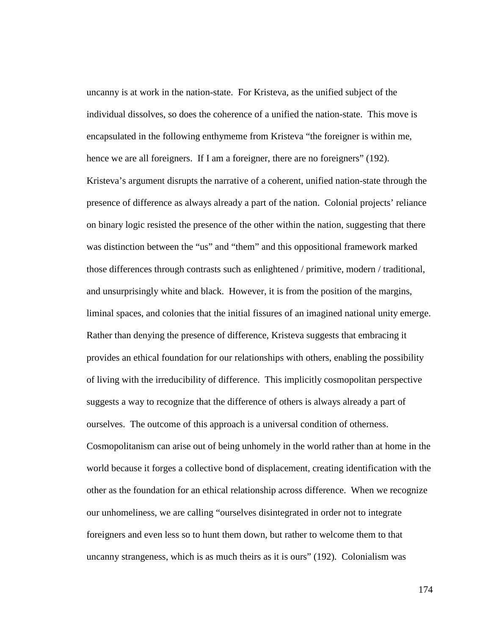uncanny is at work in the nation-state. For Kristeva, as the unified subject of the individual dissolves, so does the coherence of a unified the nation-state. This move is encapsulated in the following enthymeme from Kristeva "the foreigner is within me, hence we are all foreigners. If I am a foreigner, there are no foreigners" (192). Kristeva's argument disrupts the narrative of a coherent, unified nation-state through the presence of difference as always already a part of the nation. Colonial projects' reliance on binary logic resisted the presence of the other within the nation, suggesting that there was distinction between the "us" and "them" and this oppositional framework marked those differences through contrasts such as enlightened / primitive, modern / traditional, and unsurprisingly white and black. However, it is from the position of the margins, liminal spaces, and colonies that the initial fissures of an imagined national unity emerge. Rather than denying the presence of difference, Kristeva suggests that embracing it provides an ethical foundation for our relationships with others, enabling the possibility of living with the irreducibility of difference. This implicitly cosmopolitan perspective suggests a way to recognize that the difference of others is always already a part of ourselves. The outcome of this approach is a universal condition of otherness. Cosmopolitanism can arise out of being unhomely in the world rather than at home in the world because it forges a collective bond of displacement, creating identification with the other as the foundation for an ethical relationship across difference. When we recognize our unhomeliness, we are calling "ourselves disintegrated in order not to integrate foreigners and even less so to hunt them down, but rather to welcome them to that uncanny strangeness, which is as much theirs as it is ours" (192). Colonialism was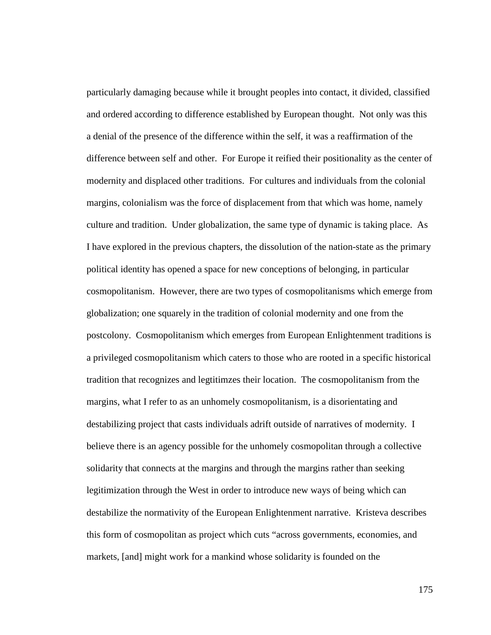particularly damaging because while it brought peoples into contact, it divided, classified and ordered according to difference established by European thought. Not only was this a denial of the presence of the difference within the self, it was a reaffirmation of the difference between self and other. For Europe it reified their positionality as the center of modernity and displaced other traditions. For cultures and individuals from the colonial margins, colonialism was the force of displacement from that which was home, namely culture and tradition. Under globalization, the same type of dynamic is taking place. As I have explored in the previous chapters, the dissolution of the nation-state as the primary political identity has opened a space for new conceptions of belonging, in particular cosmopolitanism. However, there are two types of cosmopolitanisms which emerge from globalization; one squarely in the tradition of colonial modernity and one from the postcolony. Cosmopolitanism which emerges from European Enlightenment traditions is a privileged cosmopolitanism which caters to those who are rooted in a specific historical tradition that recognizes and legtitimzes their location. The cosmopolitanism from the margins, what I refer to as an unhomely cosmopolitanism, is a disorientating and destabilizing project that casts individuals adrift outside of narratives of modernity. I believe there is an agency possible for the unhomely cosmopolitan through a collective solidarity that connects at the margins and through the margins rather than seeking legitimization through the West in order to introduce new ways of being which can destabilize the normativity of the European Enlightenment narrative. Kristeva describes this form of cosmopolitan as project which cuts "across governments, economies, and markets, [and] might work for a mankind whose solidarity is founded on the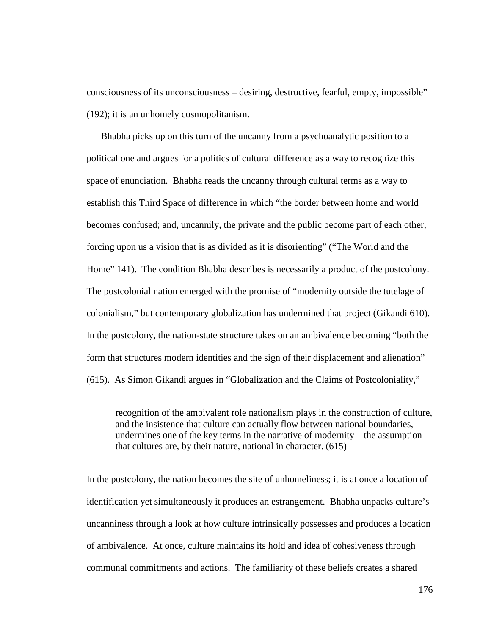consciousness of its unconsciousness – desiring, destructive, fearful, empty, impossible" (192); it is an unhomely cosmopolitanism.

 Bhabha picks up on this turn of the uncanny from a psychoanalytic position to a political one and argues for a politics of cultural difference as a way to recognize this space of enunciation. Bhabha reads the uncanny through cultural terms as a way to establish this Third Space of difference in which "the border between home and world becomes confused; and, uncannily, the private and the public become part of each other, forcing upon us a vision that is as divided as it is disorienting" ("The World and the Home" 141). The condition Bhabha describes is necessarily a product of the postcolony. The postcolonial nation emerged with the promise of "modernity outside the tutelage of colonialism," but contemporary globalization has undermined that project (Gikandi 610). In the postcolony, the nation-state structure takes on an ambivalence becoming "both the form that structures modern identities and the sign of their displacement and alienation" (615). As Simon Gikandi argues in "Globalization and the Claims of Postcoloniality,"

recognition of the ambivalent role nationalism plays in the construction of culture, and the insistence that culture can actually flow between national boundaries, undermines one of the key terms in the narrative of modernity – the assumption that cultures are, by their nature, national in character. (615)

In the postcolony, the nation becomes the site of unhomeliness; it is at once a location of identification yet simultaneously it produces an estrangement. Bhabha unpacks culture's uncanniness through a look at how culture intrinsically possesses and produces a location of ambivalence. At once, culture maintains its hold and idea of cohesiveness through communal commitments and actions. The familiarity of these beliefs creates a shared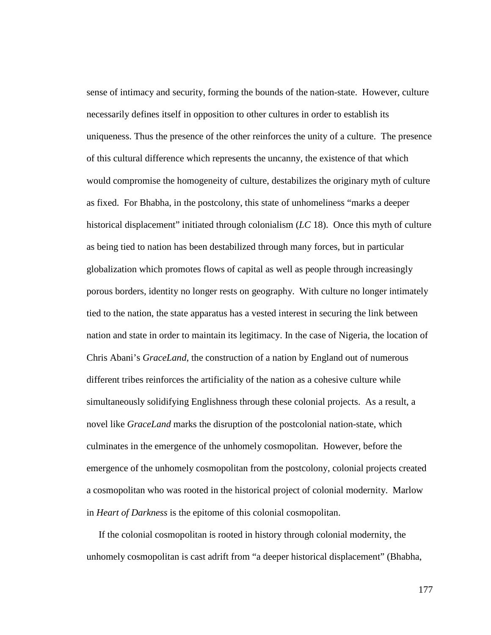sense of intimacy and security, forming the bounds of the nation-state. However, culture necessarily defines itself in opposition to other cultures in order to establish its uniqueness. Thus the presence of the other reinforces the unity of a culture. The presence of this cultural difference which represents the uncanny, the existence of that which would compromise the homogeneity of culture, destabilizes the originary myth of culture as fixed. For Bhabha, in the postcolony, this state of unhomeliness "marks a deeper historical displacement" initiated through colonialism (*LC* 18). Once this myth of culture as being tied to nation has been destabilized through many forces, but in particular globalization which promotes flows of capital as well as people through increasingly porous borders, identity no longer rests on geography. With culture no longer intimately tied to the nation, the state apparatus has a vested interest in securing the link between nation and state in order to maintain its legitimacy. In the case of Nigeria, the location of Chris Abani's *GraceLand*, the construction of a nation by England out of numerous different tribes reinforces the artificiality of the nation as a cohesive culture while simultaneously solidifying Englishness through these colonial projects. As a result, a novel like *GraceLand* marks the disruption of the postcolonial nation-state, which culminates in the emergence of the unhomely cosmopolitan. However, before the emergence of the unhomely cosmopolitan from the postcolony, colonial projects created a cosmopolitan who was rooted in the historical project of colonial modernity. Marlow in *Heart of Darkness* is the epitome of this colonial cosmopolitan.

 If the colonial cosmopolitan is rooted in history through colonial modernity, the unhomely cosmopolitan is cast adrift from "a deeper historical displacement" (Bhabha,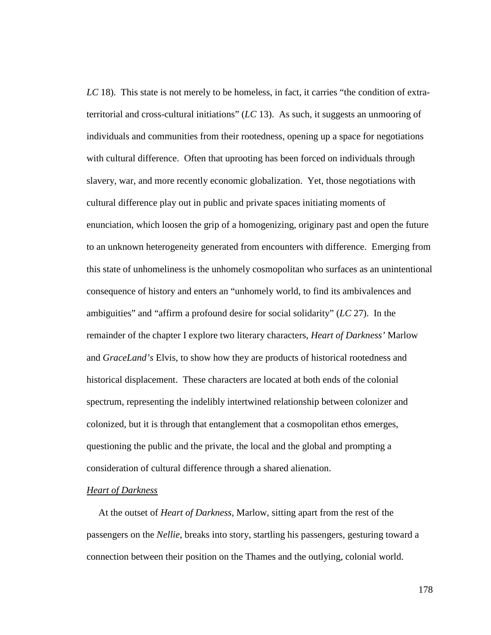*LC* 18). This state is not merely to be homeless, in fact, it carries "the condition of extraterritorial and cross-cultural initiations" (*LC* 13). As such, it suggests an unmooring of individuals and communities from their rootedness, opening up a space for negotiations with cultural difference. Often that uprooting has been forced on individuals through slavery, war, and more recently economic globalization. Yet, those negotiations with cultural difference play out in public and private spaces initiating moments of enunciation, which loosen the grip of a homogenizing, originary past and open the future to an unknown heterogeneity generated from encounters with difference. Emerging from this state of unhomeliness is the unhomely cosmopolitan who surfaces as an unintentional consequence of history and enters an "unhomely world, to find its ambivalences and ambiguities" and "affirm a profound desire for social solidarity" (*LC* 27). In the remainder of the chapter I explore two literary characters, *Heart of Darkness'* Marlow and *GraceLand's* Elvis, to show how they are products of historical rootedness and historical displacement. These characters are located at both ends of the colonial spectrum, representing the indelibly intertwined relationship between colonizer and colonized, but it is through that entanglement that a cosmopolitan ethos emerges, questioning the public and the private, the local and the global and prompting a consideration of cultural difference through a shared alienation.

## *Heart of Darkness*

 At the outset of *Heart of Darkness*, Marlow, sitting apart from the rest of the passengers on the *Nellie*, breaks into story, startling his passengers, gesturing toward a connection between their position on the Thames and the outlying, colonial world.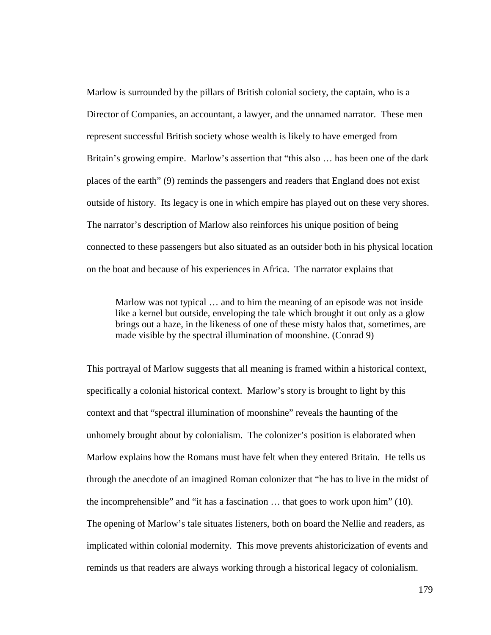Marlow is surrounded by the pillars of British colonial society, the captain, who is a Director of Companies, an accountant, a lawyer, and the unnamed narrator. These men represent successful British society whose wealth is likely to have emerged from Britain's growing empire. Marlow's assertion that "this also ... has been one of the dark places of the earth" (9) reminds the passengers and readers that England does not exist outside of history. Its legacy is one in which empire has played out on these very shores. The narrator's description of Marlow also reinforces his unique position of being connected to these passengers but also situated as an outsider both in his physical location on the boat and because of his experiences in Africa. The narrator explains that

Marlow was not typical … and to him the meaning of an episode was not inside like a kernel but outside, enveloping the tale which brought it out only as a glow brings out a haze, in the likeness of one of these misty halos that, sometimes, are made visible by the spectral illumination of moonshine. (Conrad 9)

This portrayal of Marlow suggests that all meaning is framed within a historical context, specifically a colonial historical context. Marlow's story is brought to light by this context and that "spectral illumination of moonshine" reveals the haunting of the unhomely brought about by colonialism. The colonizer's position is elaborated when Marlow explains how the Romans must have felt when they entered Britain. He tells us through the anecdote of an imagined Roman colonizer that "he has to live in the midst of the incomprehensible" and "it has a fascination … that goes to work upon him" (10). The opening of Marlow's tale situates listeners, both on board the Nellie and readers, as implicated within colonial modernity. This move prevents ahistoricization of events and reminds us that readers are always working through a historical legacy of colonialism.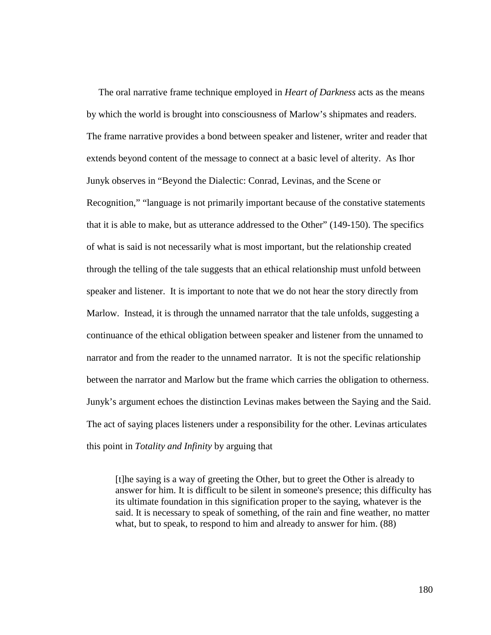The oral narrative frame technique employed in *Heart of Darkness* acts as the means by which the world is brought into consciousness of Marlow's shipmates and readers. The frame narrative provides a bond between speaker and listener, writer and reader that extends beyond content of the message to connect at a basic level of alterity. As Ihor Junyk observes in "Beyond the Dialectic: Conrad, Levinas, and the Scene or Recognition," "language is not primarily important because of the constative statements that it is able to make, but as utterance addressed to the Other" (149-150). The specifics of what is said is not necessarily what is most important, but the relationship created through the telling of the tale suggests that an ethical relationship must unfold between speaker and listener. It is important to note that we do not hear the story directly from Marlow. Instead, it is through the unnamed narrator that the tale unfolds, suggesting a continuance of the ethical obligation between speaker and listener from the unnamed to narrator and from the reader to the unnamed narrator. It is not the specific relationship between the narrator and Marlow but the frame which carries the obligation to otherness. Junyk's argument echoes the distinction Levinas makes between the Saying and the Said. The act of saying places listeners under a responsibility for the other. Levinas articulates this point in *Totality and Infinity* by arguing that

[t]he saying is a way of greeting the Other, but to greet the Other is already to answer for him. It is difficult to be silent in someone's presence; this difficulty has its ultimate foundation in this signification proper to the saying, whatever is the said. It is necessary to speak of something, of the rain and fine weather, no matter what, but to speak, to respond to him and already to answer for him. (88)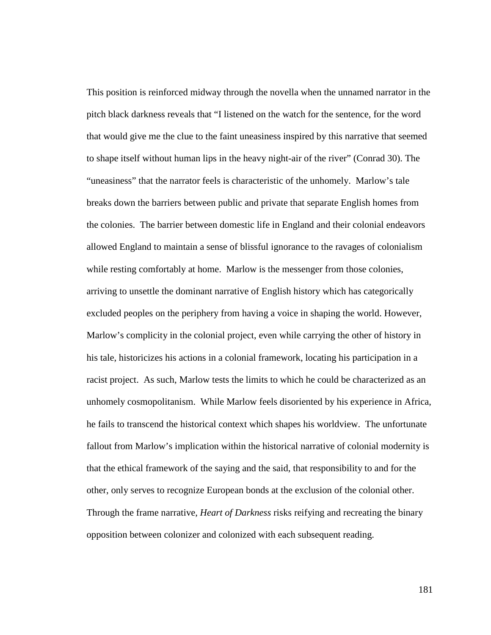This position is reinforced midway through the novella when the unnamed narrator in the pitch black darkness reveals that "I listened on the watch for the sentence, for the word that would give me the clue to the faint uneasiness inspired by this narrative that seemed to shape itself without human lips in the heavy night-air of the river" (Conrad 30). The "uneasiness" that the narrator feels is characteristic of the unhomely. Marlow's tale breaks down the barriers between public and private that separate English homes from the colonies. The barrier between domestic life in England and their colonial endeavors allowed England to maintain a sense of blissful ignorance to the ravages of colonialism while resting comfortably at home. Marlow is the messenger from those colonies, arriving to unsettle the dominant narrative of English history which has categorically excluded peoples on the periphery from having a voice in shaping the world. However, Marlow's complicity in the colonial project, even while carrying the other of history in his tale, historicizes his actions in a colonial framework, locating his participation in a racist project. As such, Marlow tests the limits to which he could be characterized as an unhomely cosmopolitanism. While Marlow feels disoriented by his experience in Africa, he fails to transcend the historical context which shapes his worldview. The unfortunate fallout from Marlow's implication within the historical narrative of colonial modernity is that the ethical framework of the saying and the said, that responsibility to and for the other, only serves to recognize European bonds at the exclusion of the colonial other. Through the frame narrative, *Heart of Darkness* risks reifying and recreating the binary opposition between colonizer and colonized with each subsequent reading.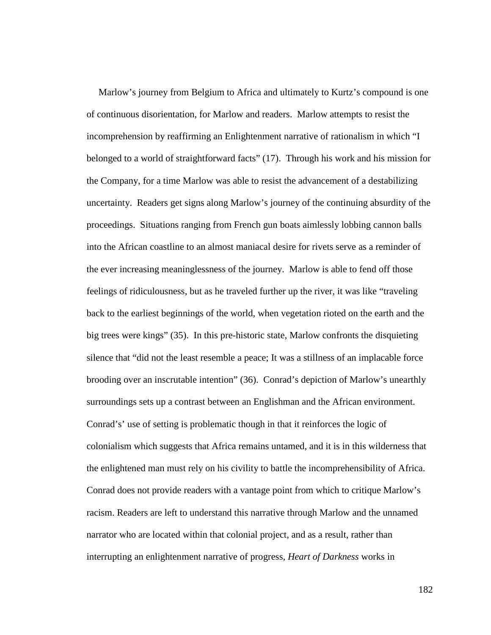Marlow's journey from Belgium to Africa and ultimately to Kurtz's compound is one of continuous disorientation, for Marlow and readers. Marlow attempts to resist the incomprehension by reaffirming an Enlightenment narrative of rationalism in which "I belonged to a world of straightforward facts" (17). Through his work and his mission for the Company, for a time Marlow was able to resist the advancement of a destabilizing uncertainty. Readers get signs along Marlow's journey of the continuing absurdity of the proceedings. Situations ranging from French gun boats aimlessly lobbing cannon balls into the African coastline to an almost maniacal desire for rivets serve as a reminder of the ever increasing meaninglessness of the journey. Marlow is able to fend off those feelings of ridiculousness, but as he traveled further up the river, it was like "traveling back to the earliest beginnings of the world, when vegetation rioted on the earth and the big trees were kings" (35). In this pre-historic state, Marlow confronts the disquieting silence that "did not the least resemble a peace; It was a stillness of an implacable force brooding over an inscrutable intention" (36). Conrad's depiction of Marlow's unearthly surroundings sets up a contrast between an Englishman and the African environment. Conrad's' use of setting is problematic though in that it reinforces the logic of colonialism which suggests that Africa remains untamed, and it is in this wilderness that the enlightened man must rely on his civility to battle the incomprehensibility of Africa. Conrad does not provide readers with a vantage point from which to critique Marlow's racism. Readers are left to understand this narrative through Marlow and the unnamed narrator who are located within that colonial project, and as a result, rather than interrupting an enlightenment narrative of progress, *Heart of Darkness* works in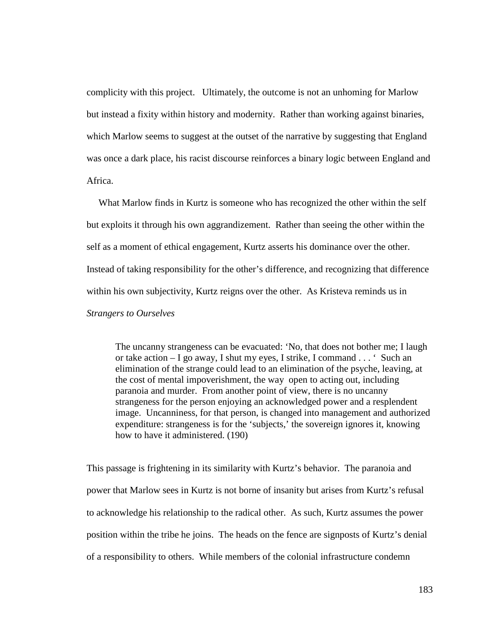complicity with this project. Ultimately, the outcome is not an unhoming for Marlow but instead a fixity within history and modernity. Rather than working against binaries, which Marlow seems to suggest at the outset of the narrative by suggesting that England was once a dark place, his racist discourse reinforces a binary logic between England and Africa.

 What Marlow finds in Kurtz is someone who has recognized the other within the self but exploits it through his own aggrandizement. Rather than seeing the other within the self as a moment of ethical engagement, Kurtz asserts his dominance over the other. Instead of taking responsibility for the other's difference, and recognizing that difference within his own subjectivity, Kurtz reigns over the other. As Kristeva reminds us in *Strangers to Ourselves*

The uncanny strangeness can be evacuated: 'No, that does not bother me; I laugh or take action – I go away, I shut my eyes, I strike, I command . . . ' Such an elimination of the strange could lead to an elimination of the psyche, leaving, at the cost of mental impoverishment, the way open to acting out, including paranoia and murder. From another point of view, there is no uncanny strangeness for the person enjoying an acknowledged power and a resplendent image. Uncanniness, for that person, is changed into management and authorized expenditure: strangeness is for the 'subjects,' the sovereign ignores it, knowing how to have it administered. (190)

This passage is frightening in its similarity with Kurtz's behavior. The paranoia and power that Marlow sees in Kurtz is not borne of insanity but arises from Kurtz's refusal to acknowledge his relationship to the radical other. As such, Kurtz assumes the power position within the tribe he joins. The heads on the fence are signposts of Kurtz's denial of a responsibility to others. While members of the colonial infrastructure condemn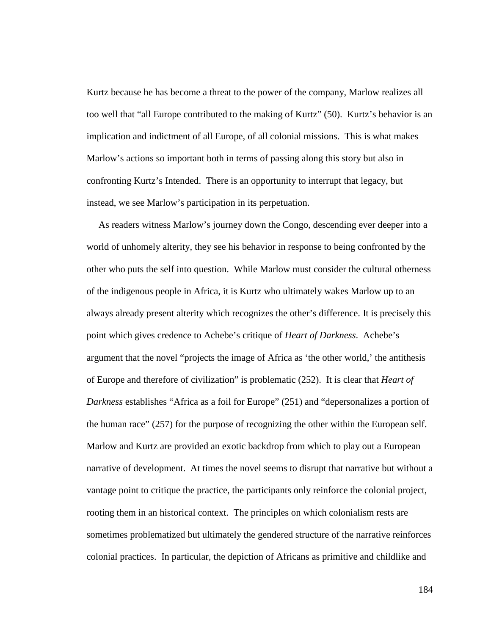Kurtz because he has become a threat to the power of the company, Marlow realizes all too well that "all Europe contributed to the making of Kurtz" (50). Kurtz's behavior is an implication and indictment of all Europe, of all colonial missions. This is what makes Marlow's actions so important both in terms of passing along this story but also in confronting Kurtz's Intended. There is an opportunity to interrupt that legacy, but instead, we see Marlow's participation in its perpetuation.

 As readers witness Marlow's journey down the Congo, descending ever deeper into a world of unhomely alterity, they see his behavior in response to being confronted by the other who puts the self into question. While Marlow must consider the cultural otherness of the indigenous people in Africa, it is Kurtz who ultimately wakes Marlow up to an always already present alterity which recognizes the other's difference. It is precisely this point which gives credence to Achebe's critique of *Heart of Darkness*. Achebe's argument that the novel "projects the image of Africa as 'the other world,' the antithesis of Europe and therefore of civilization" is problematic (252). It is clear that *Heart of Darkness* establishes "Africa as a foil for Europe" (251) and "depersonalizes a portion of the human race" (257) for the purpose of recognizing the other within the European self. Marlow and Kurtz are provided an exotic backdrop from which to play out a European narrative of development. At times the novel seems to disrupt that narrative but without a vantage point to critique the practice, the participants only reinforce the colonial project, rooting them in an historical context. The principles on which colonialism rests are sometimes problematized but ultimately the gendered structure of the narrative reinforces colonial practices. In particular, the depiction of Africans as primitive and childlike and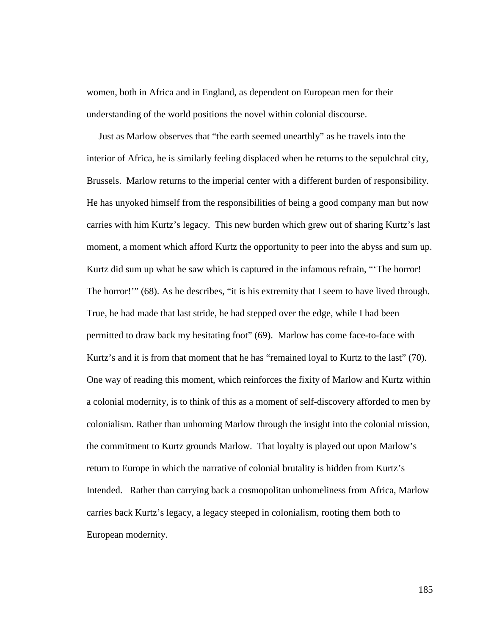women, both in Africa and in England, as dependent on European men for their understanding of the world positions the novel within colonial discourse.

 Just as Marlow observes that "the earth seemed unearthly" as he travels into the interior of Africa, he is similarly feeling displaced when he returns to the sepulchral city, Brussels. Marlow returns to the imperial center with a different burden of responsibility. He has unyoked himself from the responsibilities of being a good company man but now carries with him Kurtz's legacy. This new burden which grew out of sharing Kurtz's last moment, a moment which afford Kurtz the opportunity to peer into the abyss and sum up. Kurtz did sum up what he saw which is captured in the infamous refrain, "'The horror! The horror!"" (68). As he describes, "it is his extremity that I seem to have lived through. True, he had made that last stride, he had stepped over the edge, while I had been permitted to draw back my hesitating foot" (69). Marlow has come face-to-face with Kurtz's and it is from that moment that he has "remained loyal to Kurtz to the last" (70). One way of reading this moment, which reinforces the fixity of Marlow and Kurtz within a colonial modernity, is to think of this as a moment of self-discovery afforded to men by colonialism. Rather than unhoming Marlow through the insight into the colonial mission, the commitment to Kurtz grounds Marlow. That loyalty is played out upon Marlow's return to Europe in which the narrative of colonial brutality is hidden from Kurtz's Intended. Rather than carrying back a cosmopolitan unhomeliness from Africa, Marlow carries back Kurtz's legacy, a legacy steeped in colonialism, rooting them both to European modernity.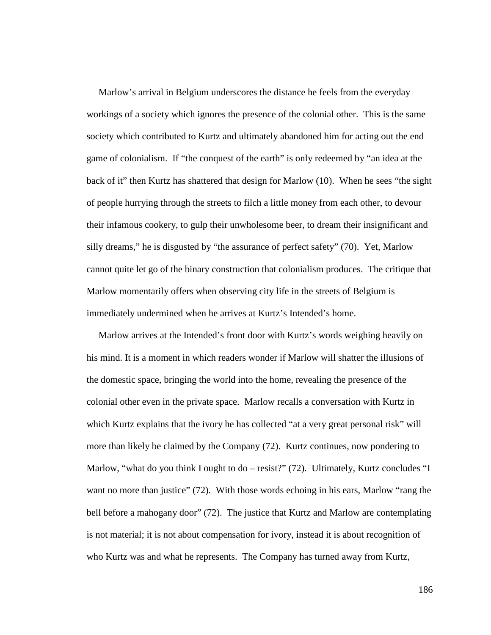Marlow's arrival in Belgium underscores the distance he feels from the everyday workings of a society which ignores the presence of the colonial other. This is the same society which contributed to Kurtz and ultimately abandoned him for acting out the end game of colonialism. If "the conquest of the earth" is only redeemed by "an idea at the back of it" then Kurtz has shattered that design for Marlow (10). When he sees "the sight of people hurrying through the streets to filch a little money from each other, to devour their infamous cookery, to gulp their unwholesome beer, to dream their insignificant and silly dreams," he is disgusted by "the assurance of perfect safety" (70). Yet, Marlow cannot quite let go of the binary construction that colonialism produces. The critique that Marlow momentarily offers when observing city life in the streets of Belgium is immediately undermined when he arrives at Kurtz's Intended's home.

 Marlow arrives at the Intended's front door with Kurtz's words weighing heavily on his mind. It is a moment in which readers wonder if Marlow will shatter the illusions of the domestic space, bringing the world into the home, revealing the presence of the colonial other even in the private space. Marlow recalls a conversation with Kurtz in which Kurtz explains that the ivory he has collected "at a very great personal risk" will more than likely be claimed by the Company (72). Kurtz continues, now pondering to Marlow, "what do you think I ought to do – resist?" (72). Ultimately, Kurtz concludes "I want no more than justice" (72). With those words echoing in his ears, Marlow "rang the bell before a mahogany door" (72). The justice that Kurtz and Marlow are contemplating is not material; it is not about compensation for ivory, instead it is about recognition of who Kurtz was and what he represents. The Company has turned away from Kurtz,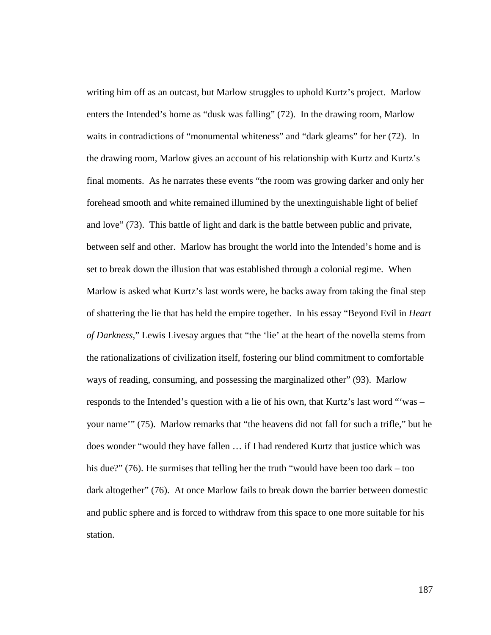writing him off as an outcast, but Marlow struggles to uphold Kurtz's project. Marlow enters the Intended's home as "dusk was falling" (72). In the drawing room, Marlow waits in contradictions of "monumental whiteness" and "dark gleams" for her (72). In the drawing room, Marlow gives an account of his relationship with Kurtz and Kurtz's final moments. As he narrates these events "the room was growing darker and only her forehead smooth and white remained illumined by the unextinguishable light of belief and love" (73). This battle of light and dark is the battle between public and private, between self and other. Marlow has brought the world into the Intended's home and is set to break down the illusion that was established through a colonial regime. When Marlow is asked what Kurtz's last words were, he backs away from taking the final step of shattering the lie that has held the empire together. In his essay "Beyond Evil in *Heart of Darkness,*" Lewis Livesay argues that "the 'lie' at the heart of the novella stems from the rationalizations of civilization itself, fostering our blind commitment to comfortable ways of reading, consuming, and possessing the marginalized other" (93). Marlow responds to the Intended's question with a lie of his own, that Kurtz's last word "'was – your name'" (75). Marlow remarks that "the heavens did not fall for such a trifle," but he does wonder "would they have fallen … if I had rendered Kurtz that justice which was his due?" (76). He surmises that telling her the truth "would have been too dark – too dark altogether" (76). At once Marlow fails to break down the barrier between domestic and public sphere and is forced to withdraw from this space to one more suitable for his station.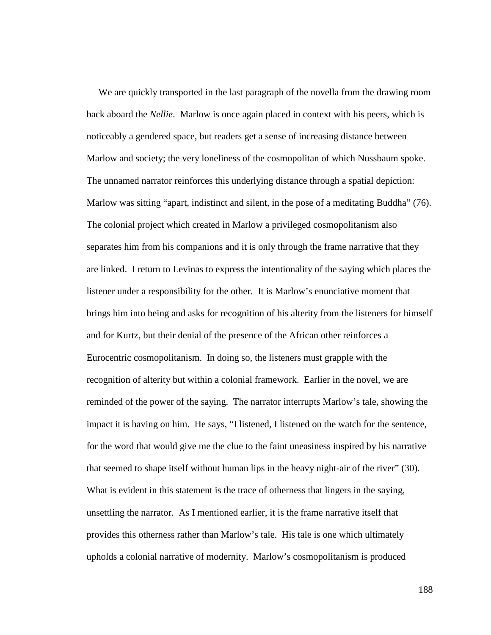We are quickly transported in the last paragraph of the novella from the drawing room back aboard the *Nellie*.Marlow is once again placed in context with his peers, which is noticeably a gendered space, but readers get a sense of increasing distance between Marlow and society; the very loneliness of the cosmopolitan of which Nussbaum spoke. The unnamed narrator reinforces this underlying distance through a spatial depiction: Marlow was sitting "apart, indistinct and silent, in the pose of a meditating Buddha" (76). The colonial project which created in Marlow a privileged cosmopolitanism also separates him from his companions and it is only through the frame narrative that they are linked. I return to Levinas to express the intentionality of the saying which places the listener under a responsibility for the other. It is Marlow's enunciative moment that brings him into being and asks for recognition of his alterity from the listeners for himself and for Kurtz, but their denial of the presence of the African other reinforces a Eurocentric cosmopolitanism. In doing so, the listeners must grapple with the recognition of alterity but within a colonial framework. Earlier in the novel, we are reminded of the power of the saying. The narrator interrupts Marlow's tale, showing the impact it is having on him. He says, "I listened, I listened on the watch for the sentence, for the word that would give me the clue to the faint uneasiness inspired by his narrative that seemed to shape itself without human lips in the heavy night-air of the river" (30). What is evident in this statement is the trace of otherness that lingers in the saying, unsettling the narrator. As I mentioned earlier, it is the frame narrative itself that provides this otherness rather than Marlow's tale. His tale is one which ultimately upholds a colonial narrative of modernity. Marlow's cosmopolitanism is produced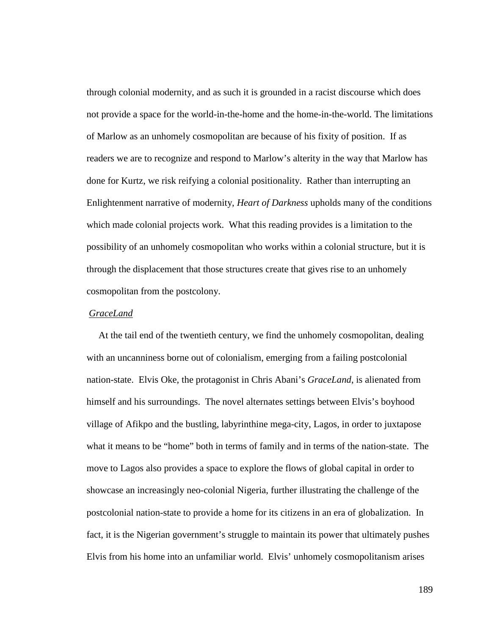through colonial modernity, and as such it is grounded in a racist discourse which does not provide a space for the world-in-the-home and the home-in-the-world. The limitations of Marlow as an unhomely cosmopolitan are because of his fixity of position. If as readers we are to recognize and respond to Marlow's alterity in the way that Marlow has done for Kurtz, we risk reifying a colonial positionality. Rather than interrupting an Enlightenment narrative of modernity, *Heart of Darkness* upholds many of the conditions which made colonial projects work. What this reading provides is a limitation to the possibility of an unhomely cosmopolitan who works within a colonial structure, but it is through the displacement that those structures create that gives rise to an unhomely cosmopolitan from the postcolony.

## *GraceLand*

 At the tail end of the twentieth century, we find the unhomely cosmopolitan, dealing with an uncanniness borne out of colonialism, emerging from a failing postcolonial nation-state. Elvis Oke, the protagonist in Chris Abani's *GraceLand*, is alienated from himself and his surroundings. The novel alternates settings between Elvis's boyhood village of Afikpo and the bustling, labyrinthine mega-city, Lagos, in order to juxtapose what it means to be "home" both in terms of family and in terms of the nation-state. The move to Lagos also provides a space to explore the flows of global capital in order to showcase an increasingly neo-colonial Nigeria, further illustrating the challenge of the postcolonial nation-state to provide a home for its citizens in an era of globalization. In fact, it is the Nigerian government's struggle to maintain its power that ultimately pushes Elvis from his home into an unfamiliar world. Elvis' unhomely cosmopolitanism arises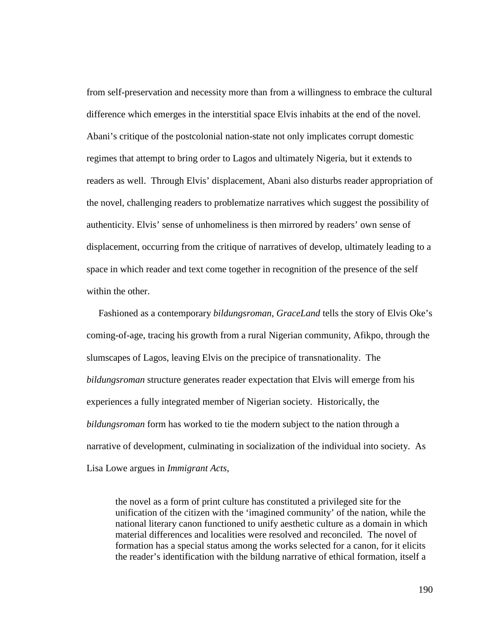from self-preservation and necessity more than from a willingness to embrace the cultural difference which emerges in the interstitial space Elvis inhabits at the end of the novel. Abani's critique of the postcolonial nation-state not only implicates corrupt domestic regimes that attempt to bring order to Lagos and ultimately Nigeria, but it extends to readers as well. Through Elvis' displacement, Abani also disturbs reader appropriation of the novel, challenging readers to problematize narratives which suggest the possibility of authenticity. Elvis' sense of unhomeliness is then mirrored by readers' own sense of displacement, occurring from the critique of narratives of develop, ultimately leading to a space in which reader and text come together in recognition of the presence of the self within the other.

 Fashioned as a contemporary *bildungsroman*, *GraceLand* tells the story of Elvis Oke's coming-of-age, tracing his growth from a rural Nigerian community, Afikpo, through the slumscapes of Lagos, leaving Elvis on the precipice of transnationality. The *bildungsroman* structure generates reader expectation that Elvis will emerge from his experiences a fully integrated member of Nigerian society. Historically, the *bildungsroman* form has worked to tie the modern subject to the nation through a narrative of development, culminating in socialization of the individual into society. As Lisa Lowe argues in *Immigrant Acts*,

the novel as a form of print culture has constituted a privileged site for the unification of the citizen with the 'imagined community' of the nation, while the national literary canon functioned to unify aesthetic culture as a domain in which material differences and localities were resolved and reconciled. The novel of formation has a special status among the works selected for a canon, for it elicits the reader's identification with the bildung narrative of ethical formation, itself a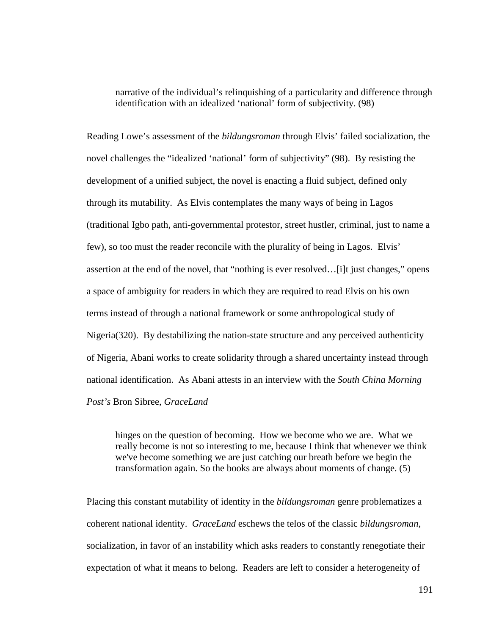narrative of the individual's relinquishing of a particularity and difference through identification with an idealized 'national' form of subjectivity. (98)

Reading Lowe's assessment of the *bildungsroman* through Elvis' failed socialization, the novel challenges the "idealized 'national' form of subjectivity" (98). By resisting the development of a unified subject, the novel is enacting a fluid subject, defined only through its mutability. As Elvis contemplates the many ways of being in Lagos (traditional Igbo path, anti-governmental protestor, street hustler, criminal, just to name a few), so too must the reader reconcile with the plurality of being in Lagos. Elvis' assertion at the end of the novel, that "nothing is ever resolved…[i]t just changes," opens a space of ambiguity for readers in which they are required to read Elvis on his own terms instead of through a national framework or some anthropological study of Nigeria(320). By destabilizing the nation-state structure and any perceived authenticity of Nigeria, Abani works to create solidarity through a shared uncertainty instead through national identification. As Abani attests in an interview with the *South China Morning Post's* Bron Sibree, *GraceLand*

hinges on the question of becoming. How we become who we are. What we really become is not so interesting to me, because I think that whenever we think we've become something we are just catching our breath before we begin the transformation again. So the books are always about moments of change. (5)

Placing this constant mutability of identity in the *bildungsroman* genre problematizes a coherent national identity. *GraceLand* eschews the telos of the classic *bildungsroman*, socialization, in favor of an instability which asks readers to constantly renegotiate their expectation of what it means to belong. Readers are left to consider a heterogeneity of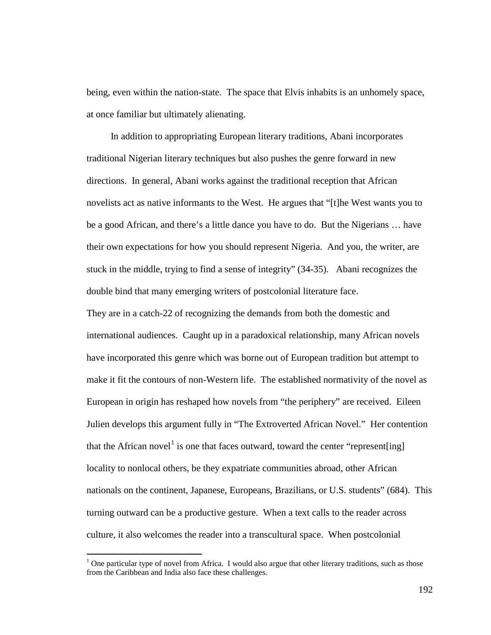being, even within the nation-state. The space that Elvis inhabits is an unhomely space, at once familiar but ultimately alienating.

 In addition to appropriating European literary traditions, Abani incorporates traditional Nigerian literary techniques but also pushes the genre forward in new directions. In general, Abani works against the traditional reception that African novelists act as native informants to the West. He argues that "[t]he West wants you to be a good African, and there's a little dance you have to do. But the Nigerians … have their own expectations for how you should represent Nigeria. And you, the writer, are stuck in the middle, trying to find a sense of integrity" (34-35). Abani recognizes the double bind that many emerging writers of postcolonial literature face.

They are in a catch-22 of recognizing the demands from both the domestic and international audiences. Caught up in a paradoxical relationship, many African novels have incorporated this genre which was borne out of European tradition but attempt to make it fit the contours of non-Western life. The established normativity of the novel as European in origin has reshaped how novels from "the periphery" are received. Eileen Julien develops this argument fully in "The Extroverted African Novel." Her contention that the African novel<sup>[1](#page-197-0)</sup> is one that faces outward, toward the center "represent[ing] locality to nonlocal others, be they expatriate communities abroad, other African nationals on the continent, Japanese, Europeans, Brazilians, or U.S. students" (684). This turning outward can be a productive gesture. When a text calls to the reader across culture, it also welcomes the reader into a transcultural space. When postcolonial

<span id="page-197-0"></span><sup>&</sup>lt;sup>1</sup> One particular type of novel from Africa. I would also argue that other literary traditions, such as those from the Caribbean and India also face these challenges.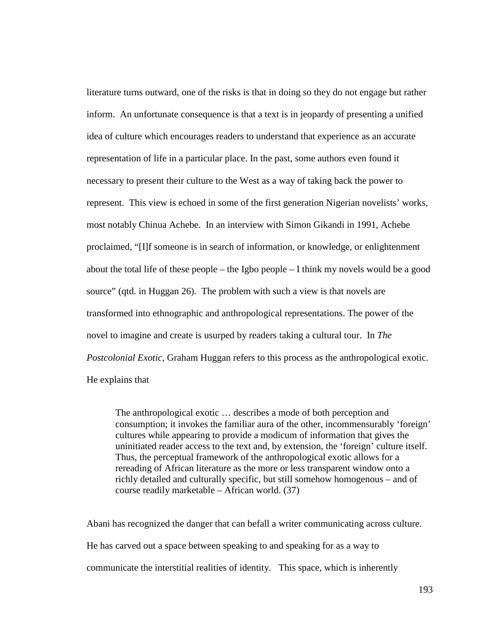literature turns outward, one of the risks is that in doing so they do not engage but rather inform. An unfortunate consequence is that a text is in jeopardy of presenting a unified idea of culture which encourages readers to understand that experience as an accurate representation of life in a particular place. In the past, some authors even found it necessary to present their culture to the West as a way of taking back the power to represent. This view is echoed in some of the first generation Nigerian novelists' works, most notably Chinua Achebe. In an interview with Simon Gikandi in 1991, Achebe proclaimed, "[I]f someone is in search of information, or knowledge, or enlightenment about the total life of these people – the Igbo people – I think my novels would be a good source" (qtd. in Huggan 26). The problem with such a view is that novels are transformed into ethnographic and anthropological representations. The power of the novel to imagine and create is usurped by readers taking a cultural tour. In *The Postcolonial Exotic*, Graham Huggan refers to this process as the anthropological exotic. He explains that

The anthropological exotic … describes a mode of both perception and consumption; it invokes the familiar aura of the other, incommensurably 'foreign' cultures while appearing to provide a modicum of information that gives the uninitiated reader access to the text and, by extension, the 'foreign' culture itself. Thus, the perceptual framework of the anthropological exotic allows for a rereading of African literature as the more or less transparent window onto a richly detailed and culturally specific, but still somehow homogenous – and of course readily marketable – African world. (37)

Abani has recognized the danger that can befall a writer communicating across culture. He has carved out a space between speaking to and speaking for as a way to communicate the interstitial realities of identity. This space, which is inherently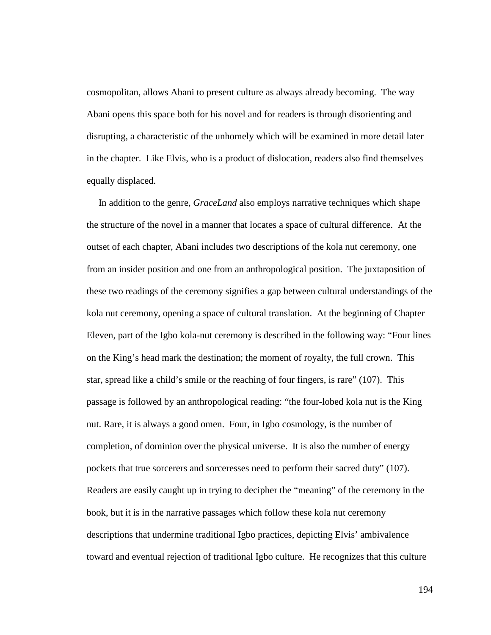cosmopolitan, allows Abani to present culture as always already becoming. The way Abani opens this space both for his novel and for readers is through disorienting and disrupting, a characteristic of the unhomely which will be examined in more detail later in the chapter. Like Elvis, who is a product of dislocation, readers also find themselves equally displaced.

 In addition to the genre, *GraceLand* also employs narrative techniques which shape the structure of the novel in a manner that locates a space of cultural difference. At the outset of each chapter, Abani includes two descriptions of the kola nut ceremony, one from an insider position and one from an anthropological position. The juxtaposition of these two readings of the ceremony signifies a gap between cultural understandings of the kola nut ceremony, opening a space of cultural translation. At the beginning of Chapter Eleven, part of the Igbo kola-nut ceremony is described in the following way: "Four lines on the King's head mark the destination; the moment of royalty, the full crown. This star, spread like a child's smile or the reaching of four fingers, is rare" (107). This passage is followed by an anthropological reading: "the four-lobed kola nut is the King nut. Rare, it is always a good omen. Four, in Igbo cosmology, is the number of completion, of dominion over the physical universe. It is also the number of energy pockets that true sorcerers and sorceresses need to perform their sacred duty" (107). Readers are easily caught up in trying to decipher the "meaning" of the ceremony in the book, but it is in the narrative passages which follow these kola nut ceremony descriptions that undermine traditional Igbo practices, depicting Elvis' ambivalence toward and eventual rejection of traditional Igbo culture. He recognizes that this culture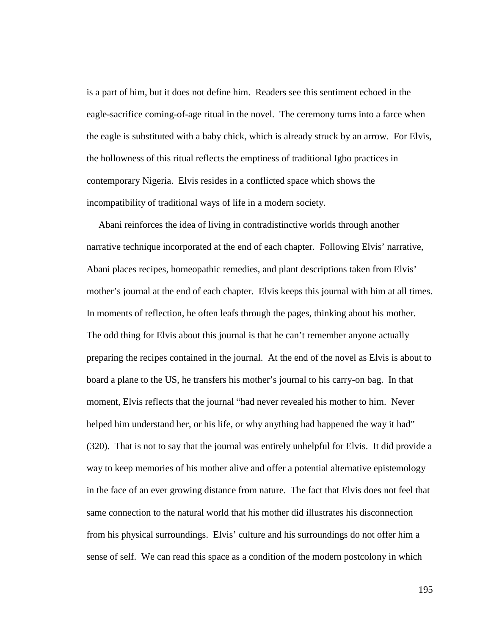is a part of him, but it does not define him. Readers see this sentiment echoed in the eagle-sacrifice coming-of-age ritual in the novel. The ceremony turns into a farce when the eagle is substituted with a baby chick, which is already struck by an arrow. For Elvis, the hollowness of this ritual reflects the emptiness of traditional Igbo practices in contemporary Nigeria. Elvis resides in a conflicted space which shows the incompatibility of traditional ways of life in a modern society.

 Abani reinforces the idea of living in contradistinctive worlds through another narrative technique incorporated at the end of each chapter. Following Elvis' narrative, Abani places recipes, homeopathic remedies, and plant descriptions taken from Elvis' mother's journal at the end of each chapter. Elvis keeps this journal with him at all times. In moments of reflection, he often leafs through the pages, thinking about his mother. The odd thing for Elvis about this journal is that he can't remember anyone actually preparing the recipes contained in the journal. At the end of the novel as Elvis is about to board a plane to the US, he transfers his mother's journal to his carry-on bag. In that moment, Elvis reflects that the journal "had never revealed his mother to him. Never helped him understand her, or his life, or why anything had happened the way it had" (320). That is not to say that the journal was entirely unhelpful for Elvis. It did provide a way to keep memories of his mother alive and offer a potential alternative epistemology in the face of an ever growing distance from nature. The fact that Elvis does not feel that same connection to the natural world that his mother did illustrates his disconnection from his physical surroundings. Elvis' culture and his surroundings do not offer him a sense of self. We can read this space as a condition of the modern postcolony in which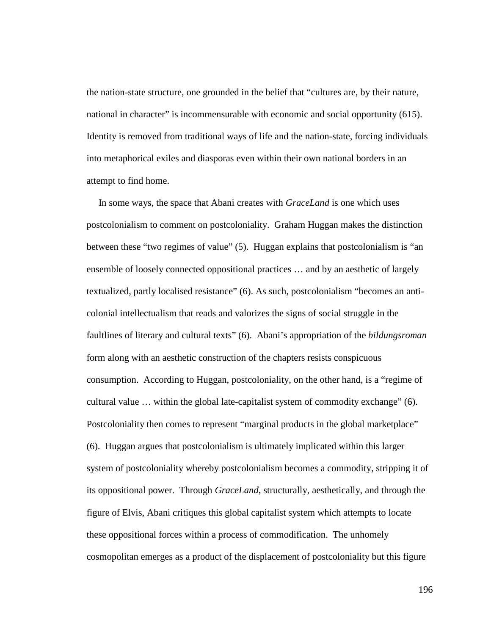the nation-state structure, one grounded in the belief that "cultures are, by their nature, national in character" is incommensurable with economic and social opportunity (615). Identity is removed from traditional ways of life and the nation-state, forcing individuals into metaphorical exiles and diasporas even within their own national borders in an attempt to find home.

 In some ways, the space that Abani creates with *GraceLand* is one which uses postcolonialism to comment on postcoloniality. Graham Huggan makes the distinction between these "two regimes of value" (5). Huggan explains that postcolonialism is "an ensemble of loosely connected oppositional practices … and by an aesthetic of largely textualized, partly localised resistance" (6). As such, postcolonialism "becomes an anticolonial intellectualism that reads and valorizes the signs of social struggle in the faultlines of literary and cultural texts" (6). Abani's appropriation of the *bildungsroman* form along with an aesthetic construction of the chapters resists conspicuous consumption. According to Huggan, postcoloniality, on the other hand, is a "regime of cultural value … within the global late-capitalist system of commodity exchange" (6). Postcoloniality then comes to represent "marginal products in the global marketplace" (6). Huggan argues that postcolonialism is ultimately implicated within this larger system of postcoloniality whereby postcolonialism becomes a commodity, stripping it of its oppositional power. Through *GraceLand*, structurally, aesthetically, and through the figure of Elvis, Abani critiques this global capitalist system which attempts to locate these oppositional forces within a process of commodification. The unhomely cosmopolitan emerges as a product of the displacement of postcoloniality but this figure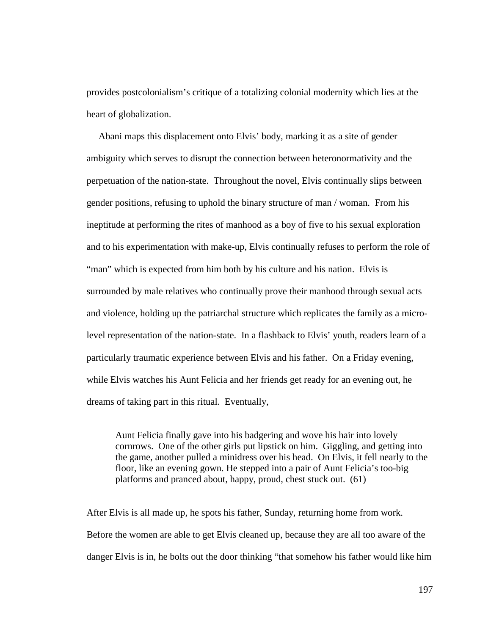provides postcolonialism's critique of a totalizing colonial modernity which lies at the heart of globalization.

 Abani maps this displacement onto Elvis' body, marking it as a site of gender ambiguity which serves to disrupt the connection between heteronormativity and the perpetuation of the nation-state. Throughout the novel, Elvis continually slips between gender positions, refusing to uphold the binary structure of man / woman. From his ineptitude at performing the rites of manhood as a boy of five to his sexual exploration and to his experimentation with make-up, Elvis continually refuses to perform the role of "man" which is expected from him both by his culture and his nation. Elvis is surrounded by male relatives who continually prove their manhood through sexual acts and violence, holding up the patriarchal structure which replicates the family as a microlevel representation of the nation-state. In a flashback to Elvis' youth, readers learn of a particularly traumatic experience between Elvis and his father. On a Friday evening, while Elvis watches his Aunt Felicia and her friends get ready for an evening out, he dreams of taking part in this ritual. Eventually,

Aunt Felicia finally gave into his badgering and wove his hair into lovely cornrows. One of the other girls put lipstick on him. Giggling, and getting into the game, another pulled a minidress over his head. On Elvis, it fell nearly to the floor, like an evening gown. He stepped into a pair of Aunt Felicia's too-big platforms and pranced about, happy, proud, chest stuck out. (61)

After Elvis is all made up, he spots his father, Sunday, returning home from work. Before the women are able to get Elvis cleaned up, because they are all too aware of the danger Elvis is in, he bolts out the door thinking "that somehow his father would like him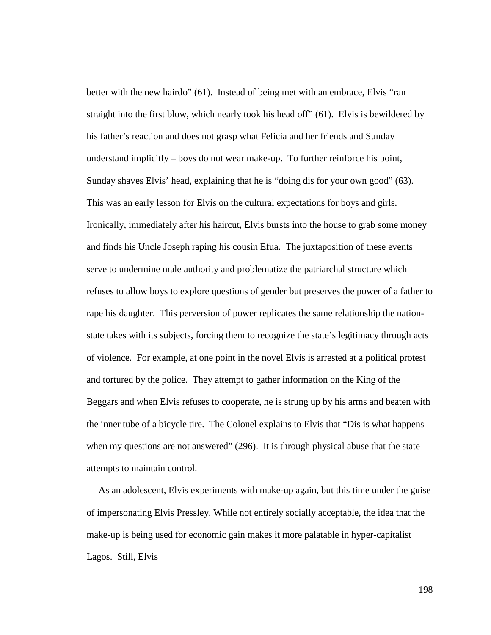better with the new hairdo" (61). Instead of being met with an embrace, Elvis "ran straight into the first blow, which nearly took his head off" (61). Elvis is bewildered by his father's reaction and does not grasp what Felicia and her friends and Sunday understand implicitly – boys do not wear make-up. To further reinforce his point, Sunday shaves Elvis' head, explaining that he is "doing dis for your own good" (63). This was an early lesson for Elvis on the cultural expectations for boys and girls. Ironically, immediately after his haircut, Elvis bursts into the house to grab some money and finds his Uncle Joseph raping his cousin Efua. The juxtaposition of these events serve to undermine male authority and problematize the patriarchal structure which refuses to allow boys to explore questions of gender but preserves the power of a father to rape his daughter. This perversion of power replicates the same relationship the nationstate takes with its subjects, forcing them to recognize the state's legitimacy through acts of violence. For example, at one point in the novel Elvis is arrested at a political protest and tortured by the police. They attempt to gather information on the King of the Beggars and when Elvis refuses to cooperate, he is strung up by his arms and beaten with the inner tube of a bicycle tire. The Colonel explains to Elvis that "Dis is what happens when my questions are not answered" (296). It is through physical abuse that the state attempts to maintain control.

 As an adolescent, Elvis experiments with make-up again, but this time under the guise of impersonating Elvis Pressley. While not entirely socially acceptable, the idea that the make-up is being used for economic gain makes it more palatable in hyper-capitalist Lagos. Still, Elvis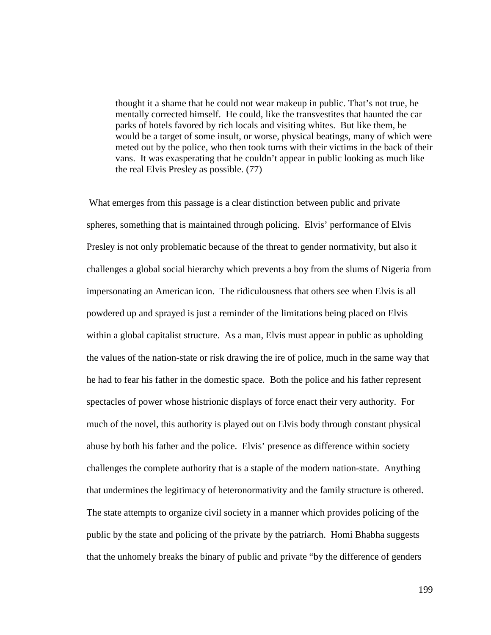thought it a shame that he could not wear makeup in public. That's not true, he mentally corrected himself. He could, like the transvestites that haunted the car parks of hotels favored by rich locals and visiting whites. But like them, he would be a target of some insult, or worse, physical beatings, many of which were meted out by the police, who then took turns with their victims in the back of their vans. It was exasperating that he couldn't appear in public looking as much like the real Elvis Presley as possible. (77)

What emerges from this passage is a clear distinction between public and private spheres, something that is maintained through policing. Elvis' performance of Elvis Presley is not only problematic because of the threat to gender normativity, but also it challenges a global social hierarchy which prevents a boy from the slums of Nigeria from impersonating an American icon. The ridiculousness that others see when Elvis is all powdered up and sprayed is just a reminder of the limitations being placed on Elvis within a global capitalist structure. As a man, Elvis must appear in public as upholding the values of the nation-state or risk drawing the ire of police, much in the same way that he had to fear his father in the domestic space. Both the police and his father represent spectacles of power whose histrionic displays of force enact their very authority. For much of the novel, this authority is played out on Elvis body through constant physical abuse by both his father and the police. Elvis' presence as difference within society challenges the complete authority that is a staple of the modern nation-state. Anything that undermines the legitimacy of heteronormativity and the family structure is othered. The state attempts to organize civil society in a manner which provides policing of the public by the state and policing of the private by the patriarch. Homi Bhabha suggests that the unhomely breaks the binary of public and private "by the difference of genders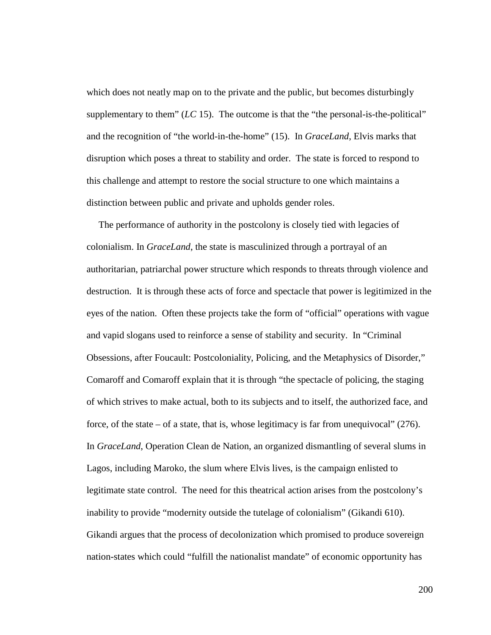which does not neatly map on to the private and the public, but becomes disturbingly supplementary to them" (*LC* 15). The outcome is that the "the personal-is-the-political" and the recognition of "the world-in-the-home" (15). In *GraceLand*, Elvis marks that disruption which poses a threat to stability and order. The state is forced to respond to this challenge and attempt to restore the social structure to one which maintains a distinction between public and private and upholds gender roles.

 The performance of authority in the postcolony is closely tied with legacies of colonialism. In *GraceLand*, the state is masculinized through a portrayal of an authoritarian, patriarchal power structure which responds to threats through violence and destruction. It is through these acts of force and spectacle that power is legitimized in the eyes of the nation. Often these projects take the form of "official" operations with vague and vapid slogans used to reinforce a sense of stability and security. In "Criminal Obsessions, after Foucault: Postcoloniality, Policing, and the Metaphysics of Disorder," Comaroff and Comaroff explain that it is through "the spectacle of policing, the staging of which strives to make actual, both to its subjects and to itself, the authorized face, and force, of the state – of a state, that is, whose legitimacy is far from unequivocal"  $(276)$ . In *GraceLand*, Operation Clean de Nation, an organized dismantling of several slums in Lagos, including Maroko, the slum where Elvis lives, is the campaign enlisted to legitimate state control. The need for this theatrical action arises from the postcolony's inability to provide "modernity outside the tutelage of colonialism" (Gikandi 610). Gikandi argues that the process of decolonization which promised to produce sovereign nation-states which could "fulfill the nationalist mandate" of economic opportunity has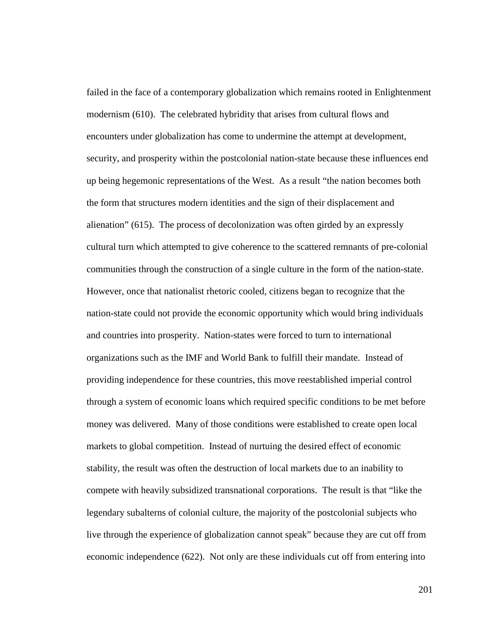failed in the face of a contemporary globalization which remains rooted in Enlightenment modernism (610). The celebrated hybridity that arises from cultural flows and encounters under globalization has come to undermine the attempt at development, security, and prosperity within the postcolonial nation-state because these influences end up being hegemonic representations of the West. As a result "the nation becomes both the form that structures modern identities and the sign of their displacement and alienation" (615). The process of decolonization was often girded by an expressly cultural turn which attempted to give coherence to the scattered remnants of pre-colonial communities through the construction of a single culture in the form of the nation-state. However, once that nationalist rhetoric cooled, citizens began to recognize that the nation-state could not provide the economic opportunity which would bring individuals and countries into prosperity. Nation-states were forced to turn to international organizations such as the IMF and World Bank to fulfill their mandate. Instead of providing independence for these countries, this move reestablished imperial control through a system of economic loans which required specific conditions to be met before money was delivered. Many of those conditions were established to create open local markets to global competition. Instead of nurtuing the desired effect of economic stability, the result was often the destruction of local markets due to an inability to compete with heavily subsidized transnational corporations. The result is that "like the legendary subalterns of colonial culture, the majority of the postcolonial subjects who live through the experience of globalization cannot speak" because they are cut off from economic independence (622). Not only are these individuals cut off from entering into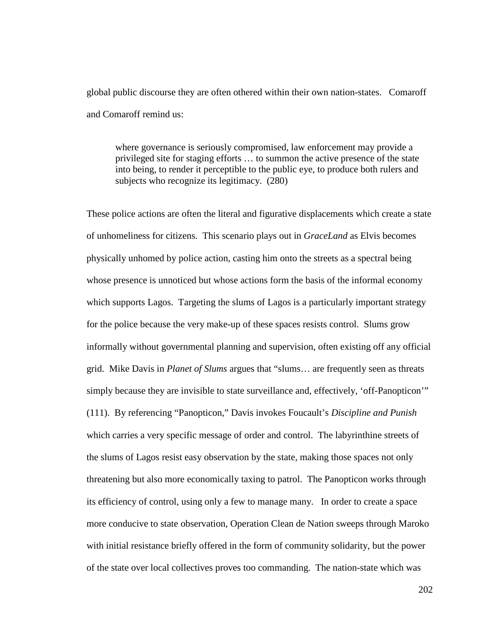global public discourse they are often othered within their own nation-states. Comaroff and Comaroff remind us:

where governance is seriously compromised, law enforcement may provide a privileged site for staging efforts … to summon the active presence of the state into being, to render it perceptible to the public eye, to produce both rulers and subjects who recognize its legitimacy. (280)

These police actions are often the literal and figurative displacements which create a state of unhomeliness for citizens. This scenario plays out in *GraceLand* as Elvis becomes physically unhomed by police action, casting him onto the streets as a spectral being whose presence is unnoticed but whose actions form the basis of the informal economy which supports Lagos. Targeting the slums of Lagos is a particularly important strategy for the police because the very make-up of these spaces resists control. Slums grow informally without governmental planning and supervision, often existing off any official grid. Mike Davis in *Planet of Slums* argues that "slums… are frequently seen as threats simply because they are invisible to state surveillance and, effectively, 'off-Panopticon'" (111). By referencing "Panopticon," Davis invokes Foucault's *Discipline and Punish* which carries a very specific message of order and control. The labyrinthine streets of the slums of Lagos resist easy observation by the state, making those spaces not only threatening but also more economically taxing to patrol. The Panopticon works through its efficiency of control, using only a few to manage many. In order to create a space more conducive to state observation, Operation Clean de Nation sweeps through Maroko with initial resistance briefly offered in the form of community solidarity, but the power of the state over local collectives proves too commanding. The nation-state which was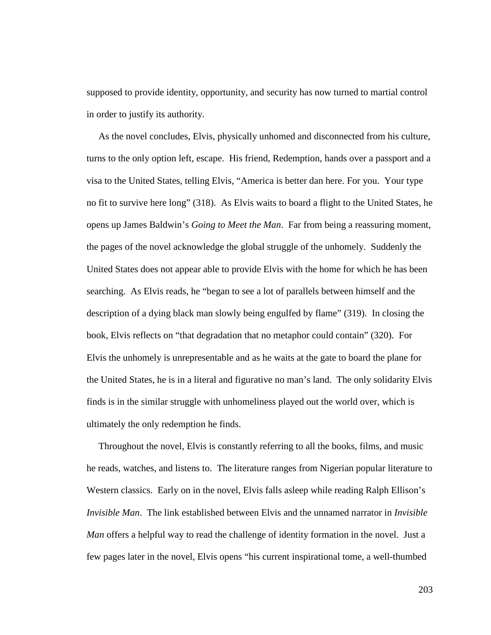supposed to provide identity, opportunity, and security has now turned to martial control in order to justify its authority.

 As the novel concludes, Elvis, physically unhomed and disconnected from his culture, turns to the only option left, escape. His friend, Redemption, hands over a passport and a visa to the United States, telling Elvis, "America is better dan here. For you. Your type no fit to survive here long" (318). As Elvis waits to board a flight to the United States, he opens up James Baldwin's *Going to Meet the Man*. Far from being a reassuring moment, the pages of the novel acknowledge the global struggle of the unhomely. Suddenly the United States does not appear able to provide Elvis with the home for which he has been searching. As Elvis reads, he "began to see a lot of parallels between himself and the description of a dying black man slowly being engulfed by flame" (319). In closing the book, Elvis reflects on "that degradation that no metaphor could contain" (320). For Elvis the unhomely is unrepresentable and as he waits at the gate to board the plane for the United States, he is in a literal and figurative no man's land. The only solidarity Elvis finds is in the similar struggle with unhomeliness played out the world over, which is ultimately the only redemption he finds.

 Throughout the novel, Elvis is constantly referring to all the books, films, and music he reads, watches, and listens to. The literature ranges from Nigerian popular literature to Western classics. Early on in the novel, Elvis falls asleep while reading Ralph Ellison's *Invisible Man*. The link established between Elvis and the unnamed narrator in *Invisible Man* offers a helpful way to read the challenge of identity formation in the novel. Just a few pages later in the novel, Elvis opens "his current inspirational tome, a well-thumbed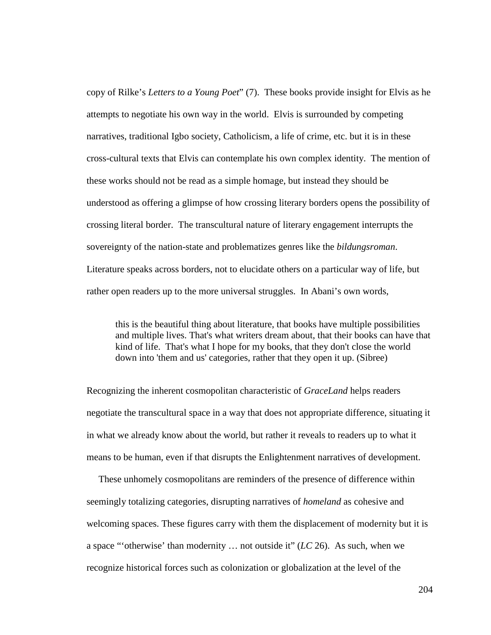copy of Rilke's *Letters to a Young Poet*" (7). These books provide insight for Elvis as he attempts to negotiate his own way in the world. Elvis is surrounded by competing narratives, traditional Igbo society, Catholicism, a life of crime, etc. but it is in these cross-cultural texts that Elvis can contemplate his own complex identity. The mention of these works should not be read as a simple homage, but instead they should be understood as offering a glimpse of how crossing literary borders opens the possibility of crossing literal border. The transcultural nature of literary engagement interrupts the sovereignty of the nation-state and problematizes genres like the *bildungsroman*. Literature speaks across borders, not to elucidate others on a particular way of life, but rather open readers up to the more universal struggles. In Abani's own words,

this is the beautiful thing about literature, that books have multiple possibilities and multiple lives. That's what writers dream about, that their books can have that kind of life. That's what I hope for my books, that they don't close the world down into 'them and us' categories, rather that they open it up. (Sibree)

Recognizing the inherent cosmopolitan characteristic of *GraceLand* helps readers negotiate the transcultural space in a way that does not appropriate difference, situating it in what we already know about the world, but rather it reveals to readers up to what it means to be human, even if that disrupts the Enlightenment narratives of development.

 These unhomely cosmopolitans are reminders of the presence of difference within seemingly totalizing categories, disrupting narratives of *homeland* as cohesive and welcoming spaces. These figures carry with them the displacement of modernity but it is a space "'otherwise' than modernity … not outside it" (*LC* 26). As such, when we recognize historical forces such as colonization or globalization at the level of the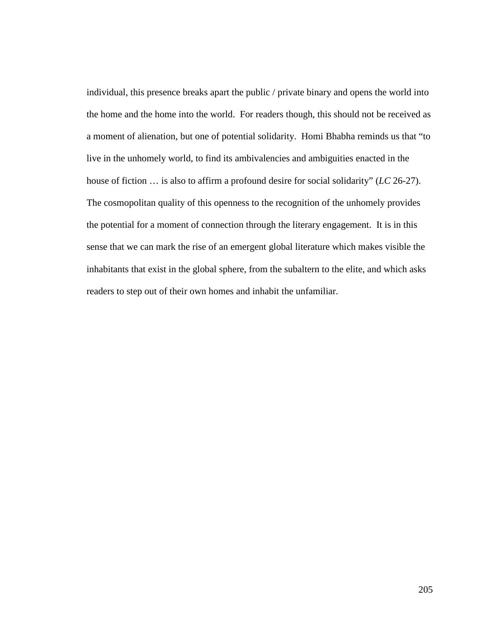individual, this presence breaks apart the public / private binary and opens the world into the home and the home into the world. For readers though, this should not be received as a moment of alienation, but one of potential solidarity. Homi Bhabha reminds us that "to live in the unhomely world, to find its ambivalencies and ambiguities enacted in the house of fiction … is also to affirm a profound desire for social solidarity" (*LC* 26-27). The cosmopolitan quality of this openness to the recognition of the unhomely provides the potential for a moment of connection through the literary engagement. It is in this sense that we can mark the rise of an emergent global literature which makes visible the inhabitants that exist in the global sphere, from the subaltern to the elite, and which asks readers to step out of their own homes and inhabit the unfamiliar.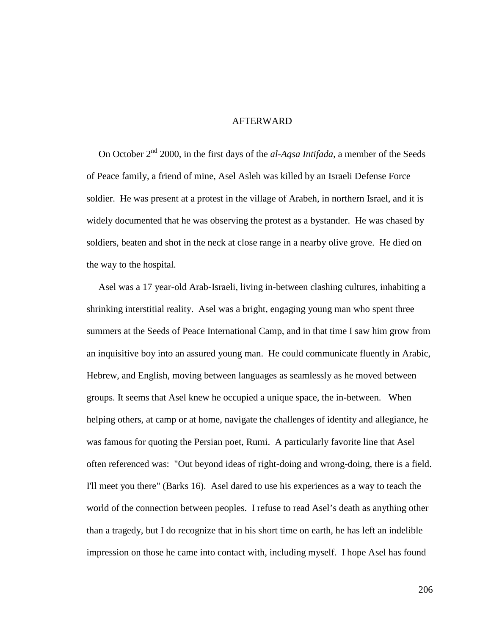## **AFTERWARD**

On October 2<sup>nd</sup> 2000, in the first days of the *al-Aqsa Intifada*, a member of the Seeds of Peace family, a friend of mine, Asel Asleh was killed by an Israeli Defense Force soldier. He was present at a protest in the village of Arabeh, in northern Israel, and it is widely documented that he was observing the protest as a bystander. He was chased by soldiers, beaten and shot in the neck at close range in a nearby olive grove. He died on the way to the hospital.

 Asel was a 17 year-old Arab-Israeli, living in-between clashing cultures, inhabiting a shrinking interstitial reality. Asel was a bright, engaging young man who spent three summers at the Seeds of Peace International Camp, and in that time I saw him grow from an inquisitive boy into an assured young man. He could communicate fluently in Arabic, Hebrew, and English, moving between languages as seamlessly as he moved between groups. It seems that Asel knew he occupied a unique space, the in-between. When helping others, at camp or at home, navigate the challenges of identity and allegiance, he was famous for quoting the Persian poet, Rumi. A particularly favorite line that Asel often referenced was: "Out beyond ideas of right-doing and wrong-doing, there is a field. I'll meet you there" (Barks 16). Asel dared to use his experiences as a way to teach the world of the connection between peoples. I refuse to read Asel's death as anything other than a tragedy, but I do recognize that in his short time on earth, he has left an indelible impression on those he came into contact with, including myself. I hope Asel has found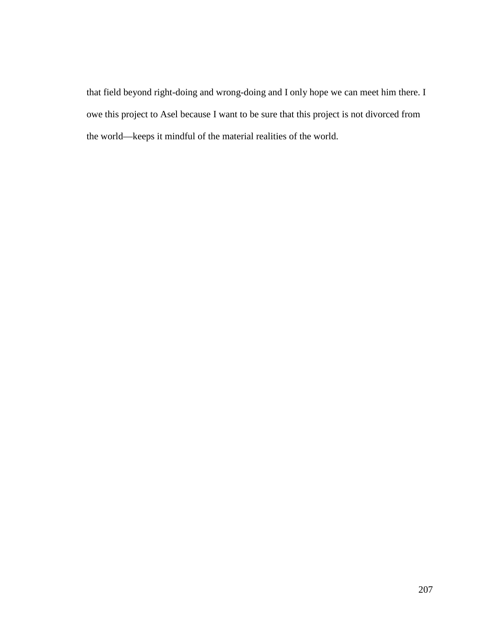that field beyond right-doing and wrong-doing and I only hope we can meet him there. I owe this project to Asel because I want to be sure that this project is not divorced from the world—keeps it mindful of the material realities of the world.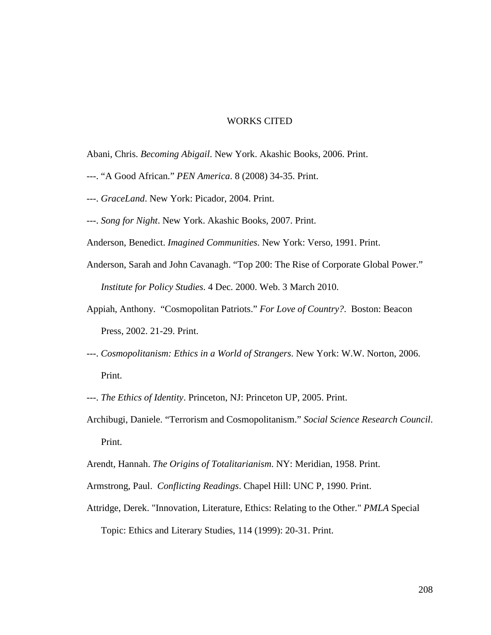## WORKS CITED

Abani, Chris. *Becoming Abigail*. New York. Akashic Books, 2006. Print.

- ---. "A Good African." *PEN America*. 8 (2008) 34-35. Print.
- ---. *GraceLand*. New York: Picador, 2004. Print.
- ---. *Song for Night*. New York. Akashic Books, 2007. Print.

Anderson, Benedict. *Imagined Communities*. New York: Verso, 1991. Print.

- Anderson, Sarah and John Cavanagh. "Top 200: The Rise of Corporate Global Power." *Institute for Policy Studies*. 4 Dec. 2000. Web. 3 March 2010.
- Appiah, Anthony. "Cosmopolitan Patriots." *For Love of Country?*. Boston: Beacon Press, 2002. 21-29. Print.
- ---. *Cosmopolitanism: Ethics in a World of Strangers*. New York: W.W. Norton, 2006. Print.
- ---. *The Ethics of Identity*. Princeton, NJ: Princeton UP, 2005. Print.
- Archibugi, Daniele. "Terrorism and Cosmopolitanism." *Social Science Research Council*. Print.
- Arendt, Hannah. *The Origins of Totalitarianism*. NY: Meridian, 1958. Print.
- Armstrong, Paul. *Conflicting Readings*. Chapel Hill: UNC P, 1990. Print.
- Attridge, Derek. "Innovation, Literature, Ethics: Relating to the Other." *PMLA* Special Topic: Ethics and Literary Studies, 114 (1999): 20-31. Print.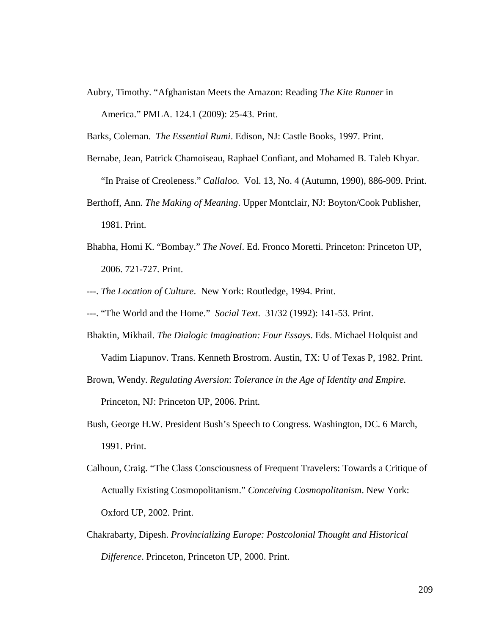Aubry, Timothy. "Afghanistan Meets the Amazon: Reading *The Kite Runner* in America." PMLA. 124.1 (2009): 25-43. Print.

Barks, Coleman. *The Essential Rumi*. Edison, NJ: Castle Books, 1997. Print.

- Bernabe, Jean, Patrick Chamoiseau, Raphael Confiant, and Mohamed B. Taleb Khyar. "In Praise of Creoleness." *Callaloo.* Vol. 13, No. 4 (Autumn, 1990), 886-909. Print. Berthoff, Ann. *The Making of Meaning*. Upper Montclair, NJ: Boyton/Cook Publisher,
- 1981. Print.
- Bhabha, Homi K. "Bombay." *The Novel*. Ed. Fronco Moretti. Princeton: Princeton UP, 2006. 721-727. Print.
- ---. *The Location of Culture*. New York: Routledge, 1994. Print.
- ---. "The World and the Home." *Social Text*. 31/32 (1992): 141-53. Print.
- Bhaktin, Mikhail. *The Dialogic Imagination: Four Essays*. Eds. Michael Holquist and Vadim Liapunov. Trans. Kenneth Brostrom. Austin, TX: U of Texas P, 1982. Print.

Brown, Wendy. *Regulating Aversion*: *Tolerance in the Age of Identity and Empire.* Princeton, NJ: Princeton UP, 2006. Print.

- Bush, George H.W. President Bush's Speech to Congress. Washington, DC. 6 March, 1991. Print.
- Calhoun, Craig. "The Class Consciousness of Frequent Travelers: Towards a Critique of Actually Existing Cosmopolitanism." *Conceiving Cosmopolitanism*. New York: Oxford UP, 2002. Print.
- Chakrabarty, Dipesh. *Provincializing Europe: Postcolonial Thought and Historical Difference*. Princeton, Princeton UP, 2000. Print.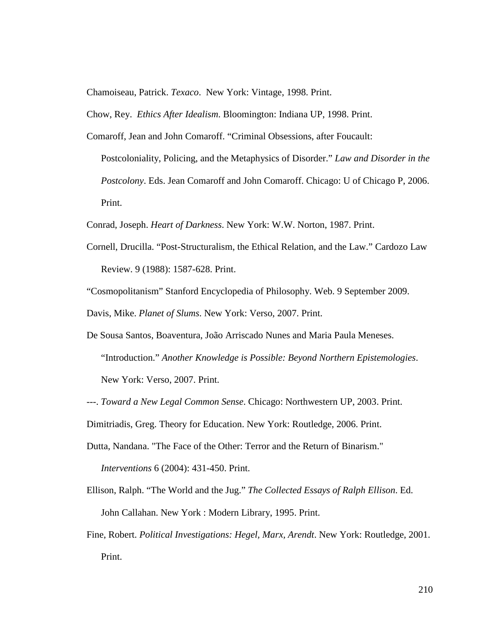Chamoiseau, Patrick. *Texaco*. New York: Vintage, 1998. Print.

Chow, Rey. *Ethics After Idealism*. Bloomington: Indiana UP, 1998. Print.

- Comaroff, Jean and John Comaroff. "Criminal Obsessions, after Foucault:
	- Postcoloniality, Policing, and the Metaphysics of Disorder." *Law and Disorder in the Postcolony*. Eds. Jean Comaroff and John Comaroff. Chicago: U of Chicago P, 2006. Print.

Conrad, Joseph. *Heart of Darkness*. New York: W.W. Norton, 1987. Print.

- Cornell, Drucilla. "Post-Structuralism, the Ethical Relation, and the Law." Cardozo Law Review. 9 (1988): 1587-628. Print.
- "Cosmopolitanism" Stanford Encyclopedia of Philosophy. Web. 9 September 2009.

Davis, Mike. *Planet of Slums*. New York: Verso, 2007. Print.

- De Sousa Santos, Boaventura, João Arriscado Nunes and Maria Paula Meneses. "Introduction." *Another Knowledge is Possible: Beyond Northern Epistemologies*. New York: Verso, 2007. Print.
- ---. *Toward a New Legal Common Sense*. Chicago: Northwestern UP, 2003. Print.

Dimitriadis, Greg. Theory for Education. New York: Routledge, 2006. Print.

- Dutta, Nandana. "The Face of the Other: Terror and the Return of Binarism." *Interventions* 6 (2004): 431-450. Print.
- Ellison, Ralph. "The World and the Jug." *The Collected Essays of Ralph Ellison*. Ed. John Callahan. New York : Modern Library, 1995. Print.
- Fine, Robert. *Political Investigations: Hegel, Marx, Arendt*. New York: Routledge, 2001. Print.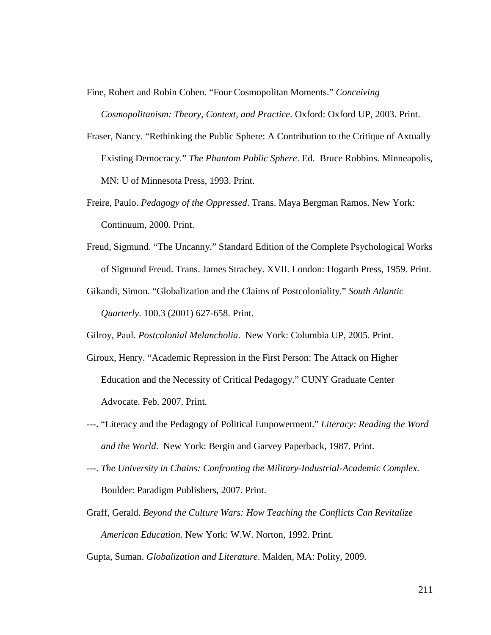Fine, Robert and Robin Cohen. "Four Cosmopolitan Moments." *Conceiving* 

*Cosmopolitanism: Theory, Context, and Practice*. Oxford: Oxford UP, 2003. Print.

- Fraser, Nancy. "Rethinking the Public Sphere: A Contribution to the Critique of Axtually Existing Democracy*.*" *The Phantom Public Sphere*. Ed. Bruce Robbins. Minneapolis, MN: U of Minnesota Press, 1993. Print.
- Freire, Paulo. *Pedagogy of the Oppressed*. Trans. Maya Bergman Ramos. New York: Continuum, 2000. Print.
- Freud, Sigmund. "The Uncanny." Standard Edition of the Complete Psychological Works of Sigmund Freud. Trans. James Strachey. XVII. London: Hogarth Press, 1959. Print.
- Gikandi, Simon. "Globalization and the Claims of Postcoloniality." *South Atlantic Quarterly*. 100.3 (2001) 627-658. Print.

Gilroy, Paul. *Postcolonial Melancholia*. New York: Columbia UP, 2005. Print.

- Giroux, Henry. "Academic Repression in the First Person: The Attack on Higher Education and the Necessity of Critical Pedagogy." CUNY Graduate Center Advocate. Feb. 2007. Print.
- ---. "Literacy and the Pedagogy of Political Empowerment." *Literacy: Reading the Word and the World*. New York: Bergin and Garvey Paperback, 1987. Print.
- ---. *The University in Chains: Confronting the Military-Industrial-Academic Complex*. Boulder: Paradigm Publishers, 2007. Print.
- Graff, Gerald. *Beyond the Culture Wars: How Teaching the Conflicts Can Revitalize American Education*. New York: W.W. Norton, 1992. Print.

Gupta, Suman. *Globalization and Literature*. Malden, MA: Polity, 2009.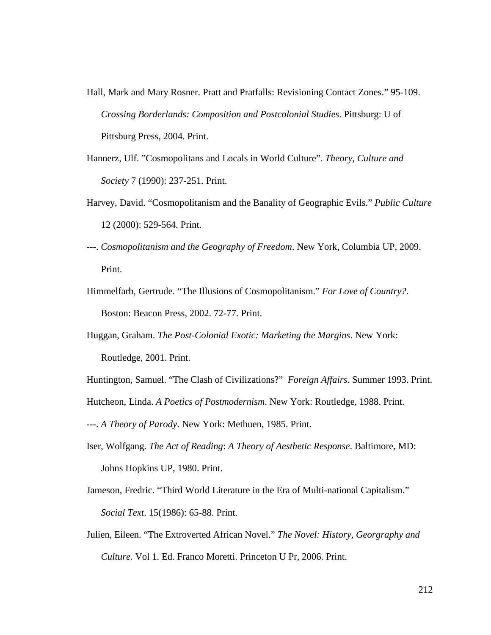- Hall, Mark and Mary Rosner. Pratt and Pratfalls: Revisioning Contact Zones." 95-109. *Crossing Borderlands: Composition and Postcolonial Studies*. Pittsburg: U of Pittsburg Press, 2004. Print.
- Hannerz, Ulf. "Cosmopolitans and Locals in World Culture". *Theory, Culture and Society* 7 (1990): 237-251. Print.
- Harvey, David. "Cosmopolitanism and the Banality of Geographic Evils." *Public Culture* 12 (2000): 529-564. Print.
- ---. *Cosmopolitanism and the Geography of Freedom*. New York, Columbia UP, 2009. Print.
- Himmelfarb, Gertrude. "The Illusions of Cosmopolitanism." *For Love of Country?*. Boston: Beacon Press, 2002. 72-77. Print.
- Huggan, Graham. *The Post-Colonial Exotic: Marketing the Margins*. New York: Routledge, 2001. Print.
- Huntington, Samuel. "The Clash of Civilizations?" *Foreign Affairs*. Summer 1993. Print.

Hutcheon, Linda. *A Poetics of Postmodernism*. New York: Routledge, 1988. Print.

---. *A Theory of Parody*. New York: Methuen, 1985. Print.

- Iser, Wolfgang. *The Act of Reading*: *A Theory of Aesthetic Response*. Baltimore, MD: Johns Hopkins UP, 1980. Print.
- Jameson, Fredric. "Third World Literature in the Era of Multi-national Capitalism." *Social Text*. 15(1986): 65-88. Print.
- Julien, Eileen. "The Extroverted African Novel." *The Novel: History, Georgraphy and Culture.* Vol 1. Ed. Franco Moretti. Princeton U Pr, 2006. Print.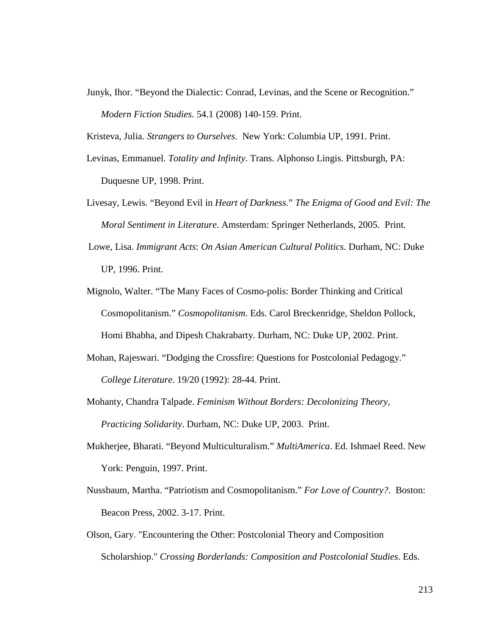Junyk, Ihor. "Beyond the Dialectic: Conrad, Levinas, and the Scene or Recognition." *Modern Fiction Studies*. 54.1 (2008) 140-159. Print.

Kristeva, Julia. *Strangers to Ourselves*. New York: Columbia UP, 1991. Print.

- Levinas, Emmanuel. *Totality and Infinity*. Trans. Alphonso Lingis. Pittsburgh, PA: Duquesne UP, 1998. Print.
- Livesay, Lewis. "Beyond Evil in *Heart of Darkness*." *The Enigma of Good and Evil: The Moral Sentiment in Literature*. Amsterdam: Springer Netherlands, 2005. Print.
- Lowe, Lisa. *Immigrant Acts*: *On Asian American Cultural Politics*. Durham, NC: Duke UP, 1996. Print.
- Mignolo, Walter. "The Many Faces of Cosmo-polis: Border Thinking and Critical Cosmopolitanism." *Cosmopolitanism*. Eds. Carol Breckenridge, Sheldon Pollock, Homi Bhabha, and Dipesh Chakrabarty. Durham, NC: Duke UP, 2002. Print.
- Mohan, Rajeswari. "Dodging the Crossfire: Questions for Postcolonial Pedagogy." *College Literature*. 19/20 (1992): 28-44. Print.
- Mohanty, Chandra Talpade. *Feminism Without Borders: Decolonizing Theory, Practicing Solidarity*. Durham, NC: Duke UP, 2003. Print.
- Mukherjee, Bharati. "Beyond Multiculturalism." *MultiAmerica*. Ed. Ishmael Reed. New York: Penguin, 1997. Print.
- Nussbaum, Martha. "Patriotism and Cosmopolitanism." *For Love of Country?*. Boston: Beacon Press, 2002. 3-17. Print.
- Olson, Gary. "Encountering the Other: Postcolonial Theory and Composition Scholarshiop." *Crossing Borderlands: Composition and Postcolonial Studies*. Eds.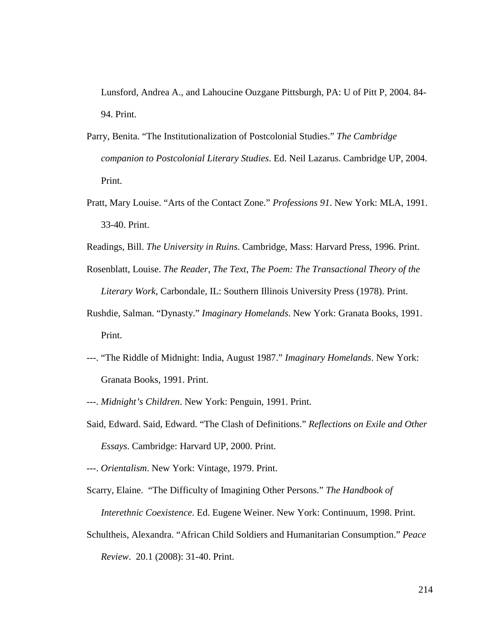Lunsford, Andrea A., and Lahoucine Ouzgane Pittsburgh, PA: U of Pitt P, 2004. 84- 94. Print.

- Parry, Benita. "The Institutionalization of Postcolonial Studies." *The Cambridge companion to Postcolonial Literary Studies*. Ed. Neil Lazarus. Cambridge UP, 2004. Print.
- Pratt, Mary Louise. "Arts of the Contact Zone." *Professions 91*. New York: MLA, 1991. 33-40. Print.
- Readings, Bill. *The University in Ruins*. Cambridge, Mass: Harvard Press, 1996. Print.
- Rosenblatt, Louise. *The Reader, The Text, The Poem: The Transactional Theory of the Literary Work*, Carbondale, IL: Southern Illinois University Press (1978). Print.
- Rushdie, Salman. "Dynasty." *Imaginary Homelands*. New York: Granata Books, 1991. Print.
- ---. "The Riddle of Midnight: India, August 1987." *Imaginary Homelands*. New York: Granata Books, 1991. Print.
- ---. *Midnight's Children*. New York: Penguin, 1991. Print.
- Said, Edward. Said, Edward. "The Clash of Definitions." *Reflections on Exile and Other Essays*. Cambridge: Harvard UP, 2000. Print.
- ---. *Orientalism*. New York: Vintage, 1979. Print.
- Scarry, Elaine. "The Difficulty of Imagining Other Persons." *The Handbook of Interethnic Coexistence*. Ed. Eugene Weiner. New York: Continuum, 1998. Print.
- Schultheis, Alexandra. "African Child Soldiers and Humanitarian Consumption." *Peace Review*. 20.1 (2008): 31-40. Print.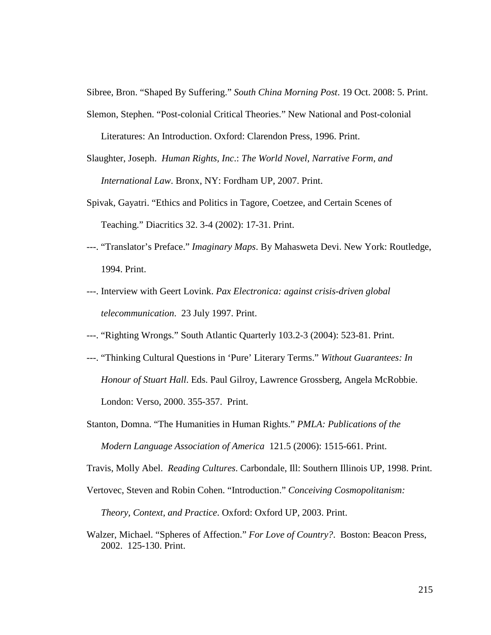Sibree, Bron. "Shaped By Suffering." *South China Morning Post*. 19 Oct. 2008: 5. Print.

Slemon, Stephen. "Post-colonial Critical Theories." New National and Post-colonial

Literatures: An Introduction. Oxford: Clarendon Press, 1996. Print.

- Slaughter, Joseph. *Human Rights, Inc*.: *The World Novel, Narrative Form, and International Law*. Bronx, NY: Fordham UP, 2007. Print.
- Spivak, Gayatri. "Ethics and Politics in Tagore, Coetzee, and Certain Scenes of Teaching." Diacritics 32. 3-4 (2002): 17-31. Print.
- ---. "Translator's Preface." *Imaginary Maps*. By Mahasweta Devi. New York: Routledge, 1994. Print.
- ---. Interview with Geert Lovink. *Pax Electronica: against crisis-driven global telecommunication*. 23 July 1997. Print.
- ---. "Righting Wrongs." South Atlantic Quarterly 103.2-3 (2004): 523-81. Print.
- ---. "Thinking Cultural Questions in 'Pure' Literary Terms." *Without Guarantees: In Honour of Stuart Hall*. Eds. Paul Gilroy, Lawrence Grossberg, Angela McRobbie. London: Verso, 2000. 355-357. Print.
- Stanton, Domna. "The Humanities in Human Rights." *PMLA: Publications of the Modern Language Association of America* 121.5 (2006): 1515-661. Print.

Travis, Molly Abel. *Reading Cultures*. Carbondale, Ill: Southern Illinois UP, 1998. Print.

- Vertovec, Steven and Robin Cohen. "Introduction." *Conceiving Cosmopolitanism: Theory, Context, and Practice*. Oxford: Oxford UP, 2003. Print.
- Walzer, Michael. "Spheres of Affection." *For Love of Country?*. Boston: Beacon Press, 2002. 125-130. Print.